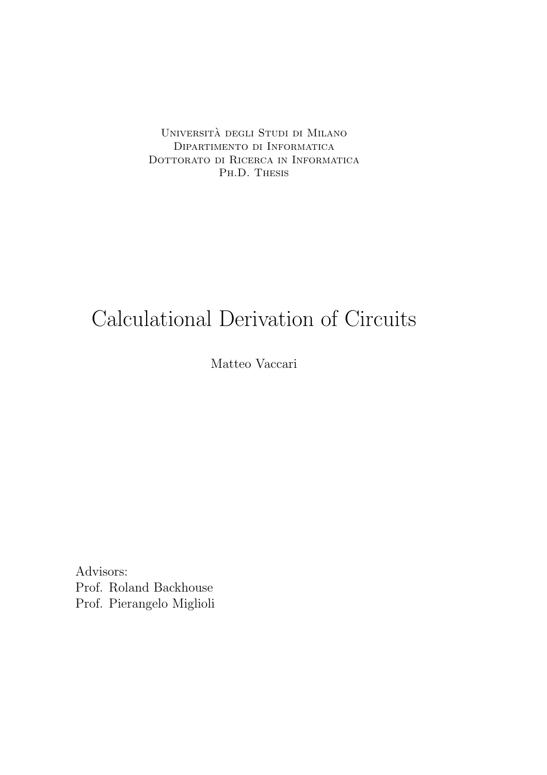Universita degli Studi di Milano ` Dipartimento di Informatica DOTTORATO DI RICERCA IN INFORMATICA Ph.D. Thesis

# Calculational Derivation of Circuits

Matteo Vaccari

Advisors: Prof. Roland Backhouse Prof. Pierangelo Miglioli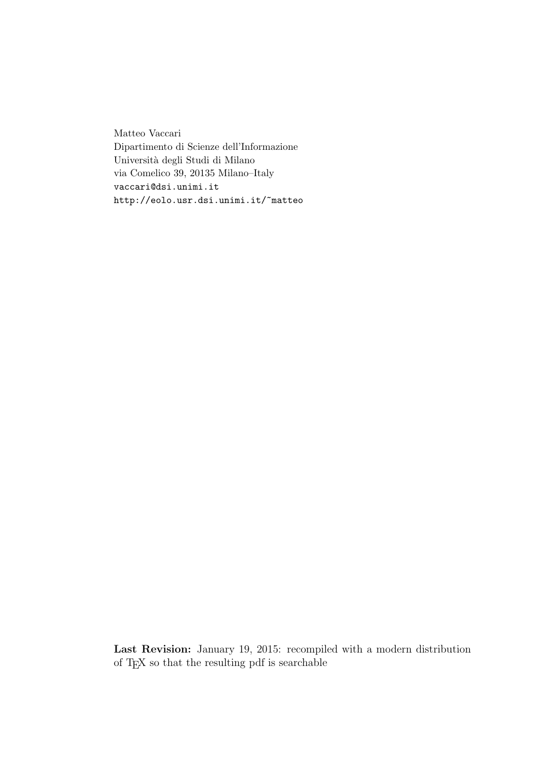Matteo Vaccari Dipartimento di Scienze dell'Informazione Universit`a degli Studi di Milano via Comelico 39, 20135 Milano–Italy vaccari@dsi.unimi.it http://eolo.usr.dsi.unimi.it/~matteo

Last Revision: January 19, 2015: recompiled with a modern distribution of TEX so that the resulting pdf is searchable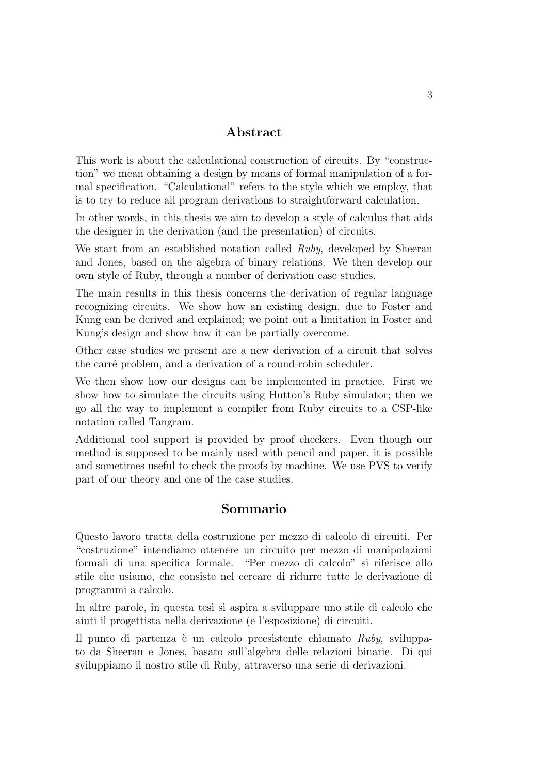#### Abstract

This work is about the calculational construction of circuits. By "construction" we mean obtaining a design by means of formal manipulation of a formal specification. "Calculational" refers to the style which we employ, that is to try to reduce all program derivations to straightforward calculation.

In other words, in this thesis we aim to develop a style of calculus that aids the designer in the derivation (and the presentation) of circuits.

We start from an established notation called Ruby, developed by Sheeran and Jones, based on the algebra of binary relations. We then develop our own style of Ruby, through a number of derivation case studies.

The main results in this thesis concerns the derivation of regular language recognizing circuits. We show how an existing design, due to Foster and Kung can be derived and explained; we point out a limitation in Foster and Kung's design and show how it can be partially overcome.

Other case studies we present are a new derivation of a circuit that solves the carré problem, and a derivation of a round-robin scheduler.

We then show how our designs can be implemented in practice. First we show how to simulate the circuits using Hutton's Ruby simulator; then we go all the way to implement a compiler from Ruby circuits to a CSP-like notation called Tangram.

Additional tool support is provided by proof checkers. Even though our method is supposed to be mainly used with pencil and paper, it is possible and sometimes useful to check the proofs by machine. We use PVS to verify part of our theory and one of the case studies.

#### Sommario

Questo lavoro tratta della costruzione per mezzo di calcolo di circuiti. Per "costruzione" intendiamo ottenere un circuito per mezzo di manipolazioni formali di una specifica formale. "Per mezzo di calcolo" si riferisce allo stile che usiamo, che consiste nel cercare di ridurre tutte le derivazione di programmi a calcolo.

In altre parole, in questa tesi si aspira a sviluppare uno stile di calcolo che aiuti il progettista nella derivazione (e l'esposizione) di circuiti.

Il punto di partenza è un calcolo preesistente chiamato  $Ruby$ , sviluppato da Sheeran e Jones, basato sull'algebra delle relazioni binarie. Di qui sviluppiamo il nostro stile di Ruby, attraverso una serie di derivazioni.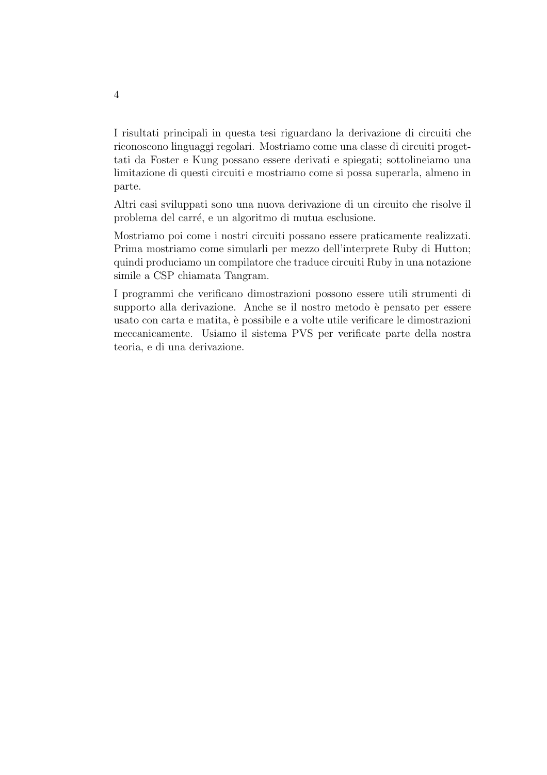I risultati principali in questa tesi riguardano la derivazione di circuiti che riconoscono linguaggi regolari. Mostriamo come una classe di circuiti progettati da Foster e Kung possano essere derivati e spiegati; sottolineiamo una limitazione di questi circuiti e mostriamo come si possa superarla, almeno in parte.

Altri casi sviluppati sono una nuova derivazione di un circuito che risolve il problema del carr´e, e un algoritmo di mutua esclusione.

Mostriamo poi come i nostri circuiti possano essere praticamente realizzati. Prima mostriamo come simularli per mezzo dell'interprete Ruby di Hutton; quindi produciamo un compilatore che traduce circuiti Ruby in una notazione simile a CSP chiamata Tangram.

I programmi che verificano dimostrazioni possono essere utili strumenti di supporto alla derivazione. Anche se il nostro metodo è pensato per essere usato con carta e matita, è possibile e a volte utile verificare le dimostrazioni meccanicamente. Usiamo il sistema PVS per verificate parte della nostra teoria, e di una derivazione.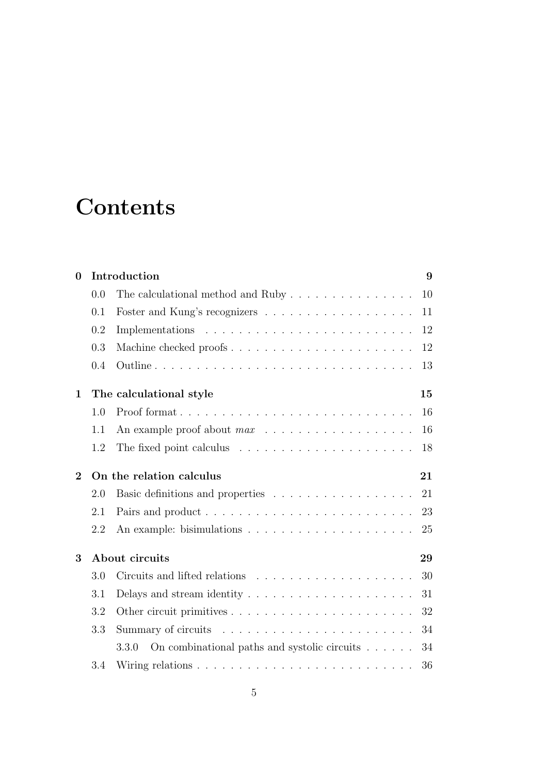| $\bf{0}$ |     | Introduction                                                                  | 9  |
|----------|-----|-------------------------------------------------------------------------------|----|
|          | 0.0 |                                                                               | 10 |
|          | 0.1 |                                                                               | 11 |
|          | 0.2 |                                                                               | 12 |
|          | 0.3 | Machine checked proofs                                                        | 12 |
|          | 0.4 |                                                                               | 13 |
| 1        |     | The calculational style                                                       | 15 |
|          | 1.0 | Proof format                                                                  | 16 |
|          | 1.1 |                                                                               | 16 |
|          | 1.2 |                                                                               | 18 |
| $\bf{2}$ |     | On the relation calculus                                                      | 21 |
|          | 2.0 |                                                                               | 21 |
|          | 2.1 |                                                                               | 23 |
|          | 2.2 |                                                                               | 25 |
| 3        |     | About circuits                                                                | 29 |
|          | 3.0 |                                                                               | 30 |
|          | 3.1 | Delays and stream identity $\ldots \ldots \ldots \ldots \ldots \ldots \ldots$ | 31 |
|          | 3.2 |                                                                               | 32 |
|          | 3.3 |                                                                               | 34 |
|          |     | On combinational paths and systolic circuits<br>3.3.0                         | 34 |
|          | 3.4 |                                                                               | 36 |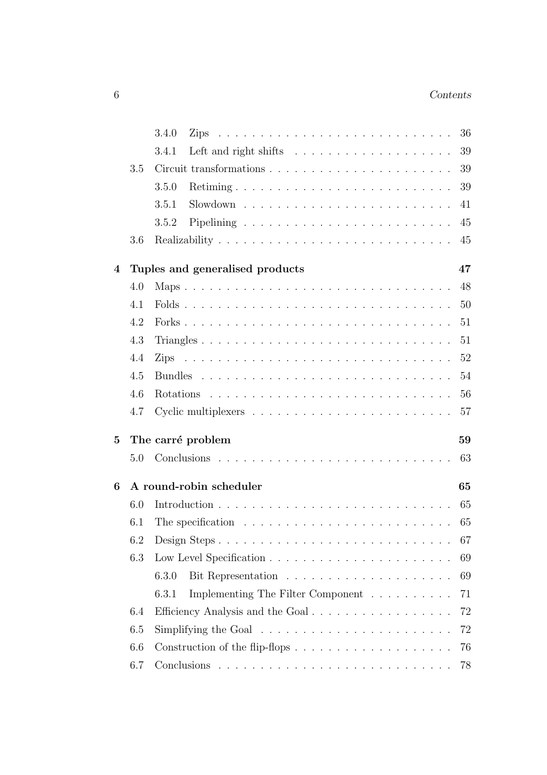|                |     | 3.4.0                                                                                 | 36 |
|----------------|-----|---------------------------------------------------------------------------------------|----|
|                |     | 3.4.1                                                                                 | 39 |
|                | 3.5 |                                                                                       | 39 |
|                |     | 3.5.0                                                                                 | 39 |
|                |     | 3.5.1<br>$Slowdown \dots \dots \dots \dots \dots \dots \dots \dots \dots \dots \dots$ | 41 |
|                |     | 3.5.2                                                                                 | 45 |
|                | 3.6 |                                                                                       | 45 |
| $\overline{4}$ |     | Tuples and generalised products                                                       | 47 |
|                | 4.0 |                                                                                       | 48 |
|                | 4.1 |                                                                                       | 50 |
|                | 4.2 |                                                                                       | 51 |
|                | 4.3 |                                                                                       | 51 |
|                | 4.4 |                                                                                       | 52 |
|                | 4.5 |                                                                                       | 54 |
|                | 4.6 |                                                                                       | 56 |
|                | 4.7 |                                                                                       | 57 |
| $\bf{5}$       |     | The carré problem                                                                     | 59 |
|                | 5.0 |                                                                                       | 63 |
| 6              |     | A round-robin scheduler                                                               | 65 |
|                | 6.0 |                                                                                       | 65 |
|                | 6.1 |                                                                                       | 65 |
|                |     |                                                                                       | 67 |
|                | 6.3 |                                                                                       | 69 |
|                |     | 6.3.0                                                                                 | 69 |
|                |     | 6.3.1<br>Implementing The Filter Component                                            | 71 |
|                | 6.4 | Efficiency Analysis and the Goal                                                      | 72 |
|                | 6.5 | Simplifying the Goal $\ldots \ldots \ldots \ldots \ldots \ldots \ldots$               | 72 |
|                | 6.6 | Construction of the flip-flops $\dots \dots \dots \dots \dots \dots \dots$            | 76 |
|                | 6.7 |                                                                                       | 78 |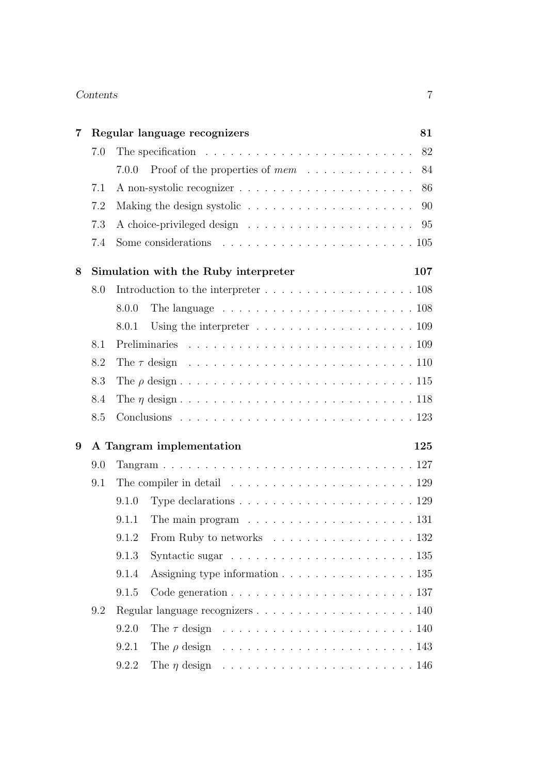| 7 |     | Regular language recognizers                                                                  | 81  |
|---|-----|-----------------------------------------------------------------------------------------------|-----|
|   | 7.0 | The specification $\ldots \ldots \ldots \ldots \ldots \ldots \ldots \ldots$                   | 82  |
|   |     | Proof of the properties of $mem \dots \dots \dots \dots$<br>7.0.0                             | 84  |
|   | 7.1 |                                                                                               | 86  |
|   | 7.2 |                                                                                               | 90  |
|   | 7.3 |                                                                                               |     |
|   | 7.4 | Some considerations $\ldots \ldots \ldots \ldots \ldots \ldots \ldots \ldots \ldots 105$      |     |
| 8 |     | Simulation with the Ruby interpreter<br>107                                                   |     |
|   | 8.0 |                                                                                               |     |
|   |     | The language $\ldots \ldots \ldots \ldots \ldots \ldots \ldots \ldots 108$<br>8.0.0           |     |
|   |     | 8.0.1                                                                                         |     |
|   | 8.1 |                                                                                               |     |
|   | 8.2 | The $\tau$ design $\ldots \ldots \ldots \ldots \ldots \ldots \ldots \ldots \ldots \ldots 110$ |     |
|   | 8.3 |                                                                                               |     |
|   | 8.4 |                                                                                               |     |
|   | 8.5 |                                                                                               |     |
| 9 |     | A Tangram implementation<br>125                                                               |     |
|   | 9.0 |                                                                                               |     |
|   | 9.1 | The compiler in detail $\ldots \ldots \ldots \ldots \ldots \ldots \ldots \ldots 129$          |     |
|   |     | Type declarations $\dots \dots \dots \dots \dots \dots \dots \dots \dots \dots 129$<br>9.1.0  |     |
|   |     | 9.1.1<br>The main program $\ldots \ldots \ldots \ldots \ldots \ldots \ldots 131$              |     |
|   |     | 9.1.2 From Ruby to networks                                                                   | 132 |
|   |     | 9.1.3<br>Syntactic sugar $\dots \dots \dots \dots \dots \dots \dots \dots \dots \dots 135$    |     |
|   |     | 9.1.4<br>Assigning type information $\dots \dots \dots \dots \dots \dots \dots 135$           |     |
|   |     | 9.1.5                                                                                         |     |
|   | 9.2 |                                                                                               |     |
|   |     | The $\tau$ design $\ldots \ldots \ldots \ldots \ldots \ldots \ldots \ldots 140$<br>9.2.0      |     |
|   |     | 9.2.1                                                                                         |     |
|   |     | 9.2.2                                                                                         |     |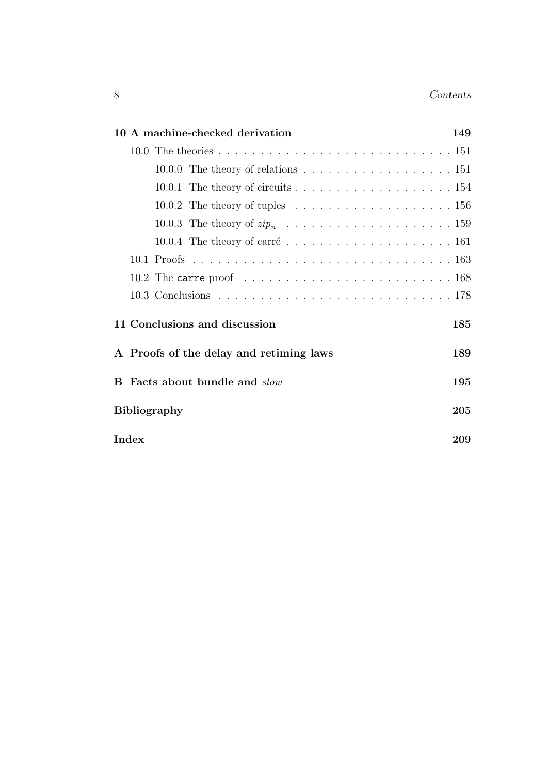|                            | 10 A machine-checked derivation<br>149 |                                                                                           |     |  |
|----------------------------|----------------------------------------|-------------------------------------------------------------------------------------------|-----|--|
|                            |                                        |                                                                                           |     |  |
|                            |                                        | 10.0.0 The theory of relations $\ldots \ldots \ldots \ldots \ldots \ldots 151$            |     |  |
|                            |                                        | 10.0.1 The theory of circuits $\ldots \ldots \ldots \ldots \ldots \ldots \ldots 154$      |     |  |
|                            |                                        | 10.0.2 The theory of tuples $\ldots \ldots \ldots \ldots \ldots \ldots \ldots 156$        |     |  |
|                            |                                        |                                                                                           |     |  |
|                            |                                        | 10.0.4 The theory of carré $\ldots \ldots \ldots \ldots \ldots \ldots \ldots 161$         |     |  |
|                            |                                        |                                                                                           |     |  |
|                            |                                        | 10.2 The carre proof $\ldots \ldots \ldots \ldots \ldots \ldots \ldots \ldots \ldots 168$ |     |  |
|                            |                                        |                                                                                           |     |  |
|                            |                                        | 11 Conclusions and discussion                                                             | 185 |  |
|                            |                                        | A Proofs of the delay and retiming laws                                                   | 189 |  |
|                            |                                        | <b>B</b> Facts about bundle and slow                                                      | 195 |  |
| 205<br><b>Bibliography</b> |                                        |                                                                                           |     |  |
|                            | Index<br>209                           |                                                                                           |     |  |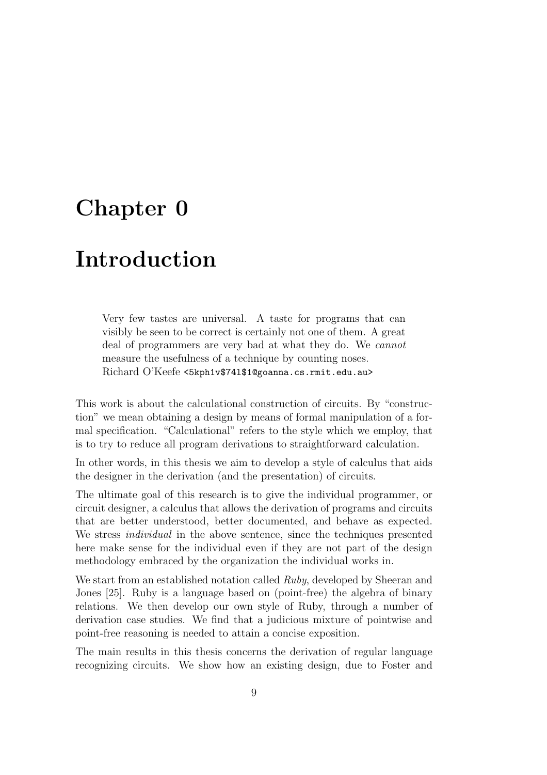# Chapter 0

# Introduction

Very few tastes are universal. A taste for programs that can visibly be seen to be correct is certainly not one of them. A great deal of programmers are very bad at what they do. We cannot measure the usefulness of a technique by counting noses. Richard O'Keefe <5kph1v\$74l\$1@goanna.cs.rmit.edu.au>

This work is about the calculational construction of circuits. By "construction" we mean obtaining a design by means of formal manipulation of a formal specification. "Calculational" refers to the style which we employ, that is to try to reduce all program derivations to straightforward calculation.

In other words, in this thesis we aim to develop a style of calculus that aids the designer in the derivation (and the presentation) of circuits.

The ultimate goal of this research is to give the individual programmer, or circuit designer, a calculus that allows the derivation of programs and circuits that are better understood, better documented, and behave as expected. We stress *individual* in the above sentence, since the techniques presented here make sense for the individual even if they are not part of the design methodology embraced by the organization the individual works in.

We start from an established notation called Ruby, developed by Sheeran and Jones [25]. Ruby is a language based on (point-free) the algebra of binary relations. We then develop our own style of Ruby, through a number of derivation case studies. We find that a judicious mixture of pointwise and point-free reasoning is needed to attain a concise exposition.

The main results in this thesis concerns the derivation of regular language recognizing circuits. We show how an existing design, due to Foster and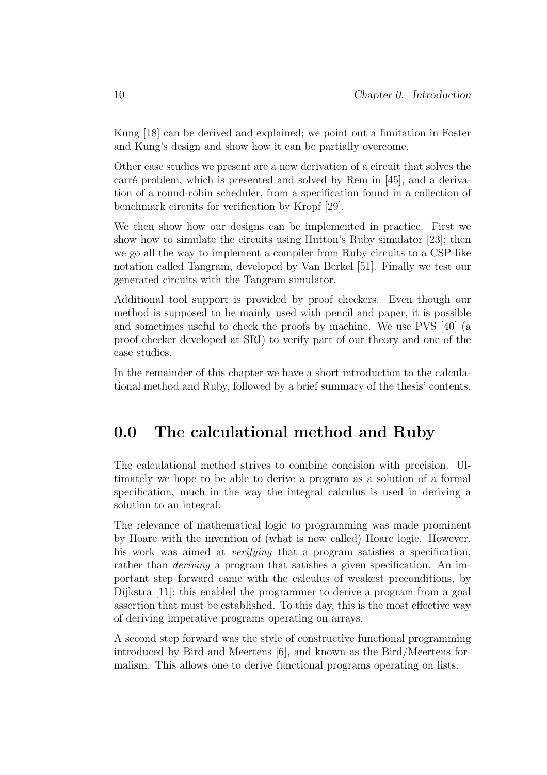Kung [18] can be derived and explained; we point out a limitation in Foster and Kung's design and show how it can be partially overcome.

Other case studies we present are a new derivation of a circuit that solves the carré problem, which is presented and solved by Rem in [45], and a derivation of a round-robin scheduler, from a specification found in a collection of benchmark circuits for verification by Kropf [29].

We then show how our designs can be implemented in practice. First we show how to simulate the circuits using Hutton's Ruby simulator [23]; then we go all the way to implement a compiler from Ruby circuits to a CSP-like notation called Tangram, developed by Van Berkel [51]. Finally we test our generated circuits with the Tangram simulator.

Additional tool support is provided by proof checkers. Even though our method is supposed to be mainly used with pencil and paper, it is possible and sometimes useful to check the proofs by machine. We use PVS [40] (a proof checker developed at SRI) to verify part of our theory and one of the case studies.

In the remainder of this chapter we have a short introduction to the calculational method and Ruby, followed by a brief summary of the thesis' contents.

# 0.0 The calculational method and Ruby

The calculational method strives to combine concision with precision. Ultimately we hope to be able to derive a program as a solution of a formal specification, much in the way the integral calculus is used in deriving a solution to an integral.

The relevance of mathematical logic to programming was made prominent by Hoare with the invention of (what is now called) Hoare logic. However, his work was aimed at *verifying* that a program satisfies a specification, rather than *deriving* a program that satisfies a given specification. An important step forward came with the calculus of weakest preconditions, by Dijkstra [11]; this enabled the programmer to derive a program from a goal assertion that must be established. To this day, this is the most effective way of deriving imperative programs operating on arrays.

A second step forward was the style of constructive functional programming introduced by Bird and Meertens [6], and known as the Bird/Meertens formalism. This allows one to derive functional programs operating on lists.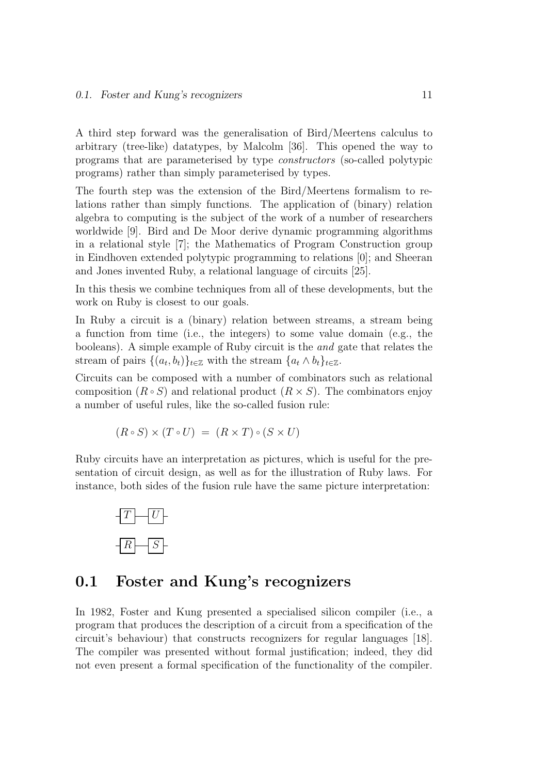A third step forward was the generalisation of Bird/Meertens calculus to arbitrary (tree-like) datatypes, by Malcolm [36]. This opened the way to programs that are parameterised by type constructors (so-called polytypic programs) rather than simply parameterised by types.

The fourth step was the extension of the Bird/Meertens formalism to relations rather than simply functions. The application of (binary) relation algebra to computing is the subject of the work of a number of researchers worldwide [9]. Bird and De Moor derive dynamic programming algorithms in a relational style [7]; the Mathematics of Program Construction group in Eindhoven extended polytypic programming to relations [0]; and Sheeran and Jones invented Ruby, a relational language of circuits [25].

In this thesis we combine techniques from all of these developments, but the work on Ruby is closest to our goals.

In Ruby a circuit is a (binary) relation between streams, a stream being a function from time (i.e., the integers) to some value domain (e.g., the booleans). A simple example of Ruby circuit is the and gate that relates the stream of pairs  $\{(a_t, b_t)\}_{t \in \mathbb{Z}}$  with the stream  $\{a_t \wedge b_t\}_{t \in \mathbb{Z}}$ .

Circuits can be composed with a number of combinators such as relational composition  $(R \circ S)$  and relational product  $(R \times S)$ . The combinators enjoy a number of useful rules, like the so-called fusion rule:

$$
(R \circ S) \times (T \circ U) = (R \times T) \circ (S \times U)
$$

Ruby circuits have an interpretation as pictures, which is useful for the presentation of circuit design, as well as for the illustration of Ruby laws. For instance, both sides of the fusion rule have the same picture interpretation:



# 0.1 Foster and Kung's recognizers

In 1982, Foster and Kung presented a specialised silicon compiler (i.e., a program that produces the description of a circuit from a specification of the circuit's behaviour) that constructs recognizers for regular languages [18]. The compiler was presented without formal justification; indeed, they did not even present a formal specification of the functionality of the compiler.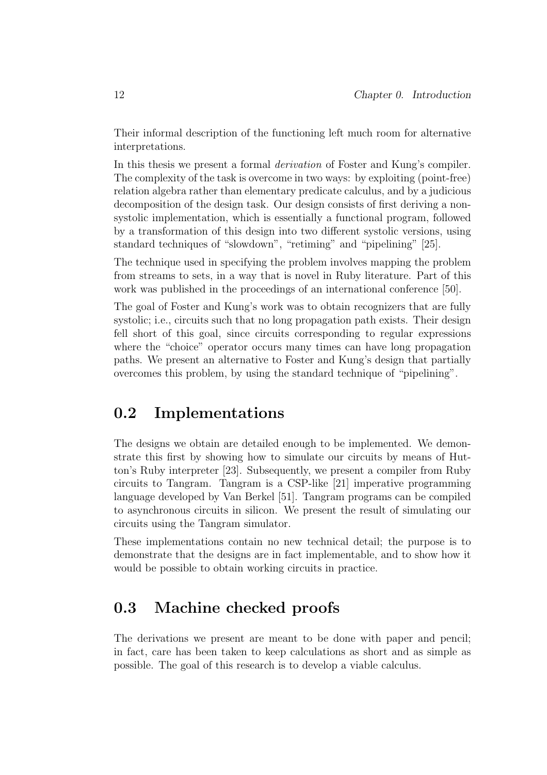Their informal description of the functioning left much room for alternative interpretations.

In this thesis we present a formal derivation of Foster and Kung's compiler. The complexity of the task is overcome in two ways: by exploiting (point-free) relation algebra rather than elementary predicate calculus, and by a judicious decomposition of the design task. Our design consists of first deriving a nonsystolic implementation, which is essentially a functional program, followed by a transformation of this design into two different systolic versions, using standard techniques of "slowdown", "retiming" and "pipelining" [25].

The technique used in specifying the problem involves mapping the problem from streams to sets, in a way that is novel in Ruby literature. Part of this work was published in the proceedings of an international conference [50].

The goal of Foster and Kung's work was to obtain recognizers that are fully systolic; i.e., circuits such that no long propagation path exists. Their design fell short of this goal, since circuits corresponding to regular expressions where the "choice" operator occurs many times can have long propagation paths. We present an alternative to Foster and Kung's design that partially overcomes this problem, by using the standard technique of "pipelining".

# 0.2 Implementations

The designs we obtain are detailed enough to be implemented. We demonstrate this first by showing how to simulate our circuits by means of Hutton's Ruby interpreter [23]. Subsequently, we present a compiler from Ruby circuits to Tangram. Tangram is a CSP-like [21] imperative programming language developed by Van Berkel [51]. Tangram programs can be compiled to asynchronous circuits in silicon. We present the result of simulating our circuits using the Tangram simulator.

These implementations contain no new technical detail; the purpose is to demonstrate that the designs are in fact implementable, and to show how it would be possible to obtain working circuits in practice.

# 0.3 Machine checked proofs

The derivations we present are meant to be done with paper and pencil; in fact, care has been taken to keep calculations as short and as simple as possible. The goal of this research is to develop a viable calculus.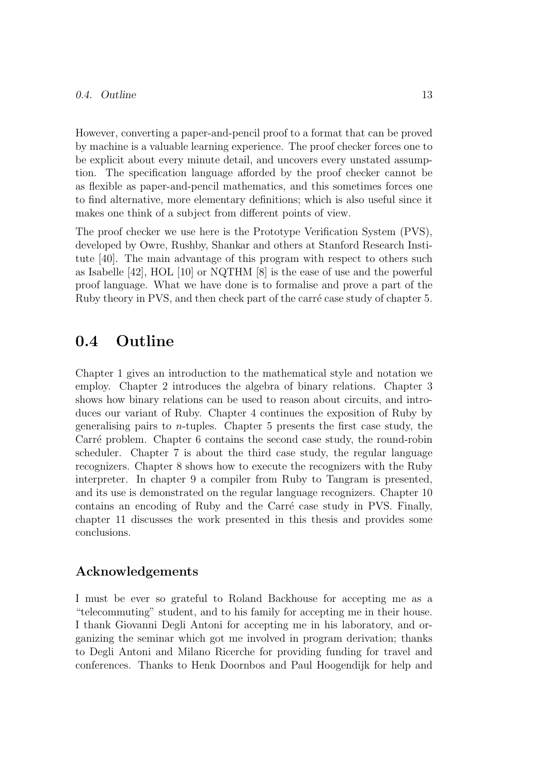#### *0.4. Outline* 13

However, converting a paper-and-pencil proof to a format that can be proved by machine is a valuable learning experience. The proof checker forces one to be explicit about every minute detail, and uncovers every unstated assumption. The specification language afforded by the proof checker cannot be as flexible as paper-and-pencil mathematics, and this sometimes forces one to find alternative, more elementary definitions; which is also useful since it makes one think of a subject from different points of view.

The proof checker we use here is the Prototype Verification System (PVS), developed by Owre, Rushby, Shankar and others at Stanford Research Institute [40]. The main advantage of this program with respect to others such as Isabelle [42], HOL [10] or NQTHM [8] is the ease of use and the powerful proof language. What we have done is to formalise and prove a part of the Ruby theory in PVS, and then check part of the carré case study of chapter 5.

# 0.4 Outline

Chapter 1 gives an introduction to the mathematical style and notation we employ. Chapter 2 introduces the algebra of binary relations. Chapter 3 shows how binary relations can be used to reason about circuits, and introduces our variant of Ruby. Chapter 4 continues the exposition of Ruby by generalising pairs to  $n$ -tuples. Chapter 5 presents the first case study, the Carré problem. Chapter 6 contains the second case study, the round-robin scheduler. Chapter 7 is about the third case study, the regular language recognizers. Chapter 8 shows how to execute the recognizers with the Ruby interpreter. In chapter 9 a compiler from Ruby to Tangram is presented, and its use is demonstrated on the regular language recognizers. Chapter 10 contains an encoding of Ruby and the Carré case study in PVS. Finally, chapter 11 discusses the work presented in this thesis and provides some conclusions.

#### Acknowledgements

I must be ever so grateful to Roland Backhouse for accepting me as a "telecommuting" student, and to his family for accepting me in their house. I thank Giovanni Degli Antoni for accepting me in his laboratory, and organizing the seminar which got me involved in program derivation; thanks to Degli Antoni and Milano Ricerche for providing funding for travel and conferences. Thanks to Henk Doornbos and Paul Hoogendijk for help and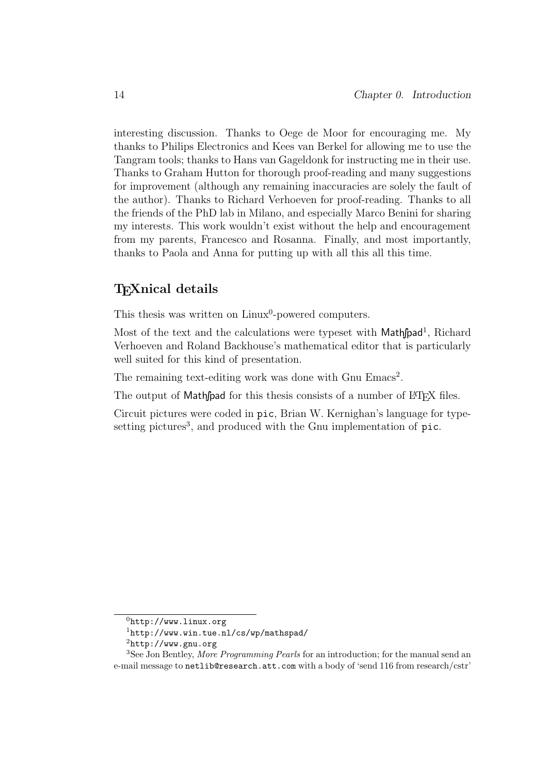interesting discussion. Thanks to Oege de Moor for encouraging me. My thanks to Philips Electronics and Kees van Berkel for allowing me to use the Tangram tools; thanks to Hans van Gageldonk for instructing me in their use. Thanks to Graham Hutton for thorough proof-reading and many suggestions for improvement (although any remaining inaccuracies are solely the fault of the author). Thanks to Richard Verhoeven for proof-reading. Thanks to all the friends of the PhD lab in Milano, and especially Marco Benini for sharing my interests. This work wouldn't exist without the help and encouragement from my parents, Francesco and Rosanna. Finally, and most importantly, thanks to Paola and Anna for putting up with all this all this time.

### T<sub>E</sub>Xnical details

This thesis was written on Linux<sup>0</sup>-powered computers.

Most of the text and the calculations were typeset with Mathfpad<sup>1</sup>, Richard Verhoeven and Roland Backhouse's mathematical editor that is particularly well suited for this kind of presentation.

The remaining text-editing work was done with Gnu Emacs<sup>2</sup>.

The output of Mathfpad for this thesis consists of a number of LATEX files.

Circuit pictures were coded in pic, Brian W. Kernighan's language for typesetting pictures<sup>3</sup>, and produced with the Gnu implementation of pic.

 $0$ http://www.linux.org

<sup>1</sup>http://www.win.tue.nl/cs/wp/mathspad/

 $<sup>2</sup>$ http://www.gnu.org</sup>

<sup>&</sup>lt;sup>3</sup>See Jon Bentley, *More Programming Pearls* for an introduction; for the manual send an e-mail message to netlib@research.att.com with a body of 'send 116 from research/cstr'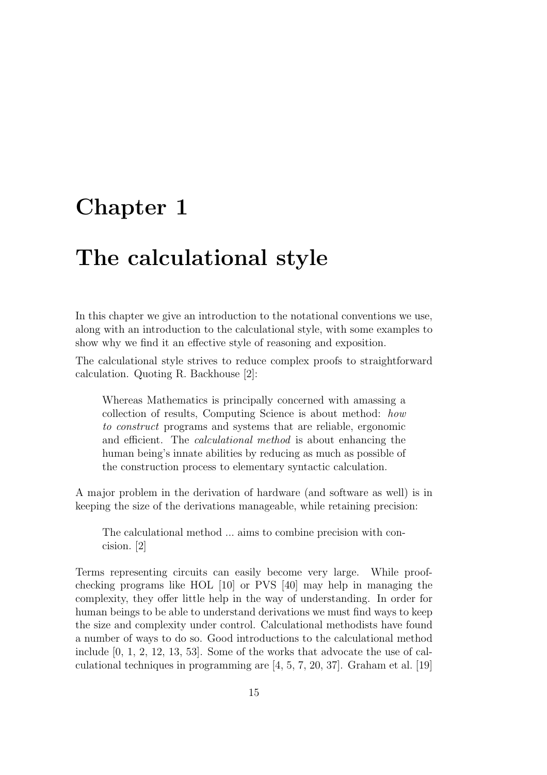# Chapter 1

# The calculational style

In this chapter we give an introduction to the notational conventions we use, along with an introduction to the calculational style, with some examples to show why we find it an effective style of reasoning and exposition.

The calculational style strives to reduce complex proofs to straightforward calculation. Quoting R. Backhouse [2]:

Whereas Mathematics is principally concerned with amassing a collection of results, Computing Science is about method: how to construct programs and systems that are reliable, ergonomic and efficient. The calculational method is about enhancing the human being's innate abilities by reducing as much as possible of the construction process to elementary syntactic calculation.

A major problem in the derivation of hardware (and software as well) is in keeping the size of the derivations manageable, while retaining precision:

The calculational method ... aims to combine precision with concision. [2]

Terms representing circuits can easily become very large. While proofchecking programs like HOL [10] or PVS [40] may help in managing the complexity, they offer little help in the way of understanding. In order for human beings to be able to understand derivations we must find ways to keep the size and complexity under control. Calculational methodists have found a number of ways to do so. Good introductions to the calculational method include [0, 1, 2, 12, 13, 53]. Some of the works that advocate the use of calculational techniques in programming are [4, 5, 7, 20, 37]. Graham et al. [19]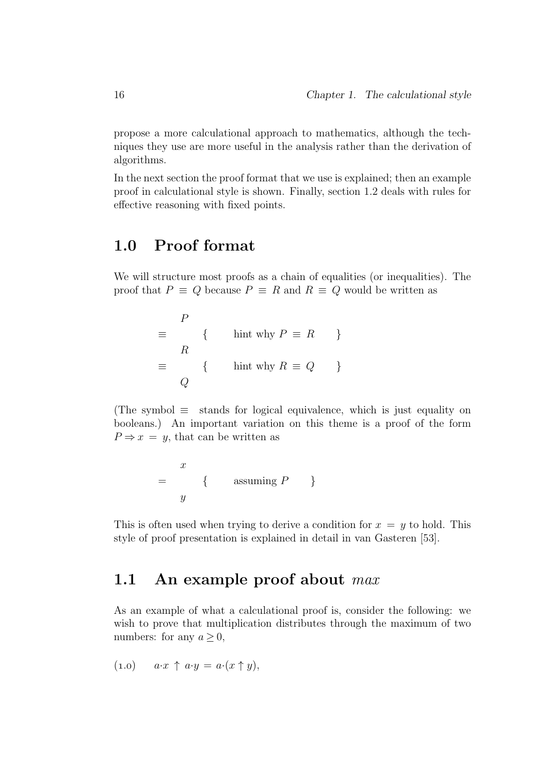propose a more calculational approach to mathematics, although the techniques they use are more useful in the analysis rather than the derivation of algorithms.

In the next section the proof format that we use is explained; then an example proof in calculational style is shown. Finally, section 1.2 deals with rules for effective reasoning with fixed points.

# 1.0 Proof format

We will structure most proofs as a chain of equalities (or inequalities). The proof that  $P \equiv Q$  because  $P \equiv R$  and  $R \equiv Q$  would be written as

$$
\equiv \begin{array}{c} P \\ R \\ \equiv \\ Q \end{array} \{ \qquad \text{hint why } P \equiv R \qquad \}
$$

(The symbol  $\equiv$  stands for logical equivalence, which is just equality on booleans.) An important variation on this theme is a proof of the form  $P \Rightarrow x = y$ , that can be written as

$$
= \begin{array}{c} x \\ y \end{array} \qquad \{ \begin{array}{c} \text{assuming } P \\ y \end{array} \}
$$

This is often used when trying to derive a condition for  $x = y$  to hold. This style of proof presentation is explained in detail in van Gasteren [53].

# 1.1 An example proof about max

As an example of what a calculational proof is, consider the following: we wish to prove that multiplication distributes through the maximum of two numbers: for any  $a \geq 0$ ,

$$
(1.0) \qquad a \cdot x \uparrow a \cdot y = a \cdot (x \uparrow y),
$$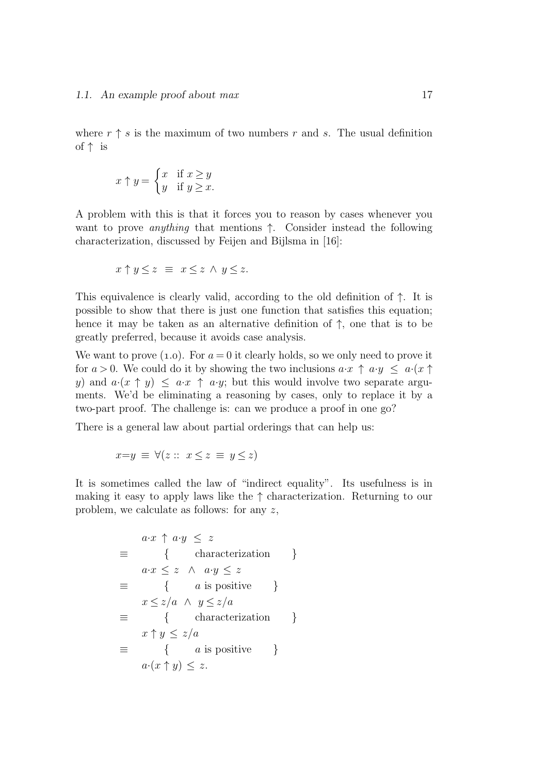where  $r \uparrow s$  is the maximum of two numbers r and s. The usual definition of ↑ is

$$
x \uparrow y = \begin{cases} x & \text{if } x \ge y \\ y & \text{if } y \ge x. \end{cases}
$$

A problem with this is that it forces you to reason by cases whenever you want to prove anything that mentions ↑. Consider instead the following characterization, discussed by Feijen and Bijlsma in [16]:

$$
x \uparrow y \leq z \equiv x \leq z \land y \leq z.
$$

This equivalence is clearly valid, according to the old definition of  $\uparrow$ . It is possible to show that there is just one function that satisfies this equation; hence it may be taken as an alternative definition of  $\uparrow$ , one that is to be greatly preferred, because it avoids case analysis.

We want to prove (1.0). For  $a = 0$  it clearly holds, so we only need to prove it for  $a > 0$ . We could do it by showing the two inclusions  $a \cdot x \uparrow a \cdot y \leq a \cdot (x \uparrow x)$ y) and  $a \cdot (x \uparrow y) \leq a \cdot x \uparrow a \cdot y$ ; but this would involve two separate arguments. We'd be eliminating a reasoning by cases, only to replace it by a two-part proof. The challenge is: can we produce a proof in one go?

There is a general law about partial orderings that can help us:

$$
x=y \equiv \forall (z:: x \leq z \equiv y \leq z)
$$

It is sometimes called the law of "indirect equality". Its usefulness is in making it easy to apply laws like the  $\uparrow$  characterization. Returning to our problem, we calculate as follows: for any z,

$$
a \cdot x \uparrow a \cdot y \leq z
$$
\n
$$
\equiv \{ \text{characterization } \}
$$
\n
$$
a \cdot x \leq z \land a \cdot y \leq z
$$
\n
$$
\equiv \{ \text{ a is positive } \}
$$
\n
$$
x \leq z/a \land y \leq z/a
$$
\n
$$
\equiv \{ \text{characterization } \}
$$
\n
$$
x \uparrow y \leq z/a
$$
\n
$$
\equiv a \cdot (x \uparrow y) \leq z.
$$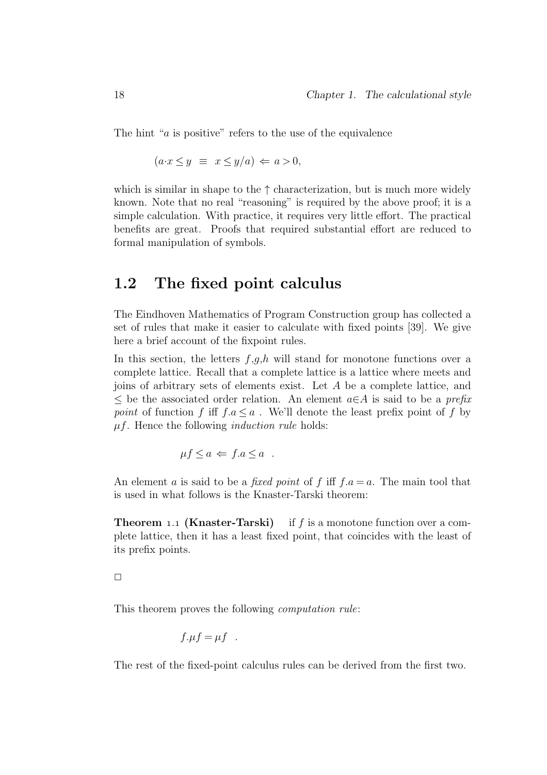The hint " $a$  is positive" refers to the use of the equivalence

$$
(a \cdot x \le y \equiv x \le y/a) \Leftarrow a > 0,
$$

which is similar in shape to the  $\uparrow$  characterization, but is much more widely known. Note that no real "reasoning" is required by the above proof; it is a simple calculation. With practice, it requires very little effort. The practical benefits are great. Proofs that required substantial effort are reduced to formal manipulation of symbols.

### 1.2 The fixed point calculus

The Eindhoven Mathematics of Program Construction group has collected a set of rules that make it easier to calculate with fixed points [39]. We give here a brief account of the fixpoint rules.

In this section, the letters  $f,g,h$  will stand for monotone functions over a complete lattice. Recall that a complete lattice is a lattice where meets and joins of arbitrary sets of elements exist. Let A be a complete lattice, and  $\leq$  be the associated order relation. An element  $a \in A$  is said to be a prefix *point* of function f iff  $f.a \leq a$ . We'll denote the least prefix point of f by  $\mu f$ . Hence the following *induction rule* holds:

$$
\mu f \le a \Leftarrow f.a \le a .
$$

An element a is said to be a *fixed point* of f iff  $f.a = a$ . The main tool that is used in what follows is the Knaster-Tarski theorem:

**Theorem 1.1 (Knaster-Tarski)** if f is a monotone function over a complete lattice, then it has a least fixed point, that coincides with the least of its prefix points.

```
\Box
```
This theorem proves the following computation rule:

$$
f.\mu f = \mu f \quad .
$$

The rest of the fixed-point calculus rules can be derived from the first two.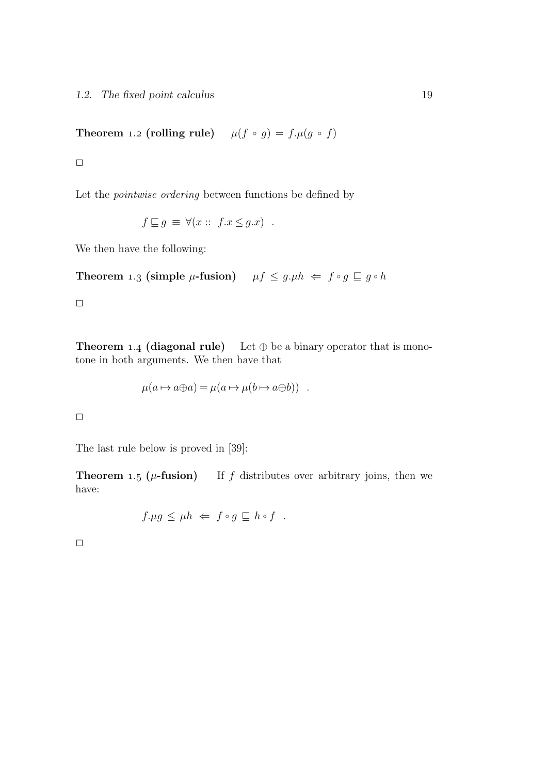Theorem 1.2 (rolling rule)  $\mu(f \circ g) = f \cdot \mu(g \circ f)$ 

 $\Box$ 

Let the pointwise ordering between functions be defined by

$$
f \sqsubseteq g \equiv \forall (x :: f.x \leq g.x) .
$$

We then have the following:

Theorem 1.3 (simple  $\mu$ -fusion)  $\mu f \leq g \mu h \iff f \circ g \sqsubseteq g \circ h$ 

 $\Box$ 

**Theorem 1.4 (diagonal rule)** Let  $\oplus$  be a binary operator that is monotone in both arguments. We then have that

$$
\mu(a \mapsto a \oplus a) = \mu(a \mapsto \mu(b \mapsto a \oplus b)) .
$$

 $\Box$ 

The last rule below is proved in [39]:

**Theorem 1.5 (** $\mu$ **-fusion)** If f distributes over arbitrary joins, then we have:

$$
f.\mu g \leq \mu h \Leftarrow f \circ g \sqsubseteq h \circ f
$$
.

 $\Box$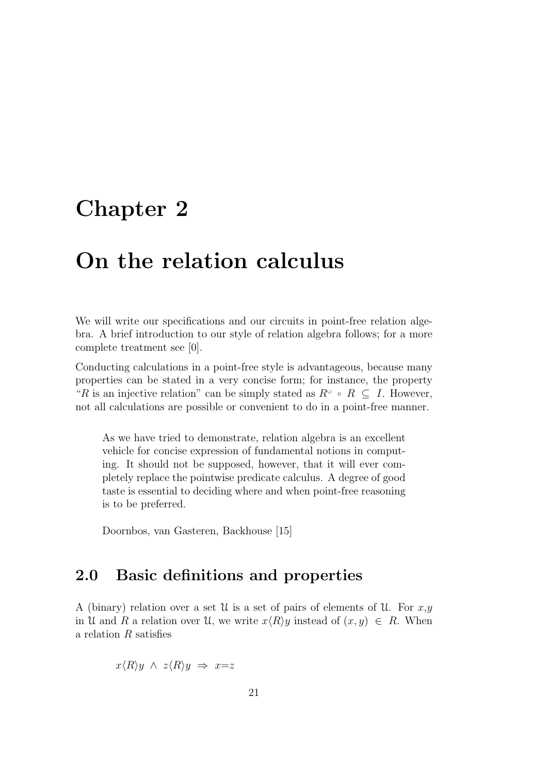# Chapter 2

# On the relation calculus

We will write our specifications and our circuits in point-free relation algebra. A brief introduction to our style of relation algebra follows; for a more complete treatment see [0].

Conducting calculations in a point-free style is advantageous, because many properties can be stated in a very concise form; for instance, the property "R is an injective relation" can be simply stated as  $R^{\cup} \circ R \subseteq I$ . However, not all calculations are possible or convenient to do in a point-free manner.

As we have tried to demonstrate, relation algebra is an excellent vehicle for concise expression of fundamental notions in computing. It should not be supposed, however, that it will ever completely replace the pointwise predicate calculus. A degree of good taste is essential to deciding where and when point-free reasoning is to be preferred.

Doornbos, van Gasteren, Backhouse [15]

# 2.0 Basic definitions and properties

A (binary) relation over a set U is a set of pairs of elements of U. For  $x,y$ in U and R a relation over U, we write  $x\langle R\rangle y$  instead of  $(x, y) \in R$ . When a relation R satisfies

$$
x \langle R \rangle y \ \land \ z \langle R \rangle y \ \Rightarrow \ x = z
$$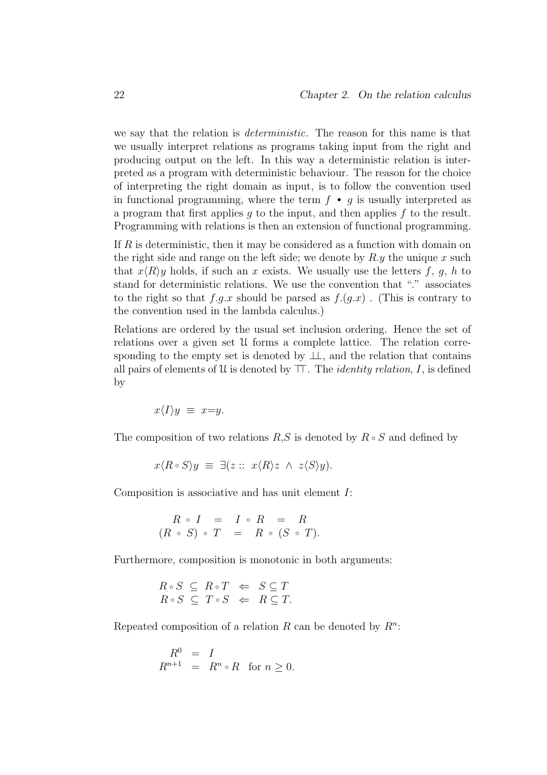we say that the relation is *deterministic*. The reason for this name is that we usually interpret relations as programs taking input from the right and producing output on the left. In this way a deterministic relation is interpreted as a program with deterministic behaviour. The reason for the choice of interpreting the right domain as input, is to follow the convention used in functional programming, where the term  $f \bullet g$  is usually interpreted as a program that first applies q to the input, and then applies  $f$  to the result. Programming with relations is then an extension of functional programming.

If R is deterministic, then it may be considered as a function with domain on the right side and range on the left side; we denote by  $R_y$  the unique x such that  $x\langle R\rangle y$  holds, if such an x exists. We usually use the letters f, g, h to stand for deterministic relations. We use the convention that "." associates to the right so that  $f.g.x$  should be parsed as  $f.(g.x)$ . (This is contrary to the convention used in the lambda calculus.)

Relations are ordered by the usual set inclusion ordering. Hence the set of relations over a given set U forms a complete lattice. The relation corresponding to the empty set is denoted by  $\perp\perp$ , and the relation that contains all pairs of elements of U is denoted by  $\top$ . The *identity relation*, I, is defined by

$$
x\langle I\rangle y \ \equiv \ x=y.
$$

The composition of two relations  $R, S$  is denoted by  $R \circ S$  and defined by

$$
x \langle R \circ S \rangle y \equiv \exists (z :: x \langle R \rangle z \land z \langle S \rangle y).
$$

Composition is associative and has unit element I:

 $R \circ I = I \circ R = R$  $(R \circ S) \circ T = R \circ (S \circ T).$ 

Furthermore, composition is monotonic in both arguments:

$$
R \circ S \subseteq R \circ T \iff S \subseteq T
$$
  

$$
R \circ S \subseteq T \circ S \iff R \subseteq T.
$$

Repeated composition of a relation  $R$  can be denoted by  $R^n$ :

$$
R^{0} = I
$$
  

$$
R^{n+1} = R^{n} \circ R \text{ for } n \ge 0.
$$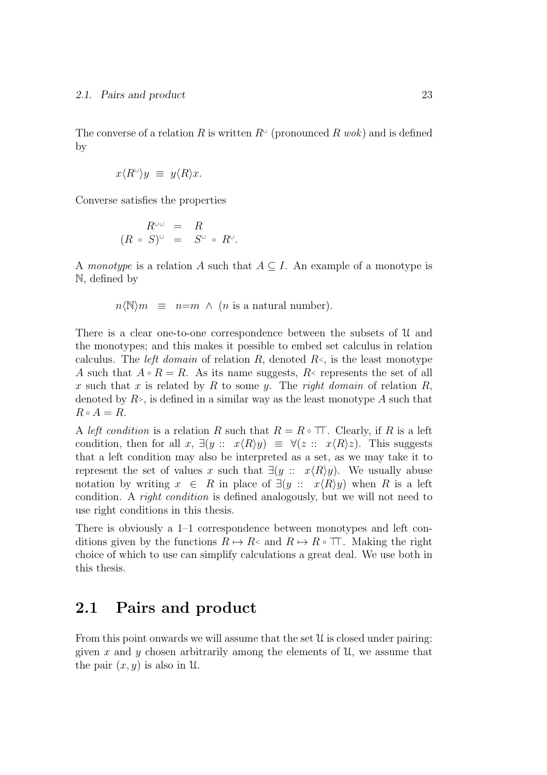The converse of a relation R is written  $R^{\cup}$  (pronounced R wok) and is defined by

$$
x \langle R^{\cup} \rangle y \ \equiv \ y \langle R \rangle x.
$$

Converse satisfies the properties

$$
R^{\cup \cup} = R
$$
  

$$
(R \circ S)^{\cup} = S^{\cup} \circ R^{\cup}.
$$

A monotype is a relation A such that  $A \subseteq I$ . An example of a monotype is N, defined by

$$
n \langle N \rangle m \equiv n = m \land (n \text{ is a natural number}).
$$

There is a clear one-to-one correspondence between the subsets of U and the monotypes; and this makes it possible to embed set calculus in relation calculus. The *left domain* of relation  $R$ , denoted  $R<sub>5</sub>$ , is the least monotype A such that  $A \circ R = R$ . As its name suggests,  $R$ < represents the set of all x such that x is related by R to some y. The right domain of relation R, denoted by  $R<sub>2</sub>$ , is defined in a similar way as the least monotype A such that  $R \circ A = R$ .

A left condition is a relation R such that  $R = R \circ \top T$ . Clearly, if R is a left condition, then for all x,  $\exists (y :: x \langle R \rangle y) \equiv \forall (z :: x \langle R \rangle z)$ . This suggests that a left condition may also be interpreted as a set, as we may take it to represent the set of values x such that  $\exists (y :: x \langle R \rangle y)$ . We usually abuse notation by writing  $x \in R$  in place of  $\exists (y :: x \langle R \rangle y)$  when R is a left condition. A right condition is defined analogously, but we will not need to use right conditions in this thesis.

There is obviously a 1–1 correspondence between monotypes and left conditions given by the functions  $R \mapsto R \circ \Pi$ . Making the right choice of which to use can simplify calculations a great deal. We use both in this thesis.

### 2.1 Pairs and product

From this point onwards we will assume that the set  $\mathfrak U$  is closed under pairing: given x and y chosen arbitrarily among the elements of  $\mathcal{U}$ , we assume that the pair  $(x, y)$  is also in U.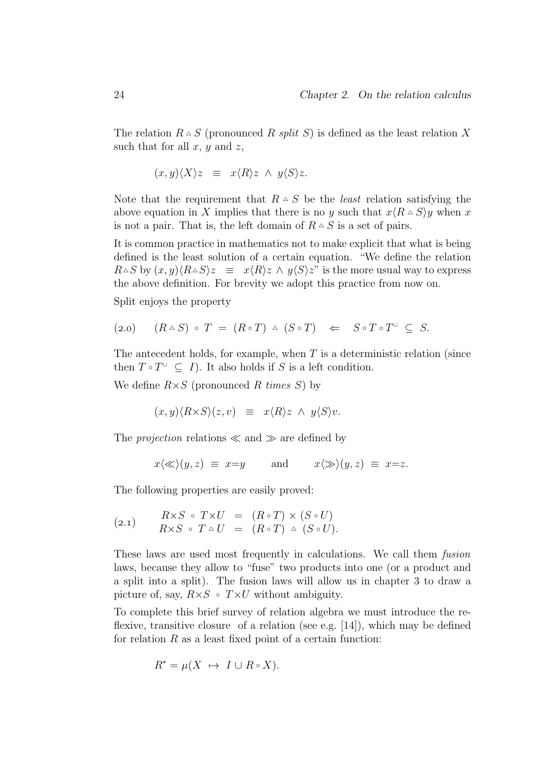The relation  $R \Delta S$  (pronounced R split S) is defined as the least relation X such that for all  $x, y$  and  $z$ ,

$$
(x,y)\langle X\rangle z \equiv x\langle R\rangle z \wedge y\langle S\rangle z.
$$

Note that the requirement that  $R \triangle S$  be the *least* relation satisfying the above equation in X implies that there is no y such that  $x\langle R \Delta S \rangle y$  when x is not a pair. That is, the left domain of  $R \Delta S$  is a set of pairs.

It is common practice in mathematics not to make explicit that what is being defined is the least solution of a certain equation. "We define the relation  $R \triangle S$  by  $(x, y) \langle R \triangle S \rangle z \equiv x \langle R \rangle z \wedge y \langle S \rangle z$ " is the more usual way to express the above definition. For brevity we adopt this practice from now on.

Split enjoys the property

$$
(2.0) \quad (R \triangle S) \circ T = (R \circ T) \triangle (S \circ T) \Leftrightarrow S \circ T \circ T^{\cup} \subseteq S.
$$

The antecedent holds, for example, when  $T$  is a deterministic relation (since then  $T \circ T^{\cup} \subseteq I$ ). It also holds if S is a left condition.

We define  $R \times S$  (pronounced R times S) by

$$
(x, y) \langle R \times S \rangle (z, v) \equiv x \langle R \rangle z \wedge y \langle S \rangle v.
$$

The *projection* relations  $\ll$  and  $\gg$  are defined by

$$
x \langle \ll \rangle (y, z) \equiv x = y
$$
 and  $x \langle \gg \rangle (y, z) \equiv x = z$ .

The following properties are easily proved:

$$
\begin{array}{rcl} (2.1) \qquad & R \times S \;\circ\; T \times U & = & (R \circ T) \times (S \circ U) \\ & & R \times S \;\circ\; T \circ U & = & (R \circ T) \;\simeq\; (S \circ U). \end{array}
$$

These laws are used most frequently in calculations. We call them fusion laws, because they allow to "fuse" two products into one (or a product and a split into a split). The fusion laws will allow us in chapter 3 to draw a picture of, say,  $R \times S \circ T \times U$  without ambiguity.

To complete this brief survey of relation algebra we must introduce the reflexive, transitive closure of a relation (see e.g.  $[14]$ ), which may be defined for relation  $R$  as a least fixed point of a certain function:

$$
R^* = \mu(X \ \mapsto \ I \cup R \circ X).
$$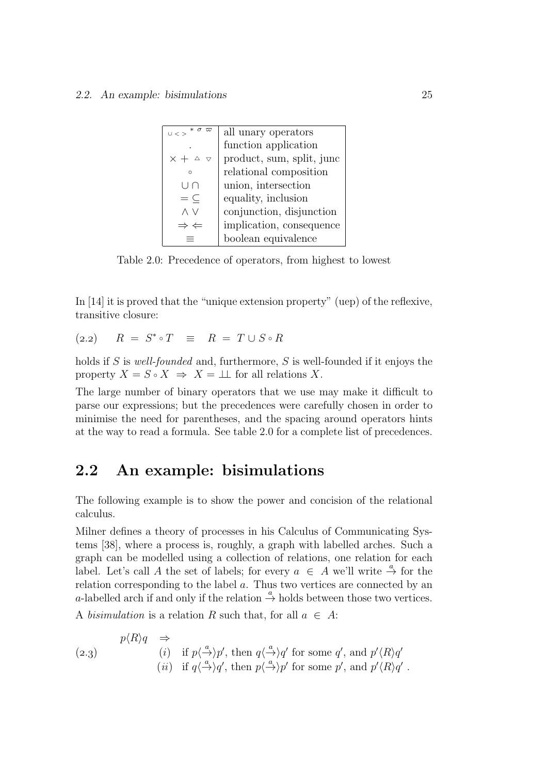| $\cup$ $<$ $>$ $^{*}$ $^{\sigma}$ | all unary operators       |
|-----------------------------------|---------------------------|
|                                   | function application      |
| $x + 4$                           | product, sum, split, junc |
| $\Omega$                          | relational composition    |
| Un                                | union, intersection       |
| $=$ $\subset$                     | equality, inclusion       |
| ΛV                                | conjunction, disjunction  |
| $\Rightarrow$ $\Leftarrow$        | implication, consequence  |
|                                   | boolean equivalence       |

Table 2.0: Precedence of operators, from highest to lowest

In [14] it is proved that the "unique extension property" (uep) of the reflexive, transitive closure:

 $(2.2)$   $R = S^* \circ T \equiv R = T \cup S \circ R$ 

holds if  $S$  is well-founded and, furthermore,  $S$  is well-founded if it enjoys the property  $X = S \circ X \Rightarrow X = \perp \perp$  for all relations X.

The large number of binary operators that we use may make it difficult to parse our expressions; but the precedences were carefully chosen in order to minimise the need for parentheses, and the spacing around operators hints at the way to read a formula. See table 2.0 for a complete list of precedences.

### 2.2 An example: bisimulations

The following example is to show the power and concision of the relational calculus.

Milner defines a theory of processes in his Calculus of Communicating Systems [38], where a process is, roughly, a graph with labelled arches. Such a graph can be modelled using a collection of relations, one relation for each label. Let's call A the set of labels; for every  $a \in A$  we'll write  $\stackrel{a}{\rightarrow}$  for the relation corresponding to the label a. Thus two vertices are connected by an a-labelled arch if and only if the relation  $\stackrel{a}{\rightarrow}$  holds between those two vertices.

A bisimulation is a relation R such that, for all  $a \in A$ :

(2.3) 
$$
p\langle R\rangle q \Rightarrow
$$
  
\n
$$
(i) \text{ if } p\langle \frac{a}{r} \rangle p', \text{ then } q\langle \frac{a}{r} \rangle q' \text{ for some } q', \text{ and } p'\langle R\rangle q'
$$
  
\n
$$
(ii) \text{ if } q\langle \frac{a}{r} \rangle q', \text{ then } p\langle \frac{a}{r} \rangle p' \text{ for some } p', \text{ and } p'\langle R\rangle q'.
$$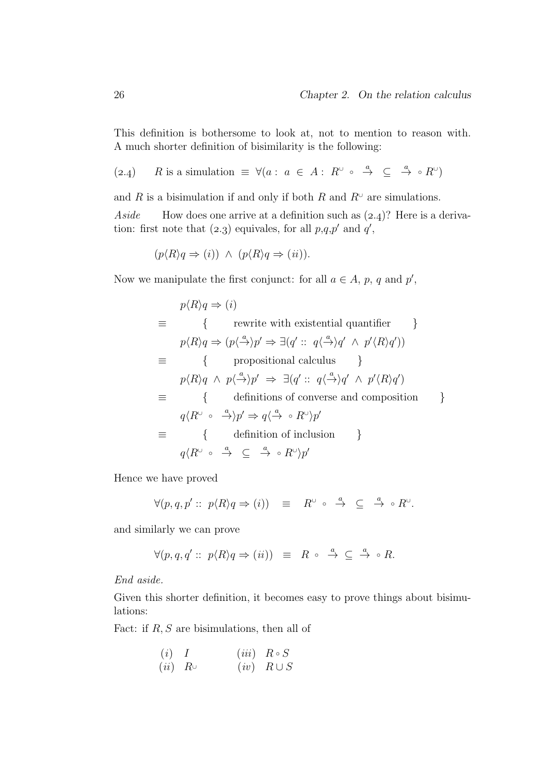This definition is bothersome to look at, not to mention to reason with. A much shorter definition of bisimilarity is the following:

(2.4) 
$$
R
$$
 is a simulation  $\equiv \forall (a : a \in A : R^{\cup} \circ \stackrel{a}{\rightarrow} \subseteq \stackrel{a}{\rightarrow} \circ R^{\cup})$ 

and R is a bisimulation if and only if both R and  $R^{\circ}$  are simulations.

Aside How does one arrive at a definition such as  $(2.4)$ ? Here is a derivation: first note that  $(2.3)$  equivales, for all  $p,q,p'$  and  $q'$ ,

$$
(p\langle R\rangle q \Rightarrow (i)) \ \wedge \ (p\langle R\rangle q \Rightarrow (ii)).
$$

Now we manipulate the first conjunct: for all  $a \in A$ , p, q and p',

$$
p\langle R\rangle q \Rightarrow (i)
$$
  
\n
$$
\equiv \qquad \{ \qquad \text{rewrite with existential quantifier} \qquad \}
$$
  
\n
$$
p\langle R\rangle q \Rightarrow (p\langle \stackrel{a}{\rightarrow}\rangle p' \Rightarrow \exists (q' :: q\langle \stackrel{a}{\rightarrow}\rangle q' \land p'\langle R\rangle q'))
$$
  
\n
$$
\equiv \qquad \{ \qquad \text{propositional calculus} \qquad \}
$$
  
\n
$$
p\langle R\rangle q \land p\langle \stackrel{a}{\rightarrow}\rangle p' \Rightarrow \exists (q' :: q\langle \stackrel{a}{\rightarrow}\rangle q' \land p'\langle R\rangle q')
$$
  
\n
$$
\equiv \qquad \{ \qquad \text{definitions of converse and composition} \qquad \}
$$
  
\n
$$
q\langle R^{\cup} \circ \stackrel{a}{\rightarrow}\rangle p' \Rightarrow q\langle \stackrel{a}{\rightarrow} \circ R^{\cup}\rangle p'
$$
  
\n
$$
\equiv \qquad \{ \qquad \text{definition of inclusion} \qquad \}
$$
  
\n
$$
q\langle R^{\cup} \circ \stackrel{a}{\rightarrow} \subseteq \stackrel{a}{\rightarrow} \circ R^{\cup}\rangle p'
$$

Hence we have proved

$$
\forall (p,q,p'::~p\langle R\rangle q\Rightarrow (i))\quad\equiv\quad R^{\cup}\,\circ\,\stackrel{a}{\to}\,\subseteq\,\stackrel{a}{\to}\,\circ\, R^{\cup}.
$$

and similarly we can prove

$$
\forall (p,q,q'::~p\langle R\rangle q\Rightarrow (ii))\;\;\equiv\;\;R\;\circ\;\;\stackrel{a}{\to}\;\subseteq\;\stackrel{a}{\to}\;\circ\;R.
$$

End aside.

Given this shorter definition, it becomes easy to prove things about bisimulations:

Fact: if  $R, S$  are bisimulations, then all of

$$
\begin{array}{ccccc}\n(i) & I & (iii) & R \circ S \\
(ii) & R \cup & (iv) & R \cup S\n\end{array}
$$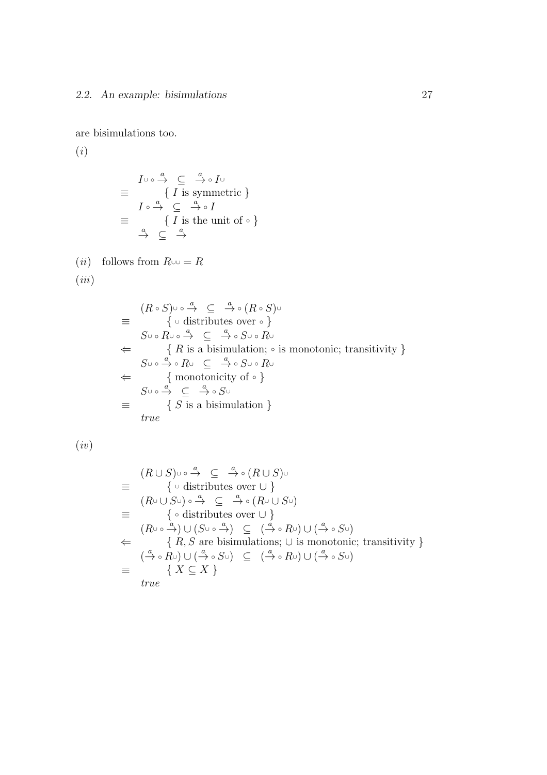are bisimulations too.

(i)

$$
\begin{array}{rcl}\nI \cup \circ \stackrel{a}{\to} & \subseteq & \stackrel{a}{\to} \circ I \cup \\
\equiv & \{I \text{ is symmetric } \} \\
I \circ \stackrel{a}{\to} & \subseteq & \stackrel{a}{\to} \circ I \\
\equiv & \{I \text{ is the unit of } \circ \} \\
\stackrel{a}{\to} & \subseteq & \stackrel{a}{\to} \\
\end{array}
$$

(*ii*) follows from  $R$ ∪∪ = R

 $(iii)$ 

$$
\equiv (R \circ S) \circ \stackrel{a}{\rightarrow} \subseteq \stackrel{a}{\rightarrow} \circ (R \circ S) \circ
$$
\n
$$
\equiv \{ \cup \text{ distributes over } \circ \}
$$
\n
$$
\Leftrightarrow S \circ R \circ \stackrel{a}{\rightarrow} \subseteq \stackrel{a}{\rightarrow} \circ S \circ R \circ
$$
\n
$$
\Leftrightarrow \{ R \text{ is a bisimulation; } \circ \text{ is monotonic; transitivity } \}
$$
\n
$$
\Leftrightarrow S \circ \stackrel{a}{\rightarrow} \circ R \circ \subseteq \stackrel{a}{\rightarrow} \circ S \circ R \circ
$$
\n
$$
\Leftrightarrow \{ \text{ monotonicity of } \circ \}
$$
\n
$$
\equiv S \circ \stackrel{a}{\rightarrow} \subseteq \stackrel{a}{\rightarrow} \circ S \circ
$$
\n
$$
\equiv \{ S \text{ is a bisimulation } \}
$$

(iv)

$$
\begin{array}{lll}\n(R \cup S) \cup \circ \xrightarrow{a} & \subseteq & \xrightarrow{a} \circ (R \cup S) \cup \\
& \downarrow \circ \text{ distributes over } \cup \} \\
(R \cup \cup S \cup) \circ \xrightarrow{a} & \subseteq & \xrightarrow{a} \circ (R \cup \cup S \cup) \\
& \downarrow \circ \text{ distributes over } \cup \} \\
(R \cup \circ \xrightarrow{a}) \cup (S \cup \circ \xrightarrow{a}) & \subseteq & (\xrightarrow{a} \circ R \cup) \cup (\xrightarrow{a} \circ S \cup) \\
& \leftarrow & \left\{ R, S \text{ are bisimulations; } \cup \text{ is monotonic; transitivity } \right\} \\
& \left( \xrightarrow{a} \circ R \cup \right) \cup \left( \xrightarrow{a} \circ S \cup \right) & \subseteq & (\xrightarrow{a} \circ R \cup) \cup (\xrightarrow{a} \circ S \cup) \\
& \downarrow & \downarrow & \downarrow & \downarrow & \downarrow & \downarrow \\
\text{true}\n\end{array}
$$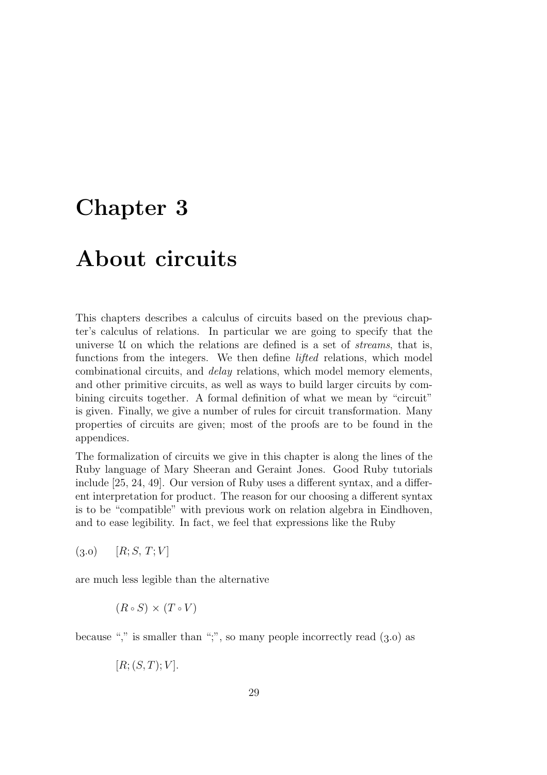# Chapter 3

# About circuits

This chapters describes a calculus of circuits based on the previous chapter's calculus of relations. In particular we are going to specify that the universe  $\mathcal U$  on which the relations are defined is a set of *streams*, that is, functions from the integers. We then define lifted relations, which model combinational circuits, and delay relations, which model memory elements, and other primitive circuits, as well as ways to build larger circuits by combining circuits together. A formal definition of what we mean by "circuit" is given. Finally, we give a number of rules for circuit transformation. Many properties of circuits are given; most of the proofs are to be found in the appendices.

The formalization of circuits we give in this chapter is along the lines of the Ruby language of Mary Sheeran and Geraint Jones. Good Ruby tutorials include [25, 24, 49]. Our version of Ruby uses a different syntax, and a different interpretation for product. The reason for our choosing a different syntax is to be "compatible" with previous work on relation algebra in Eindhoven, and to ease legibility. In fact, we feel that expressions like the Ruby

 $(3.0)$  [R; S, T; V]

are much less legible than the alternative

$$
(R \circ S) \times (T \circ V)
$$

because "," is smaller than ",", so many people incorrectly read  $(3.0)$  as

$$
[R; (S, T); V].
$$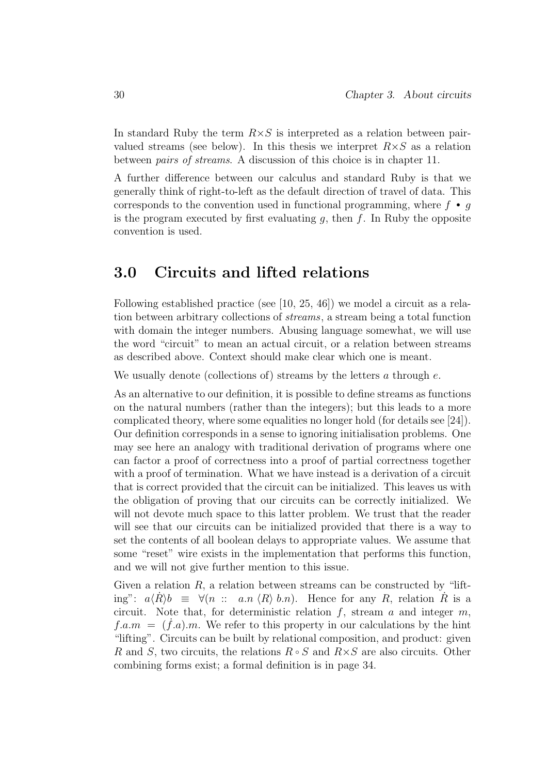In standard Ruby the term  $R \times S$  is interpreted as a relation between pairvalued streams (see below). In this thesis we interpret  $R \times S$  as a relation between pairs of streams. A discussion of this choice is in chapter 11.

A further difference between our calculus and standard Ruby is that we generally think of right-to-left as the default direction of travel of data. This corresponds to the convention used in functional programming, where  $f \bullet q$ is the program executed by first evaluating q, then  $f$ . In Ruby the opposite convention is used.

# 3.0 Circuits and lifted relations

Following established practice (see [10, 25, 46]) we model a circuit as a relation between arbitrary collections of streams, a stream being a total function with domain the integer numbers. Abusing language somewhat, we will use the word "circuit" to mean an actual circuit, or a relation between streams as described above. Context should make clear which one is meant.

We usually denote (collections of) streams by the letters  $a$  through  $e$ .

As an alternative to our definition, it is possible to define streams as functions on the natural numbers (rather than the integers); but this leads to a more complicated theory, where some equalities no longer hold (for details see [24]). Our definition corresponds in a sense to ignoring initialisation problems. One may see here an analogy with traditional derivation of programs where one can factor a proof of correctness into a proof of partial correctness together with a proof of termination. What we have instead is a derivation of a circuit that is correct provided that the circuit can be initialized. This leaves us with the obligation of proving that our circuits can be correctly initialized. We will not devote much space to this latter problem. We trust that the reader will see that our circuits can be initialized provided that there is a way to set the contents of all boolean delays to appropriate values. We assume that some "reset" wire exists in the implementation that performs this function, and we will not give further mention to this issue.

Given a relation  $R$ , a relation between streams can be constructed by "lifting":  $a \langle \dot{R} \rangle b \equiv \forall (n :: a.n \langle R \rangle b.n)$ . Hence for any R, relation  $R$  is a circuit. Note that, for deterministic relation  $f$ , stream  $a$  and integer  $m$ ,  $f.a.m = (f.a).m$ . We refer to this property in our calculations by the hint "lifting". Circuits can be built by relational composition, and product: given R and S, two circuits, the relations  $R \circ S$  and  $R \times S$  are also circuits. Other combining forms exist; a formal definition is in page 34.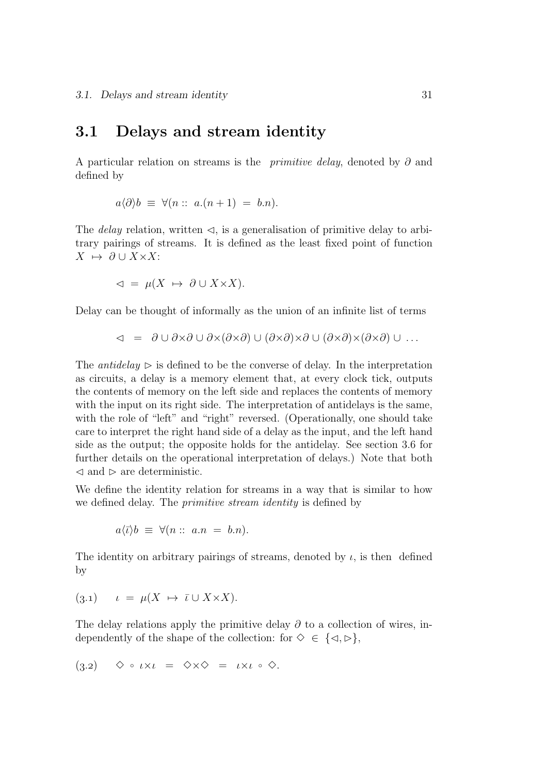### 3.1 Delays and stream identity

A particular relation on streams is the *primitive delay*, denoted by  $\partial$  and defined by

$$
a\langle \partial \rangle b \equiv \forall (n :: a.(n+1) = b.n).
$$

The *delay* relation, written  $\triangleleft$ , is a generalisation of primitive delay to arbitrary pairings of streams. It is defined as the least fixed point of function  $X \mapsto \partial \cup X \times X$ :

$$
\mathrel{\triangleleft} = \mu(X \mapsto \partial \cup X \times X).
$$

Delay can be thought of informally as the union of an infinite list of terms

$$
\vartriangleleft = \partial \cup \partial \times \partial \cup \partial \times (\partial \times \partial) \cup (\partial \times \partial) \times \partial \cup (\partial \times \partial) \times (\partial \times \partial) \cup \dots
$$

The *antidelay*  $\triangleright$  is defined to be the converse of delay. In the interpretation as circuits, a delay is a memory element that, at every clock tick, outputs the contents of memory on the left side and replaces the contents of memory with the input on its right side. The interpretation of antidelays is the same, with the role of "left" and "right" reversed. (Operationally, one should take care to interpret the right hand side of a delay as the input, and the left hand side as the output; the opposite holds for the antidelay. See section 3.6 for further details on the operational interpretation of delays.) Note that both  $\triangleleft$  and  $\triangleright$  are deterministic.

We define the identity relation for streams in a way that is similar to how we defined delay. The *primitive stream identity* is defined by

$$
a\langle \bar{\iota} \rangle b \equiv \forall (n :: a.n = b.n).
$$

The identity on arbitrary pairings of streams, denoted by  $\iota$ , is then defined by

$$
(3.1) \qquad \iota \ = \ \mu(X \ \mapsto \ \bar{\iota} \cup X \times X).
$$

The delay relations apply the primitive delay  $\partial$  to a collection of wires, independently of the shape of the collection: for  $\diamond \in \{\triangleleft, \triangleright\},\$ 

$$
(3.2) \quad \diamondsuit \circ \iota \times \iota = \diamondsuit \times \diamondsuit = \iota \times \iota \circ \diamondsuit.
$$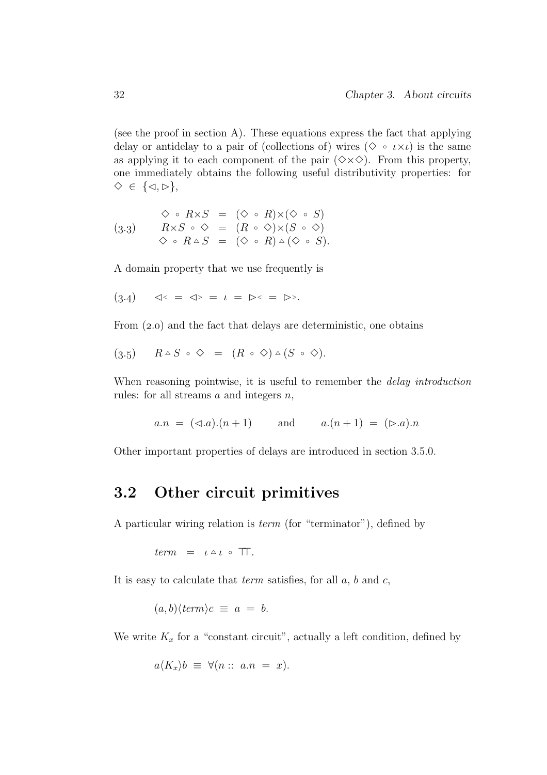(see the proof in section A). These equations express the fact that applying delay or antidelay to a pair of (collections of) wires ( $\diamond \circ \iota \times \iota$ ) is the same as applying it to each component of the pair  $(\diamond \times \diamond)$ . From this property, one immediately obtains the following useful distributivity properties: for  $\diamondsuit \in \{\triangleleft, \triangleright\},\$ 

$$
(3.3) \quad \begin{array}{rcl} \diamond & \circ & R \times S & = & (\diamond & \circ & R) \times (\diamond & \circ & S) \\ R \times S & \circ & \diamond & = & (R \circ \diamond) \times (S \circ \diamond) \\ \diamond & \circ & R \triangle S & = & (\diamond & \circ & R) \triangle (\diamond & \circ & S). \end{array}
$$

A domain property that we use frequently is

$$
(3.4) \quad \triangleleft \langle = \triangle \rangle = \iota = \triangleright \langle = \triangleright \rangle.
$$

From  $(2.0)$  and the fact that delays are deterministic, one obtains

$$
(3.5) \qquad R \triangle S \circ \diamondsuit = (R \circ \diamondsuit) \triangle (S \circ \diamondsuit).
$$

When reasoning pointwise, it is useful to remember the *delay introduction* rules: for all streams  $a$  and integers  $n$ ,

$$
a.n = (\lhd.a).(n+1)
$$
 and  $a.(n+1) = (\rhd.a).n$ 

Other important properties of delays are introduced in section 3.5.0.

# 3.2 Other circuit primitives

A particular wiring relation is term (for "terminator"), defined by

$$
\mathit{term}~=~\iota \mathbin{\scriptstyle{\triangle}} \iota \mathbin{\scriptstyle{\circ}} \mathbin{\top}.
$$

It is easy to calculate that *term* satisfies, for all  $a, b$  and  $c$ ,

$$
(a,b)\langle \textit{term} \rangle c \ \equiv \ a \ = \ b
$$

We write  $K_x$  for a "constant circuit", actually a left condition, defined by

$$
a\langle K_x\rangle b \equiv \forall (n:: a.n = x).
$$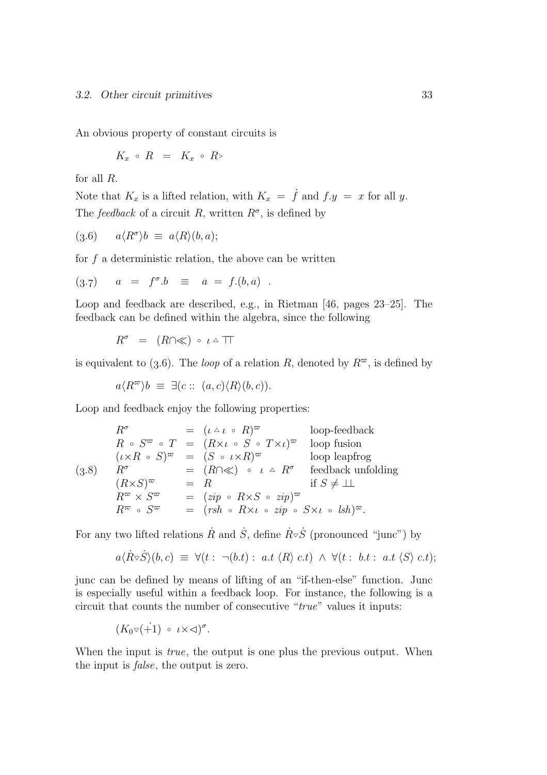An obvious property of constant circuits is

 $K_x \circ R = K_x \circ R >$ 

for all R.

Note that  $K_x$  is a lifted relation, with  $K_x = \dot{f}$  and  $f.y = x$  for all y. The feedback of a circuit R, written  $R^{\sigma}$ , is defined by

$$
(3.6) \qquad a \langle R^{\sigma} \rangle b \equiv a \langle R \rangle (b, a);
$$

for  $f$  a deterministic relation, the above can be written

$$
(3.7) \qquad a = f^{\sigma}.b \equiv a = f.(b,a) .
$$

Loop and feedback are described, e.g., in Rietman [46, pages 23–25]. The feedback can be defined within the algebra, since the following

 $R^{\sigma}$  =  $(R \cap \ll)$  ∘  $\iota \circ \top$ 

is equivalent to (3.6). The *loop* of a relation R, denoted by  $R^{\varpi}$ , is defined by

$$
a\langle R^{\varpi}\rangle b \equiv \exists (c:: (a, c)\langle R\rangle (b, c)).
$$

Loop and feedback enjoy the following properties:

$$
R^{\sigma} = (\iota \circ R)^{\varpi} \qquad \text{loop-feedback}
$$
  
\n
$$
R \circ S^{\varpi} \circ T = (R \times \iota \circ S \circ T \times \iota)^{\varpi} \qquad \text{loop fusion}
$$
  
\n
$$
(\iota \times R \circ S)^{\varpi} = (S \circ \iota \times R)^{\varpi} \qquad \text{loop leapfrog}
$$
  
\n
$$
(3.8) \qquad R^{\sigma} = (R \cap \ll) \circ \iota \circ R^{\sigma} \qquad \text{feedback unfolding}
$$
  
\n
$$
(R \times S)^{\varpi} = R \qquad \text{if } S \neq \bot
$$
  
\n
$$
R^{\varpi} \times S^{\varpi} = (zip \circ R \times S \circ zip)^{\varpi}
$$
  
\n
$$
R^{\varpi} \circ S^{\varpi} = (rsh \circ R \times \iota \circ zip \circ S \times \iota \circ Ish)^{\varpi}.
$$

For any two lifted relations  $\dot{R}$  and  $\dot{S}$ , define  $\dot{R} \sim \dot{S}$  (pronounced "junc") by

$$
a\langle \dot{R}\nabla\dot{S}\rangle (b,c) \equiv \forall (t: \neg (b.t): a.t \langle R \rangle c.t) \land \forall (t: b.t: a.t \langle S \rangle c.t);
$$

junc can be defined by means of lifting of an "if-then-else" function. Junc is especially useful within a feedback loop. For instance, the following is a circuit that counts the number of consecutive "true" values it inputs:

$$
(K_0 \nabla (\dot{+1}) \circ \iota \times \lhd)^{\sigma}.
$$

When the input is *true*, the output is one plus the previous output. When the input is false, the output is zero.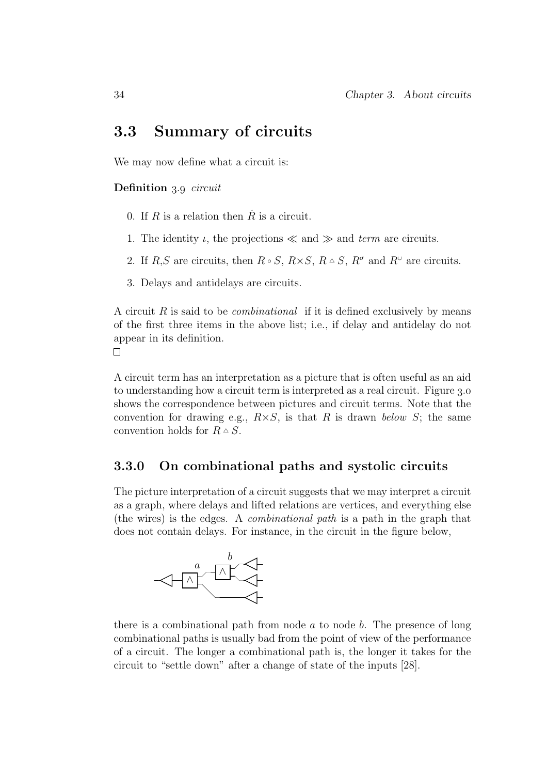### 3.3 Summary of circuits

We may now define what a circuit is:

Definition 3.9 *circuit* 

- 0. If R is a relation then  $\dot{R}$  is a circuit.
- 1. The identity  $\iota$ , the projections  $\ll$  and  $\gg$  and term are circuits.
- 2. If R,S are circuits, then  $R \circ S$ ,  $R \times S$ ,  $R \circ S$ ,  $R^{\sigma}$  and  $R^{\circ}$  are circuits.
- 3. Delays and antidelays are circuits.

A circuit R is said to be *combinational* if it is defined exclusively by means of the first three items in the above list; i.e., if delay and antidelay do not appear in its definition.  $\Box$ 

A circuit term has an interpretation as a picture that is often useful as an aid to understanding how a circuit term is interpreted as a real circuit. Figure 3.0 shows the correspondence between pictures and circuit terms. Note that the convention for drawing e.g.,  $R \times S$ , is that R is drawn below S; the same convention holds for  $R \triangleq S$ .

#### 3.3.0 On combinational paths and systolic circuits

The picture interpretation of a circuit suggests that we may interpret a circuit as a graph, where delays and lifted relations are vertices, and everything else (the wires) is the edges. A combinational path is a path in the graph that does not contain delays. For instance, in the circuit in the figure below,



there is a combinational path from node  $a$  to node  $b$ . The presence of long combinational paths is usually bad from the point of view of the performance of a circuit. The longer a combinational path is, the longer it takes for the circuit to "settle down" after a change of state of the inputs [28].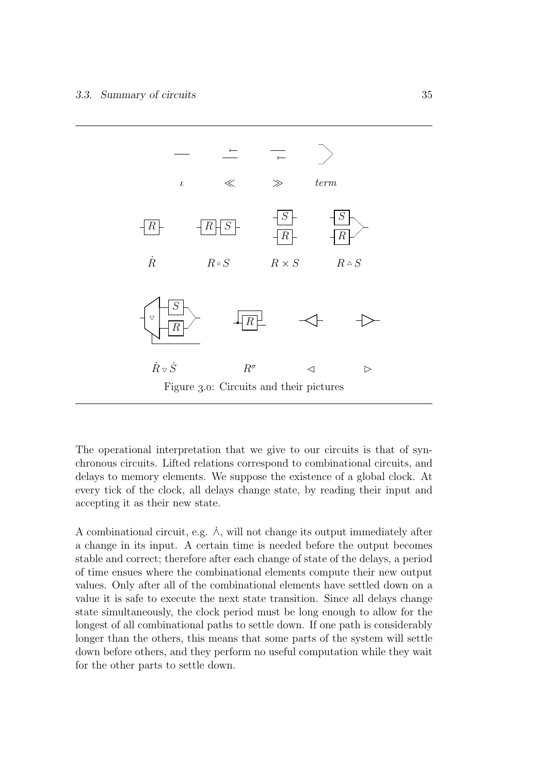

The operational interpretation that we give to our circuits is that of synchronous circuits. Lifted relations correspond to combinational circuits, and delays to memory elements. We suppose the existence of a global clock. At every tick of the clock, all delays change state, by reading their input and accepting it as their new state.

A combinational circuit, e.g.  $\dot{\wedge}$ , will not change its output immediately after a change in its input. A certain time is needed before the output becomes stable and correct; therefore after each change of state of the delays, a period of time ensues where the combinational elements compute their new output values. Only after all of the combinational elements have settled down on a value it is safe to execute the next state transition. Since all delays change state simultaneously, the clock period must be long enough to allow for the longest of all combinational paths to settle down. If one path is considerably longer than the others, this means that some parts of the system will settle down before others, and they perform no useful computation while they wait for the other parts to settle down.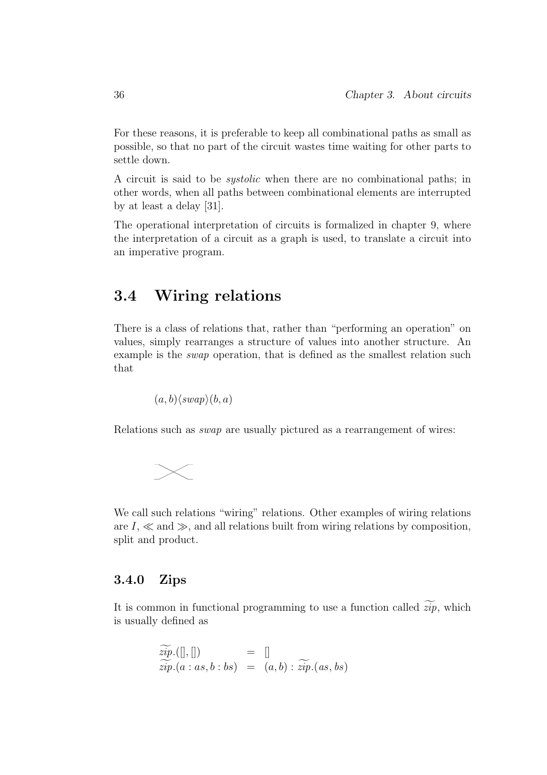For these reasons, it is preferable to keep all combinational paths as small as possible, so that no part of the circuit wastes time waiting for other parts to settle down.

A circuit is said to be systolic when there are no combinational paths; in other words, when all paths between combinational elements are interrupted by at least a delay [31].

The operational interpretation of circuits is formalized in chapter 9, where the interpretation of a circuit as a graph is used, to translate a circuit into an imperative program.

#### 3.4 Wiring relations

There is a class of relations that, rather than "performing an operation" on values, simply rearranges a structure of values into another structure. An example is the swap operation, that is defined as the smallest relation such that

$$
(a,b)\langle swap\rangle (b,a)
$$

Relations such as swap are usually pictured as a rearrangement of wires:



We call such relations "wiring" relations. Other examples of wiring relations are  $I \ll \text{and} \gg$ , and all relations built from wiring relations by composition, split and product.

#### 3.4.0 Zips

It is common in functional programming to use a function called  $\widetilde{zip}$ , which is usually defined as

$$
\begin{array}{rcl}\n\text{zip.}([.,[])] & = & [] \\
\widetilde{\text{zip.}}(a:as,b:bs) & = & (a,b): \widetilde{\text{zip.}}(as,bs)\n\end{array}
$$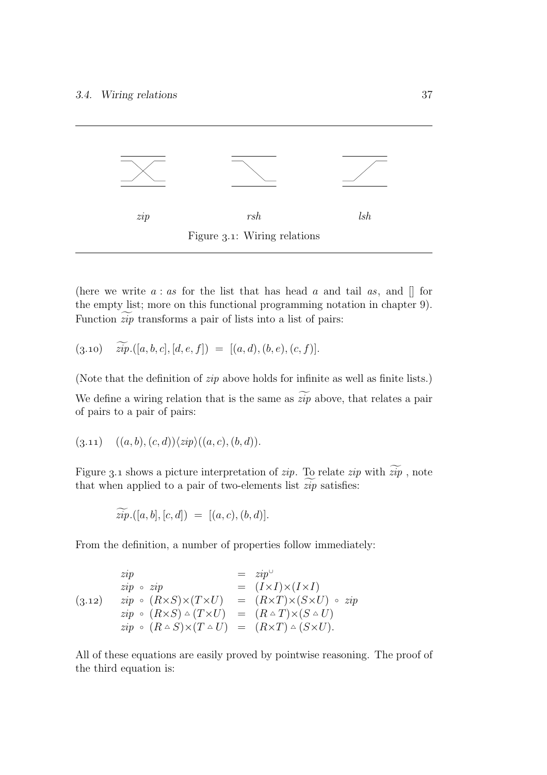

(here we write  $a : as$  for the list that has head a and tail as, and  $\parallel$  for the empty list; more on this functional programming notation in chapter 9). Function  $zip$  transforms a pair of lists into a list of pairs:

$$
(3.10) \quad zip.([a, b, c], [d, e, f]) = [(a, d), (b, e), (c, f)].
$$

(Note that the definition of zip above holds for infinite as well as finite lists.) We define a wiring relation that is the same as  $\tilde{zip}$  above, that relates a pair of pairs to a pair of pairs:

$$
(3.11)
$$
  $((a, b), (c, d)) \langle zip \rangle ((a, c), (b, d)).$ 

Figure 3.1 shows a picture interpretation of *zip*. To relate *zip* with  $\widetilde{zip}$  , note that when applied to a pair of two-elements list  $zip$  satisfies:

$$
\widetilde{zip}.([a,b],[c,d]) = [(a,c),(b,d)].
$$

From the definition, a number of properties follow immediately:

$$
zip
$$
\n
$$
= zip
$$
\n
$$
(3.12)
$$
\n
$$
zip \circ zip
$$
\n
$$
= (I \times I) \times (I \times I)
$$
\n
$$
zip \circ (R \times S) \times (T \times U)
$$
\n
$$
= (R \times T) \times (S \times U) \circ zip
$$
\n
$$
zip \circ (R \times S) \triangle (T \times U)
$$
\n
$$
zip \circ (R \triangle S) \times (T \triangle U)
$$
\n
$$
= (R \triangle T) \times (S \triangle U)
$$

All of these equations are easily proved by pointwise reasoning. The proof of the third equation is: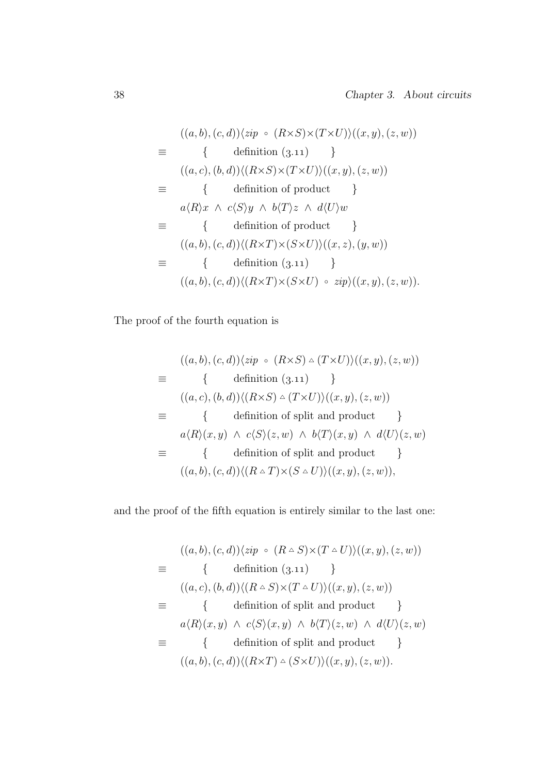$$
((a,b),(c,d))\langle zip \circ (R \times S) \times (T \times U) \rangle ((x,y),(z,w))
$$
  
\n
$$
\equiv \{ \det(\text{F}(a,b)) \langle (R \times S) \times (T \times U) \rangle ((x,y),(z,w))
$$
  
\n
$$
\equiv \{ \det(\text{F}(a,b)) \langle (R \times S) \times (T \times U) \rangle ((x,y),(z,w))
$$
  
\n
$$
\equiv \{ \det(\text{F}(a,b)) \langle (R \times T) \times (S \times U) \rangle ((x,z),(y,w))
$$
  
\n
$$
\equiv \{ \det(\text{F}(a,b)) \langle (R \times T) \times (S \times U) \rangle ((x,z),(y,w))
$$
  
\n
$$
\equiv \{ \det(\text{F}(a,b)) \langle (R \times T) \times (S \times U) \circ zip \rangle ((x,y),(z,w)).
$$

The proof of the fourth equation is

$$
((a, b), (c, d)) \langle zip \circ (R \times S) \circ (T \times U) \rangle ((x, y), (z, w))
$$
  
\n
$$
\equiv \begin{cases} \text{definition } (3.11) \\ ((a, c), (b, d)) \langle (R \times S) \circ (T \times U) \rangle ((x, y), (z, w)) \end{cases}
$$
  
\n
$$
\equiv \begin{cases} \text{definition of split and product} \\ a \langle R \rangle (x, y) \land c \langle S \rangle (z, w) \land b \langle T \rangle (x, y) \land d \langle U \rangle (z, w) \end{cases}
$$
  
\n
$$
\equiv \begin{cases} \text{definition of split and product} \\ ((a, b), (c, d)) \langle (R \circ T) \times (S \circ U) \rangle ((x, y), (z, w)), \end{cases}
$$

and the proof of the fifth equation is entirely similar to the last one:

$$
((a, b), (c, d)) \langle zip \circ (R \triangle S) \times (T \triangle U) \rangle ((x, y), (z, w))
$$
  
\n
$$
\equiv \left\{ \begin{array}{c} \text{definition } (3.11) \\ ((a, c), (b, d)) \langle (R \triangle S) \times (T \triangle U) \rangle ((x, y), (z, w)) \end{array} \right\}
$$
  
\n
$$
\equiv \left\{ \begin{array}{c} \text{definition of split and product} \\ a \langle R \rangle (x, y) \land c \langle S \rangle (x, y) \land b \langle T \rangle (z, w) \land d \langle U \rangle (z, w) \end{array} \right\}
$$
  
\n
$$
\equiv \left\{ \begin{array}{c} \text{definition of split and product} \\ (a, b), (c, d) \rangle \langle (R \times T) \triangle (S \times U) \rangle ((x, y), (z, w)). \end{array} \right\}
$$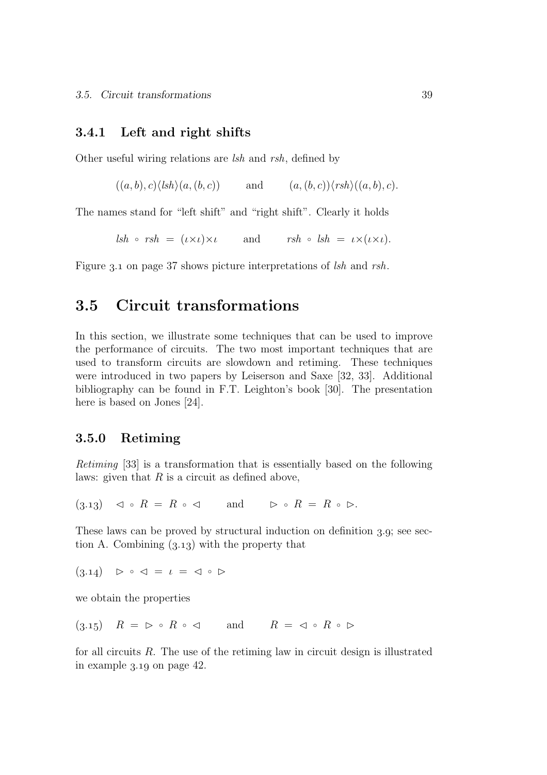#### 3.4.1 Left and right shifts

Other useful wiring relations are lsh and rsh, defined by

$$
((a, b), c) \langle \text{lsh} \rangle (a, (b, c))
$$
 and  $(a, (b, c)) \langle \text{rsh} \rangle ((a, b), c)$ .

The names stand for "left shift" and "right shift". Clearly it holds

 $lsh \circ \text{rsh} = (\iota \times \iota) \times \iota \quad \text{and} \quad \text{rsh} \circ \text{lsh} = \iota \times (\iota \times \iota).$ 

Figure 3.1 on page 37 shows picture interpretations of lsh and rsh.

### 3.5 Circuit transformations

In this section, we illustrate some techniques that can be used to improve the performance of circuits. The two most important techniques that are used to transform circuits are slowdown and retiming. These techniques were introduced in two papers by Leiserson and Saxe [32, 33]. Additional bibliography can be found in F.T. Leighton's book [30]. The presentation here is based on Jones [24].

#### 3.5.0 Retiming

Retiming [33] is a transformation that is essentially based on the following laws: given that  $R$  is a circuit as defined above,

 $(3.13)$   $\triangleleft \circ R = R \circ \triangleleft$  and  $\triangleright \circ R = R \circ \triangleright.$ 

These laws can be proved by structural induction on definition 3.9; see section A. Combining  $(3.13)$  with the property that

$$
(3.14) \quad \triangleright \circ \triangleleft = \iota = \triangleleft \circ \triangleright
$$

we obtain the properties

 $(3.15)$   $R = \triangleright \circ R \circ \triangleleft$  and  $R = \triangleleft \circ R \circ \triangleright$ 

for all circuits R. The use of the retiming law in circuit design is illustrated in example  $3.19$  on page  $42$ .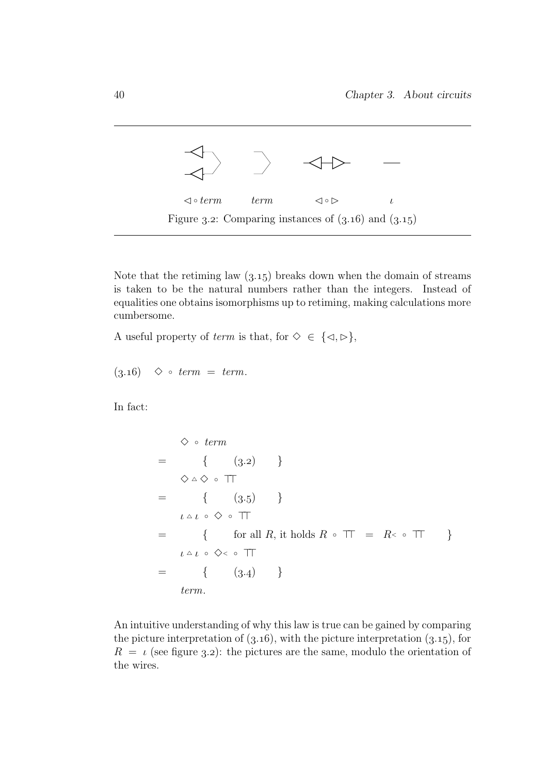

Note that the retiming law  $(3.15)$  breaks down when the domain of streams is taken to be the natural numbers rather than the integers. Instead of equalities one obtains isomorphisms up to retiming, making calculations more cumbersome.

A useful property of term is that, for  $\diamond \in \{\triangleleft, \triangleright\},\$ 

$$
(3.16) \quad \diamond \quad \text{term} \ = \ \text{term}.
$$

In fact:

✸ ◦ term = { (.) } ✸ △ ✸ ◦ ⊤⊤ = { (.) } ι △ ι ◦ ✸ ◦ ⊤⊤ = { for all R, it holds R ◦ ⊤⊤ = R<sup>&</sup>lt; ◦ ⊤⊤ } ι △ ι ◦ ✸<sup>&</sup>lt; ◦ ⊤⊤ = { (.) } term.

An intuitive understanding of why this law is true can be gained by comparing the picture interpretation of  $(3.16)$ , with the picture interpretation  $(3.15)$ , for  $R = \iota$  (see figure 3.2): the pictures are the same, modulo the orientation of the wires.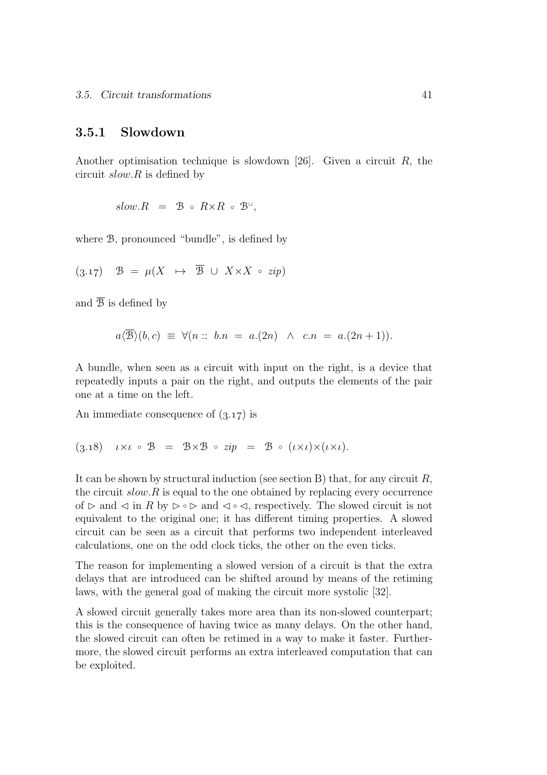#### 3.5.1 Slowdown

Another optimisation technique is slowdown [26]. Given a circuit  $R$ , the circuit slow.R is defined by

$$
slow.R = \mathcal{B} \circ R \times R \circ \mathcal{B}^{\cup},
$$

where B, pronounced "bundle", is defined by

$$
(3.17)
$$
  $\mathcal{B} = \mu(X \mapsto \overline{\mathcal{B}} \cup X \times X \circ zip)$ 

and  $\overline{B}$  is defined by

$$
a\langle \overline{\mathcal{B}}\rangle(b,c) \equiv \forall (n:: b.n = a.(2n) \land c.n = a.(2n+1)).
$$

A bundle, when seen as a circuit with input on the right, is a device that repeatedly inputs a pair on the right, and outputs the elements of the pair one at a time on the left.

An immediate consequence of  $(3.17)$  is

$$
(3.18) \quad \iota \times \iota \circ \mathcal{B} = \mathcal{B} \times \mathcal{B} \circ \sin = \mathcal{B} \circ (\iota \times \iota) \times (\iota \times \iota).
$$

It can be shown by structural induction (see section B) that, for any circuit  $R$ , the circuit  $slow. R$  is equal to the one obtained by replacing every occurrence of  $\triangleright$  and  $\triangleleft$  in R by  $\triangleright \circ \triangleright$  and  $\triangleleft \circ \triangleleft$ , respectively. The slowed circuit is not equivalent to the original one; it has different timing properties. A slowed circuit can be seen as a circuit that performs two independent interleaved calculations, one on the odd clock ticks, the other on the even ticks.

The reason for implementing a slowed version of a circuit is that the extra delays that are introduced can be shifted around by means of the retiming laws, with the general goal of making the circuit more systolic [32].

A slowed circuit generally takes more area than its non-slowed counterpart; this is the consequence of having twice as many delays. On the other hand, the slowed circuit can often be retimed in a way to make it faster. Furthermore, the slowed circuit performs an extra interleaved computation that can be exploited.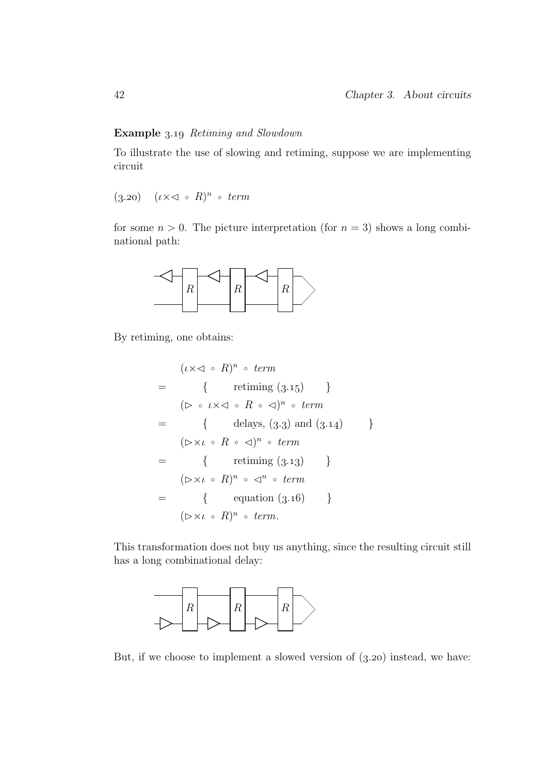#### Example 3.19 Retiming and Slowdown

To illustrate the use of slowing and retiming, suppose we are implementing circuit

 $(3.20)$   $(\iota \times \lhd \circ R)^n \circ \text{term}$ 

for some  $n > 0$ . The picture interpretation (for  $n = 3$ ) shows a long combinational path:



By retiming, one obtains:

$$
(\iota \times \lhd \circ R)^n \circ \text{term}
$$
\n
$$
= \{ \text{retiming } (3.15) \}
$$
\n
$$
(\rhd \circ \iota \times \lhd \circ R \circ \lhd)^n \circ \text{term}
$$
\n
$$
= \{ \text{delays, } (3.3) \text{ and } (3.14) \}
$$
\n
$$
(\rhd \times \iota \circ R \circ \lhd)^n \circ \text{term}
$$
\n
$$
= \{ \text{retiming } (3.13) \}
$$
\n
$$
(\rhd \times \iota \circ R)^n \circ \lhd^n \circ \text{term}
$$
\n
$$
= \{ \text{equation } (3.16) \}
$$
\n
$$
(\rhd \times \iota \circ R)^n \circ \text{term}.
$$

This transformation does not buy us anything, since the resulting circuit still has a long combinational delay:



But, if we choose to implement a slowed version of  $(3.20)$  instead, we have: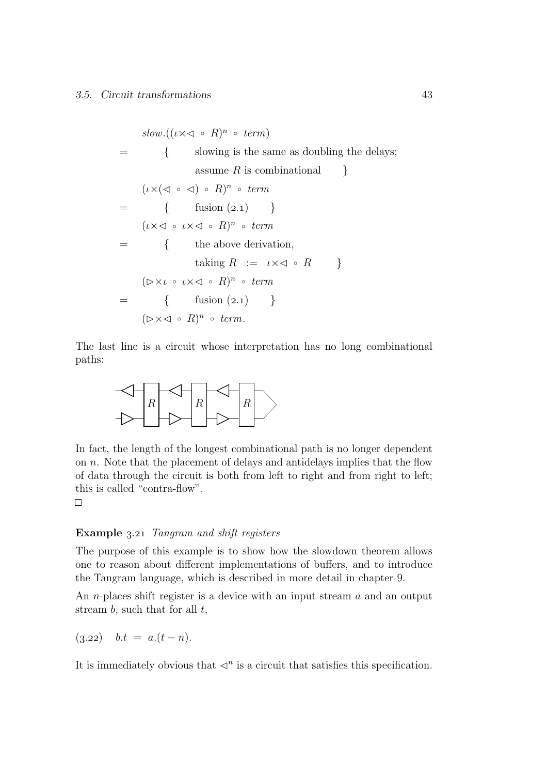$$
slow.((\iota \times \lhd \circ R)^n \circ term)
$$
\n
$$
= \{ \text{ slowing is the same as doubling the delays; assume } R \text{ is combinatorial } \}
$$
\n
$$
(\iota \times (\lhd \circ \lhd) \circ R)^n \circ term
$$
\n
$$
= \{ \text{fusion (2.1)} \}
$$
\n
$$
(\iota \times \lhd \circ \iota \times \lhd \circ R)^n \circ term
$$
\n
$$
= \{ \text{the above derivation, taking } R := \iota \times \lhd \circ R \}
$$
\n
$$
(\lhd \times \iota \circ \iota \times \lhd \circ R)^n \circ term
$$
\n
$$
= \{ \text{fusion (2.1)} \}
$$
\n
$$
(\lhd \times \lhd \circ R)^n \circ term.
$$

The last line is a circuit whose interpretation has no long combinational paths:



In fact, the length of the longest combinational path is no longer dependent on  $n$ . Note that the placement of delays and antidelays implies that the flow of data through the circuit is both from left to right and from right to left; this is called "contra-flow".

 $\Box$ 

#### Example 3.21 Tangram and shift registers

The purpose of this example is to show how the slowdown theorem allows one to reason about different implementations of buffers, and to introduce the Tangram language, which is described in more detail in chapter 9.

An *n*-places shift register is a device with an input stream *a* and an output stream  $b$ , such that for all  $t$ ,

$$
(3.22)
$$
  $b.t = a.(t - n).$ 

It is immediately obvious that  $\triangleleft^n$  is a circuit that satisfies this specification.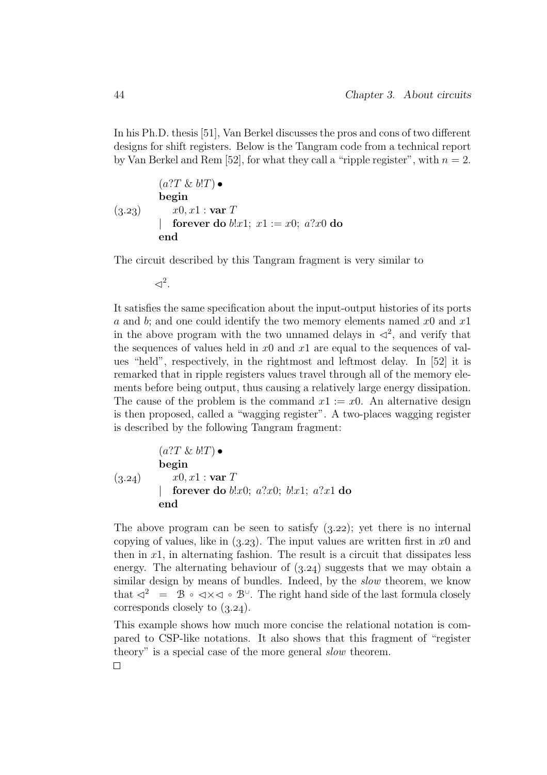In his Ph.D. thesis [51], Van Berkel discusses the pros and cons of two different designs for shift registers. Below is the Tangram code from a technical report by Van Berkel and Rem [52], for what they call a "ripple register", with  $n = 2$ .

$$
(a?T & b!T) \bullet
$$
  
\nbegin  
\n
$$
(3.23)
$$
  $x0, x1 : \text{var } T$   
\n
$$
\downarrow \text{forever do } b!x1; \ x1 := x0; \ a?x0 \text{ do}
$$
  
\nend

The circuit described by this Tangram fragment is very similar to

 $\triangleleft^2$ .

It satisfies the same specification about the input-output histories of its ports a and b; and one could identify the two memory elements named  $x0$  and  $x1$ in the above program with the two unnamed delays in  $\langle 2^2 \rangle$ , and verify that the sequences of values held in  $x0$  and  $x1$  are equal to the sequences of values "held", respectively, in the rightmost and leftmost delay. In [52] it is remarked that in ripple registers values travel through all of the memory elements before being output, thus causing a relatively large energy dissipation. The cause of the problem is the command  $x_1 := x_0$ . An alternative design is then proposed, called a "wagging register". A two-places wagging register is described by the following Tangram fragment:

$$
(a?T & b!T) \bullet
$$
  
\nbegin  
\n
$$
(3.24)
$$
beginmath>\n
$$
x0, x1 : \text{var } T
$$
  
\n
$$
\downarrow \text{forever do } b!x0; a?x0; b!x1; a?x1 \text{ do}
$$
  
\nend

The above program can be seen to satisfy  $(3.22)$ ; yet there is no internal copying of values, like in  $(3.23)$ . The input values are written first in x0 and then in  $x_1$ , in alternating fashion. The result is a circuit that dissipates less energy. The alternating behaviour of  $(3.24)$  suggests that we may obtain a similar design by means of bundles. Indeed, by the slow theorem, we know that  $\langle 2^2 = \mathcal{B} \circ \langle 2 \times \langle 2 \rangle$   $\circ$   $\mathcal{B}^{\cup}$ . The right hand side of the last formula closely corresponds closely to  $(3.24)$ .

This example shows how much more concise the relational notation is compared to CSP-like notations. It also shows that this fragment of "register theory" is a special case of the more general slow theorem.

 $\Box$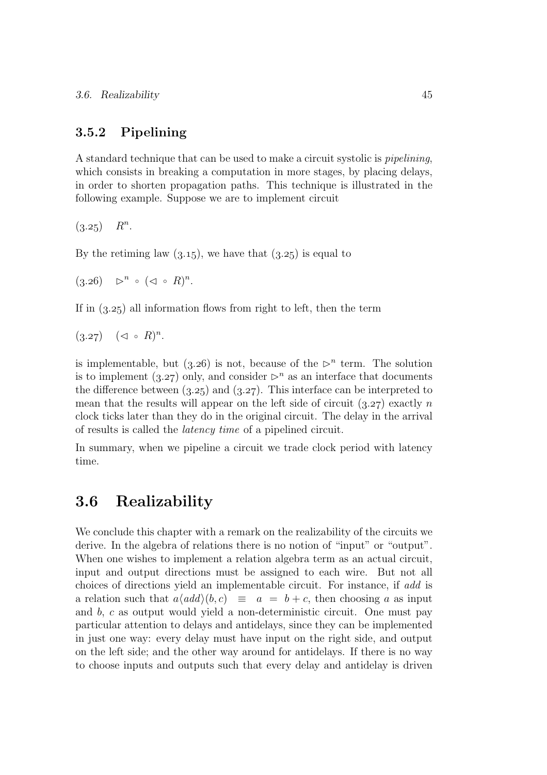#### 3.5.2 Pipelining

A standard technique that can be used to make a circuit systolic is pipelining, which consists in breaking a computation in more stages, by placing delays, in order to shorten propagation paths. This technique is illustrated in the following example. Suppose we are to implement circuit

 $R^n$  $(3.25)$ 

By the retiming law  $(3.15)$ , we have that  $(3.25)$  is equal to

$$
(3.26)
$$
  $\triangleright^n \circ (\triangleleft \circ R)^n$ .

If in  $(3.25)$  all information flows from right to left, then the term

 $(3.27)$   $(\triangleleft \circ R)^n$ .

is implementable, but (3.26) is not, because of the  $\triangleright^n$  term. The solution is to implement (3.27) only, and consider  $\triangleright^n$  as an interface that documents the difference between  $(3.25)$  and  $(3.27)$ . This interface can be interpreted to mean that the results will appear on the left side of circuit  $(3.27)$  exactly n clock ticks later than they do in the original circuit. The delay in the arrival of results is called the latency time of a pipelined circuit.

In summary, when we pipeline a circuit we trade clock period with latency time.

### 3.6 Realizability

We conclude this chapter with a remark on the realizability of the circuits we derive. In the algebra of relations there is no notion of "input" or "output". When one wishes to implement a relation algebra term as an actual circuit, input and output directions must be assigned to each wire. But not all choices of directions yield an implementable circuit. For instance, if add is a relation such that  $a\langle add \rangle(b, c) \equiv a = b + c$ , then choosing a as input and b, c as output would yield a non-deterministic circuit. One must pay particular attention to delays and antidelays, since they can be implemented in just one way: every delay must have input on the right side, and output on the left side; and the other way around for antidelays. If there is no way to choose inputs and outputs such that every delay and antidelay is driven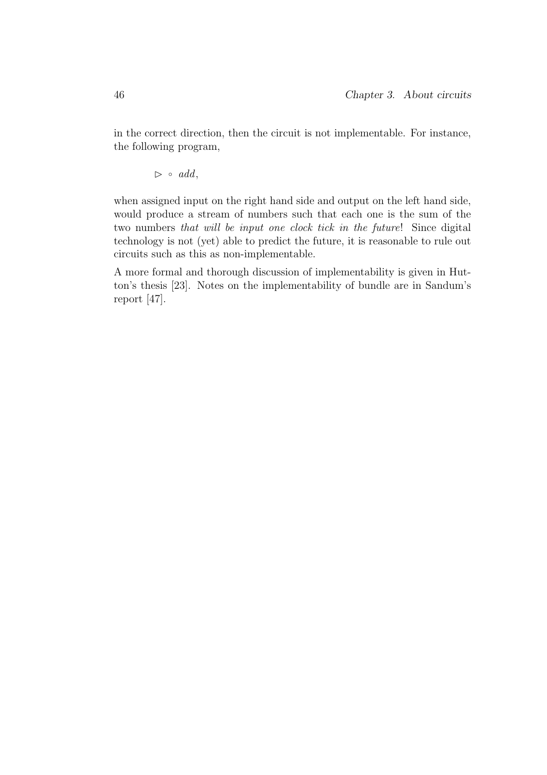in the correct direction, then the circuit is not implementable. For instance, the following program,

 $\triangleright$  ∘ add,

when assigned input on the right hand side and output on the left hand side, would produce a stream of numbers such that each one is the sum of the two numbers that will be input one clock tick in the future! Since digital technology is not (yet) able to predict the future, it is reasonable to rule out circuits such as this as non-implementable.

A more formal and thorough discussion of implementability is given in Hutton's thesis [23]. Notes on the implementability of bundle are in Sandum's report [47].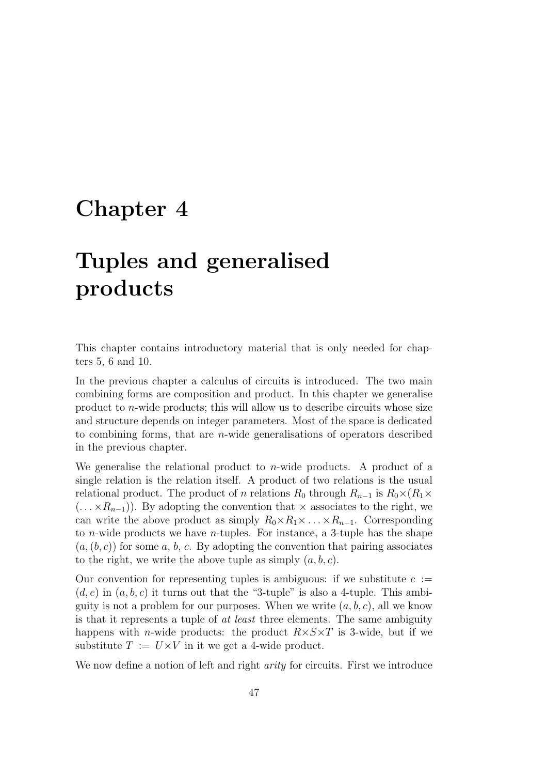## Chapter 4

# Tuples and generalised products

This chapter contains introductory material that is only needed for chapters 5, 6 and 10.

In the previous chapter a calculus of circuits is introduced. The two main combining forms are composition and product. In this chapter we generalise product to n-wide products; this will allow us to describe circuits whose size and structure depends on integer parameters. Most of the space is dedicated to combining forms, that are n-wide generalisations of operators described in the previous chapter.

We generalise the relational product to  $n$ -wide products. A product of a single relation is the relation itself. A product of two relations is the usual relational product. The product of n relations  $R_0$  through  $R_{n-1}$  is  $R_0 \times (R_1 \times R_2)$  $(\ldots \times R_{n-1})$ . By adopting the convention that  $\times$  associates to the right, we can write the above product as simply  $R_0 \times R_1 \times \ldots \times R_{n-1}$ . Corresponding to *n*-wide products we have *n*-tuples. For instance, a 3-tuple has the shape  $(a, (b, c))$  for some a, b, c. By adopting the convention that pairing associates to the right, we write the above tuple as simply  $(a, b, c)$ .

Our convention for representing tuples is ambiguous: if we substitute  $c :=$  $(d, e)$  in  $(a, b, c)$  it turns out that the "3-tuple" is also a 4-tuple. This ambiguity is not a problem for our purposes. When we write  $(a, b, c)$ , all we know is that it represents a tuple of at least three elements. The same ambiguity happens with *n*-wide products: the product  $R \times S \times T$  is 3-wide, but if we substitute  $T := U \times V$  in it we get a 4-wide product.

We now define a notion of left and right *arity* for circuits. First we introduce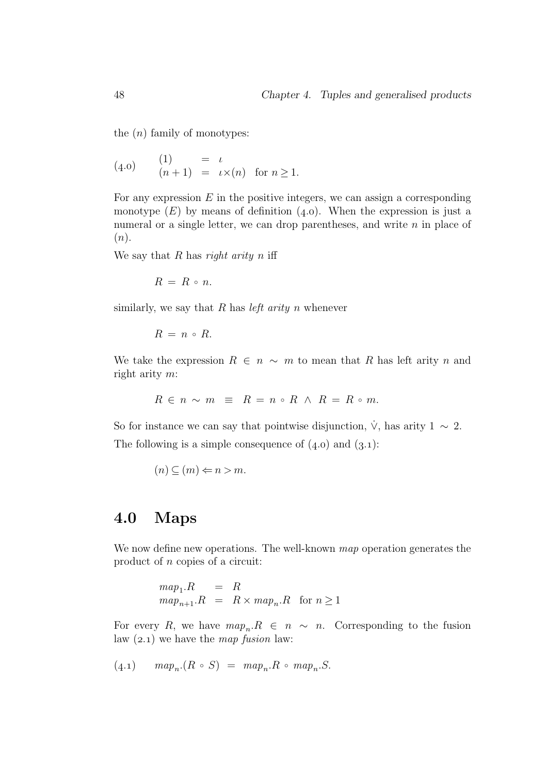the  $(n)$  family of monotypes:

(4.0) 
$$
(1) = \iota (n+1) = \iota \times (n) \text{ for } n \ge 1.
$$

For any expression  $E$  in the positive integers, we can assign a corresponding monotype  $(E)$  by means of definition  $(4.0)$ . When the expression is just a numeral or a single letter, we can drop parentheses, and write  $n$  in place of  $(n).$ 

We say that  $R$  has *right arity*  $n$  iff

 $R = R \circ n$ .

similarly, we say that  $R$  has *left arity n* whenever

 $R = n \circ R$ .

We take the expression  $R \in n \sim m$  to mean that R has left arity n and right arity m:

$$
R \in n \sim m \equiv R = n \circ R \land R = R \circ m.
$$

So for instance we can say that pointwise disjunction,  $\dot{\vee}$ , has arity 1 ∼ 2. The following is a simple consequence of  $(4.0)$  and  $(3.1)$ :

$$
(n) \subseteq (m) \Leftarrow n > m.
$$

#### 4.0 Maps

We now define new operations. The well-known map operation generates the product of n copies of a circuit:

> $map_1.R = R$  $map_{n+1}.R = R \times map_n.R \text{ for } n \geq 1$

For every R, we have  $map_n R \in n \sim n$ . Corresponding to the fusion law  $(2.1)$  we have the map fusion law:

$$
(4.1) \qquad map_n (R \circ S) = map_n R \circ map_n S.
$$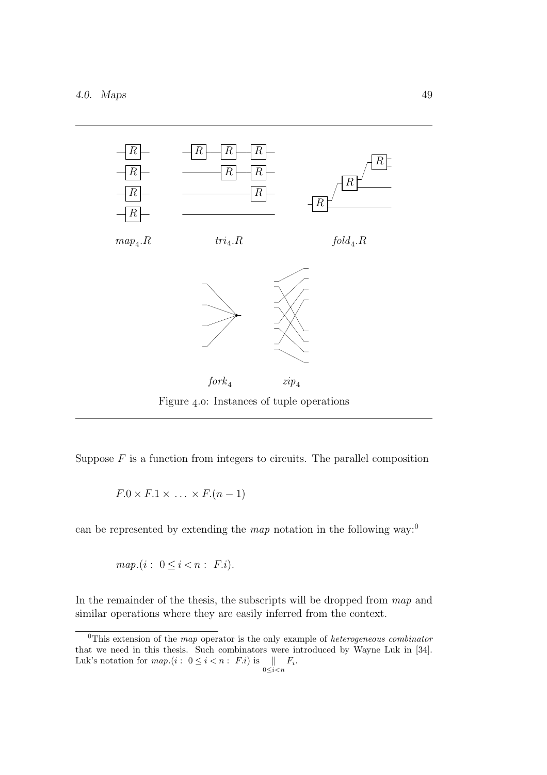

Suppose  $F$  is a function from integers to circuits. The parallel composition

 $F.0 \times F.1 \times \ldots \times F.(n-1)$ 

can be represented by extending the *map* notation in the following way:<sup>0</sup>

$$
map.(i: 0 \le i < n: F.i).
$$

In the remainder of the thesis, the subscripts will be dropped from map and similar operations where they are easily inferred from the context.

 $0$ This extension of the *map* operator is the only example of *heterogeneous combinator* that we need in this thesis. Such combinators were introduced by Wayne Luk in [34]. Luk's notation for  $map.(i: 0 \le i < n: F.i)$  is  $\bigcup_{0 \le i < n}$  $F_i$ .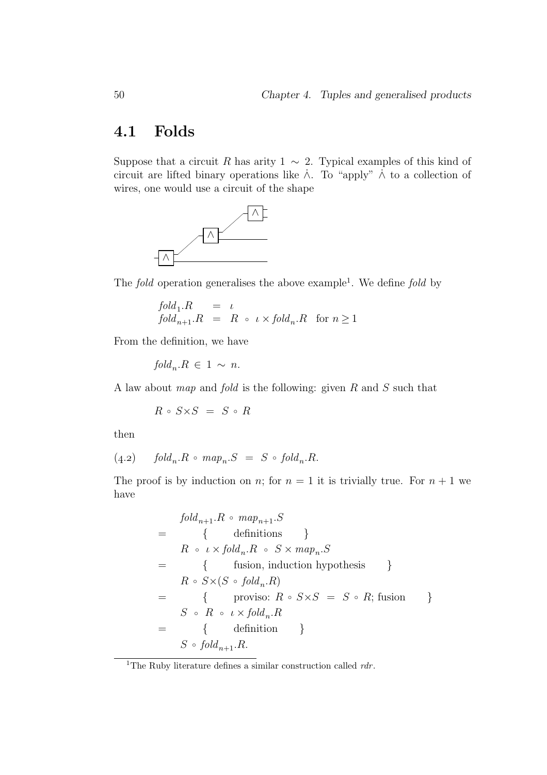### 4.1 Folds

Suppose that a circuit R has arity 1  $\sim$  2. Typical examples of this kind of circuit are lifted binary operations like ∧˙ . To "apply" ∧˙ to a collection of wires, one would use a circuit of the shape



The *fold* operation generalises the above example<sup>1</sup>. We define *fold* by

$$
fold_1.R = \iota
$$
  

$$
fold_{n+1}.R = R \circ \iota \times fold_n.R \text{ for } n \ge 1
$$

From the definition, we have

 $fold_n.R \in 1 \sim n.$ 

A law about map and fold is the following: given R and S such that

 $R \circ S \times S = S \circ R$ 

then

$$
(4.2) \qquad \ \ \text{fold}_n.R \ \circ \ \text{map}_n.S \ \ = \ \ S \ \circ \ \text{fold}_n.R.
$$

The proof is by induction on n; for  $n = 1$  it is trivially true. For  $n + 1$  we have

$$
fold_{n+1}.R \circ map_{n+1}.S
$$
\n
$$
= \{ \text{ definitions } \}
$$
\n
$$
R \circ \iota \times fold_n.R \circ S \times map_n.S
$$
\n
$$
= \{ \text{fusion, induction hypothesis } \}
$$
\n
$$
R \circ S \times (S \circ fold_n.R)
$$
\n
$$
= \{ \text{proviso: } R \circ S \times S = S \circ R; \text{fusion } \}
$$
\n
$$
S \circ R \circ \iota \times fold_n.R
$$
\n
$$
= \{ \text{definition } \}
$$
\n
$$
S \circ fold_{n+1}.R.
$$

<sup>&</sup>lt;sup>1</sup>The Ruby literature defines a similar construction called  $rdr$ .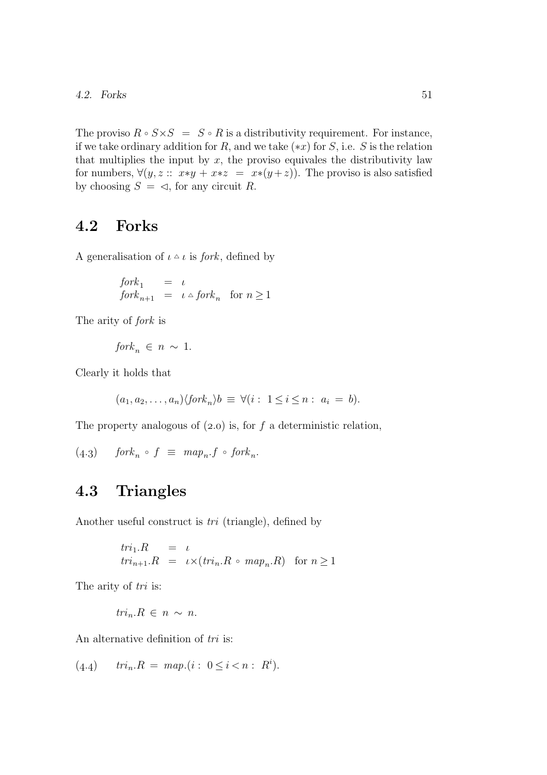The proviso  $R \circ S \times S = S \circ R$  is a distributivity requirement. For instance, if we take ordinary addition for R, and we take  $(*x)$  for S, i.e. S is the relation that multiplies the input by  $x$ , the proviso equivales the distributivity law for numbers,  $\forall (y, z :: x*y + x*z = x*(y+z))$ . The proviso is also satisfied by choosing  $S = \triangleleft$ , for any circuit R.

#### 4.2 Forks

A generalisation of  $\iota \Delta \iota$  is *fork*, defined by

$$
\begin{array}{lcl} fork_1 & = & \iota \\ fork_{n+1} & = & \iota \mathrel{\scriptstyle\triangle} fork_n \quad \text{for $n \geq 1$} \end{array}
$$

The arity of fork is

$$
fork_n \in n \sim 1.
$$

Clearly it holds that

$$
(a_1, a_2, \ldots, a_n) \langle \text{fork}_n \rangle b \equiv \forall (i : 1 \le i \le n : a_i = b).
$$

The property analogous of  $(2.0)$  is, for f a deterministic relation,

$$
(4.3) \quad \text{fork}_n \circ f \equiv \text{map}_n f \circ \text{fork}_n.
$$

## 4.3 Triangles

Another useful construct is tri (triangle), defined by

$$
tri1.R = t
$$
  

$$
trin+1.R = t \times (trin.R \circ mapn.R) \text{ for } n \ge 1
$$

The arity of *tri* is:

$$
tri_n.R \in n \sim n.
$$

An alternative definition of  $tri$  is:

(4.4) 
$$
tri_n R = map (i : 0 \le i < n : R^i).
$$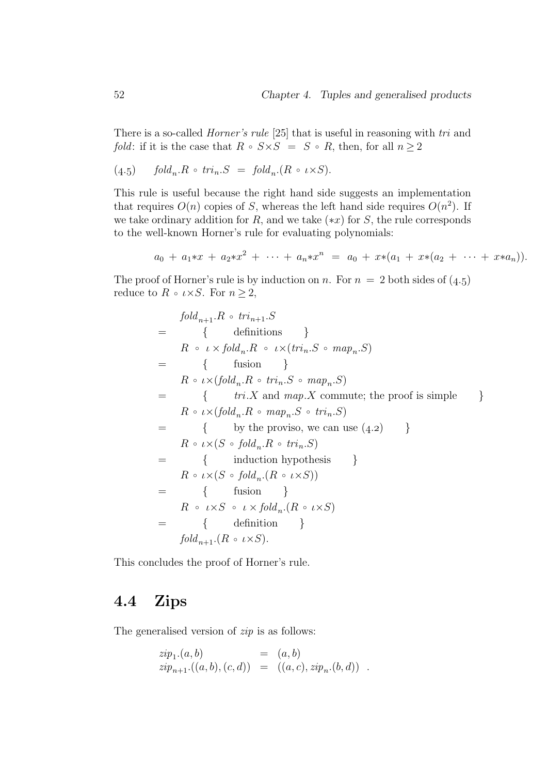There is a so-called *Horner's rule* [25] that is useful in reasoning with tri and *fold*: if it is the case that  $R \circ S \times S = S \circ R$ , then, for all  $n \geq 2$ 

$$
(4.5) \qquad \text{fold}_n.R \circ \text{tri}_n.S \ = \ \text{fold}_n.(R \circ \iota \times S).
$$

This rule is useful because the right hand side suggests an implementation that requires  $O(n)$  copies of S, whereas the left hand side requires  $O(n^2)$ . If we take ordinary addition for R, and we take  $(*x)$  for S, the rule corresponds to the well-known Horner's rule for evaluating polynomials:

$$
a_0 + a_1 \cdot x + a_2 \cdot x^2 + \cdots + a_n \cdot x^n = a_0 + x \cdot (a_1 + x \cdot (a_2 + \cdots + x \cdot a_n)).
$$

The proof of Horner's rule is by induction on n. For  $n = 2$  both sides of  $(4.5)$ reduce to  $R \circ \iota \times S$ . For  $n \geq 2$ ,

$$
fold_{n+1}.R \circ tri_{n+1}.S
$$
\n
$$
= \begin{cases}\n\text{definitions} \\
R \circ \iota \times fold_n.R \circ \iota \times (tri_n.S \circ map_n.S) \\
R \circ \iota \times (fold_n.R \circ tri_n.S \circ map_n.S)\n\end{cases}
$$
\n
$$
= \begin{cases}\n\text{tri.}X \text{ and } map.X \text{ commute; the proof is simple} \\
R \circ \iota \times (fold_n.R \circ map_n.S \circ tri_n.S)\n\end{cases}
$$
\n
$$
= \begin{cases}\n\text{by the proviso, we can use (4.2)} \\
R \circ \iota \times (S \circ fold_n.R \circ tri_n.S)\n\end{cases}
$$
\n
$$
= \begin{cases}\n\text{induction hypothesis} \\
R \circ \iota \times (S \circ fold_n.(R \circ \iota \times S))\n\end{cases}
$$
\n
$$
= \begin{cases}\n\text{fusion} \\
\text{fusion}\n\end{cases}
$$
\n
$$
= \begin{cases}\n\text{fusion} \\
\text{definition}\n\end{cases}
$$
\n
$$
fold_{n+1}.(R \circ \iota \times S).
$$

This concludes the proof of Horner's rule.

### 4.4 Zips

The generalised version of zip is as follows:

$$
zip_1.(a, b) = (a, b)
$$
  
\n
$$
zip_{n+1}.((a, b), (c, d)) = ((a, c), zip_n.(b, d)) .
$$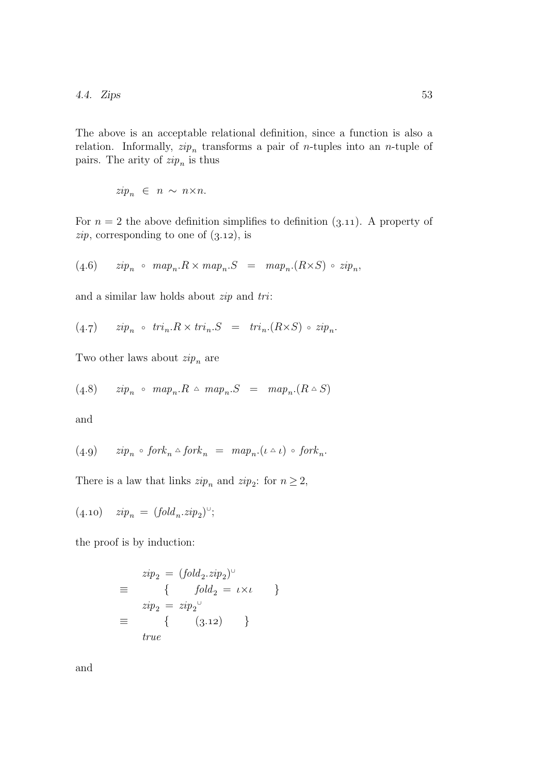The above is an acceptable relational definition, since a function is also a relation. Informally,  $zip_n$  transforms a pair of *n*-tuples into an *n*-tuple of pairs. The arity of  $zip_n$  is thus

$$
\quad\quad\!\!\!\text{zip}_n\ \in\ n\,\sim\,n\!\times\!n.
$$

For  $n = 2$  the above definition simplifies to definition (3.11). A property of  $zip$ , corresponding to one of  $(3.12)$ , is

$$
(4.6) \qquad zip_n \circ \ map_n.R \times map_n.S \quad = \quad map_n.(R \times S) \circ \ zip_n,
$$

and a similar law holds about zip and tri:

$$
(4.7) \qquad zip_n \circ \; tri_n.R \times tri_n.S \;\; = \;\; tri_n.(R \times S) \circ \; zip_n.
$$

Two other laws about  $zip_n$  are

$$
(4.8) \qquad zip_n \ \circ \ map_n.R \ \circ \ map_n.S \ \ = \ map_n.(R \circ S)
$$

and

$$
(4.9) \qquad zip_n \,\circ \,fork_n \,\circ \,fork_n \,\, = \,\, map_n.(\iota \simeq \iota) \,\circ \,fork_n.
$$

There is a law that links  $zip_n$  and  $zip_2$ : for  $n \geq 2$ ,

$$
(4.10) \quad zip_n = (fold_n . zip_2)^{\cup};
$$

the proof is by induction:

$$
zip_2 = (fold_2 \cdot zip_2)^{\cup}
$$
  
\n
$$
\equiv \{ \begin{array}{c} fold_2 = \iota \times \iota \\ zip_2 = zip_2^{\cup} \\ \{ \end{array} \}
$$
  
\n
$$
\equiv \{ \begin{array}{c} (3.12) \\ \{ \end{array} \}
$$
  
\n
$$
true
$$

and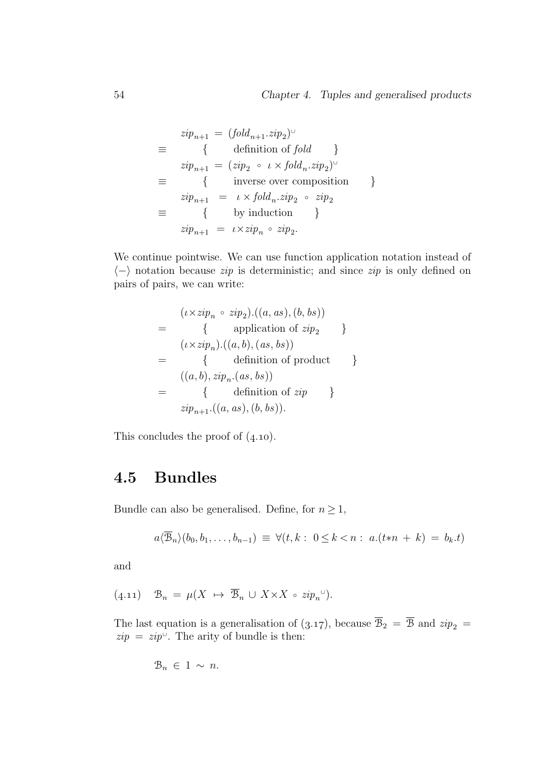$$
zip_{n+1} = (fold_{n+1}.zip_2)^{\cup}
$$
\n
$$
\equiv \{ \begin{aligned} \{ \text{definition of } fold \} \\ zip_{n+1} = (zip_2 \circ \iota \times fold_n .zip_2)^{\cup} \\ \equiv \{ \text{ inverse over composition} \\ zip_{n+1} = \iota \times fold_n .zip_2 \circ zip_2 \\ \equiv \{ \text{by induction} \} \\ zip_{n+1} = \iota \times zip_n \circ zip_2. \end{aligned} \}
$$

We continue pointwise. We can use function application notation instead of  $\langle - \rangle$  notation because *zip* is deterministic; and since *zip* is only defined on pairs of pairs, we can write:

$$
\begin{aligned}\n(\iota \times zip_n \circ zip_2).((a, as), (b, bs)) \\
= \{ \quad \text{application of } zip_2 \} \\
(\iota \times zip_n).((a, b), (as, bs)) \\
= \{ \quad \text{definition of product} \} \\
((a, b), zip_n.(as, bs)) \\
= \{ \quad \text{definition of } zip \} \\
zip_{n+1}.((a, as), (b, bs)).\n\end{aligned}
$$

This concludes the proof of  $(4.10)$ .

## 4.5 Bundles

Bundle can also be generalised. Define, for  $n\geq 1,$ 

$$
a\langle \overline{\mathcal{B}}_n\rangle(b_0, b_1, \ldots, b_{n-1}) \equiv \forall (t, k : 0 \le k < n : a.(t*n + k) = b_k.t)
$$

and

$$
(4.11) \quad \mathcal{B}_n = \mu(X \mapsto \overline{\mathcal{B}}_n \cup X \times X \circ \sin_n \circ).
$$

The last equation is a generalisation of (3.17), because  $\overline{\mathcal{B}}_2 = \overline{\mathcal{B}}$  and  $zip_2 =$  $zip = zip^{\cup}$ . The arity of bundle is then:

$$
\mathcal{B}_n \, \in \, 1 \, \sim \, n.
$$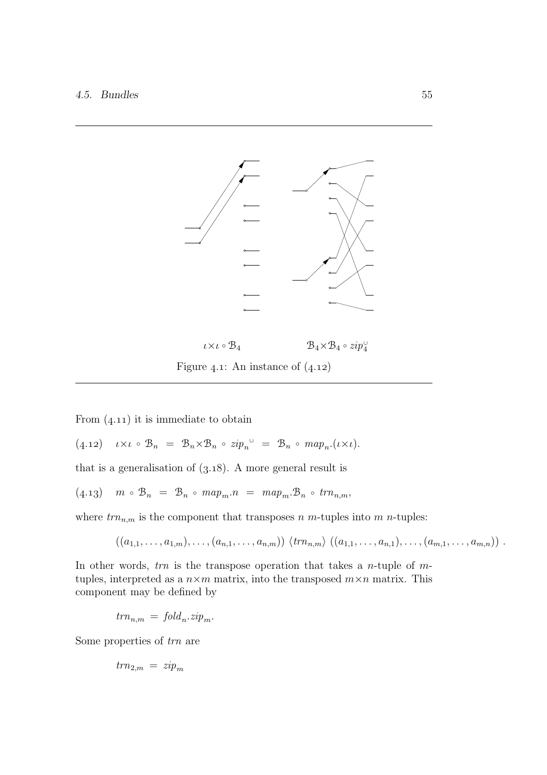

From  $(4.11)$  it is immediate to obtain

$$
(4.12) \quad \iota \times \iota \circ \mathcal{B}_n = \mathcal{B}_n \times \mathcal{B}_n \circ \operatorname{zip}_n^{\cup} = \mathcal{B}_n \circ \operatorname{map}_n.(\iota \times \iota).
$$

that is a generalisation of  $(3.18)$ . A more general result is

$$
(4.13) \quad m \circ \mathcal{B}_n = \mathcal{B}_n \circ \operatorname{map}_m.n = \operatorname{map}_m.\mathcal{B}_n \circ \operatorname{trn}_{n,m},
$$

where  $trn_{n,m}$  is the component that transposes n m-tuples into m n-tuples:

$$
((a_{1,1},\ldots,a_{1,m}),\ldots,(a_{n,1},\ldots,a_{n,m})) \langle \text{trn}_{n,m} \rangle ((a_{1,1},\ldots,a_{n,1}),\ldots,(a_{m,1},\ldots,a_{m,n}))
$$
.

In other words,  $trn$  is the transpose operation that takes a *n*-tuple of *m*tuples, interpreted as a  $n \times m$  matrix, into the transposed  $m \times n$  matrix. This component may be defined by

 $trn_{n,m} = fold_n.\dot{zip}_m.$ 

Some properties of trn are

$$
trn_{2,m} \,=\, zip_m
$$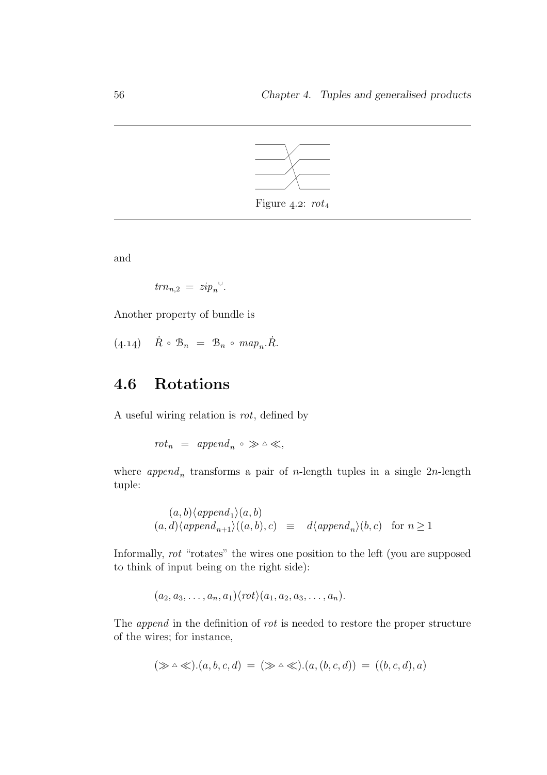

Figure 4.2:  $rot_4$ 

and

$$
trn_{n,2} = zip_n^{\quad \cup}.
$$

Another property of bundle is

 $(4.14)$   $\dot{R} \circ \mathcal{B}_n = \mathcal{B}_n \circ map_n \dot{R}.$ 

## 4.6 Rotations

A useful wiring relation is rot, defined by

 $rot_n = append_n \circ \gg \vartriangle \ll n$ 

where  $append_n$  transforms a pair of *n*-length tuples in a single  $2n$ -length tuple:

$$
(a, b) \langle append_1 \rangle (a, b)
$$
  

$$
(a, d) \langle append_{n+1} \rangle ((a, b), c) \equiv d \langle append_n \rangle (b, c) \text{ for } n \ge 1
$$

Informally, rot "rotates" the wires one position to the left (you are supposed to think of input being on the right side):

$$
(a_2,a_3,\ldots,a_n,a_1)\langle rot\rangle(a_1,a_2,a_3,\ldots,a_n).
$$

The append in the definition of rot is needed to restore the proper structure of the wires; for instance,

$$
(\gg \vartriangle \ll). (a, b, c, d) = (\gg \vartriangle \ll). (a, (b, c, d)) = ((b, c, d), a)
$$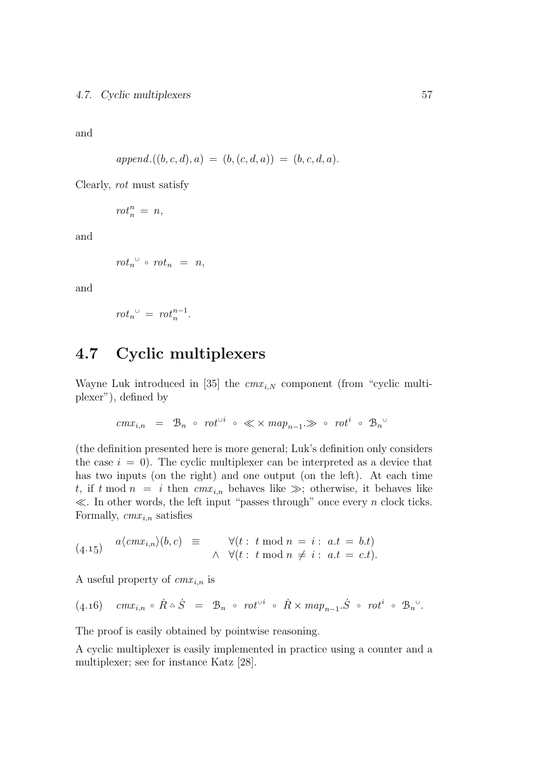and

$$
append.((b, c, d), a) = (b, (c, d, a)) = (b, c, d, a).
$$

Clearly, rot must satisfy

$$
rot_n^n = n,
$$

and

$$
rot_n^{\quad \cup} \circ rot_n = n,
$$

and

$$
rot_n^{\quad \cup} = rot_n^{n-1}.
$$

## 4.7 Cyclic multiplexers

Wayne Luk introduced in [35] the  $cmx_{i,N}$  component (from "cyclic multiplexer"), defined by

$$
cm x_{i,n} = \mathcal{B}_n \circ \text{rot}^{\cup i} \circ \ll \times \text{map}_{n-1} \gg \circ \text{rot}^i \circ \mathcal{B}_n
$$

(the definition presented here is more general; Luk's definition only considers the case  $i = 0$ ). The cyclic multiplexer can be interpreted as a device that has two inputs (on the right) and one output (on the left). At each time t, if t mod  $n = i$  then  $cmx_{i,n}$  behaves like  $\gg$ ; otherwise, it behaves like  $\ll$ . In other words, the left input "passes through" once every *n* clock ticks. Formally,  $cmx_{i,n}$  satisfies

$$
(4.15) \quad a \langle cm x_{i,n} \rangle (b,c) \equiv \forall (t: t \bmod n = i: a.t = b.t) \land \forall (t: t \bmod n \neq i: a.t = c.t).
$$

A useful property of  $cmx_{i,n}$  is

$$
(4.16) \quad cm x_{i,n} \circ \dot{R} \circ \dot{S} = \mathcal{B}_n \circ \, rot^{\cup i} \circ \dot{R} \times map_{n-1}.\dot{S} \circ \, rot^i \circ \, \mathcal{B}_n^{\cup}.
$$

The proof is easily obtained by pointwise reasoning.

A cyclic multiplexer is easily implemented in practice using a counter and a multiplexer; see for instance Katz [28].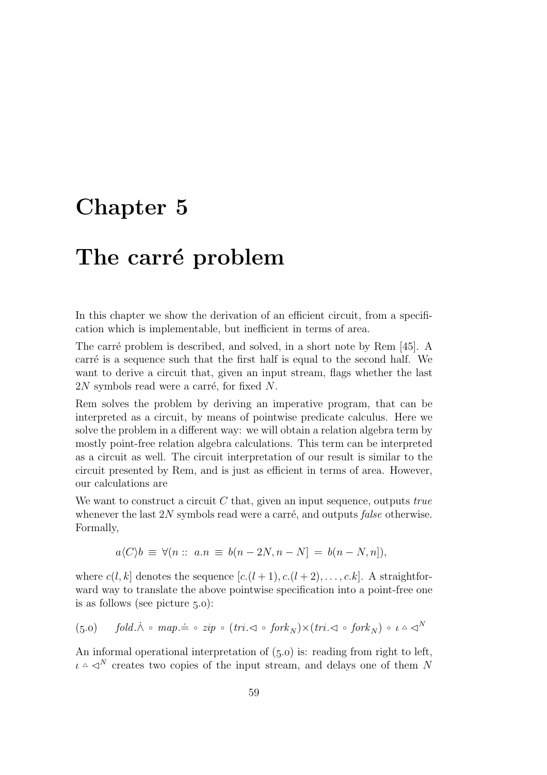## Chapter 5

# The carré problem

In this chapter we show the derivation of an efficient circuit, from a specification which is implementable, but inefficient in terms of area.

The carré problem is described, and solved, in a short note by Rem [45]. A carré is a sequence such that the first half is equal to the second half. We want to derive a circuit that, given an input stream, flags whether the last  $2N$  symbols read were a carré, for fixed N.

Rem solves the problem by deriving an imperative program, that can be interpreted as a circuit, by means of pointwise predicate calculus. Here we solve the problem in a different way: we will obtain a relation algebra term by mostly point-free relation algebra calculations. This term can be interpreted as a circuit as well. The circuit interpretation of our result is similar to the circuit presented by Rem, and is just as efficient in terms of area. However, our calculations are

We want to construct a circuit  $C$  that, given an input sequence, outputs true whenever the last  $2N$  symbols read were a carré, and outputs *false* otherwise. Formally,

$$
a\langle C\rangle b \equiv \forall (n :: a.n \equiv b(n-2N, n-N] = b(n-N, n]),
$$

where  $c(l, k]$  denotes the sequence  $[c.((l + 1), c.((l + 2), \ldots, c.k])$ . A straightforward way to translate the above pointwise specification into a point-free one is as follows (see picture  $5.0$ ):

$$
(5.0) \qquad \text{fold} \ \dot{\wedge} \ \circ \ \text{map} \doteq \ \circ \ \text{zip} \ \circ \ (\text{tri}.\lhd \ \circ \ \text{fork}_N) \times (\text{tri}.\lhd \ \circ \ \text{fork}_N) \ \circ \ \iota \vartriangle \vartriangleleft^N
$$

An informal operational interpretation of  $(5.0)$  is: reading from right to left,  $\iota \Delta \triangleleft^N$  creates two copies of the input stream, and delays one of them N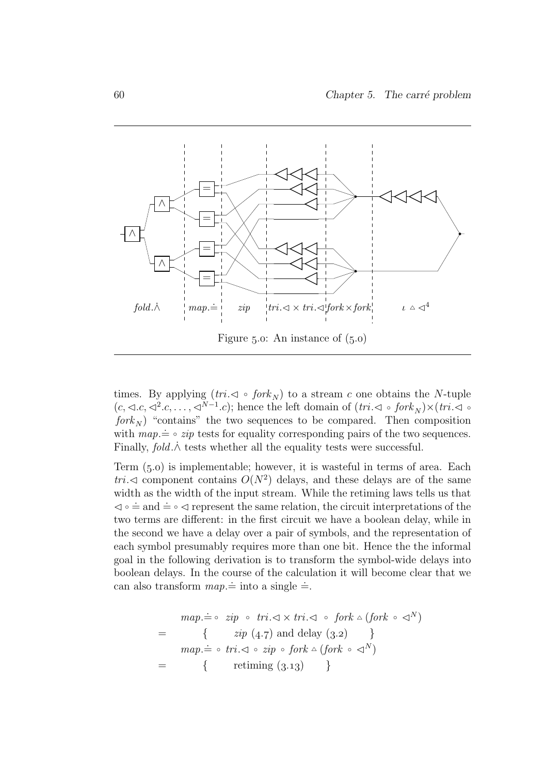

times. By applying  $(tri \triangleleft \circ for k_N)$  to a stream c one obtains the N-tuple  $(c, \lhd c, \lhd^2 c, \ldots, \lhd^{N-1} c)$ ; hence the left domain of  $(tri \lhd \lhd for k_N) \times (tri \lhd \lhd$  $fork_N$ ) "contains" the two sequences to be compared. Then composition with  $map = \circ zip$  tests for equality corresponding pairs of the two sequences. Finally,  $fold.\dot{\wedge}$  tests whether all the equality tests were successful.

Term  $(5.0)$  is implementable; however, it is wasteful in terms of area. Each tri. $\triangleleft$  component contains  $O(N^2)$  delays, and these delays are of the same width as the width of the input stream. While the retiming laws tells us that  $\leq \circ =$  and  $\neq \circ \leq$  represent the same relation, the circuit interpretations of the two terms are different: in the first circuit we have a boolean delay, while in the second we have a delay over a pair of symbols, and the representation of each symbol presumably requires more than one bit. Hence the the informal goal in the following derivation is to transform the symbol-wide delays into boolean delays. In the course of the calculation it will become clear that we can also transform  $map =$  into a single  $\doteq$ .

$$
map \doteq \circ zip \circ tri. \lhd \times tri. \lhd \circ fork \rhd (fork \circ \lhd^N)
$$
\n
$$
= \{ \quad zip \ (4.7) \text{ and delay } (3.2) \}
$$
\n
$$
map \doteq \circ tri. \lhd \circ zip \circ fork \rhd (fork \circ \lhd^N)
$$
\n
$$
= \{ \quad \text{re timing } (3.13) \}
$$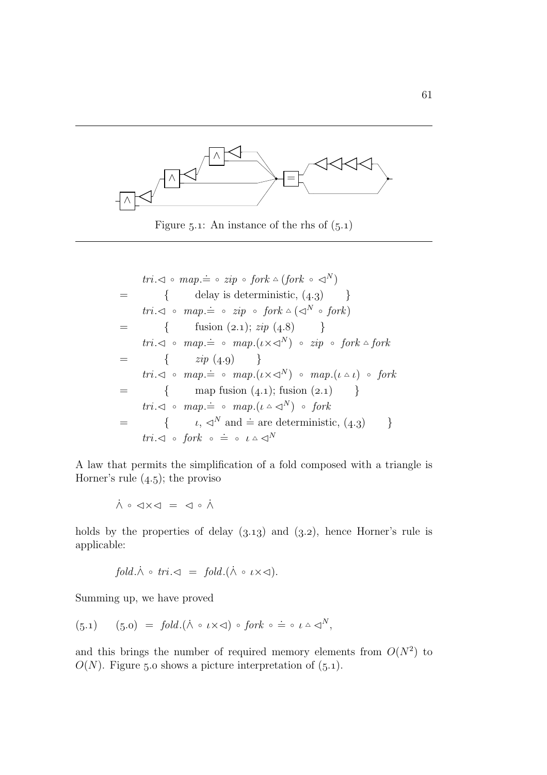

Figure  $5.1$ : An instance of the rhs of  $(5.1)$ 

$$
tri. \triangleleft \circ map. \doteq \circ zip \circ fork \triangle (fork \circ \triangle N)
$$
\n
$$
= \{ \quad \text{delay is deterministic, (4.3)} \}
$$
\n
$$
tri. \triangleleft \circ map. \doteq \circ zip \circ fork \triangle (\triangle N \circ fork)
$$
\n
$$
= \{ \quad \text{fusion (2.1); zip (4.8)} \}
$$
\n
$$
tri. \triangleleft \circ map. \doteq \circ map.(\iota \triangle \triangle N) \circ zip \circ fork \triangle fork
$$
\n
$$
= \{ \quad \text{zip (4.9)} \}
$$
\n
$$
tri. \triangleleft \circ map. \doteq \circ map.(\iota \triangle \triangle N) \circ map.(\iota \triangle \iota) \circ fork
$$
\n
$$
= \{ \quad \text{map fusion (4.1); fusion (2.1)} \}
$$
\n
$$
tri. \triangleleft \circ map. \doteq \circ map.(\iota \triangle \triangle N) \circ fork
$$
\n
$$
= \{ \quad \text{map fusion (4.1); fusion (2.1)} \}
$$
\n
$$
tri. \triangleleft \circ map. \doteq \circ map.(\iota \triangle \triangle N) \circ fork
$$
\n
$$
= \{ \quad \iota, \triangleleft^N \text{ and } \doteq \text{are deterministic, (4.3)} \}
$$
\n
$$
tri. \triangleleft \circ fork \circ \doteq \circ \iota \triangle \triangle N
$$

A law that permits the simplification of a fold composed with a triangle is Horner's rule  $(4.5)$ ; the proviso

$$
\dot{\wedge}\,\circ\,\lhd\times\lhd\;=\;\lhd\,\circ\,\dot{\wedge}\,
$$

holds by the properties of delay  $(3.13)$  and  $(3.2)$ , hence Horner's rule is applicable:

$$
fold.\wedge \circ tri.\lhd = fold.(\wedge \circ \iota \times \lhd).
$$

Summing up, we have proved

$$
(5.1) \qquad (5.0) \; = \; fold. (\dot{\wedge} \circ \iota \times \lhd) \circ fork \circ \doteq \circ \iota \wedge \lhd^N,
$$

and this brings the number of required memory elements from  $O(N^2)$  to  $O(N)$ . Figure 5.0 shows a picture interpretation of (5.1).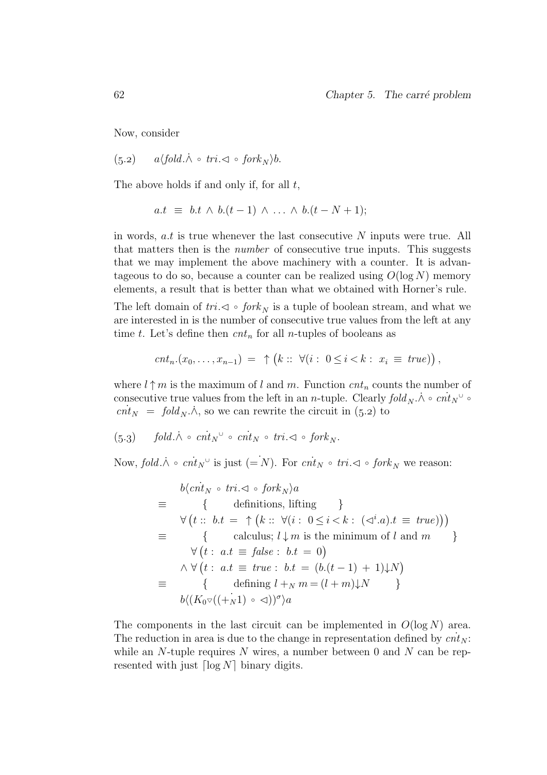Now, consider

 $(5.2)$  a $\langle \text{fold}.\dot{\wedge} \circ \text{tri}.\langle \cdot \rangle \circ \text{fork}_N \rangle b.$ 

The above holds if and only if, for all  $t$ ,

$$
a.t \equiv b.t \land b.(t-1) \land \dots \land b.(t-N+1);
$$

in words,  $a.t$  is true whenever the last consecutive N inputs were true. All that matters then is the number of consecutive true inputs. This suggests that we may implement the above machinery with a counter. It is advantageous to do so, because a counter can be realized using  $O(\log N)$  memory elements, a result that is better than what we obtained with Horner's rule.

The left domain of  $tri.\lhd \,\circ \,fork_N$  is a tuple of boolean stream, and what we are interested in is the number of consecutive true values from the left at any time t. Let's define then  $cnt<sub>n</sub>$  for all n-tuples of booleans as

$$
cnt_n.(x_0, \ldots, x_{n-1}) = \uparrow (k:: \forall (i: 0 \leq i < k: x_i \equiv true)),
$$

where  $l \uparrow m$  is the maximum of l and m. Function  $cnt_n$  counts the number of consecutive true values from the left in an *n*-tuple. Clearly  $fold_N.\dot{\wedge} \circ \dot{crit}_N^{\cup} \circ$  $cnt<sub>N</sub> = fold<sub>N</sub> \Lambda$ , so we can rewrite the circuit in (5.2) to

$$
\text{(5.3)} \qquad \text{fold} \ \dot{\wedge} \ \circ \ \text{cnt}_N \, \text{''} \ \circ \ \text{cnt}_N \ \circ \ \text{tri} \ \lhd \ \circ \ \text{fork}_N.
$$

Now,  $fold \wedge \circ \operatorname{crit}_{N} \circ \text{just } (=N)$ . For  $\operatorname{crit}_{N} \circ \operatorname{tri} \otimes \circ \operatorname{fork}_{N}$  we reason:

$$
b\langle \operatorname{crit}_{N} \circ \operatorname{tri} \langle \varphi \rangle a
$$
\n
$$
\equiv \qquad \{ \qquad \text{definitions, lifting} \} \}
$$
\n
$$
\forall (t:: b.t = \uparrow (k:: \forall (i: 0 \le i < k: (\lhd^{i}.a).t \equiv \operatorname{true})))
$$
\n
$$
\equiv \qquad \{ \qquad \text{calculus}; l \downarrow m \text{ is the minimum of } l \text{ and } m \} \}
$$
\n
$$
\forall (t:: a.t \equiv \operatorname{false}: b.t = 0)
$$
\n
$$
\land \forall (t:: a.t \equiv \operatorname{true}: b.t = (b.(t-1) + 1) \downarrow N)
$$
\n
$$
\equiv \qquad \{ \qquad \text{defining } l +_N m = (l + m) \downarrow N \} \}
$$
\n
$$
b\langle (K_0 \triangledown ((+_N1) \circ \langle \varphi \rangle))^{\sigma} \rangle a
$$

The components in the last circuit can be implemented in  $O(\log N)$  area. The reduction in area is due to the change in representation defined by  $c\dot{m}$ . while an N-tuple requires N wires, a number between 0 and N can be represented with just  $\lceil \log N \rceil$  binary digits.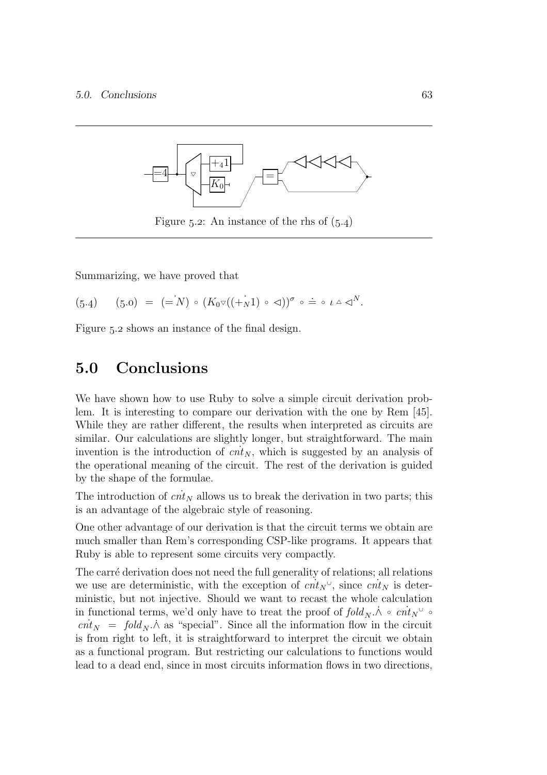

Figure 5.2: An instance of the rhs of  $(5.4)$ 

Summarizing, we have proved that

$$
(5.4) \qquad (5.0) = (=N) \circ (K_0 \circ ((+_N1) \circ \triangleleft))^\sigma \circ \doteq \circ \iota \triangle \triangleleft^N.
$$

Figure 5.2 shows an instance of the final design.

## 5.0 Conclusions

We have shown how to use Ruby to solve a simple circuit derivation problem. It is interesting to compare our derivation with the one by Rem [45]. While they are rather different, the results when interpreted as circuits are similar. Our calculations are slightly longer, but straightforward. The main invention is the introduction of  $cnt<sub>N</sub>$ , which is suggested by an analysis of the operational meaning of the circuit. The rest of the derivation is guided by the shape of the formulae.

The introduction of  $\operatorname{crit}_N$  allows us to break the derivation in two parts; this is an advantage of the algebraic style of reasoning.

One other advantage of our derivation is that the circuit terms we obtain are much smaller than Rem's corresponding CSP-like programs. It appears that Ruby is able to represent some circuits very compactly.

The carré derivation does not need the full generality of relations; all relations we use are deterministic, with the exception of  $\text{cnt}_N^{\cup}$ , since  $\text{cnt}_N$  is deterministic, but not injective. Should we want to recast the whole calculation in functional terms, we'd only have to treat the proof of  $fold_N.\dot{\wedge} \circ \operatorname{crit}_N^{\cup} \circ$  $cnt<sub>N</sub> = fold<sub>N</sub>$ . A as "special". Since all the information flow in the circuit is from right to left, it is straightforward to interpret the circuit we obtain as a functional program. But restricting our calculations to functions would lead to a dead end, since in most circuits information flows in two directions,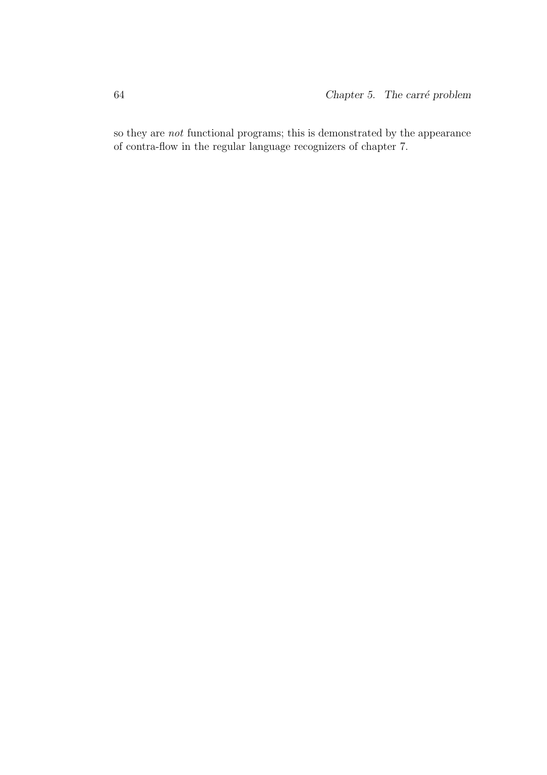so they are not functional programs; this is demonstrated by the appearance of contra-flow in the regular language recognizers of chapter 7.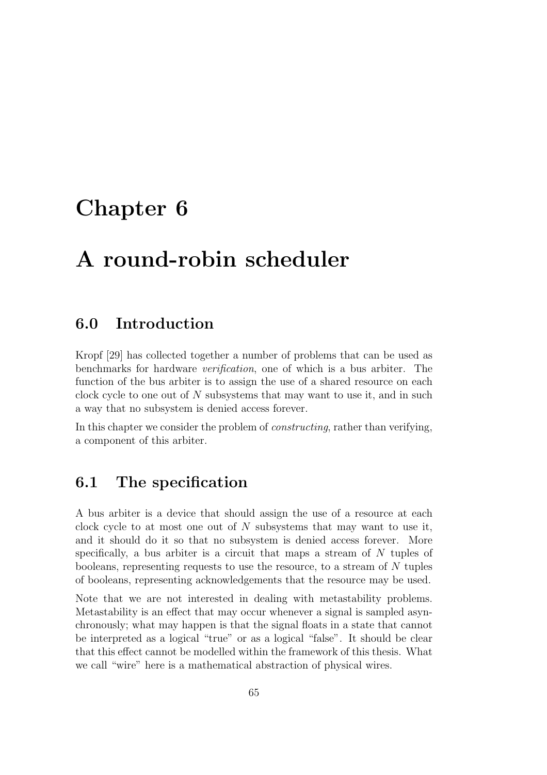## Chapter 6

# A round-robin scheduler

#### 6.0 Introduction

Kropf [29] has collected together a number of problems that can be used as benchmarks for hardware verification, one of which is a bus arbiter. The function of the bus arbiter is to assign the use of a shared resource on each clock cycle to one out of N subsystems that may want to use it, and in such a way that no subsystem is denied access forever.

In this chapter we consider the problem of constructing, rather than verifying, a component of this arbiter.

### 6.1 The specification

A bus arbiter is a device that should assign the use of a resource at each clock cycle to at most one out of  $N$  subsystems that may want to use it, and it should do it so that no subsystem is denied access forever. More specifically, a bus arbiter is a circuit that maps a stream of  $N$  tuples of booleans, representing requests to use the resource, to a stream of N tuples of booleans, representing acknowledgements that the resource may be used.

Note that we are not interested in dealing with metastability problems. Metastability is an effect that may occur whenever a signal is sampled asynchronously; what may happen is that the signal floats in a state that cannot be interpreted as a logical "true" or as a logical "false". It should be clear that this effect cannot be modelled within the framework of this thesis. What we call "wire" here is a mathematical abstraction of physical wires.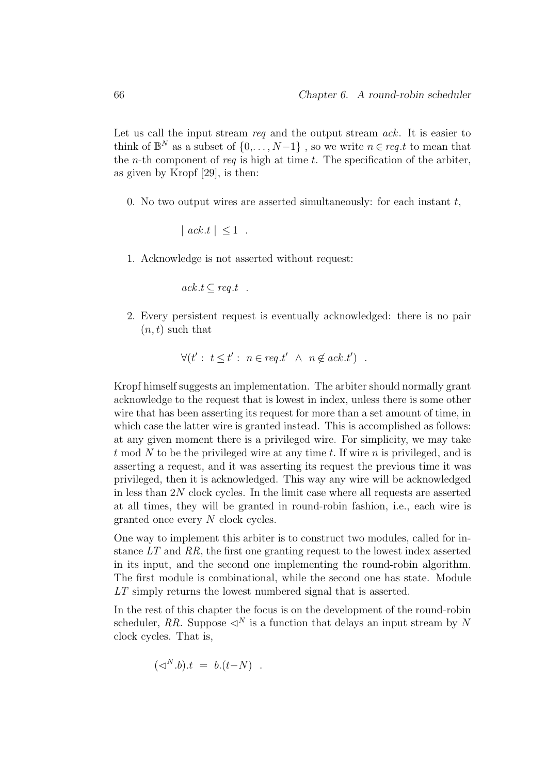Let us call the input stream req and the output stream ack. It is easier to think of  $\mathbb{B}^N$  as a subset of  $\{0,\ldots,N-1\}$ , so we write  $n \in \text{req}.t$  to mean that the *n*-th component of *req* is high at time  $t$ . The specification of the arbiter, as given by Kropf [29], is then:

0. No two output wires are asserted simultaneously: for each instant  $t$ ,

$$
| a c k.t | \leq 1 .
$$

1. Acknowledge is not asserted without request:

 $ack.t \subset \textit{req}.t$ .

2. Every persistent request is eventually acknowledged: there is no pair  $(n, t)$  such that

$$
\forall (t': t \leq t': n \in \text{req.} t' \land n \notin \text{ack.} t') .
$$

Kropf himself suggests an implementation. The arbiter should normally grant acknowledge to the request that is lowest in index, unless there is some other wire that has been asserting its request for more than a set amount of time, in which case the latter wire is granted instead. This is accomplished as follows: at any given moment there is a privileged wire. For simplicity, we may take t mod N to be the privileged wire at any time t. If wire n is privileged, and is asserting a request, and it was asserting its request the previous time it was privileged, then it is acknowledged. This way any wire will be acknowledged in less than 2N clock cycles. In the limit case where all requests are asserted at all times, they will be granted in round-robin fashion, i.e., each wire is granted once every N clock cycles.

One way to implement this arbiter is to construct two modules, called for instance LT and RR, the first one granting request to the lowest index asserted in its input, and the second one implementing the round-robin algorithm. The first module is combinational, while the second one has state. Module LT simply returns the lowest numbered signal that is asserted.

In the rest of this chapter the focus is on the development of the round-robin scheduler, RR. Suppose  $\triangleleft^N$  is a function that delays an input stream by N clock cycles. That is,

$$
(\lhd^N.b).t = b.(t - N) .
$$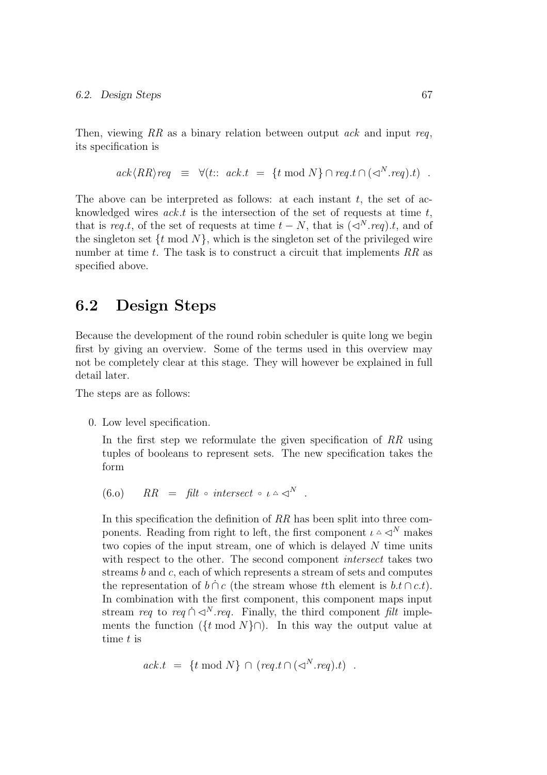Then, viewing RR as a binary relation between output  $ack$  and input req. its specification is

$$
ack \langle RR \rangle \,req \equiv \forall (t::ack.t = \{t \bmod N\} \cap req.t \cap (\lhd^N .req).t) .
$$

The above can be interpreted as follows: at each instant  $t$ , the set of acknowledged wires  $ack. t$  is the intersection of the set of requests at time  $t$ , that is req.t, of the set of requests at time  $t - N$ , that is  $\left(\triangleleft^{N} \cdot \text{req}\right).t$ , and of the singleton set  $\{t \text{ mod } N\}$ , which is the singleton set of the privileged wire number at time t. The task is to construct a circuit that implements  $RR$  as specified above.

#### 6.2 Design Steps

Because the development of the round robin scheduler is quite long we begin first by giving an overview. Some of the terms used in this overview may not be completely clear at this stage. They will however be explained in full detail later.

The steps are as follows:

0. Low level specification.

In the first step we reformulate the given specification of RR using tuples of booleans to represent sets. The new specification takes the form

(6.0) 
$$
RR = \text{filt} \circ \text{intersect} \circ \iota \circ \lhd^N
$$
.

In this specification the definition of  $RR$  has been split into three components. Reading from right to left, the first component  $\iota \Delta \triangleleft^N$  makes two copies of the input stream, one of which is delayed  $N$  time units with respect to the other. The second component *intersect* takes two streams b and c, each of which represents a stream of sets and computes the representation of  $b \cap c$  (the stream whose tth element is  $b.t \cap c.t$ ). In combination with the first component, this component maps input stream req to req  $\cap \triangleleft^N$  req. Finally, the third component filt implements the function ( $\{t \mod N\}$ ∩). In this way the output value at time  $t$  is

$$
ack.t = \{ t \bmod N \} \cap (req.t \cap (\lhd^N .req). t) .
$$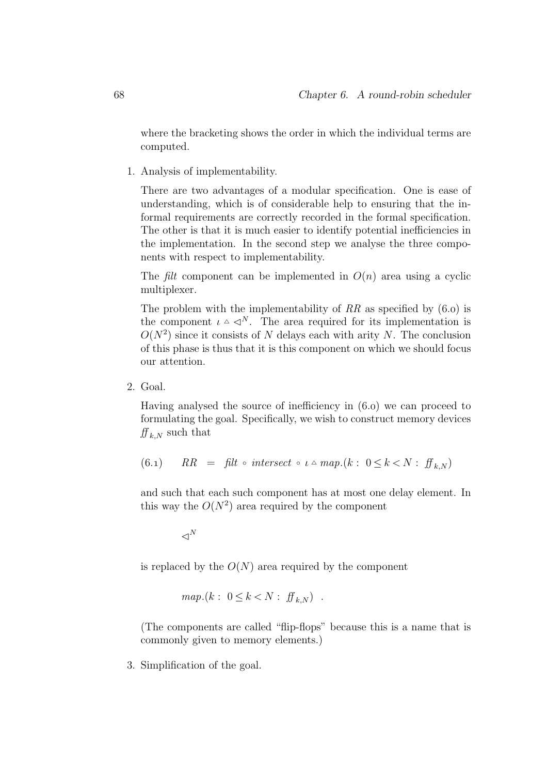where the bracketing shows the order in which the individual terms are computed.

1. Analysis of implementability.

There are two advantages of a modular specification. One is ease of understanding, which is of considerable help to ensuring that the informal requirements are correctly recorded in the formal specification. The other is that it is much easier to identify potential inefficiencies in the implementation. In the second step we analyse the three components with respect to implementability.

The filt component can be implemented in  $O(n)$  area using a cyclic multiplexer.

The problem with the implementability of  $RR$  as specified by  $(6.0)$  is the component  $\iota \Delta \triangleleft^N$ . The area required for its implementation is  $O(N^2)$  since it consists of N delays each with arity N. The conclusion of this phase is thus that it is this component on which we should focus our attention.

2. Goal.

Having analysed the source of inefficiency in  $(6.0)$  we can proceed to formulating the goal. Specifically, we wish to construct memory devices  $f_{k,N}$  such that

(6.1) 
$$
RR = \text{filt} \circ \text{intersect} \circ \iota \circ \text{map}.(k : 0 \leq k < N : f_{k,N})
$$

and such that each such component has at most one delay element. In this way the  $O(N^2)$  area required by the component

 $\triangleleft^N$ 

is replaced by the  $O(N)$  area required by the component

$$
map.(k: 0 \le k < N: f\!\!f_{k,N}) \quad .
$$

(The components are called "flip-flops" because this is a name that is commonly given to memory elements.)

3. Simplification of the goal.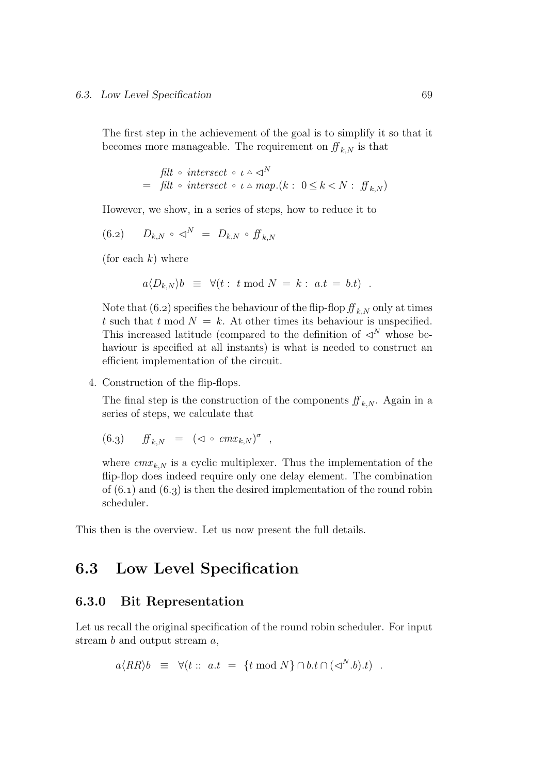#### *6.3. Low Level Specification* 69

The first step in the achievement of the goal is to simplify it so that it becomes more manageable. The requirement on  $f_{k,N}$  is that

$$
filt \circ intersect \circ \iota \circ \lhd^N
$$
  
=  $filt \circ intersect \circ \iota \circ map.(k : 0 \le k < N : f f_{k,N})$ 

However, we show, in a series of steps, how to reduce it to

$$
(6.2) \t D_{k,N} \t \circ \t \prec^N \t = D_{k,N} \t \circ f f_{k,N}
$$

(for each  $k$ ) where

$$
a\langle D_{k,N}\rangle b \equiv \forall (t:\ t \bmod N = k:\ a.t = b.t).
$$

Note that (6.2) specifies the behaviour of the flip-flop  $f_{k,N}$  only at times t such that t mod  $N = k$ . At other times its behaviour is unspecified. This increased latitude (compared to the definition of  $\triangleleft^N$  whose behaviour is specified at all instants) is what is needed to construct an efficient implementation of the circuit.

4. Construction of the flip-flops.

The final step is the construction of the components  $f_{k,N}$ . Again in a series of steps, we calculate that

$$
(6.3) \quad f\!f_{k,N} = (\langle \text{Im } x_{k,N} \rangle^{\sigma} ,
$$

where  $cmx_{k,N}$  is a cyclic multiplexer. Thus the implementation of the flip-flop does indeed require only one delay element. The combination of  $(6.1)$  and  $(6.3)$  is then the desired implementation of the round robin scheduler.

This then is the overview. Let us now present the full details.

#### 6.3 Low Level Specification

#### 6.3.0 Bit Representation

Let us recall the original specification of the round robin scheduler. For input stream  $b$  and output stream  $a$ ,

$$
a \langle RR \rangle b \equiv \forall (t :: a.t = \{ t \bmod N \} \cap b.t \cap (\lhd^N.b).t) .
$$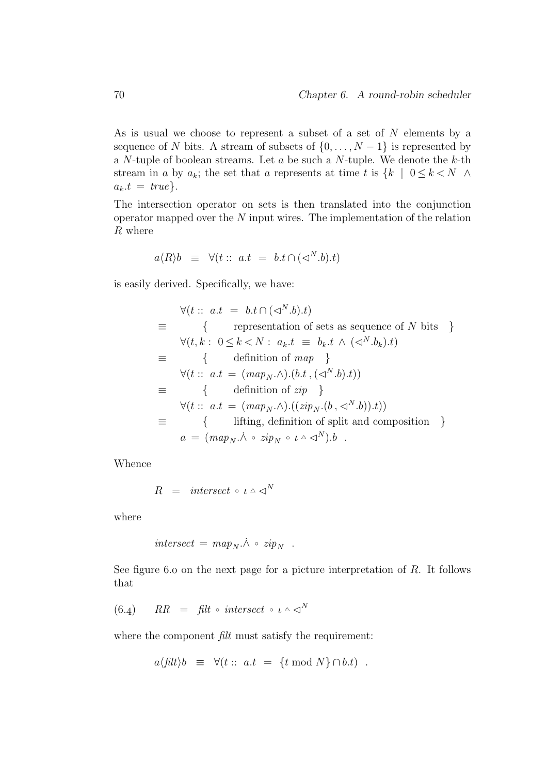As is usual we choose to represent a subset of a set of N elements by a sequence of N bits. A stream of subsets of  $\{0, \ldots, N-1\}$  is represented by a  $N$ -tuple of boolean streams. Let  $a$  be such a  $N$ -tuple. We denote the  $k$ -th stream in a by  $a_k$ ; the set that a represents at time t is  $\{k \mid 0 \leq k \leq N \; \wedge \;$  $a_k.t = true$ .

The intersection operator on sets is then translated into the conjunction operator mapped over the  $N$  input wires. The implementation of the relation  $R$  where

$$
a\langle R\rangle b \equiv \forall (t :: a.t = b.t \cap (\langle \triangle^N.b).t)
$$

is easily derived. Specifically, we have:

$$
\forall (t:: a.t = b.t \cap (\lhd^N.b).t)
$$
\n
$$
\equiv \qquad \{ \qquad \text{representation of sets as sequence of } N \text{ bits } \}
$$
\n
$$
\forall (t, k: 0 \le k < N: a_k.t \equiv b_k.t \land (\lhd^N.b_k).t)
$$
\n
$$
\equiv \qquad \{ \qquad \text{definition of } map \}
$$
\n
$$
\forall (t:: a.t = (map_N.\land).(b.t, (\lhd^N.b).t))
$$
\n
$$
\equiv \qquad \{ \qquad \text{definition of } zip \}
$$
\n
$$
\forall (t:: a.t = (map_N.\land).((zip_N.(b, \lhd^N.b)).t))
$$
\n
$$
\equiv \qquad \{ \qquad \text{lifting, definition of split and composition } \}
$$
\n
$$
a = (map_N.\dot{\land} \circ zip_N \circ \iota \Delta \lhd^N).b \ .
$$

Whence

$$
R = interest \circ \iota \wedge \lhd^N
$$

where

$$
intersect = map_N.\dot{\wedge} \circ zip_N .
$$

See figure 6.0 on the next page for a picture interpretation of  $R$ . It follows that

$$
(6.4) \qquad RR = \; filt \; \circ \; intersect \; \circ \; \iota \; \triangle \; \triangle^N
$$

where the component  $\textit{filt}$  must satisfy the requirement:

$$
a\langle\text{filt}\rangle b \equiv \forall(t:: a.t = \{t \mod N\} \cap b.t).
$$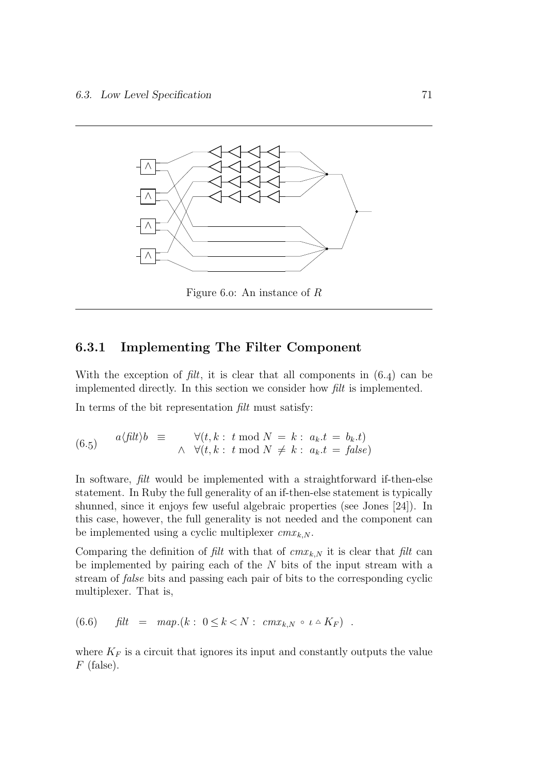

Figure 6.0: An instance of  $R$ 

#### 6.3.1 Implementing The Filter Component

With the exception of filt, it is clear that all components in  $(6.4)$  can be implemented directly. In this section we consider how filt is implemented.

In terms of the bit representation filt must satisfy:

(6.5) 
$$
a\langle \text{filt}\rangle b \equiv \forall (t, k : t \mod N = k : a_k.t = b_k.t) \land \forall (t, k : t \mod N \neq k : a_k.t = \text{false})
$$

In software, filt would be implemented with a straightforward if-then-else statement. In Ruby the full generality of an if-then-else statement is typically shunned, since it enjoys few useful algebraic properties (see Jones [24]). In this case, however, the full generality is not needed and the component can be implemented using a cyclic multiplexer  $cmx_{k,N}$ .

Comparing the definition of filt with that of  $cmx_{k,N}$  it is clear that filt can be implemented by pairing each of the  $N$  bits of the input stream with a stream of false bits and passing each pair of bits to the corresponding cyclic multiplexer. That is,

$$
(6.6) \quad \text{filt} = \text{map.}(k: 0 \le k < N: \text{cm} x_{k,N} \circ \iota \wedge K_F) \ .
$$

where  $K_F$  is a circuit that ignores its input and constantly outputs the value  $F$  (false).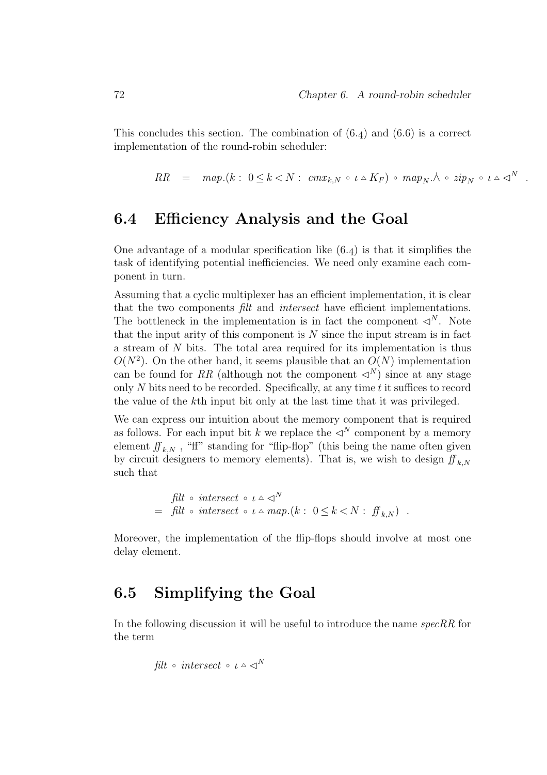This concludes this section. The combination of  $(6.4)$  and  $(6.6)$  is a correct implementation of the round-robin scheduler:

 $RR = map.(k: 0 \le k < N: cm x_{k,N} \circ \iota \wedge K_F) \circ map_N \ldotp \dot{\wedge} \circ zip_N \circ \iota \wedge \lhd^N.$ 

## 6.4 Efficiency Analysis and the Goal

One advantage of a modular specification like  $(6.4)$  is that it simplifies the task of identifying potential inefficiencies. We need only examine each component in turn.

Assuming that a cyclic multiplexer has an efficient implementation, it is clear that the two components filt and intersect have efficient implementations. The bottleneck in the implementation is in fact the component  $\triangleleft^N$ . Note that the input arity of this component is  $N$  since the input stream is in fact a stream of N bits. The total area required for its implementation is thus  $O(N^2)$ . On the other hand, it seems plausible that an  $O(N)$  implementation can be found for RR (although not the component  $\triangleleft^N$ ) since at any stage only  $N$  bits need to be recorded. Specifically, at any time  $t$  it suffices to record the value of the kth input bit only at the last time that it was privileged.

We can express our intuition about the memory component that is required as follows. For each input bit k we replace the  $\triangleleft^N$  component by a memory element  $f_{k,N}$ , "ff" standing for "flip-flop" (this being the name often given by circuit designers to memory elements). That is, we wish to design  $f_{k,N}$ such that

> filt ∘ intersect ∘  $\iota \Delta \triangleleft^N$  $=$  filt ∘ intersect ∘ ι △ map.(k :  $0 \le k \le N$  :  $f|_{k=N}$ ).

Moreover, the implementation of the flip-flops should involve at most one delay element.

## 6.5 Simplifying the Goal

In the following discussion it will be useful to introduce the name specRR for the term

$$
filt \circ \ intersect \circ \ \iota \circ \lhd^N
$$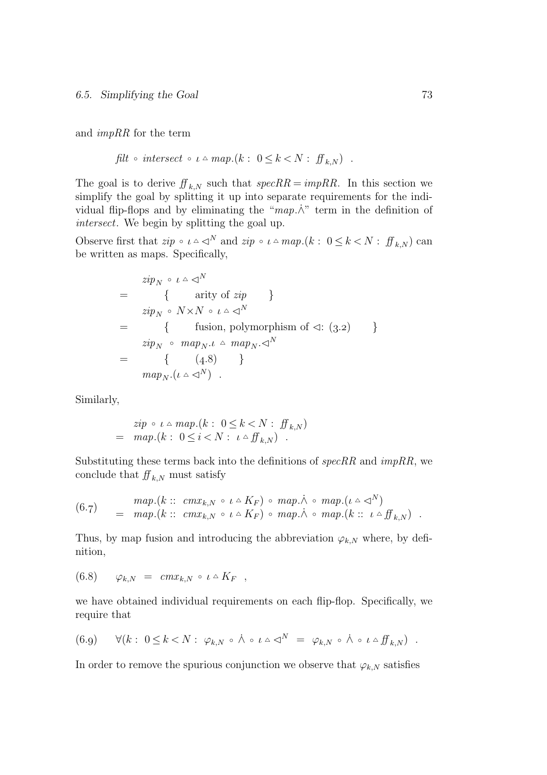and impRR for the term

$$
filt \circ intersect \circ \iota \circ map.(k: 0 \le k < N: ff_{k,N}) .
$$

The goal is to derive  $f_{k,N}$  such that  $specRR = impRR$ . In this section we simplify the goal by splitting it up into separate requirements for the individual flip-flops and by eliminating the " $map.\dot{\wedge}$ " term in the definition of intersect. We begin by splitting the goal up.

Observe first that  $zip \circ \iota \Delta \triangleleft^N$  and  $zip \circ \iota \Delta map.(k: 0 \leq k \leq N: f(k,N))$  can be written as maps. Specifically,

$$
zip_N \circ \iota \triangle \triangleleft^N
$$
  
= { $\{ \text{arity of } zip \}$   
 $zip_N \circ N \times N \circ \iota \triangle \triangleleft^N$   
= { $\{ \text{fusion, polymorphism of } \triangleleft: (3.2) \}$   
 $zip_N \circ map_N \cdot \iota \triangle map_N \cdot \triangleleft^N$   
= { $\{ (4.8) \}$   
 $map_N \cdot (\iota \triangle \triangleleft^N)$ .

Similarly,

$$
zip \circ \iota \land map.(k: 0 \le k < N: f\!\!f_{k,N})
$$
\n
$$
= map.(k: 0 \le i < N: \iota \land f\!\!f_{k,N})
$$

Substituting these terms back into the definitions of  $specRR$  and  $impRR$ , we conclude that  $f_{k,N}$  must satisfy

(6.7) 
$$
\begin{array}{rcl}\n map.(k:: cm x_{k,N} \circ \iota \wedge K_F) \circ map. \dot{\wedge} \circ map. (\iota \wedge \lhd^N) \\
 = & map.(k:: cm x_{k,N} \circ \iota \wedge K_F) \circ map. \dot{\wedge} \circ map. (k:: \iota \wedge f f_{k,N})\n\end{array}.
$$

Thus, by map fusion and introducing the abbreviation  $\varphi_{k,N}$  where, by definition,

$$
(6.8) \qquad \varphi_{k,N} \ = \ cm x_{k,N} \circ \iota \wedge K_F \ ,
$$

we have obtained individual requirements on each flip-flop. Specifically, we require that

$$
(6.9) \qquad \forall (k: 0 \le k < N: \varphi_{k,N} \circ \dot{\wedge} \circ \iota \wedge \vartriangleleft^N = \varphi_{k,N} \circ \dot{\wedge} \circ \iota \wedge f_{k,N}).
$$

In order to remove the spurious conjunction we observe that  $\varphi_{k,N}$  satisfies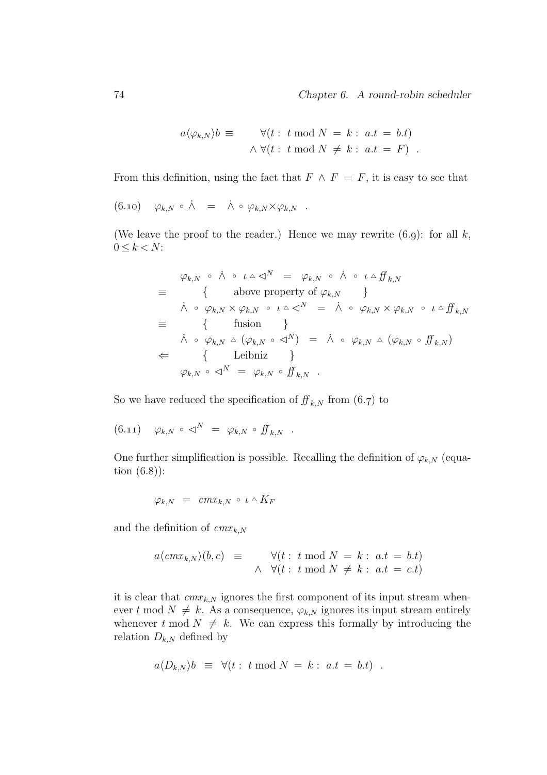$$
a\langle \varphi_{k,N}\rangle b \equiv \forall (t : t \mod N = k : a.t = b.t)
$$
  
 
$$
\land \forall (t : t \mod N \neq k : a.t = F).
$$

From this definition, using the fact that  $F \wedge F = F$ , it is easy to see that

$$
(6.10) \quad \varphi_{k,N} \circ \Lambda = \Lambda \circ \varphi_{k,N} \times \varphi_{k,N} .
$$

(We leave the proof to the reader.) Hence we may rewrite  $(6.9)$ : for all k,  $0\leq k< N$  :

$$
\varphi_{k,N} \circ \Lambda \circ \iota \Delta \triangleleft^{N} = \varphi_{k,N} \circ \Lambda \circ \iota \Delta f f_{k,N}
$$
\n
$$
\equiv \begin{cases}\n\text{above property of } \varphi_{k,N} \\
\Lambda \circ \varphi_{k,N} \times \varphi_{k,N} \\
\circ \iota \Delta \triangleleft^{N} = \Lambda \circ \varphi_{k,N} \times \varphi_{k,N} \\
\star \in \text{fusion}\n\end{cases}
$$
\n
$$
\Lambda \circ \varphi_{k,N} \Delta (\varphi_{k,N} \circ \Delta^{N}) = \Lambda \circ \varphi_{k,N} \Delta (\varphi_{k,N} \circ f f_{k,N})
$$
\n
$$
\Leftrightarrow \{\text{Leibniz }\}\n\varphi_{k,N} \circ \Delta^{N} = \varphi_{k,N} \circ f f_{k,N}.
$$

So we have reduced the specification of  $f_{k,N}$  from  $(6.7)$  to

$$
(6.11) \quad \varphi_{k,N} \circ \vartriangleleft^N = \varphi_{k,N} \circ f f_{k,N} .
$$

One further simplification is possible. Recalling the definition of  $\varphi_{k,N}$  (equation  $(6.8)$ :

$$
\varphi_{k,N} = \operatorname{cmx}_{k,N} \circ \iota \circ K_F
$$

and the definition of  $cmx_{k,N}$ 

$$
a\langle cmx_{k,N}\rangle(b,c) \equiv \forall (t: t \mod N = k: a.t = b.t)
$$
  

$$
\land \forall (t: t \mod N \neq k: a.t = c.t)
$$

it is clear that  $cmx_{k,N}$  ignores the first component of its input stream whenever t mod  $N \neq k$ . As a consequence,  $\varphi_{k,N}$  ignores its input stream entirely whenever t mod  $N \neq k$ . We can express this formally by introducing the relation  $D_{k,N}$  defined by

$$
a\langle D_{k,N}\rangle b \equiv \forall (t: t \bmod N = k: a.t = b.t).
$$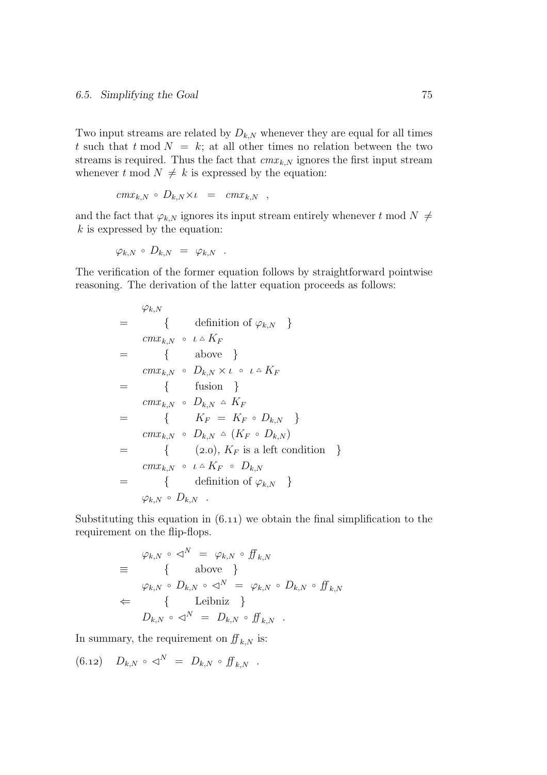Two input streams are related by  $D_{k,N}$  whenever they are equal for all times t such that t mod  $N = k$ ; at all other times no relation between the two streams is required. Thus the fact that  $cmx_{k,N}$  ignores the first input stream whenever t mod  $N \neq k$  is expressed by the equation:

$$
cm x_{k,N} \circ D_{k,N} \times \iota = cm x_{k,N} ,
$$

and the fact that  $\varphi_{k,N}$  ignores its input stream entirely whenever t mod  $N \neq$  $k$  is expressed by the equation:

$$
\varphi_{k,N} \circ D_{k,N} = \varphi_{k,N} .
$$

The verification of the former equation follows by straightforward pointwise reasoning. The derivation of the latter equation proceeds as follows:

$$
\varphi_{k,N} = \begin{cases}\n\varphi_{k,N} & \text{definition of } \varphi_{k,N} \\
\text{cm} x_{k,N} \circ \iota \Delta K_F \\
\text{above} & \text{cases}\n\end{cases}
$$
\n
$$
= \begin{cases}\n\text{above} \\
\text{fusion} \\
\text{cm} x_{k,N} \circ D_{k,N} \times \iota \circ \iota \Delta K_F \\
\text{mass} \\
\text{cm} x_{k,N} \circ D_{k,N} \Delta K_F \\
\text{mass} \\
\text{cm} x_{k,N} \circ D_{k,N} \Delta (K_F \circ D_{k,N}) \\
\text{mass} \\
\text{cm} x_{k,N} \circ \iota \Delta K_F \circ D_{k,N} \\
\text{mass} \\
\text{cm} x_{k,N} \circ \iota \Delta K_F \circ D_{k,N} \\
\text{spin} \\
\text{spin} \\
\text{spin} \\
\varphi_{k,N} \circ D_{k,N} \quad\n\end{cases}
$$

Substituting this equation in  $(6.11)$  we obtain the final simplification to the requirement on the flip-flops.

$$
\varphi_{k,N} \circ \vartriangleleft^{N} = \varphi_{k,N} \circ f f_{k,N}
$$
\n
$$
\equiv \begin{cases}\n\text{above} \\
\varphi_{k,N} \circ D_{k,N} \circ \vartriangleleft^{N} = \varphi_{k,N} \circ D_{k,N} \circ f f_{k,N} \\
\left\{\n\begin{array}{c}\n\text{Leibniz} \\
D_{k,N} \circ \vartriangleleft^{N} = D_{k,N} \circ f f_{k,N}\n\end{array}\n\end{cases}
$$

In summary, the requirement on  $f_{k,N}$  is:

$$
(6.12) \quad D_{k,N} \circ \vartriangleleft^N \ = \ D_{k,N} \circ f f_{k,N} \ .
$$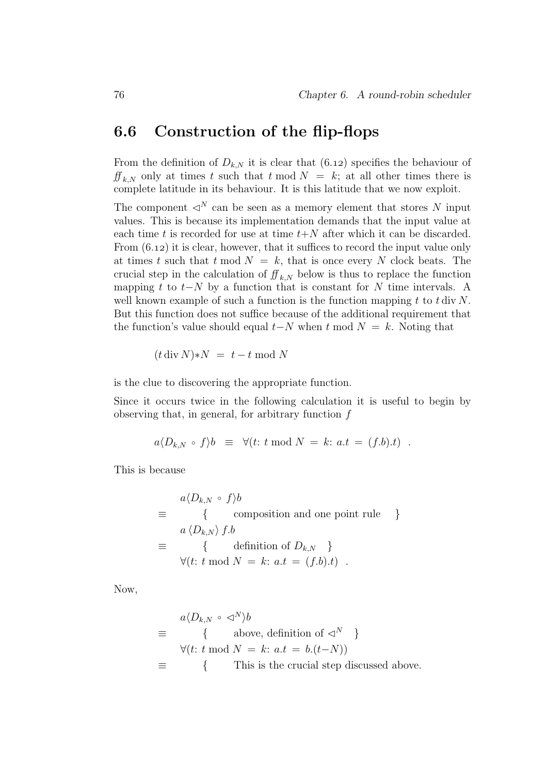### 6.6 Construction of the flip-flops

From the definition of  $D_{k,N}$  it is clear that (6.12) specifies the behaviour of  $f_{k,N}$  only at times t such that t mod  $N = k$ ; at all other times there is complete latitude in its behaviour. It is this latitude that we now exploit.

The component  $\triangleleft^N$  can be seen as a memory element that stores N input values. This is because its implementation demands that the input value at each time t is recorded for use at time  $t+N$  after which it can be discarded. From  $(6.12)$  it is clear, however, that it suffices to record the input value only at times t such that t mod  $N = k$ , that is once every N clock beats. The crucial step in the calculation of  $f_{k,N}$  below is thus to replace the function mapping t to  $t$ −N by a function that is constant for N time intervals. A well known example of such a function is the function mapping  $t$  to  $t$  div  $N$ . But this function does not suffice because of the additional requirement that the function's value should equal  $t-N$  when  $t \mod N = k$ . Noting that

$$
(t\,\mathrm{div}\,N)*N = t - t \bmod N
$$

is the clue to discovering the appropriate function.

Since it occurs twice in the following calculation it is useful to begin by observing that, in general, for arbitrary function f

$$
a\langle D_{k,N} \,\circ f \rangle b \ \equiv \ \forall (t: t \bmod N = k: a.t = (f.b).t) \ .
$$

This is because

$$
\equiv \begin{array}{c} a \langle D_{k,N} \circ f \rangle b \\ \equiv \left\{ \begin{array}{c} \text{composition and one point rule} \\ a \langle D_{k,N} \rangle f.b \\ \equiv \left\{ \begin{array}{c} \text{definition of } D_{k,N} \\ \text{definition of } D_{k,N} \end{array} \right\} \\ \forall (t: t \mod N = k: a.t = (f.b).t) \end{array} \right. .\end{array}
$$

Now,

$$
a\langle D_{k,N} \circ \vartriangleleft^{N} \rangle b
$$
  
\n
$$
\equiv \begin{cases} \text{above, definition of } \vartriangleleft^{N} \\ \forall (t: t \mod N = k: a.t = b.(t-N)) \end{cases}
$$
  
\n
$$
\equiv \begin{cases} \text{This is the crucial step discussed above.} \end{cases}
$$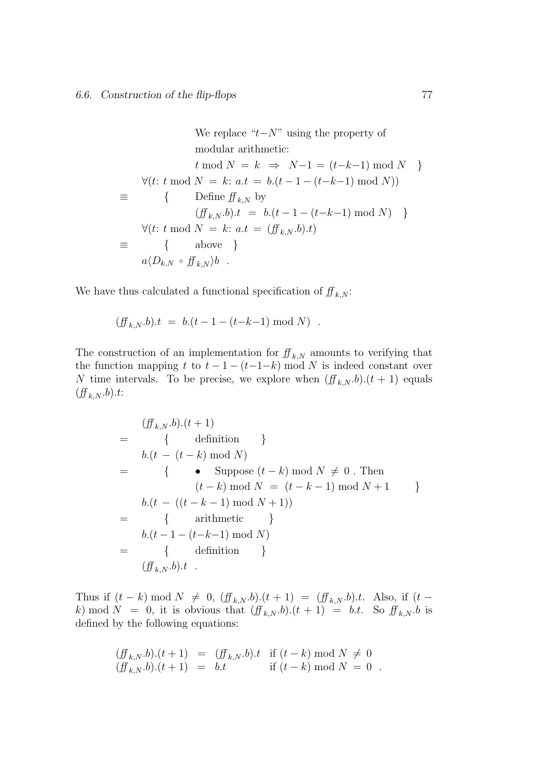We replace " $t - N$ " using the property of modular arithmetic:  $t \mod N = k \Rightarrow N-1 = (t-k-1) \mod N$  $∀(t: t \mod N = k: a.t = b.(t-1-(t-k-1) \mod N))$  $\equiv$  { Define  $f_{k,N}$  by  $(f(t)_{k,N}.b) \cdot t = b \cdot (t-1-(t-k-1) \bmod N)$  $∀(t: t \mod N = k: a.t = (f f_{k,N}.b).t)$  $\equiv$  { above }  $a\langle D_{k,N} \circ f f_{k,N} \rangle b$ .

We have thus calculated a functional specification of  $f_{k,N}$ :

$$
(f f_{k,N}.b).t = b.(t-1-(t-k-1) \bmod N)
$$
.

The construction of an implementation for  $f_{k,N}$  amounts to verifying that the function mapping t to  $t - 1 - (t - 1 - k)$  mod N is indeed constant over N time intervals. To be precise, we explore when  $(f_{k,N} b)(t + 1)$  equals  $(f\mathcal{F}_{k,N}.b).t$ :

$$
(ff_{k,N}.b).(t + 1)
$$
\n
$$
= \begin{cases}\n\text{definition} \\
\text{definition} \\
b.(t - (t - k) \mod N) \\
\text{suppose } (t - k) \mod N \neq 0 \text{ . Then} \\
(t - k) \mod N = (t - k - 1) \mod N + 1 \\
b.(t - ((t - k - 1) \mod N + 1)) \\
\text{arithmetic} \\
\text{b.}(t - 1 - (t - k - 1) \mod N) \\
\text{definition} \\
\text{f. definition }\n\end{cases}
$$

Thus if  $(t - k) \mod N \neq 0$ ,  $(f_k, N, b) \cdot (t + 1) = (f_k, N, b) \cdot t$ . Also, if  $(t - k)$ k) mod  $N = 0$ , it is obvious that  $(f_k, N, b) \cdot (t + 1) = b \cdot t$ . So  $f_k, N, b$  is defined by the following equations:

$$
\begin{array}{rcl}\n(f_{k,N}.b)(t+1) & = & (f_{k,N}.b).t \text{ if } (t-k) \bmod N \neq 0 \\
(f_{k,N}.b)(t+1) & = & b.t \text{ if } (t-k) \bmod N = 0\n\end{array}.
$$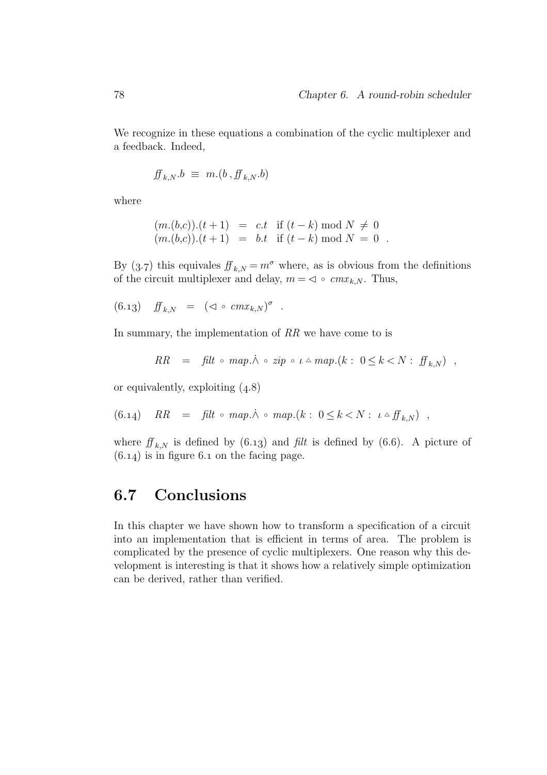We recognize in these equations a combination of the cyclic multiplexer and a feedback. Indeed,

$$
\mathbf{f}(k,N,b) \equiv m.(b, \mathbf{f}(k,N,b))
$$

where

$$
(m.(b,c)).(t+1) = c.t if (t-k) mod N \neq 0
$$
  

$$
(m.(b,c)).(t+1) = b.t if (t-k) mod N = 0.
$$

By (3.7) this equivales  $f\!f_{k,N} = m^{\sigma}$  where, as is obvious from the definitions of the circuit multiplexer and delay,  $m = \langle \cdot \rangle$   $cmx_{k,N}$ . Thus,

$$
(6.13) \quad f\!f_{k,N} = (\langle \neg \circ \mathit{cmx}_{k,N} \rangle^{\sigma} \ .
$$

In summary, the implementation of RR we have come to is

$$
RR = \nflat \circ map \land \circ zip \circ \iota \circ map.(k: 0 \le k < N: f\!\!f_{k,N}) ,
$$

or equivalently, exploiting  $(4.8)$ 

$$
(6.14) \quad RR = \text{filt} \circ map. \land \circ map. (k: 0 \le k < N: \iota \circ f_{k,N}) \enspace ,
$$

where  $f_{k,N}$  is defined by (6.13) and filt is defined by (6.6). A picture of  $(6.14)$  is in figure 6.1 on the facing page.

## 6.7 Conclusions

In this chapter we have shown how to transform a specification of a circuit into an implementation that is efficient in terms of area. The problem is complicated by the presence of cyclic multiplexers. One reason why this development is interesting is that it shows how a relatively simple optimization can be derived, rather than verified.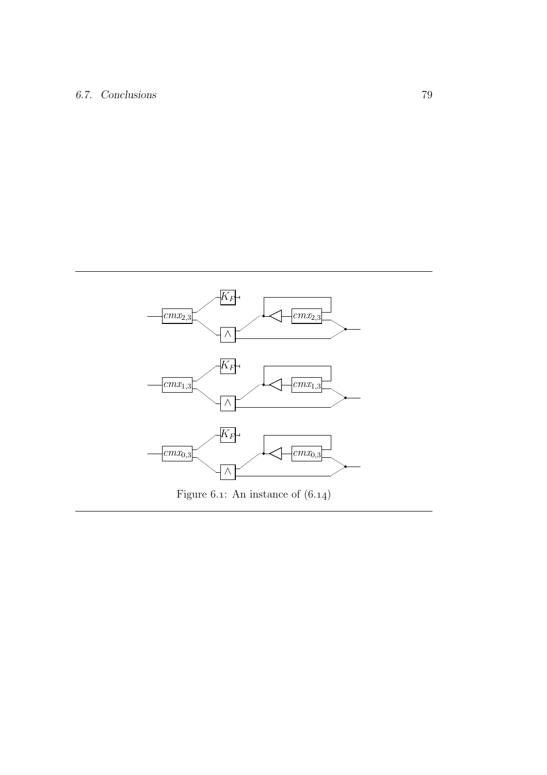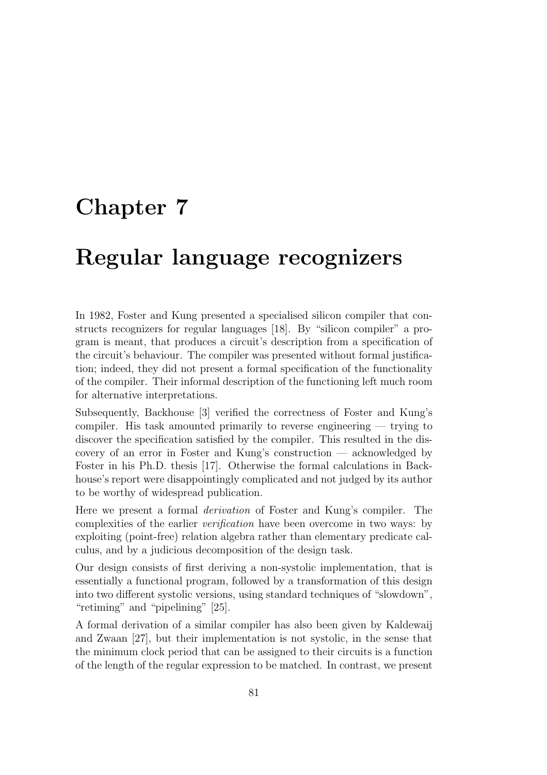## Chapter 7

## Regular language recognizers

In 1982, Foster and Kung presented a specialised silicon compiler that constructs recognizers for regular languages [18]. By "silicon compiler" a program is meant, that produces a circuit's description from a specification of the circuit's behaviour. The compiler was presented without formal justification; indeed, they did not present a formal specification of the functionality of the compiler. Their informal description of the functioning left much room for alternative interpretations.

Subsequently, Backhouse [3] verified the correctness of Foster and Kung's compiler. His task amounted primarily to reverse engineering — trying to discover the specification satisfied by the compiler. This resulted in the discovery of an error in Foster and Kung's construction — acknowledged by Foster in his Ph.D. thesis [17]. Otherwise the formal calculations in Backhouse's report were disappointingly complicated and not judged by its author to be worthy of widespread publication.

Here we present a formal derivation of Foster and Kung's compiler. The complexities of the earlier verification have been overcome in two ways: by exploiting (point-free) relation algebra rather than elementary predicate calculus, and by a judicious decomposition of the design task.

Our design consists of first deriving a non-systolic implementation, that is essentially a functional program, followed by a transformation of this design into two different systolic versions, using standard techniques of "slowdown", "retiming" and "pipelining" [25].

A formal derivation of a similar compiler has also been given by Kaldewaij and Zwaan [27], but their implementation is not systolic, in the sense that the minimum clock period that can be assigned to their circuits is a function of the length of the regular expression to be matched. In contrast, we present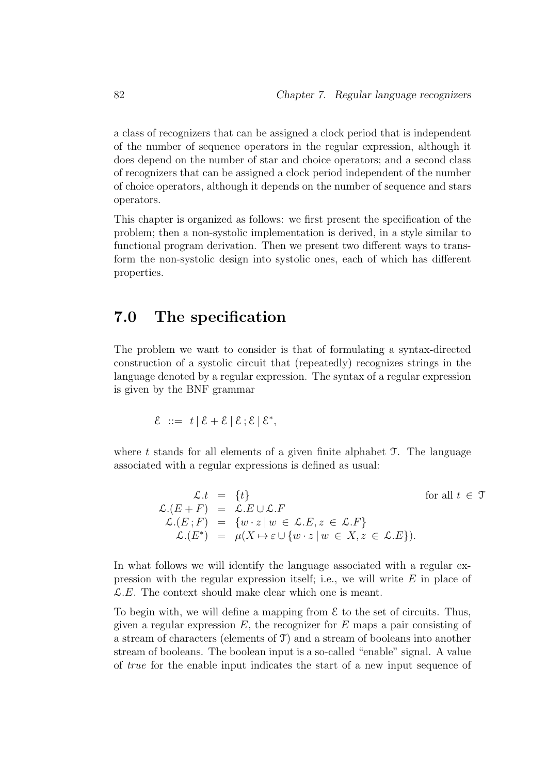a class of recognizers that can be assigned a clock period that is independent of the number of sequence operators in the regular expression, although it does depend on the number of star and choice operators; and a second class of recognizers that can be assigned a clock period independent of the number of choice operators, although it depends on the number of sequence and stars operators.

This chapter is organized as follows: we first present the specification of the problem; then a non-systolic implementation is derived, in a style similar to functional program derivation. Then we present two different ways to transform the non-systolic design into systolic ones, each of which has different properties.

## 7.0 The specification

The problem we want to consider is that of formulating a syntax-directed construction of a systolic circuit that (repeatedly) recognizes strings in the language denoted by a regular expression. The syntax of a regular expression is given by the BNF grammar

$$
\mathcal{E} \ ::= t \mid \mathcal{E} + \mathcal{E} \mid \mathcal{E}; \mathcal{E} \mid \mathcal{E}^*,
$$

where t stands for all elements of a given finite alphabet  $\mathcal{T}$ . The language associated with a regular expressions is defined as usual:

$$
\mathcal{L} \cdot t = \{t\} \quad \text{for all } t \in \mathcal{T}
$$
\n
$$
\mathcal{L} \cdot (E + F) = \mathcal{L} \cdot E \cup \mathcal{L} \cdot F
$$
\n
$$
\mathcal{L} \cdot (E; F) = \{w \cdot z \mid w \in \mathcal{L} \cdot E, z \in \mathcal{L} \cdot F\}
$$
\n
$$
\mathcal{L} \cdot (E^*) = \mu(X \mapsto \varepsilon \cup \{w \cdot z \mid w \in X, z \in \mathcal{L} \cdot E\}).
$$

In what follows we will identify the language associated with a regular expression with the regular expression itself; i.e., we will write  $E$  in place of  $\mathcal{L}.E$ . The context should make clear which one is meant.

To begin with, we will define a mapping from  $\mathcal E$  to the set of circuits. Thus, given a regular expression  $E$ , the recognizer for  $E$  maps a pair consisting of a stream of characters (elements of T) and a stream of booleans into another stream of booleans. The boolean input is a so-called "enable" signal. A value of true for the enable input indicates the start of a new input sequence of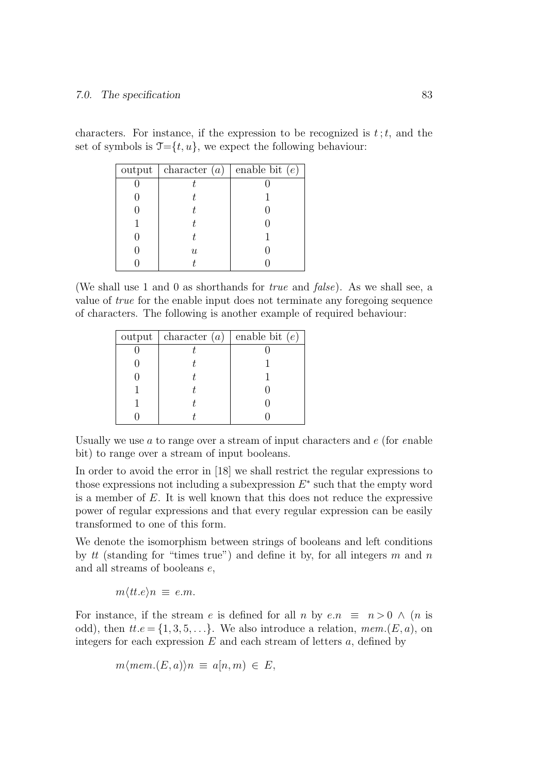#### *7.0. The specification* 83

characters. For instance, if the expression to be recognized is  $t:t$ , and the set of symbols is  $\mathcal{T}=\{t, u\}$ , we expect the following behaviour:

| output   character $(a)$ | enable bit $(e)$ |
|--------------------------|------------------|
|                          |                  |
|                          |                  |
|                          |                  |
|                          |                  |
|                          |                  |
| $\boldsymbol{u}$         |                  |
|                          |                  |

(We shall use 1 and 0 as shorthands for true and false). As we shall see, a value of true for the enable input does not terminate any foregoing sequence of characters. The following is another example of required behaviour:

| output   character $(a)$   enable bit $(e)$ |  |
|---------------------------------------------|--|
|                                             |  |
|                                             |  |
|                                             |  |
|                                             |  |
|                                             |  |
|                                             |  |

Usually we use  $a$  to range over a stream of input characters and  $e$  (for enable bit) to range over a stream of input booleans.

In order to avoid the error in [18] we shall restrict the regular expressions to those expressions not including a subexpression  $E^*$  such that the empty word is a member of  $E$ . It is well known that this does not reduce the expressive power of regular expressions and that every regular expression can be easily transformed to one of this form.

We denote the isomorphism between strings of booleans and left conditions by tt (standing for "times true") and define it by, for all integers  $m$  and  $n$ and all streams of booleans e,

 $m \langle tt.e \rangle n \equiv e.m.$ 

For instance, if the stream e is defined for all n by  $e.n \equiv n > 0 \land (n$  is odd), then  $tt.e = \{1, 3, 5, \ldots\}$ . We also introduce a relation,  $mem.(E, a)$ , on integers for each expression  $E$  and each stream of letters  $a$ , defined by

 $m\langle mem.(E, a)\rangle n \equiv a[n, m] \in E,$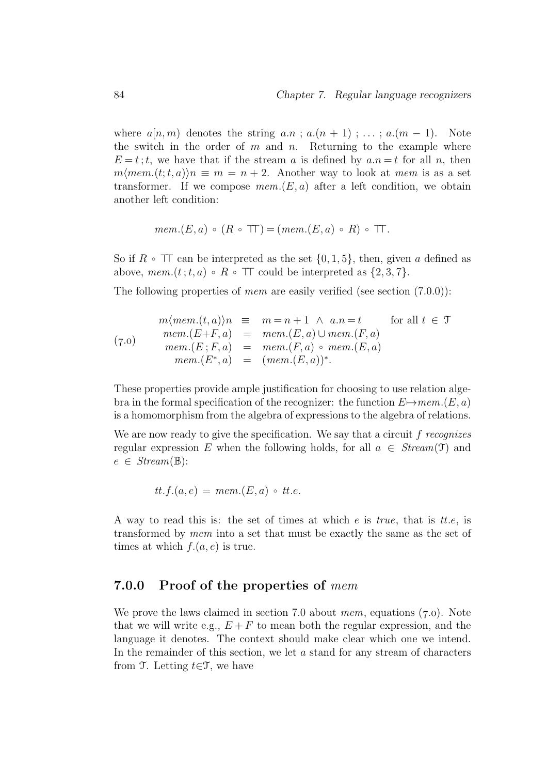where  $a(n, m)$  denotes the string  $a.n$ ;  $a.(n + 1)$ ; ...;  $a.(m - 1)$ . Note the switch in the order of  $m$  and  $n$ . Returning to the example where  $E = t : t$ , we have that if the stream a is defined by  $a.n = t$  for all n, then  $m(mem.(t;t, a))n \equiv m = n + 2$ . Another way to look at mem is as a set transformer. If we compose  $mem.(E, a)$  after a left condition, we obtain another left condition:

$$
mem.(E, a) \circ (R \circ \top) = (mem.(E, a) \circ R) \circ \top.
$$

So if R ∘  $\Box$  can be interpreted as the set  $\{0, 1, 5\}$ , then, given a defined as above,  $mem.(t:t,a) \circ R \circ \top \top$  could be interpreted as  $\{2,3,7\}.$ 

The following properties of *mem* are easily verified (see section  $(7.0.0)$ ):

$$
m\langle mem.(t, a)\rangle n \equiv m = n + 1 \wedge a.n = t \quad \text{for all } t \in \mathcal{T}
$$
  
\n
$$
mem.(E+F, a) = mem.(E, a) \cup mem.(F, a)
$$
  
\n
$$
mem.(E; F, a) = mem.(F, a) \circ mem.(E, a)
$$
  
\n
$$
mem.(E^*, a) = (mem.(E, a))^*.
$$

These properties provide ample justification for choosing to use relation algebra in the formal specification of the recognizer: the function  $E\rightarrow mem.(E, a)$ is a homomorphism from the algebra of expressions to the algebra of relations.

We are now ready to give the specification. We say that a circuit  $f$  recognizes regular expression E when the following holds, for all  $a \in Stream(\mathcal{T})$  and  $e \in \text{Stream}(\mathbb{B})$ :

$$
tt.f.(a, e) = mem.(E, a) \circ tt.e.
$$

A way to read this is: the set of times at which  $e$  is *true*, that is *tt.e*, is transformed by mem into a set that must be exactly the same as the set of times at which  $f(a, e)$  is true.

#### 7.0.0 Proof of the properties of mem

We prove the laws claimed in section 7.0 about *mem*, equations  $(7.0)$ . Note that we will write e.g.,  $E + F$  to mean both the regular expression, and the language it denotes. The context should make clear which one we intend. In the remainder of this section, we let a stand for any stream of characters from  $\mathfrak{T}$ . Letting  $t \in \mathfrak{T}$ , we have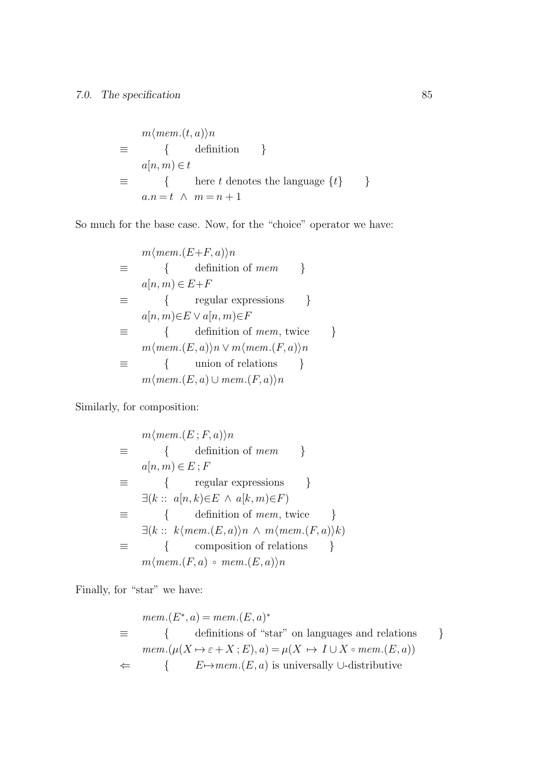$$
m\langle mem.(t, a)\rangle n
$$
  
\n
$$
\equiv \begin{cases} \text{definition} \\ a[n, m) \in t \end{cases}
$$
  
\n
$$
\equiv \begin{cases} \text{here } t \text{ denotes the language } \{t\} \\ a.n = t \ \land \ m = n + 1 \end{cases}
$$

So much for the base case. Now, for the "choice" operator we have:

$$
m\langle mem.(E+F, a)\rangle n
$$
  
\n
$$
\equiv \{ \quad \text{definition of } mem \}
$$
  
\n
$$
a[n, m) \in E+F
$$
  
\n
$$
\equiv \{ \quad \text{regular expressions} \}
$$
  
\n
$$
a[n, m) \in E \lor a[n, m) \in F
$$
  
\n
$$
\equiv \{ \quad \text{definition of } mem, \text{ twice} \}
$$
  
\n
$$
m\langle mem.(E, a)\rangle n \lor m\langle mem.(F, a)\rangle n
$$
  
\n
$$
\equiv m\langle mem.(E, a) \cup mem.(F, a)\rangle n
$$

Similarly, for composition:

$$
m\langle mem.(E;F,a)\rangle n
$$
\n
$$
\equiv \{ \text{definition of } mem \}
$$
\n
$$
a[n,m) \in E; F
$$
\n
$$
\equiv \{ \text{regular expressions } \}
$$
\n
$$
\exists (k :: a[n,k) \in E \land a[k,m) \in F)
$$
\n
$$
\equiv \{ \text{definition of } mem, \text{ twice } \}
$$
\n
$$
\exists (k :: k\langle mem.(E,a)\rangle n \land m\langle mem.(F,a)\rangle k)
$$
\n
$$
\equiv \{ \text{composition of relations } \}
$$
\n
$$
m\langle mem.(F,a) \circ mem.(E,a)\rangle n
$$

Finally, for "star" we have:

$$
mem.(E^*, a) = mem.(E, a)^*
$$
  
\n
$$
\equiv \{ \begin{array}{c} \text{definitions of "star" on languages and relations} \\ \text{mem.}(\mu(X \mapsto \varepsilon + X; E), a) = \mu(X \mapsto I \cup X \circ mem.(E, a)) \\ \leftarrow \{ \begin{array}{c} E \mapsto mem.(E, a) \text{ is universally } \cup \text{distributive} \end{array} \end{array} \}
$$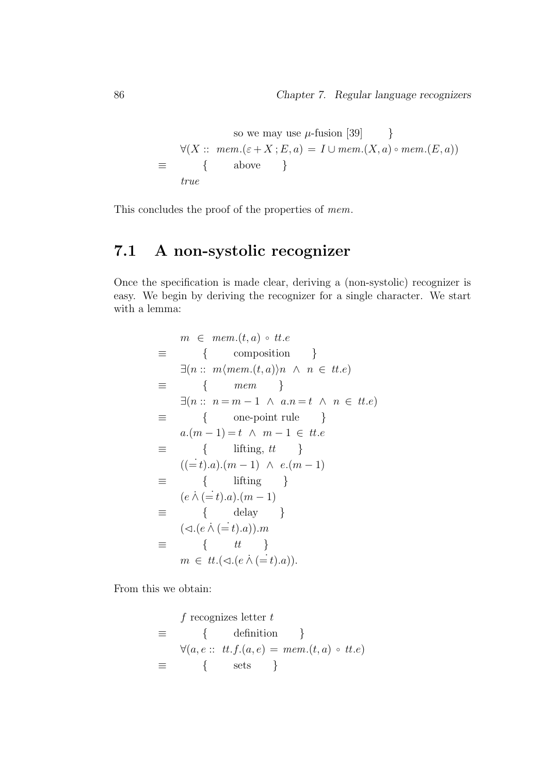so we may use 
$$
\mu
$$
-fusion [39]   
\n
$$
\forall (X :: mem.(\varepsilon + X : E, a) = I \cup mem.(X, a) \circ mem.(E, a))
$$
\n
$$
\equiv \{ \quad \text{above} \quad \}
$$
\ntrue

This concludes the proof of the properties of mem.

## 7.1 A non-systolic recognizer

Once the specification is made clear, deriving a (non-systolic) recognizer is easy. We begin by deriving the recognizer for a single character. We start with a lemma:

$$
m \in mem.(t, a) \circ tt.e
$$
\n
$$
\equiv \{ \text{composition } \}
$$
\n
$$
\exists (n :: m(mem.(t, a))n \land n \in tt.e)
$$
\n
$$
\equiv \{ \text{mem } \}
$$
\n
$$
\exists (n :: n = m - 1 \land a.n = t \land n \in tt.e)
$$
\n
$$
\equiv \{ \text{one-point rule } \}
$$
\n
$$
a.(m - 1) = t \land m - 1 \in tt.e
$$
\n
$$
\equiv \{ \text{lifting, } tt \}
$$
\n
$$
((-t).a).(m - 1) \land e.(m - 1)
$$
\n
$$
\equiv \{ \text{lifting } \}
$$
\n
$$
(e \land (=t).a).(m - 1)
$$
\n
$$
\equiv \{ \text{delay } \}
$$
\n
$$
(\triangle(e \land (=t).a)).m
$$
\n
$$
\equiv \{ \text{tt } \{ \text{tilting } \}
$$
\n
$$
m \in tt.(\triangle(e \land (=t).a)).
$$

From this we obtain:

$$
f \text{ recognizes letter } t
$$
  
\n
$$
\equiv \begin{cases} \text{definition} \\ \forall (a, e :: tt.f.(a, e) = mem.(t, a) \circ tt.e) \end{cases}
$$
  
\n
$$
\equiv \begin{cases} \text{sets} \end{cases}
$$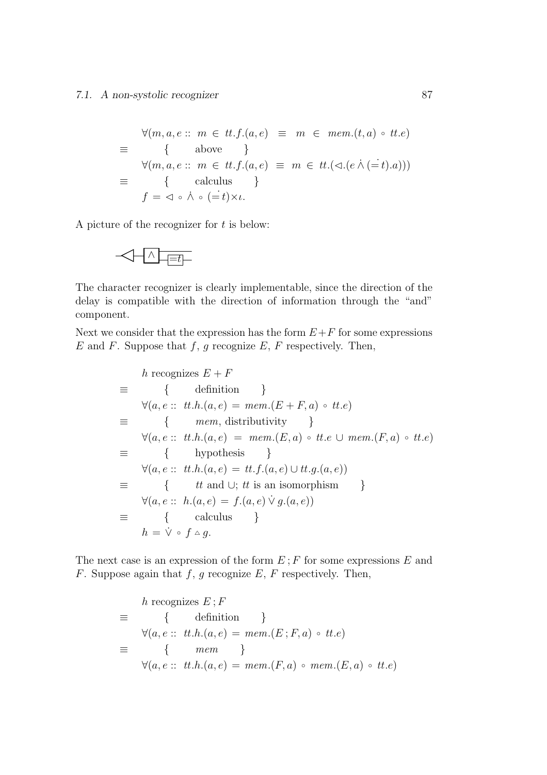$$
\forall (m, a, e:: m \in tt.f.(a, e) \equiv m \in mem.(t, a) \circ tt.e)
$$
  

$$
\equiv \{ \text{above } \}
$$
  

$$
\forall (m, a, e:: m \in tt.f.(a, e) \equiv m \in tt.(\lhd.(e \land (\dot = t).a)))
$$
  

$$
\equiv \{ \text{calculus } \}
$$
  

$$
f = \lhd \circ \land \circ (\dot = t) \times t.
$$

A picture of the recognizer for  $t$  is below:



The character recognizer is clearly implementable, since the direction of the delay is compatible with the direction of information through the "and" component.

Next we consider that the expression has the form  $E+F$  for some expressions  $E$  and  $F$ . Suppose that  $f, g$  recognize  $E, F$  respectively. Then,

$$
h \text{ recognizes } E + F
$$
  
\n
$$
\equiv \qquad \{ \qquad \text{definition} \qquad \}
$$
  
\n
$$
\forall (a, e :: tt.h.(a, e) = mem.(E + F, a) \circ tt.e)
$$
  
\n
$$
\equiv \qquad \{ \qquad mem, distributivity \qquad \}
$$
  
\n
$$
\forall (a, e :: tt.h.(a, e) = mem.(E, a) \circ tt.e \cup mem.(F, a) \circ tt.e)
$$
  
\n
$$
\equiv \qquad \{ \qquad \text{hypothesis} \qquad \}
$$
  
\n
$$
\forall (a, e :: tt.h.(a, e) = tt.f.(a, e) \cup tt.g.(a, e))
$$
  
\n
$$
\equiv \qquad \{ \qquad tt and \cup; tt is an isomorphism \qquad \}
$$
  
\n
$$
\forall (a, e :: h.(a, e) = f.(a, e) \lor g.(a, e))
$$
  
\n
$$
\equiv \qquad \{ \qquad \text{calculus} \qquad \}
$$
  
\n
$$
h = \lor \circ f \triangle g.
$$

The next case is an expression of the form  $E$ ;  $F$  for some expressions  $E$  and  $F$ . Suppose again that  $f, g$  recognize  $E, F$  respectively. Then,

$$
h \text{ recognizes } E; F
$$
  
\n
$$
\equiv \quad \{ \quad \text{definition} \quad \}
$$
  
\n
$$
\forall (a, e :: tt.h.(a, e) = mem.(E; F, a) \circ tt.e)
$$
  
\n
$$
\equiv \quad \{ \quad mem \quad \}
$$
  
\n
$$
\forall (a, e :: tt.h.(a, e) = mem.(F, a) \circ mem.(E, a) \circ tt.e)
$$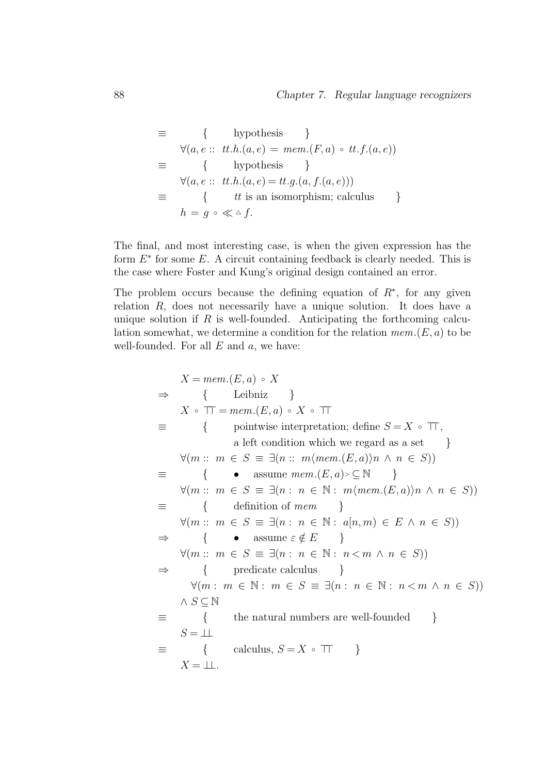$$
\equiv \qquad \{ \qquad \text{hypothesis} \}
$$
\n
$$
\equiv \qquad \forall (a, e :: tt.h. (a, e) = mem.(F, a) \circ tt.f.(a, e))
$$
\n
$$
\equiv \qquad \{ \qquad \text{hypothesis} \}
$$
\n
$$
\forall (a, e :: tt.h. (a, e) = tt.g.(a, f.(a, e)))
$$
\n
$$
\equiv \qquad \{ \qquad tt \text{ is an isomorphism; calculus} \}
$$
\n
$$
h = g \circ \ll \Delta f.
$$

The final, and most interesting case, is when the given expression has the form  $E^*$  for some  $E$ . A circuit containing feedback is clearly needed. This is the case where Foster and Kung's original design contained an error.

The problem occurs because the defining equation of  $R^*$ , for any given relation R, does not necessarily have a unique solution. It does have a unique solution if  $R$  is well-founded. Anticipating the forthcoming calculation somewhat, we determine a condition for the relation  $mem.(E, a)$  to be well-founded. For all  $E$  and  $a$ , we have:

$$
X = mem.(E, a) \circ X
$$
  
\n
$$
\Rightarrow \{ \text{Leibniz } \} \qquad X \circ \top \top = mem.(E, a) \circ X \circ \top \top
$$
  
\n
$$
\equiv \{ \text{ pointwise interpretation; define } S = X \circ \top \top,
$$
  
\n
$$
\text{a left condition which we regard as a set } \} \qquad \forall (m :: m \in S \equiv \exists (n :: m \langle mem.(E, a) \rangle n \land n \in S))
$$
  
\n
$$
\equiv \{ \text{ assume } mem.(E, a) \subseteq \mathbb{N} \} \qquad \forall (m :: m \in S \equiv \exists (n : n \in \mathbb{N} : m \langle mem.(E, a) \rangle n \land n \in S))
$$
  
\n
$$
\equiv \{ \text{ definition of } mem \} \qquad \forall (m :: m \in S \equiv \exists (n : n \in \mathbb{N} : a[n, m) \in E \land n \in S))
$$
  
\n
$$
\Rightarrow \{ \text{ assume } \varepsilon \notin E \} \qquad \forall (m :: m \in S \equiv \exists (n : n \in \mathbb{N} : n < m \land n \in S))
$$
  
\n
$$
\Rightarrow \{ \text{ predicate calculus } \} \qquad \forall (m : m \in \mathbb{N} : m \in S \equiv \exists (n : n \in \mathbb{N} : n < m \land n \in S))
$$
  
\n
$$
\land S \subseteq \mathbb{N}
$$
  
\n
$$
\equiv \{ \text{ the natural numbers are well-founded } \}
$$
  
\n
$$
S = \bot \bot
$$
  
\n
$$
\exists \text{ calculus, } S = X \circ \top \top \}
$$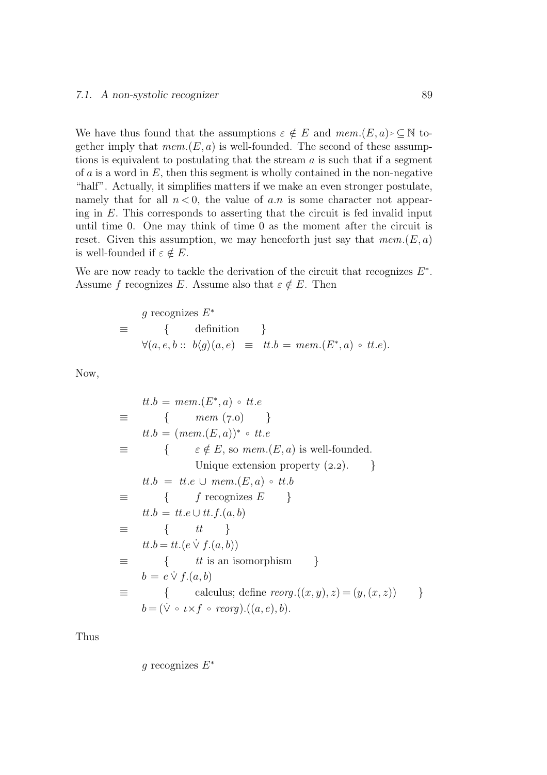#### *7.1. A non-systolic recognizer* 89

We have thus found that the assumptions  $\varepsilon \notin E$  and  $mem.(E, a) > \mathbb{C} \mathbb{N}$  together imply that  $mem.(E, a)$  is well-founded. The second of these assumptions is equivalent to postulating that the stream  $a$  is such that if a segment of  $a$  is a word in  $E$ , then this segment is wholly contained in the non-negative "half". Actually, it simplifies matters if we make an even stronger postulate, namely that for all  $n < 0$ , the value of a.n is some character not appearing in  $E$ . This corresponds to asserting that the circuit is fed invalid input until time 0. One may think of time 0 as the moment after the circuit is reset. Given this assumption, we may henceforth just say that  $mem.(E, a)$ is well-founded if  $\varepsilon \notin E$ .

We are now ready to tackle the derivation of the circuit that recognizes  $E^*$ . Assume f recognizes E. Assume also that  $\varepsilon \notin E$ . Then

$$
\begin{array}{rcl}\ng \text{ recognizes } E^* \\
\equiv & \{ \quad \text{definition} \quad \} \\
\forall (a, e, b :: b\langle g \rangle (a, e) \equiv tt.b = mem.(E^*, a) \circ tt.e).\n\end{array}
$$

Now,

$$
tt.b = mem.(E^*, a) \circ tt.e
$$
  
\n
$$
\equiv \{ \begin{array}{c} \{ mem (7.0) \} \\ \{t.b = (mem.(E, a))^* \circ tt.e \\ \{ \epsilon \notin E, \text{ so } mem.(E, a) \text{ is well-founded.} \\ \text{Unique extension property (2.2).} \} \end{array}
$$
  
\n
$$
tt.b = tt.e \cup mem.(E, a) \circ tt.b
$$
  
\n
$$
\equiv \{ \begin{array}{c} \{ f \text{ recognizes } E \\ \{ t.b = tt.e \cup tt.f.(a, b) \\ \{ t.b = tt.(e \lor f.(a, b)) \\ \} \end{array} \}
$$
  
\n
$$
\equiv \{ \begin{array}{c} \{ tt \\ \{ t \text{ is an isomorphism} \} \\ \{ b = e \lor f.(a, b) \end{array} \}
$$
  
\n
$$
\equiv \{ \begin{array}{c} \{ dt \text{ is an isomorphism} \\ \{ c \text{alculus; define } reorg.((x, y), z) = (y, (x, z)) \} \\ \{ b = (\lor \circ \iota \times f \circ reorg).((a, e), b). \end{array} \}
$$

Thus

g recognizes  $E^*$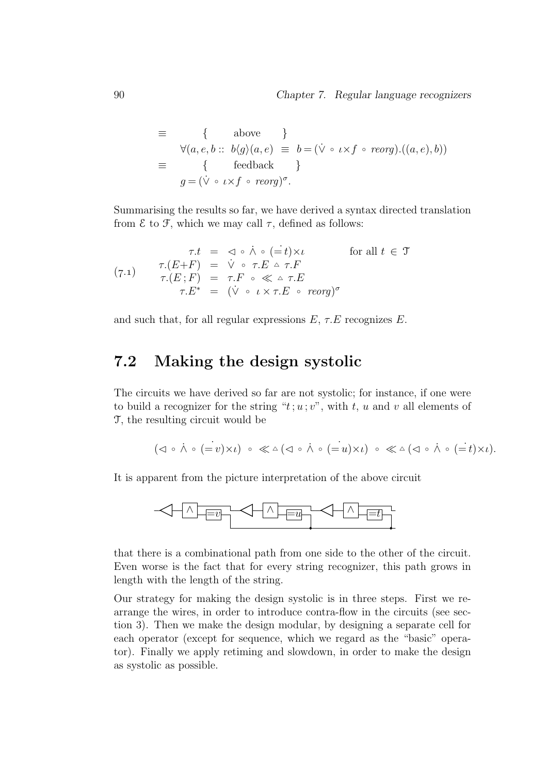$$
\equiv \{ \text{ above } \}
$$
  
\n
$$
\forall (a, e, b :: b\langle g \rangle (a, e) \equiv b = (\dot{\vee} \circ \iota \times f \circ reorg).((a, e), b))
$$
  
\n
$$
\equiv \{ \text{ feedback } \}
$$
  
\n
$$
g = (\dot{\vee} \circ \iota \times f \circ reorg)^{\sigma}.
$$

Summarising the results so far, we have derived a syntax directed translation from  $\epsilon$  to  $\mathcal{F}$ , which we may call  $\tau$ , defined as follows:

$$
\tau.t = \vartriangleleft \circ \wedge \circ (=t) \times \iota \qquad \text{for all } t \in \mathcal{T}
$$
  
(7.1) 
$$
\tau.(E+F) = \vee \circ \tau.E \wedge \tau.F
$$

$$
\tau.(E;F) = \tau.F \circ \ll \wedge \tau.E
$$

$$
\tau.E^* = (\vee \circ \iota \times \tau.E \circ reorg)^{\sigma}
$$

and such that, for all regular expressions  $E, \tau.E$  recognizes  $E$ .

## 7.2 Making the design systolic

The circuits we have derived so far are not systolic; for instance, if one were to build a recognizer for the string " $t; u; v$ ", with  $t, u$  and  $v$  all elements of T, the resulting circuit would be

$$
(\lhd \circ \dot{\wedge} \circ (=v) \times \iota) \circ \ll \vartriangle (\lhd \circ \dot{\wedge} \circ (=u) \times \iota) \circ \ll \vartriangle (\lhd \circ \dot{\wedge} \circ (=t) \times \iota).
$$

It is apparent from the picture interpretation of the above circuit



that there is a combinational path from one side to the other of the circuit. Even worse is the fact that for every string recognizer, this path grows in length with the length of the string.

Our strategy for making the design systolic is in three steps. First we rearrange the wires, in order to introduce contra-flow in the circuits (see section 3). Then we make the design modular, by designing a separate cell for each operator (except for sequence, which we regard as the "basic" operator). Finally we apply retiming and slowdown, in order to make the design as systolic as possible.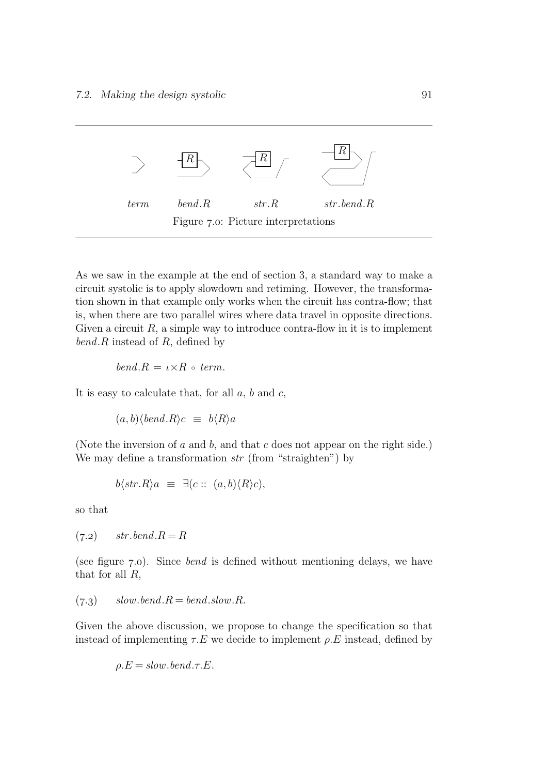

As we saw in the example at the end of section 3, a standard way to make a circuit systolic is to apply slowdown and retiming. However, the transformation shown in that example only works when the circuit has contra-flow; that is, when there are two parallel wires where data travel in opposite directions. Given a circuit  $R$ , a simple way to introduce contra-flow in it is to implement  $bend.R$  instead of R, defined by

$$
bend.R = \iota \times R \circ \text{ term}.
$$

It is easy to calculate that, for all  $a, b$  and  $c$ ,

$$
(a,b)\langle bend.R\rangle c \ \equiv \ b\langle R\rangle a
$$

(Note the inversion of  $a$  and  $b$ , and that  $c$  does not appear on the right side.) We may define a transformation  $str$  (from "straighten") by

$$
b\langle str.R\rangle a \equiv \exists (c:: (a,b)\langle R\rangle c),
$$

so that

$$
(7.2) \quad str. bend. R = R
$$

(see figure  $(7.0)$ . Since *bend* is defined without mentioning delays, we have that for all  $R$ ,

$$
(7.3) \qquad slow. bend. R = bend. slow. R.
$$

Given the above discussion, we propose to change the specification so that instead of implementing  $\tau.E$  we decide to implement  $\rho.E$  instead, defined by

$$
\rho.E = slow. bend. \tau.E.
$$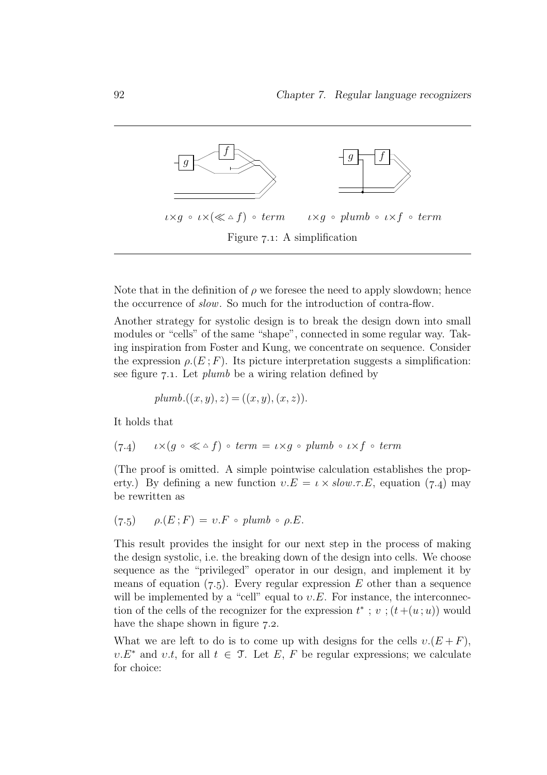

Note that in the definition of  $\rho$  we foresee the need to apply slowdown; hence the occurrence of slow. So much for the introduction of contra-flow.

Another strategy for systolic design is to break the design down into small modules or "cells" of the same "shape", connected in some regular way. Taking inspiration from Foster and Kung, we concentrate on sequence. Consider the expression  $\rho(E; F)$ . Its picture interpretation suggests a simplification: see figure  $7.1$ . Let *plumb* be a wiring relation defined by

$$
plumb.((x, y), z) = ((x, y), (x, z)).
$$

It holds that

$$
(7.4) \qquad \iota \times (g \circ \ll \vartriangle f) \circ \text{ term} = \iota \times g \circ \text{plumb} \circ \iota \times f \circ \text{ term}
$$

(The proof is omitted. A simple pointwise calculation establishes the property.) By defining a new function  $v.E = \iota \times slow.\tau.E$ , equation (7.4) may be rewritten as

$$
(7.5) \qquad \rho(E;F) = v.F \circ plumb \circ \rho.E.
$$

This result provides the insight for our next step in the process of making the design systolic, i.e. the breaking down of the design into cells. We choose sequence as the "privileged" operator in our design, and implement it by means of equation (7.5). Every regular expression  $E$  other than a sequence will be implemented by a "cell" equal to  $v.E$ . For instance, the interconnection of the cells of the recognizer for the expression  $t^*$ ;  $v$ ;  $(t+(u; u))$  would have the shape shown in figure 7.2.

What we are left to do is to come up with designs for the cells  $v.(E + F)$ ,  $v.E^*$  and  $v.t$ , for all  $t \in \mathcal{T}$ . Let E, F be regular expressions; we calculate for choice: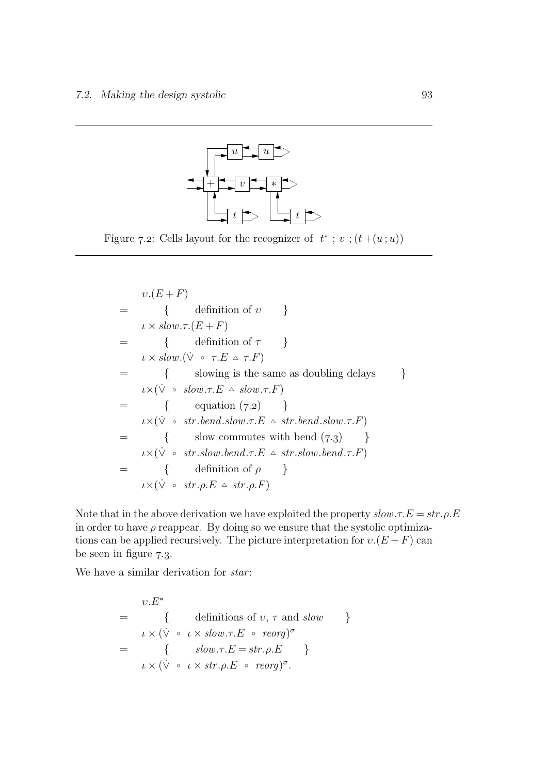

Figure 7.2: Cells layout for the recognizer of  $t^*$ ;  $v$ ;  $(t+(u;u))$ 

$$
v.(E + F)
$$
  
= { definition of v}  
= { definition of  $\tau$  }  
= { definition of  $\tau$  }  
= {  $\kappa$  solution. ( $\dot{\vee} \circ \tau$ . $E \circ \tau$ . $F$ )  
= { showing is the same as doubling delays }  
 $\iota \times (\dot{\vee} \circ slow.\tau$ . $E \circ slow.\tau$ . $F$ )  
= { equation (7.2) }  
 $\iota \times (\dot{\vee} \circ str. bend. slow.\tau$ . $E \circ str. bend. slow.\tau$ . $F$ )  
= { slow commutes with bend (7.3) }  
 $\iota \times (\dot{\vee} \circ str. slow. bend.\tau$ . $E \circ str. slow. bend.\tau$ . $F$ )  
= { definition of  $\rho$  }  
 $\iota \times (\dot{\vee} \circ str.\rho$ . $E \circ str.\rho$ . $F$ )

Note that in the above derivation we have exploited the property  $slow. \tau.E = str. \rho.E$ in order to have  $\rho$  reappear. By doing so we ensure that the systolic optimizations can be applied recursively. The picture interpretation for  $v.(E + F)$  can be seen in figure  $7.3$ .

We have a similar derivation for *star*:

$$
v.E^*
$$
  
= {{ definitions of v,  $\tau$  and slow  
 $\iota \times (\dot{\vee} \circ \iota \times slow.\tau.E \circ reorg)^{\sigma}$   
= { { *slow*. $\tau.E = str.\rho.E$  }  
 $\iota \times (\dot{\vee} \circ \iota \times str.\rho.E \circ reorg)^{\sigma}$ .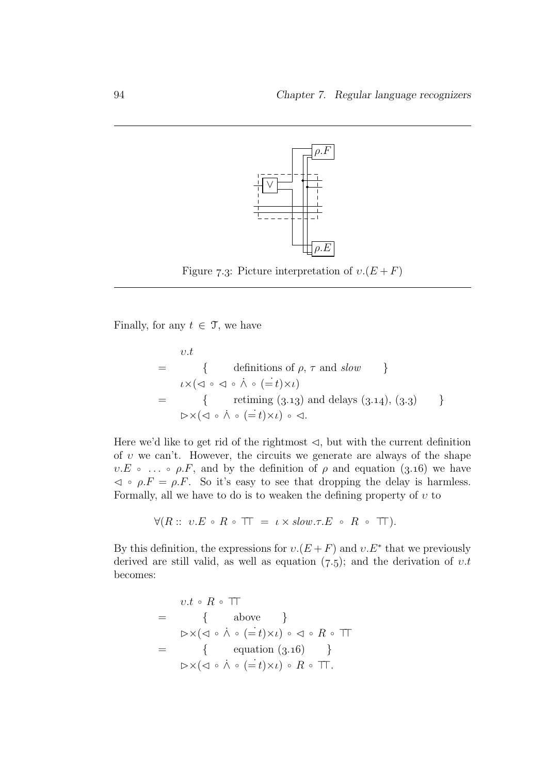

Figure 7.3: Picture interpretation of  $v.(E + F)$ 

Finally, for any  $t \in \mathcal{T}$ , we have

$$
v.t = \begin{cases} v.t & \text{definitions of } \rho, \tau \text{ and } slow \\ t \times (\lhd \circ \lhd \circ \dot{\wedge} \circ (\doteq t) \times t) \\ & \text{return } \{ \text{minim}(3.13) \text{ and delays}(3.14), (3.3) \} \\ \rhd \times (\lhd \circ \dot{\wedge} \circ (\doteq t) \times t) \circ \lhd. \end{cases}
$$

Here we'd like to get rid of the rightmost  $\triangleleft$ , but with the current definition of  $v$  we can't. However, the circuits we generate are always of the shape  $v.E \circ \ldots \circ \rho.F$ , and by the definition of  $\rho$  and equation (3.16) we have  $\varphi \circ \rho.F = \rho.F$ . So it's easy to see that dropping the delay is harmless. Formally, all we have to do is to weaken the defining property of  $v$  to

$$
\forall (R :: v.E \circ R \circ \top) = \iota \times slow.\tau.E \circ R \circ \top).
$$

By this definition, the expressions for  $v.(E+F)$  and  $v.E^*$  that we previously derived are still valid, as well as equation  $(7.5)$ ; and the derivation of  $v.t$ becomes:

$$
v.t \circ R \circ \top
$$
\n
$$
= \{ \text{ above } \}
$$
\n
$$
\triangleright \times (\triangleleft \circ \land \circ (=t) \times \iota) \circ \triangleleft \circ R \circ \top
$$
\n
$$
= \{ \text{ equation (3.16)} \}
$$
\n
$$
\triangleright \times (\triangleleft \circ \land \circ (=t) \times \iota) \circ R \circ \top.
$$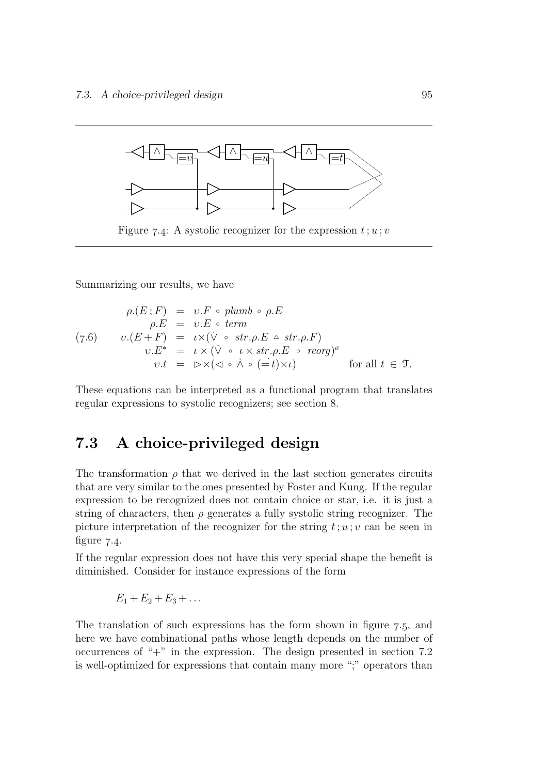

Figure 7.4: A systolic recognizer for the expression  $t; u; v$ 

Summarizing our results, we have

$$
\rho(E; F) = v.F \circ plumb \circ \rho.E
$$
  
\n
$$
\rho.E = v.E \circ term
$$
  
\n(7.6) 
$$
v(E+F) = \iota \times (\dot{V} \circ str.\rho.E \simeq str.\rho.F)
$$
  
\n
$$
v.E^* = \iota \times (\dot{V} \circ \iota \times str.\rho.E \circ reorg)^{\sigma}
$$
  
\n
$$
v.t = \rhd \times (\lhd \circ \dot{\wedge} \circ (=t) \times \iota) \qquad \text{for all } t \in \mathcal{T}.
$$

These equations can be interpreted as a functional program that translates regular expressions to systolic recognizers; see section 8.

## 7.3 A choice-privileged design

The transformation  $\rho$  that we derived in the last section generates circuits that are very similar to the ones presented by Foster and Kung. If the regular expression to be recognized does not contain choice or star, i.e. it is just a string of characters, then  $\rho$  generates a fully systolic string recognizer. The picture interpretation of the recognizer for the string  $t; u; v$  can be seen in figure  $7.4$ .

If the regular expression does not have this very special shape the benefit is diminished. Consider for instance expressions of the form

$$
E_1+E_2+E_3+\ldots
$$

The translation of such expressions has the form shown in figure  $7.5$ , and here we have combinational paths whose length depends on the number of occurrences of " $+$ " in the expression. The design presented in section 7.2 is well-optimized for expressions that contain many more ";" operators than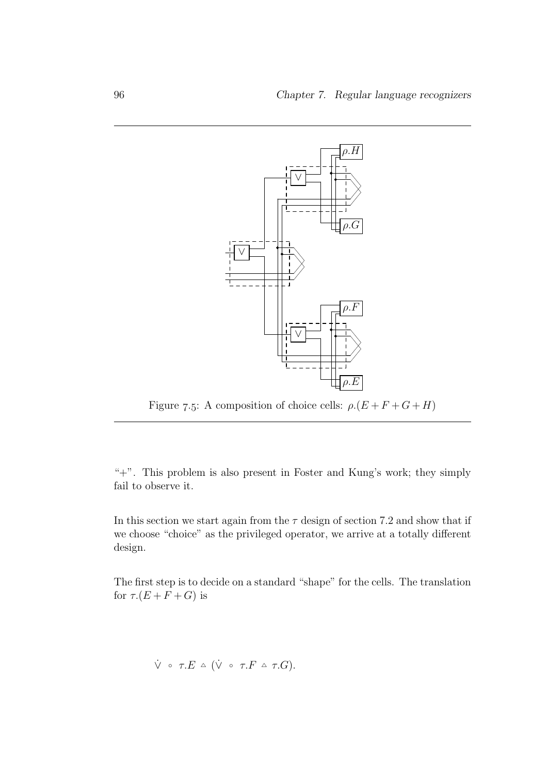

Figure 7.5: A composition of choice cells:  $\rho$ . $(E + F + G + H)$ 

"+". This problem is also present in Foster and Kung's work; they simply fail to observe it.

In this section we start again from the  $\tau$  design of section 7.2 and show that if we choose "choice" as the privileged operator, we arrive at a totally different design.

The first step is to decide on a standard "shape" for the cells. The translation for  $\tau.(E + F + G)$  is

$$
\dot{\vee} \circ \tau.E \circ (\dot{\vee} \circ \tau.F \circ \tau.G).
$$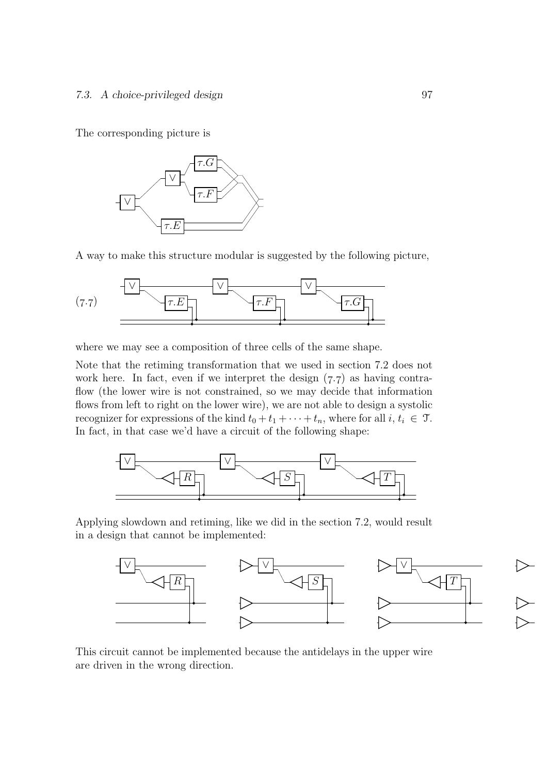The corresponding picture is



A way to make this structure modular is suggested by the following picture,



where we may see a composition of three cells of the same shape.

Note that the retiming transformation that we used in section 7.2 does not work here. In fact, even if we interpret the design  $(7.7)$  as having contraflow (the lower wire is not constrained, so we may decide that information flows from left to right on the lower wire), we are not able to design a systolic recognizer for expressions of the kind  $t_0 + t_1 + \cdots + t_n$ , where for all  $i, t_i \in \mathcal{T}$ . In fact, in that case we'd have a circuit of the following shape:



Applying slowdown and retiming, like we did in the section 7.2, would result in a design that cannot be implemented:



This circuit cannot be implemented because the antidelays in the upper wire are driven in the wrong direction.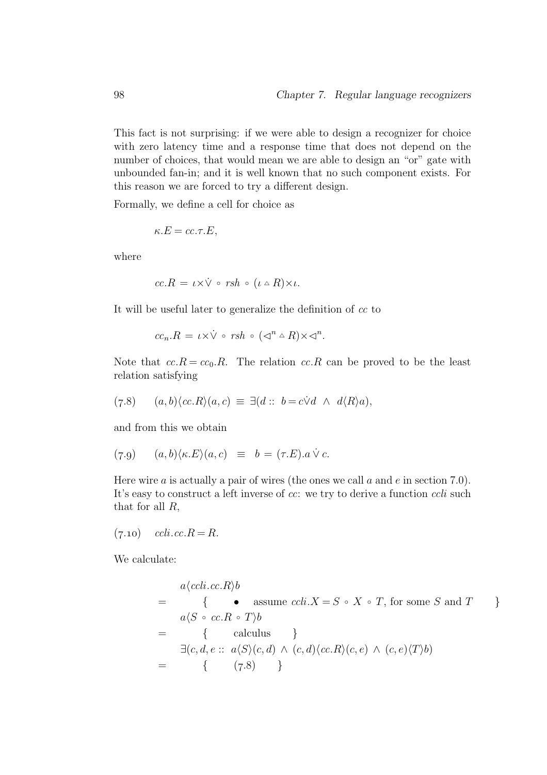This fact is not surprising: if we were able to design a recognizer for choice with zero latency time and a response time that does not depend on the number of choices, that would mean we are able to design an "or" gate with unbounded fan-in; and it is well known that no such component exists. For this reason we are forced to try a different design.

Formally, we define a cell for choice as

$$
\kappa.E = cc.\tau.E,
$$

where

$$
cc.R = \iota \times \dot{\vee} \circ \operatorname{rsh} \circ (\iota \circ R) \times \iota.
$$

It will be useful later to generalize the definition of cc to

$$
cc_n.R = \iota \times \dot{\vee} \circ \operatorname{rsh} \circ (\triangleleft^n \triangle R) \times \triangleleft^n.
$$

Note that  $cc.R = cc_0.R$ . The relation  $cc.R$  can be proved to be the least relation satisfying

$$
(7.8) \quad (a,b)\langle cc.R\rangle(a,c) \equiv \exists (d:: b=c\dot{\vee}d \ \wedge \ d\langle R\rangle a),
$$

and from this we obtain

$$
(7.9) \qquad (a,b)\langle \kappa.E \rangle (a,c) \quad \equiv \quad b = (\tau.E).a \vee c.
$$

Here wire a is actually a pair of wires (the ones we call a and  $e$  in section 7.0). It's easy to construct a left inverse of cc: we try to derive a function ccli such that for all  $R$ ,

$$
(7.10) \quad \text{ccli.} cc.R = R.
$$

We calculate:

$$
a\langle ccli.cc.R\rangle b
$$
  
= { $\{ \bullet \text{ assume } ccli.X = S \circ X \circ T, \text{ for some } S \text{ and } T \}$   
=  $\{ \bullet \text{ calculus } \}$   
= { $\{ \bullet \text{ calculus } \}$   
 $\exists (c, d, e :: a\langle S \rangle (c, d) \land (c, d) \langle cc.R \rangle (c, e) \land (c, e) \langle T \rangle b)$   
= { $\{ \bullet \} \{ \rangle (7.8) \}$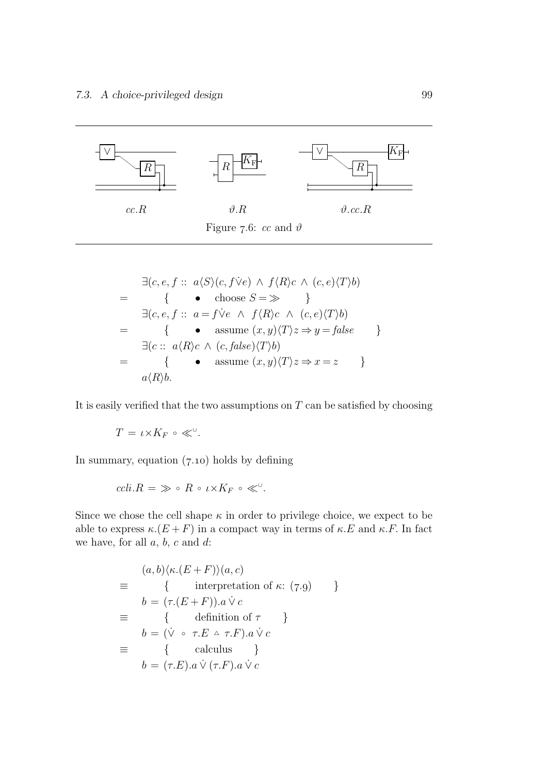

$$
\exists (c, e, f :: a \langle S \rangle (c, f \lor e) \land f \langle R \rangle c \land (c, e) \langle T \rangle b)
$$
\n
$$
= \{ \bullet \text{ choose } S = \gg \} \}
$$
\n
$$
\exists (c, e, f :: a = f \lor e \land f \langle R \rangle c \land (c, e) \langle T \rangle b)
$$
\n
$$
= \{ \bullet \text{ assume } (x, y) \langle T \rangle z \Rightarrow y = false \} \}
$$
\n
$$
\exists (c :: a \langle R \rangle c \land (c, false) \langle T \rangle b)
$$
\n
$$
= \{ \bullet \text{ assume } (x, y) \langle T \rangle z \Rightarrow x = z \} \}
$$
\n
$$
a \langle R \rangle b.
$$

It is easily verified that the two assumptions on  $T$  can be satisfied by choosing

$$
T\,=\,\iota\!\times\!K_F\,\circ\,\ll^\cup.
$$

In summary, equation  $(7.10)$  holds by defining

$$
ccli.R = \gg \circ R \circ \iota \times K_F \circ \ll^{\cup}.
$$

Since we chose the cell shape  $\kappa$  in order to privilege choice, we expect to be able to express  $\kappa$ . $(E + F)$  in a compact way in terms of  $\kappa$ . E and  $\kappa$ . F. In fact we have, for all  $a, b, c$  and  $d$ :

$$
(a,b)\langle \kappa.(E+F)\rangle (a,c)
$$
\n
$$
\equiv \begin{cases}\n\text{interpretation of } \kappa: (7.9) \\
b = (\tau.(E+F)).a \,\forall c \\
\equiv \begin{cases}\n\text{definition of } \tau \\
b = (\dot{\vee} \circ \tau.E \land \tau.F).a \,\dot{\vee}\,c \\
b = (\tau.E).a \,\dot{\vee} \,(\tau.F).a \,\dot{\vee}\,c\n\end{cases}\n\end{cases}
$$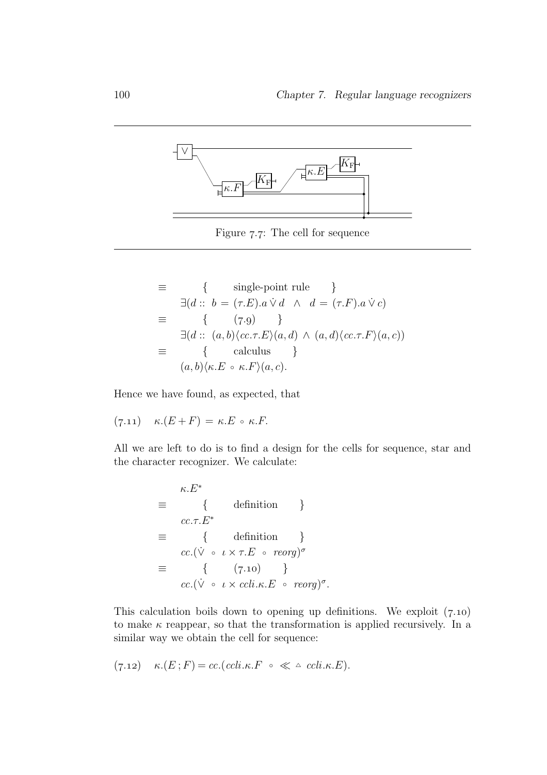

Figure 7.7: The cell for sequence

$$
\equiv \{ \text{ single-point rule } \}
$$
  
\n
$$
\exists (d:: b = (\tau.E).a \lor d \land d = (\tau.F).a \lor c)
$$
  
\n
$$
\equiv \{ (\tau.g) \} \}
$$
  
\n
$$
\exists (d:: (a,b)\langle cc.\tau.E \rangle (a,d) \land (a,d)\langle cc.\tau.F \rangle (a,c))
$$
  
\n
$$
\equiv \{ \text{ calculus } \}
$$
  
\n
$$
(a,b)\langle \kappa.E \circ \kappa.F \rangle (a,c).
$$

Hence we have found, as expected, that

$$
(7.11) \quad \kappa.(E+F) = \kappa.E \circ \kappa.F.
$$

All we are left to do is to find a design for the cells for sequence, star and the character recognizer. We calculate:

$$
\equiv \begin{array}{ccc} \kappa.E^* & \text{definition} & \\ \epsilon c.\tau.E^* & \text{definition} & \\ \equiv & \{ & \text{definition} & \\ cc.(\dot{\vee} \circ \iota \times \tau.E \circ reorg)^{\sigma} \\ \equiv & \{ & (\mathbf{7.10}) & \} \\ cc.(\dot{\vee} \circ \iota \times \text{ccli}.\kappa.E \circ reorg)^{\sigma}. \end{array}
$$

This calculation boils down to opening up definitions. We exploit  $(7.10)$ to make  $\kappa$  reappear, so that the transformation is applied recursively. In a similar way we obtain the cell for sequence:

$$
(7.12) \quad \kappa.(E;F) = cc.(ccli.\kappa.F \circ \ll \vartriangle ccli.\kappa.E).
$$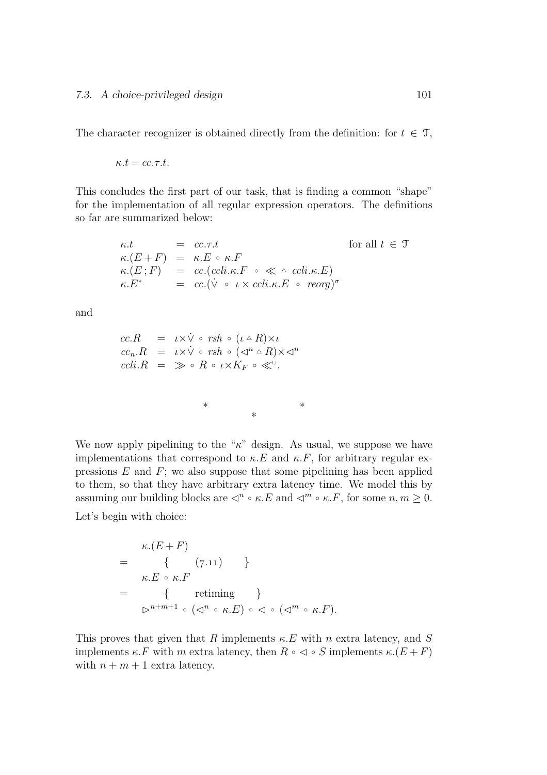The character recognizer is obtained directly from the definition: for  $t \in \mathcal{T}$ ,

$$
\kappa.t=cc.\tau.t.
$$

This concludes the first part of our task, that is finding a common "shape" for the implementation of all regular expression operators. The definitions so far are summarized below:

$$
\kappa.t = cc.\tau.t
$$
  
\n
$$
\kappa.(E+F) = \kappa.E \circ \kappa.F
$$
  
\n
$$
\kappa.(E;F) = cc.(ccli.\kappa.F \circ \ll \sim ccli.\kappa.E)
$$
  
\n
$$
\kappa.E^* = cc.(\forall \circ \iota \times ccli.\kappa.E \circ reorg)^{\sigma}
$$

and

$$
cc.R = \iota \times \dot{\vee} \circ \operatorname{rsh} \circ (\iota \wedge R) \times \iota
$$
  
\n
$$
cc_n.R = \iota \times \dot{\vee} \circ \operatorname{rsh} \circ (\triangle^{n} \triangle R) \times \triangle^{n}
$$
  
\n
$$
ccli.R = \gg \circ R \circ \iota \times K_F \circ \ll^{\cup}.
$$

\* \* \*

We now apply pipelining to the " $\kappa$ " design. As usual, we suppose we have implementations that correspond to  $\kappa.E$  and  $\kappa.F$ , for arbitrary regular expressions  $E$  and  $F$ ; we also suppose that some pipelining has been applied to them, so that they have arbitrary extra latency time. We model this by assuming our building blocks are  $\lhd^n \circ \kappa.E$  and  $\lhd^m \circ \kappa.F$ , for some  $n, m \geq 0$ .

Let's begin with choice:

$$
\kappa.(E+F)
$$
\n
$$
= \{ (7.11) \} \}
$$
\n
$$
\kappa.E \circ \kappa.F
$$
\n
$$
= \{ \text{re timing } \} \}
$$
\n
$$
\triangleright^{n+m+1} \circ (\lhd^n \circ \kappa.E) \circ \lhd \circ (\lhd^m \circ \kappa.F).
$$

This proves that given that R implements  $\kappa.E$  with n extra latency, and S implements  $\kappa$ . F with m extra latency, then  $R \circ \vartriangleleft \circ S$  implements  $\kappa$ .  $(E + F)$ with  $n + m + 1$  extra latency.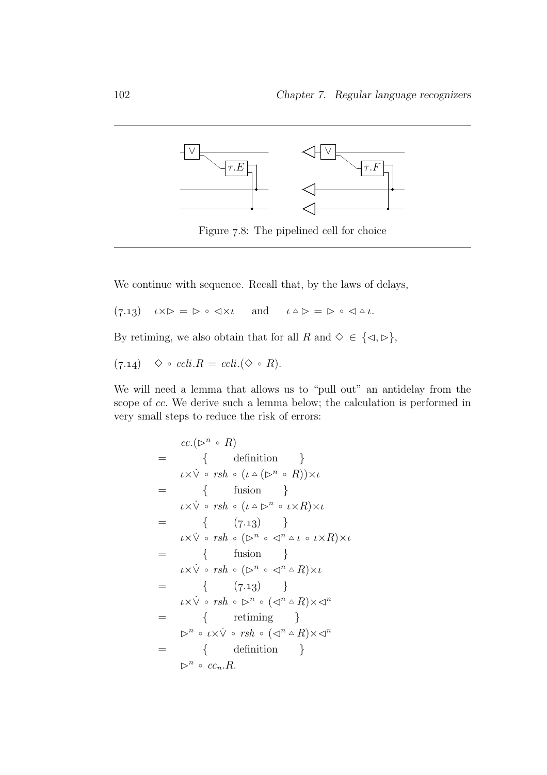

Figure 7.8: The pipelined cell for choice

We continue with sequence. Recall that, by the laws of delays,

 $(7.13)$   $\iota \times \triangleright = \triangleright \circ \triangleleft \times \iota$  and  $\iota \triangleq \triangleright = \triangleright \circ \triangleleft \triangle \iota$ .

By retiming, we also obtain that for all R and  $\diamond \in \{\triangleleft, \triangleright\},\$ 

$$
(7.14) \quad \diamond \circ \operatorname{ccli} R = \operatorname{ccli} (\diamond \circ R).
$$

We will need a lemma that allows us to "pull out" an antidelay from the scope of cc. We derive such a lemma below; the calculation is performed in very small steps to reduce the risk of errors:

$$
cc.(\triangleright^n \circ R)
$$
\n
$$
= \{ \det(\triangleright^n \circ R) \mid \exists \forall x \in \mathbb{R} \text{ such that } x \in \mathbb{R} \text{ such that } x \in \mathbb{R} \text{ such that } x \in \mathbb{R} \text{ such that } x \in \mathbb{R} \text{ such that } x \in \mathbb{R} \text{ such that } \{ \forall x \in \mathbb{R} \text{ such that } \{ \forall x \in \mathbb{R} \} \text{ such that } \{ \forall x \in \mathbb{R} \text{ such that } \{ \forall x \in \mathbb{R} \} \text{ such that } \{ \forall x \in \mathbb{R} \text{ such that } \{ \forall x \in \mathbb{R} \} \text{ such that } \{ \forall x \in \mathbb{R} \text{ such that } \{ \forall x \in \mathbb{R} \} \text{ such that } \{ \forall x \in \mathbb{R} \text{ such that } \{ \forall x \in \mathbb{R} \} \text{ such that } \{ \forall x \in \mathbb{R} \} \text{ such that } \{ \forall x \in \mathbb{R} \text{ such that } \{ \forall x \in \mathbb{R} \} \text{ such that } \{ \forall x \in \mathbb{R} \} \text{ such that } \{ \forall x \in \mathbb{R} \text{ such that } \{ \forall x \in \mathbb{R} \} \text{ such that } \{ \forall x \in \mathbb{R} \} \text{ such that } \{ \forall x \in \mathbb{R} \} \text{ such that } \{ \forall x \in \mathbb{R} \} \text{ such that } \{ \forall x \in \mathbb{R} \} \text{ such that } \{ \forall x \in \mathbb{R} \} \text{ such that } \{ \forall x \in \mathbb{R} \} \text{ such that } \{ \forall x \in \mathbb{R} \} \text{ such that } \{ \forall x \in \mathbb{R} \} \text{ such that } \{ \forall x \in \mathbb{R} \} \text{ such that } \{ \forall x \in \mathbb{R} \} \text{ such that } \{ \forall x \in \mathbb{R} \} \text{ such that } \{ \forall x \in \mathbb{R} \} \text{ such that } \{ \forall x \in \mathbb{R} \} \text{ such that } \{ \forall x \in \mathbb{R} \} \text{ such that } \{ \forall x \in \mathbb{R}
$$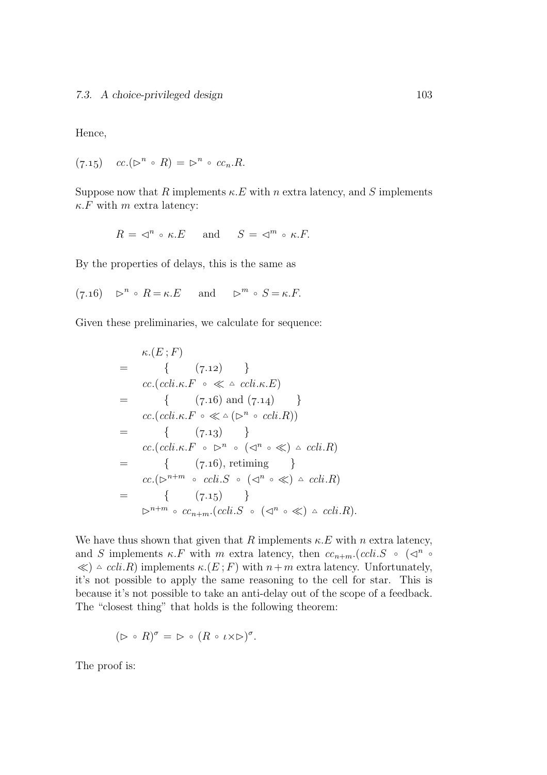Hence,

$$
(7.15) \quad cc.(\triangleright^n \circ R) = \triangleright^n \circ cc_n.R.
$$

Suppose now that R implements  $\kappa.E$  with n extra latency, and S implements  $\kappa$ . F with m extra latency:

$$
R = \lhd^n \circ \kappa.E \quad \text{ and } \quad S = \lhd^m \circ \kappa.F.
$$

By the properties of delays, this is the same as

(7.16) 
$$
\triangleright^n \circ R = \kappa.E
$$
 and  $\triangleright^m \circ S = \kappa.F$ .

Given these preliminaries, we calculate for sequence:

$$
\kappa(E; F)
$$
\n
$$
= \begin{cases}\n\kappa(E; F) \\
\text{cc.}(ccli.\kappa.F \circ \ll \Delta ccli.\kappa.E) \\
= \begin{cases}\n(7.16) \text{ and } (7.14) \\
\text{cc.}(ccli.\kappa.F \circ \ll \Delta(\mathcal{D}^n \circ ccli.R))\n\end{cases} \\
= \begin{cases}\n(7.13) \\
\text{cc.}(ccli.\kappa.F \circ \mathcal{D}^n \circ (\lhd^n \circ \ll) \Delta ccli.R) \\
\text{cc.}(ccli.\kappa.F \circ \mathcal{D}^n \circ (\lhd^n \circ \ll) \Delta ccli.R) \\
= \begin{cases}\n(7.16), \text{re timing} \\
\text{cc.}(\mathcal{D}^{n+m} \circ ccli.S \circ (\lhd^n \circ \ll) \Delta ccli.R) \\
\text{or} \\
\text{C.}(\mathcal{D}^{n+m} \circ ccli.S \circ (\lhd^n \circ \ll) \Delta ccli.R).\n\end{cases} \\
\mathcal{D}^{n+m} \circ ccl_{n+m}.(ccli.S \circ (\lhd^n \circ \ll) \Delta ccli.R).
$$

We have thus shown that given that R implements  $\kappa.E$  with n extra latency, and S implements  $\kappa$ . F with m extra latency, then  $cc_{n+m}$ . (ccli. S ∘ ( $\lhd^n$  ∘  $\ll$ )  $\triangle$  *ccli.R*) implements  $\kappa$ .(*E*; *F*) with  $n+m$  extra latency. Unfortunately, it's not possible to apply the same reasoning to the cell for star. This is because it's not possible to take an anti-delay out of the scope of a feedback. The "closest thing" that holds is the following theorem:

$$
(\triangleright \circ R)^{\sigma} = \triangleright \circ (R \circ \iota \times \triangleright)^{\sigma}.
$$

The proof is: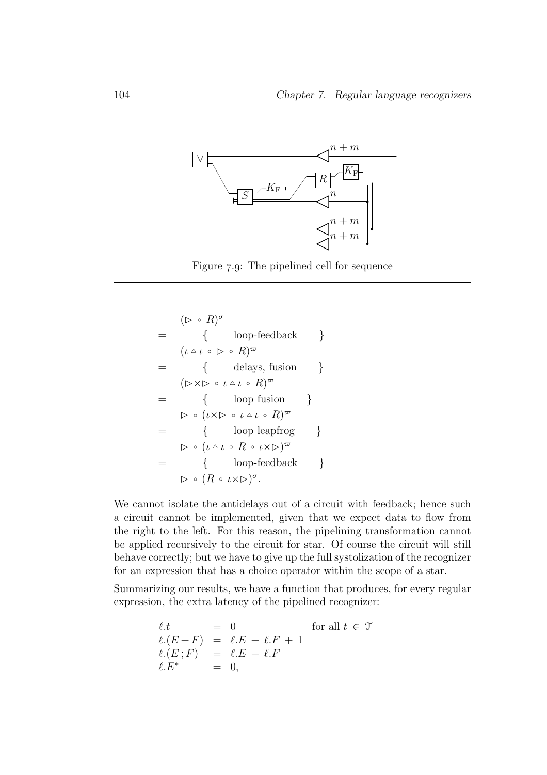

Figure 7.9: The pipelined cell for sequence

$$
(\triangleright \circ R)^{\sigma}
$$
\n
$$
= \begin{cases}\n(\triangleright \circ R)^{\sigma} \\
(\iota \triangle \iota \circ \triangleright \circ R)^{\varpi}\n\end{cases}
$$
\n
$$
= \begin{cases}\n(\triangleright \times \triangleright \circ \iota \triangle \iota \circ R)^{\varpi} \\
(\triangleright \times \triangleright \circ \iota \triangle \iota \circ R)^{\varpi}\n\end{cases}
$$
\n
$$
= \begin{cases}\n(\triangleright \vee \triangleright \circ \iota \triangle \iota \circ R)^{\varpi} \\
(\iota \times \triangleright \circ \iota \triangle \iota \circ R)^{\varpi}\n\end{cases}
$$
\n
$$
= \begin{cases}\n\text{loop leapfrog} \\
\triangleright \circ (\iota \triangle \iota \circ R \circ \iota \times \triangleright)^{\varpi}\n\end{cases}
$$
\n
$$
= \begin{cases}\n\text{loop-feedback} \\
\downarrow \text{loop-feedback}\n\end{cases}
$$
\n
$$
\triangleright \circ (R \circ \iota \times \triangleright)^{\sigma}.
$$

We cannot isolate the antidelays out of a circuit with feedback; hence such a circuit cannot be implemented, given that we expect data to flow from the right to the left. For this reason, the pipelining transformation cannot be applied recursively to the circuit for star. Of course the circuit will still behave correctly; but we have to give up the full systolization of the recognizer for an expression that has a choice operator within the scope of a star.

Summarizing our results, we have a function that produces, for every regular expression, the extra latency of the pipelined recognizer:

$$
\ell.t = 0 \quad \text{for all } t \in \mathcal{T}
$$
  
\n
$$
\ell.(E+F) = \ell.E + \ell.F + 1
$$
  
\n
$$
\ell.(E;F) = \ell.E + \ell.F
$$
  
\n
$$
\ell.E^* = 0,
$$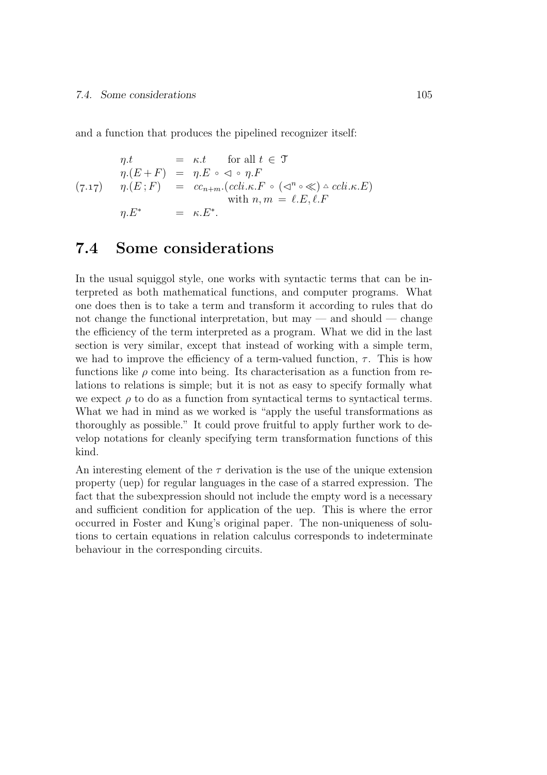and a function that produces the pipelined recognizer itself:

$$
\eta.t = \kappa.t \quad \text{for all } t \in \mathcal{T}
$$
\n
$$
\eta.(E+F) = \eta.E \circ \vartriangleleft \circ \eta.F
$$
\n
$$
\eta.(E;F) = c c_{n+m}.(c cl i. \kappa.F \circ (\vartriangleleft^{n} \circ \ll) \vartriangle c cl i. \kappa.E)
$$
\nwith  $n, m = \ell.E, \ell.F$   
\n
$$
\eta.E^* = \kappa.E^*.
$$

### 7.4 Some considerations

In the usual squiggol style, one works with syntactic terms that can be interpreted as both mathematical functions, and computer programs. What one does then is to take a term and transform it according to rules that do not change the functional interpretation, but may  $-$  and should  $-$  change the efficiency of the term interpreted as a program. What we did in the last section is very similar, except that instead of working with a simple term, we had to improve the efficiency of a term-valued function,  $\tau$ . This is how functions like  $\rho$  come into being. Its characterisation as a function from relations to relations is simple; but it is not as easy to specify formally what we expect  $\rho$  to do as a function from syntactical terms to syntactical terms. What we had in mind as we worked is "apply the useful transformations as thoroughly as possible." It could prove fruitful to apply further work to develop notations for cleanly specifying term transformation functions of this kind.

An interesting element of the  $\tau$  derivation is the use of the unique extension property (uep) for regular languages in the case of a starred expression. The fact that the subexpression should not include the empty word is a necessary and sufficient condition for application of the uep. This is where the error occurred in Foster and Kung's original paper. The non-uniqueness of solutions to certain equations in relation calculus corresponds to indeterminate behaviour in the corresponding circuits.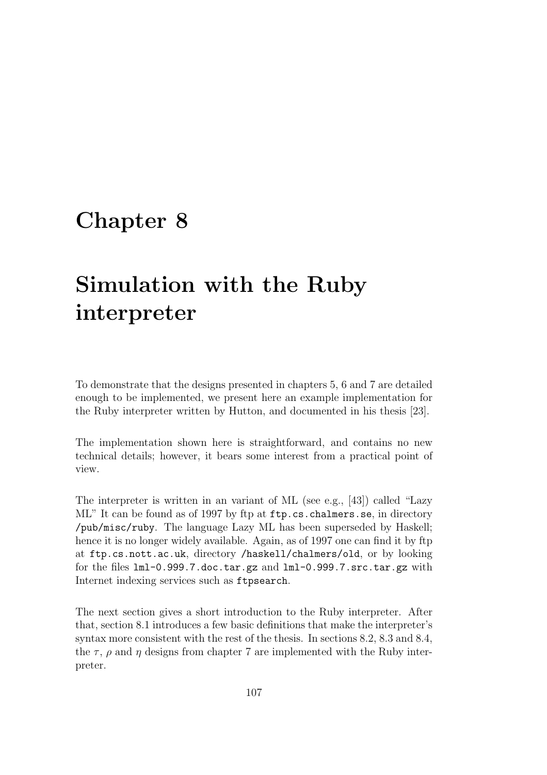## Chapter 8

# Simulation with the Ruby interpreter

To demonstrate that the designs presented in chapters 5, 6 and 7 are detailed enough to be implemented, we present here an example implementation for the Ruby interpreter written by Hutton, and documented in his thesis [23].

The implementation shown here is straightforward, and contains no new technical details; however, it bears some interest from a practical point of view.

The interpreter is written in an variant of ML (see e.g., [43]) called "Lazy ML" It can be found as of 1997 by ftp at ftp.cs.chalmers.se, in directory /pub/misc/ruby. The language Lazy ML has been superseded by Haskell; hence it is no longer widely available. Again, as of 1997 one can find it by ftp at ftp.cs.nott.ac.uk, directory /haskell/chalmers/old, or by looking for the files lml-0.999.7.doc.tar.gz and lml-0.999.7.src.tar.gz with Internet indexing services such as ftpsearch.

The next section gives a short introduction to the Ruby interpreter. After that, section 8.1 introduces a few basic definitions that make the interpreter's syntax more consistent with the rest of the thesis. In sections 8.2, 8.3 and 8.4, the  $\tau$ ,  $\rho$  and  $\eta$  designs from chapter 7 are implemented with the Ruby interpreter.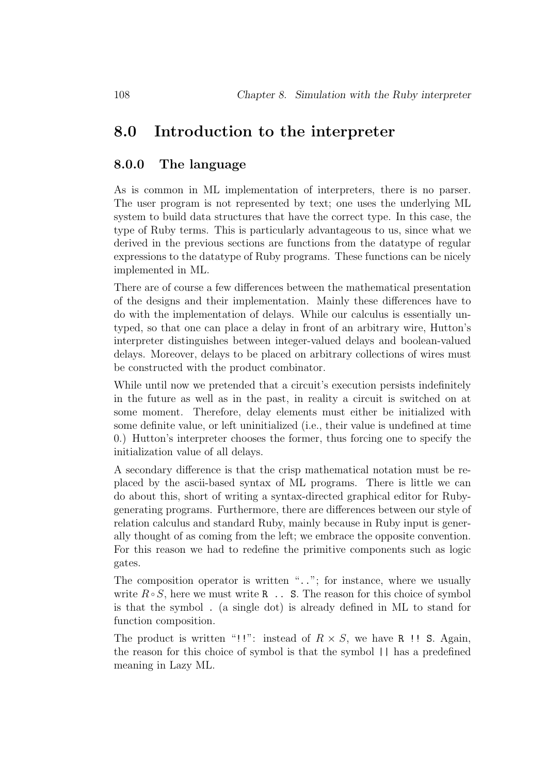## 8.0 Introduction to the interpreter

#### 8.0.0 The language

As is common in ML implementation of interpreters, there is no parser. The user program is not represented by text; one uses the underlying ML system to build data structures that have the correct type. In this case, the type of Ruby terms. This is particularly advantageous to us, since what we derived in the previous sections are functions from the datatype of regular expressions to the datatype of Ruby programs. These functions can be nicely implemented in ML.

There are of course a few differences between the mathematical presentation of the designs and their implementation. Mainly these differences have to do with the implementation of delays. While our calculus is essentially untyped, so that one can place a delay in front of an arbitrary wire, Hutton's interpreter distinguishes between integer-valued delays and boolean-valued delays. Moreover, delays to be placed on arbitrary collections of wires must be constructed with the product combinator.

While until now we pretended that a circuit's execution persists indefinitely in the future as well as in the past, in reality a circuit is switched on at some moment. Therefore, delay elements must either be initialized with some definite value, or left uninitialized (i.e., their value is undefined at time 0.) Hutton's interpreter chooses the former, thus forcing one to specify the initialization value of all delays.

A secondary difference is that the crisp mathematical notation must be replaced by the ascii-based syntax of ML programs. There is little we can do about this, short of writing a syntax-directed graphical editor for Rubygenerating programs. Furthermore, there are differences between our style of relation calculus and standard Ruby, mainly because in Ruby input is generally thought of as coming from the left; we embrace the opposite convention. For this reason we had to redefine the primitive components such as logic gates.

The composition operator is written " $\ldots$ "; for instance, where we usually write  $R \circ S$ , here we must write R ... S. The reason for this choice of symbol is that the symbol . (a single dot) is already defined in ML to stand for function composition.

The product is written "!!": instead of  $R \times S$ , we have R !! S. Again, the reason for this choice of symbol is that the symbol || has a predefined meaning in Lazy ML.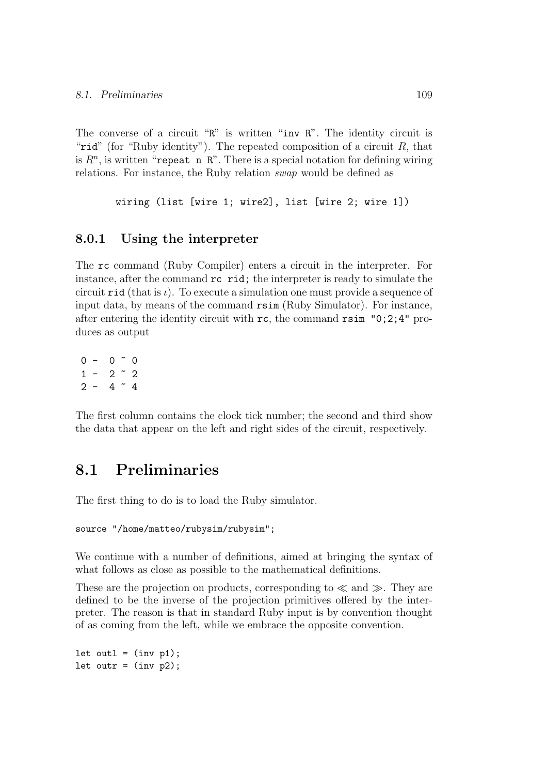The converse of a circuit "R" is written "inv R". The identity circuit is "rid" (for "Ruby identity"). The repeated composition of a circuit  $R$ , that is  $R<sup>n</sup>$ , is written "repeat n  $R<sup>n</sup>$ . There is a special notation for defining wiring relations. For instance, the Ruby relation swap would be defined as

```
wiring (list [wire 1; wire2], list [wire 2; wire 1])
```
### 8.0.1 Using the interpreter

The rc command (Ruby Compiler) enters a circuit in the interpreter. For instance, after the command  $rc$  rid; the interpreter is ready to simulate the circuit rid (that is  $\iota$ ). To execute a simulation one must provide a sequence of input data, by means of the command rsim (Ruby Simulator). For instance, after entering the identity circuit with rc, the command rsim "0;2;4" produces as output

 $0 - 0 \times 0$  $1 - 2 \t 2$  $2 - 4 \t 4$ 

The first column contains the clock tick number; the second and third show the data that appear on the left and right sides of the circuit, respectively.

## 8.1 Preliminaries

The first thing to do is to load the Ruby simulator.

```
source "/home/matteo/rubysim/rubysim";
```
We continue with a number of definitions, aimed at bringing the syntax of what follows as close as possible to the mathematical definitions.

These are the projection on products, corresponding to  $\ll$  and  $\gg$ . They are defined to be the inverse of the projection primitives offered by the interpreter. The reason is that in standard Ruby input is by convention thought of as coming from the left, while we embrace the opposite convention.

```
let outl = (\text{inv } p1);let outr = (\text{inv } p2);
```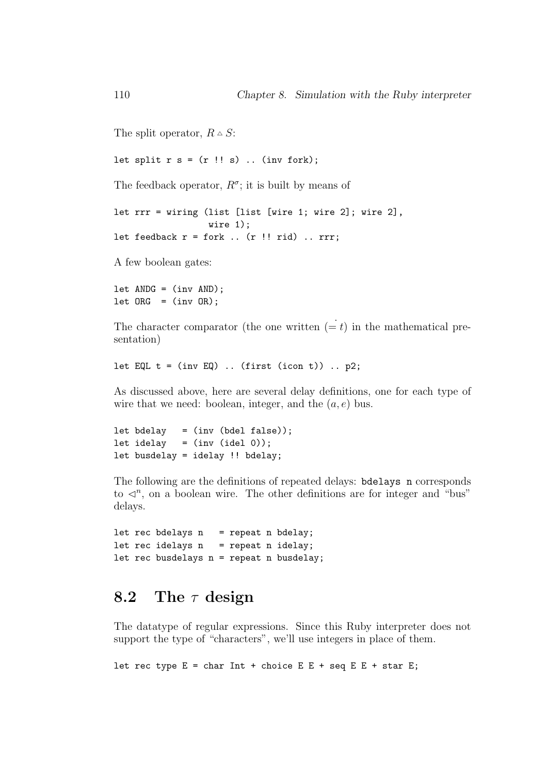The split operator,  $R \triangleq S$ :

let split  $r s = (r \, ! \, ! \, s)$  .. (inv fork);

The feedback operator,  $R^{\sigma}$ ; it is built by means of

let rrr = wiring (list [list [wire 1; wire 2]; wire 2], wire 1); let feedback  $r =$  fork .. (r !! rid) .. rrr;

A few boolean gates:

 $let ANDG = (inv AND)$ ;  $let ORG = (inv OR);$ 

The character comparator (the one written  $(= t)$  in the mathematical presentation)

let EQL  $t = (inv EQ)$ .. (first (icon  $t$ )).. p2;

As discussed above, here are several delay definitions, one for each type of wire that we need: boolean, integer, and the  $(a, e)$  bus.

```
let \text{ bdelay} = (inv \text{ (bdel false)});let idelay = (inv (ideal 0));let busdelay = idelay !! bdelay;
```
The following are the definitions of repeated delays: bdelays n corresponds to  $\triangleleft^n$ , on a boolean wire. The other definitions are for integer and "bus" delays.

let rec bdelays  $n =$  repeat n bdelay; let rec idelays  $n =$  repeat n idelay; let rec busdelays  $n =$  repeat n busdelay;

## 8.2 The  $\tau$  design

The datatype of regular expressions. Since this Ruby interpreter does not support the type of "characters", we'll use integers in place of them.

let rec type  $E = char Int + choice E E + seq E E + star E;$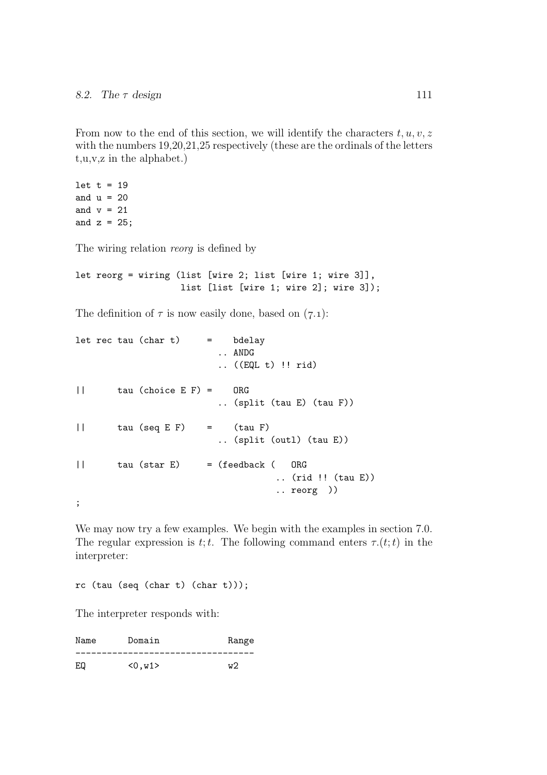From now to the end of this section, we will identify the characters  $t, u, v, z$ with the numbers 19,20,21,25 respectively (these are the ordinals of the letters t,u,v,z in the alphabet.)

let  $t = 19$ and  $u = 20$ and  $v = 21$ and  $z = 25$ ;

The wiring relation *reorg* is defined by

```
let reorg = wiring (list [wire 2; list [wire 1; wire 3]],
                    list [list [wire 1; wire 2]; wire 3]);
```
The definition of  $\tau$  is now easily done, based on  $(7.1)$ :

|               |  | let rec tau (char t) |  | bdelay<br>ANDG<br>$\ldots$ ((EQL t) !! rid)                     |
|---------------|--|----------------------|--|-----------------------------------------------------------------|
| $\vert \vert$ |  | $tau$ (choice E F) = |  | ORG<br>$(split$ $(tau E)$ $(tau F)$                             |
| $\mathbf{  }$ |  | $tau (seq E)$ =      |  | (tau F)<br>$\ldots$ (split (outl) (tau E))                      |
| $\vert \vert$ |  | tau (star E)         |  | = (feedback (<br>ORG<br>$(rid!! (tau E))$<br>$\ldots$ reorg $)$ |
|               |  |                      |  |                                                                 |

We may now try a few examples. We begin with the examples in section 7.0. The regular expression is t; t. The following command enters  $\tau.(t;t)$  in the interpreter:

rc (tau (seq (char t) (char t)));

The interpreter responds with:

Name Domain Range ---------------------------------- EQ  $< 0, w1 >$   $w2$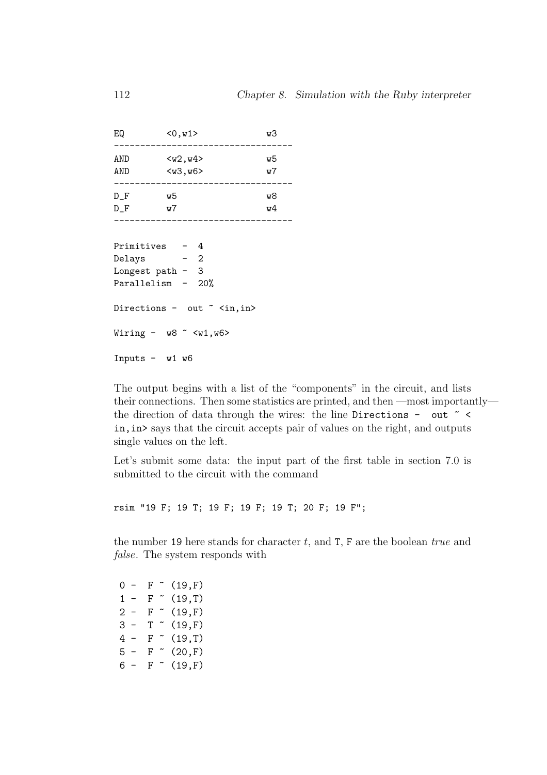EQ  $< 0, w1 >$   $w3$ ---------------------------------- AND <w2,w4> w5 AND <w3,w6> w7 ---------------------------------- D\_F w5 w8  $D_F$  w7 w4 ---------------------------------- Primitives - 4 Delays - 2 Longest path  $-3$ Parallelism - 20% Directions - out " <in, in> Wiring -  $w8 \sim \langle w1, w6 \rangle$ Inputs  $-$  w1 w6

The output begins with a list of the "components" in the circuit, and lists their connections. Then some statistics are printed, and then —most importantly the direction of data through the wires: the line Directions - out  $\tilde{\phantom{a}}$  < in,in> says that the circuit accepts pair of values on the right, and outputs single values on the left.

Let's submit some data: the input part of the first table in section 7.0 is submitted to the circuit with the command

rsim "19 F; 19 T; 19 F; 19 F; 19 T; 20 F; 19 F";

the number 19 here stands for character  $t$ , and  $T$ ,  $F$  are the boolean true and false. The system responds with

 $0 - F$   $(19,F)$  $1 - F$   $(19, T)$  $2 - F$   $(19,F)$  $3 - T \sim (19,F)$  $4 - F \sim (19, T)$  $5 - F \sim (20,F)$  $6 - F$   $(19,F)$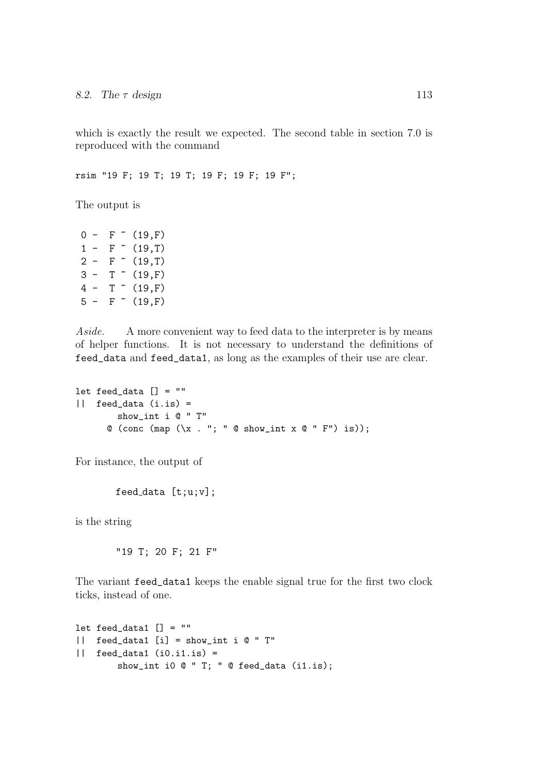which is exactly the result we expected. The second table in section 7.0 is reproduced with the command

rsim "19 F; 19 T; 19 T; 19 F; 19 F; 19 F";

The output is

 $0 - F$   $(19,F)$  $1 - F$   $(19, T)$  $2 - F \sim (19, T)$  $3 - T \sim (19,F)$  $4 - T \sim (19,F)$  $5 - F$   $(19,F)$ 

Aside. A more convenient way to feed data to the interpreter is by means of helper functions. It is not necessary to understand the definitions of feed\_data and feed\_data1, as long as the examples of their use are clear.

```
let feed_data [] = ""|| feed_data (i.is) =show_int i @ " T"
      @ (conc (map (\chi. "; " @ show_int x @ " F') is));
```
For instance, the output of

```
feed_data [t;u;v];
```
is the string

"19 T; 20 F; 21 F"

The variant feed\_data1 keeps the enable signal true for the first two clock ticks, instead of one.

```
let feed_data1[] = "|| feed_data1 [i] = show_int i @ " T"
|| feed_data1 (i0.ii.is) =
       show_int i0 @ " T; " @ feed_data (i1.is);
```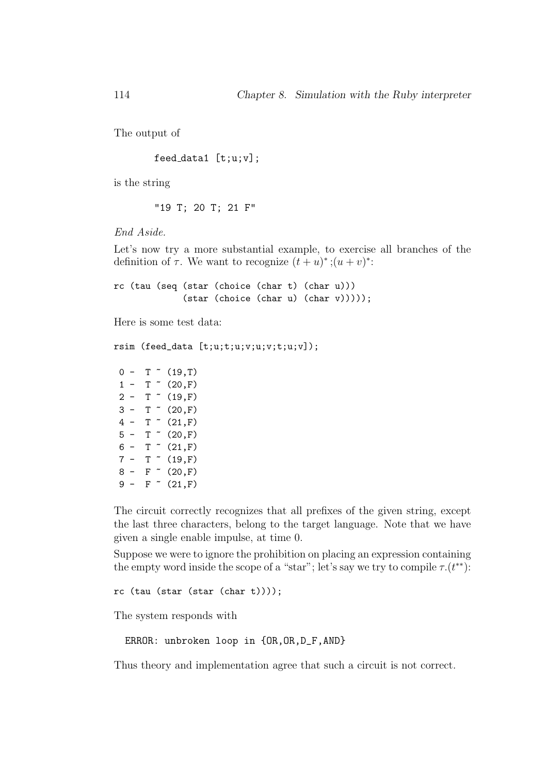The output of

feed\_data1 [t;u;v];

is the string

"19 T; 20 T; 21 F"

End Aside.

Let's now try a more substantial example, to exercise all branches of the definition of  $\tau$ . We want to recognize  $(t+u)^{*}$ ;  $(u+v)^{*}$ :

rc (tau (seq (star (choice (char t) (char u)))  $(\text{star} \ (\text{choice} \ ( \text{char} \ u) \ (\text{char} \ v))))$ ;

Here is some test data:

```
rsim (\text{feed_data } [t; u; t; u; v; u; v; t; u; v]);
```
 $0 - T$   $(19, T)$  $1 - T$   $(20,F)$  $2 - T \sim (19,F)$  $3 - T \sim (20, F)$  $4 - T \sim (21, F)$  $5 - T \sim (20,F)$  $6 - T \sim (21, F)$  $7 - T \sim (19,F)$  $8 - F \sim (20,F)$  $9 - F \sim (21, F)$ 

The circuit correctly recognizes that all prefixes of the given string, except the last three characters, belong to the target language. Note that we have given a single enable impulse, at time 0.

Suppose we were to ignore the prohibition on placing an expression containing the empty word inside the scope of a "star"; let's say we try to compile  $\tau.(t^{**})$ :

rc (tau (star (star (char t))));

The system responds with

```
ERROR: unbroken loop in {OR,OR,D_F,AND}
```
Thus theory and implementation agree that such a circuit is not correct.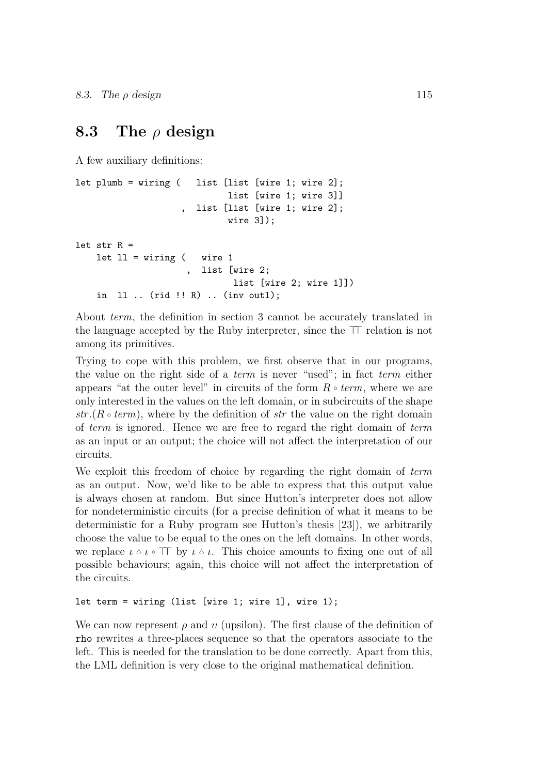## 8.3 The  $\rho$  design

A few auxiliary definitions:

```
let plumb = wiring ( list [list [wire 1; wire 2];
                             list [wire 1; wire 3]]
                      list [list [wire 1; wire 2];
                             wire 3]);
let str R =let 11 = wiring ( wire 1
                        list [wire 2;
                              list [wire 2; wire 1]])
    in ll .. (rid !! R) .. (inv outl);
```
About term, the definition in section 3 cannot be accurately translated in the language accepted by the Ruby interpreter, since the ⊤⊤ relation is not among its primitives.

Trying to cope with this problem, we first observe that in our programs, the value on the right side of a term is never "used"; in fact term either appears "at the outer level" in circuits of the form  $R \circ term$ , where we are only interested in the values on the left domain, or in subcircuits of the shape  $str(R \circ term)$ , where by the definition of str the value on the right domain of term is ignored. Hence we are free to regard the right domain of term as an input or an output; the choice will not affect the interpretation of our circuits.

We exploit this freedom of choice by regarding the right domain of term as an output. Now, we'd like to be able to express that this output value is always chosen at random. But since Hutton's interpreter does not allow for nondeterministic circuits (for a precise definition of what it means to be deterministic for a Ruby program see Hutton's thesis [23]), we arbitrarily choose the value to be equal to the ones on the left domains. In other words, we replace  $\iota \circ \iota \circ \top$  by  $\iota \circ \iota$ . This choice amounts to fixing one out of all possible behaviours; again, this choice will not affect the interpretation of the circuits.

```
let term = wiring (list [wire 1; wire 1], wire 1);
```
We can now represent  $\rho$  and  $v$  (upsilon). The first clause of the definition of rho rewrites a three-places sequence so that the operators associate to the left. This is needed for the translation to be done correctly. Apart from this, the LML definition is very close to the original mathematical definition.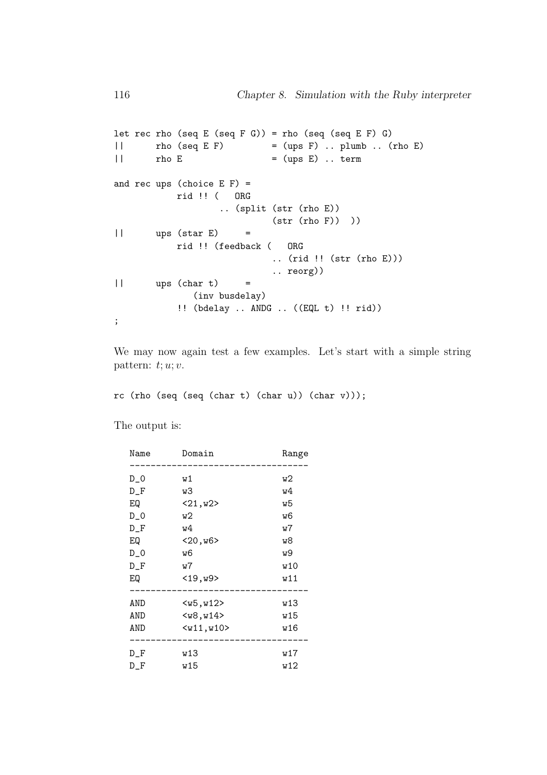```
let rec rho (seq E (seq F G)) = rho (seq (seq E F) G)
|| rho (seq E F) = (ups F) .. plumb .. (rho E)
|| rho E = (ups E) .. term
and rec ups (choice E F) =
          rid !! ( ORG
                 .. (split (str (rho E))
                          (str (rho F)) ))
|| ups (star E) =
          rid !! (feedback ( ORG
                          .. (rid !! (str (rho E)))
                          .. reorg))
|| ups (char t) =
             (inv busdelay)
          !! (bdelay .. ANDG .. ((EQL t) !! rid))
;
```
We may now again test a few examples. Let's start with a simple string pattern:  $t; u; v$ .

rc (rho (seq (seq (char t) (char u)) (char v)));

The output is:

| Name   | Domain     | Range |  |
|--------|------------|-------|--|
| $D_0$  | w1         | w2    |  |
| $D\_F$ | wЗ         | w4    |  |
| EQ     | < 21, w2   | w5    |  |
| $D_0$  | w2         | w6    |  |
| $D_F$  | w4         | w7    |  |
| EQ     | <20, w6    | w8    |  |
| $D_0$  | w6         | w9    |  |
| $D_F$  | w7         | w10   |  |
| EQ     | <19, w9    | w11   |  |
| AND    | $w5, w12>$ | W13   |  |
| AND    | $w8, w14>$ | W15   |  |
| AND    | $w11, w10$ | w16   |  |
| $D_F$  | w13        | w17   |  |
| $D_F$  | w15        | w12   |  |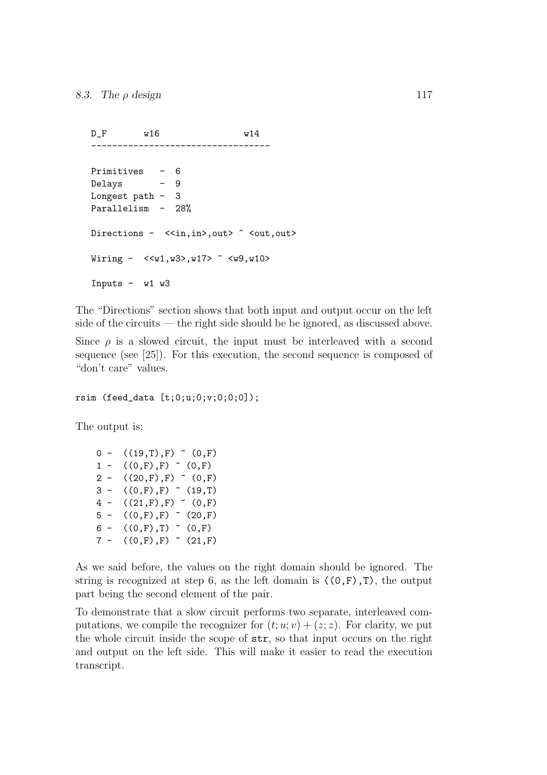$D_F$  w16 w14 ---------------------------------- Primitives - 6 Delays - 9 Longest path - 3 Parallelism - 28% Directions - <<in,in>,out> ~ <out,out> Wiring -  $\langle 4.5, 2.5, 2.5 \rangle$  +  $\langle 4.7, 2.5, 2.5 \rangle$ Inputs - w1 w3

The "Directions" section shows that both input and output occur on the left side of the circuits — the right side should be be ignored, as discussed above.

Since  $\rho$  is a slowed circuit, the input must be interleaved with a second sequence (see [25]). For this execution, the second sequence is composed of "don't care" values.

rsim (feed\_data [t;0;u;0;v;0;0;0]);

The output is:

 $0 - ((19, T), F)$   $(0, F)$  $1 - ((0,F),F)$   $(0,F)$  $2 - ((20,F),F)$   $(0,F)$  $3 - ((0,F),F)$  (19,T)  $4 - ((21,F),F)$   $(0,F)$  $5 - ((0,F),F)$   $(20,F)$ 6 -  $((0, F), T)$   $(0, F)$  $7 - ((0,F),F)$   $(21,F)$ 

As we said before, the values on the right domain should be ignored. The string is recognized at step 6, as the left domain is  $((0, F), T)$ , the output part being the second element of the pair.

To demonstrate that a slow circuit performs two separate, interleaved computations, we compile the recognizer for  $(t; u; v) + (z; z)$ . For clarity, we put the whole circuit inside the scope of str, so that input occurs on the right and output on the left side. This will make it easier to read the execution transcript.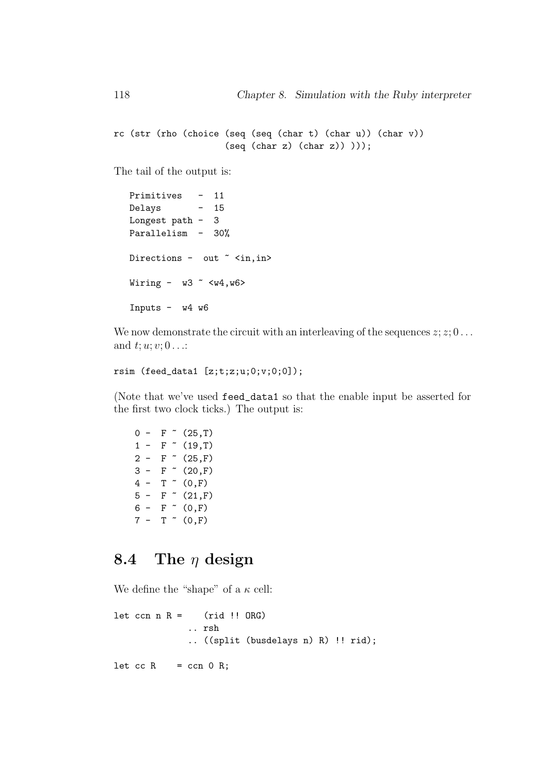rc (str (rho (choice (seq (seq (char t) (char u)) (char v))  $(\text{seq} (\text{char } z) (\text{char } z))$ ));

The tail of the output is:

```
Primitives - 11
Delays - 15
Longest path - 3
Parallelism - 30%
Directions - out " <in, in>
Wiring - w3 \sim 4, w6Inputs - w4 w6
```
We now demonstrate the circuit with an interleaving of the sequences  $z; z; 0...$ and  $t; u; v; 0 \ldots$ :

```
rsim (feed_data1 [z;t;z;u;0;v;0;0]);
```
(Note that we've used feed\_data1 so that the enable input be asserted for the first two clock ticks.) The output is:

 $0 - F$   $(25, T)$  $1 - F$   $(19, T)$  $2 - F \sim (25, F)$  $3 - F \sim (20,F)$  $4 - T \sim (0, F)$  $5 - F \sim (21, F)$  $6 - F \sim (0, F)$  $7 - T \sim (0, F)$ 

## 8.4 The  $\eta$  design

We define the "shape" of a  $\kappa$  cell:

```
let ccn n R = (rid !! ORG)
             .. rsh
             .. ((split (busdelays n) R) !! rid);
let cc R = ccn O R;
```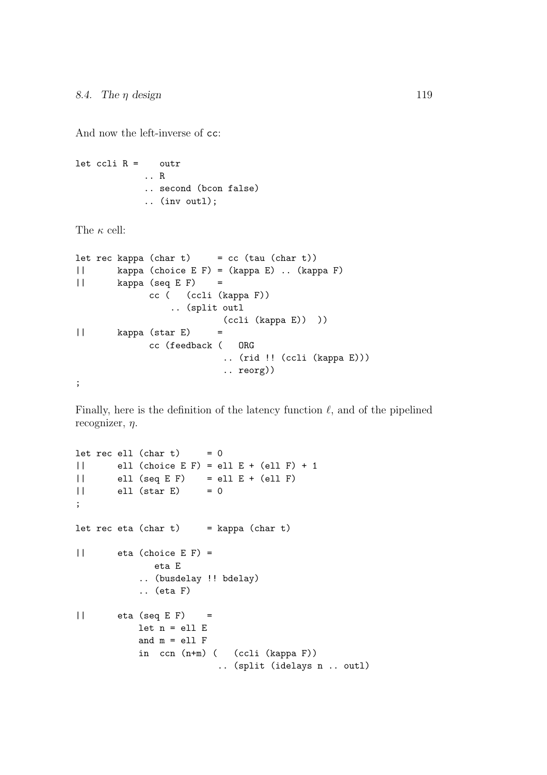And now the left-inverse of cc:

```
let ccli R = outr
            .. R
             .. second (bcon false)
             .. (inv outl);
```
The κ cell:

```
let rec kappa (char t) = cc (tau (char t))|| kappa (choice E F) = (kappa E) .. (kappa F)
| kappa (seq E F)
            cc ( (ccli (kappa F))
                .. (split outl
                         (ccli (kappa E)) ))
|| kappa (star E) =
            cc (feedback ( ORG
                         .. (rid !! (ccli (kappa E)))
                         .. reorg))
;
```
Finally, here is the definition of the latency function  $\ell$ , and of the pipelined recognizer,  $\eta$ .

```
let rec ell (char t) = 0| ell (choice E F) = ell E + (ell F) + 1
|| ell (seq E F) = ell E + (ell F)
|| ell (star E) = 0
;
let rec eta (char t) = kappa (char t)
|| eta (choice E F) =
             eta E
          .. (busdelay !! bdelay)
          .. (eta F)
|| eta (seq E F) =
          let n = e11 Eand m = e11 F
          in ccn (n+m) ( (ccli (kappa F))
                        .. (split (idelays n .. outl)
```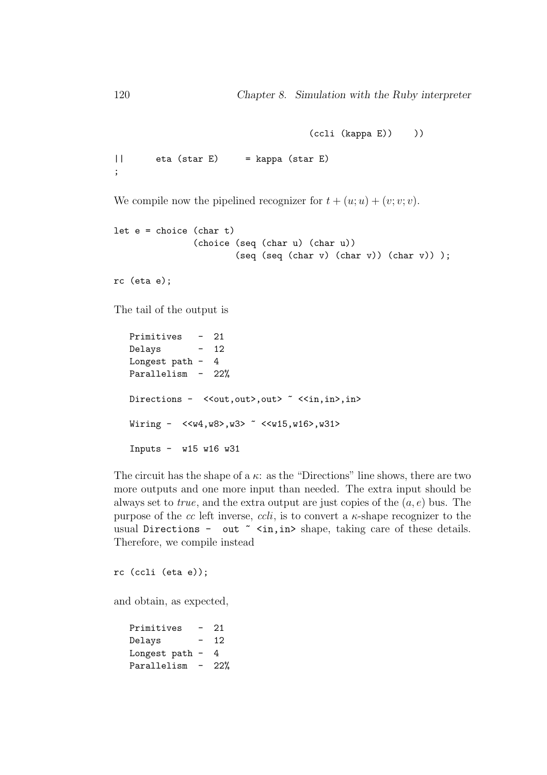```
(ccli (kappa E)) ))
```

```
|| eta (star E) = kappa (star E)
;
```
We compile now the pipelined recognizer for  $t + (u; u) + (v; v; v)$ .

```
let e = choice (char t)
               (choice (seq (char u) (char u))
                       (seq (seq (char v) (char v)) (char v)) );
```

```
rc (eta e);
```
The tail of the output is

```
Primitives - 21
Delays - 12
Longest path - 4
Parallelism - 22%
Directions - <<out,out>,out> ~ <<in,in>,in>
Wiring - <<w4,w8>,w3> ~ <<w15,w16>,w31>
Inputs - w15 w16 w31
```
The circuit has the shape of a  $\kappa$ : as the "Directions" line shows, there are two more outputs and one more input than needed. The extra input should be always set to *true*, and the extra output are just copies of the  $(a, e)$  bus. The purpose of the cc left inverse, ccli, is to convert a  $\kappa$ -shape recognizer to the usual Directions - out  $\tilde{\phantom{a}}$   $\langle \text{in,in} \rangle$  shape, taking care of these details. Therefore, we compile instead

```
rc (ccli (eta e));
```
and obtain, as expected,

```
Primitives - 21
Delays - 12
Longest path -4Parallelism - 22%
```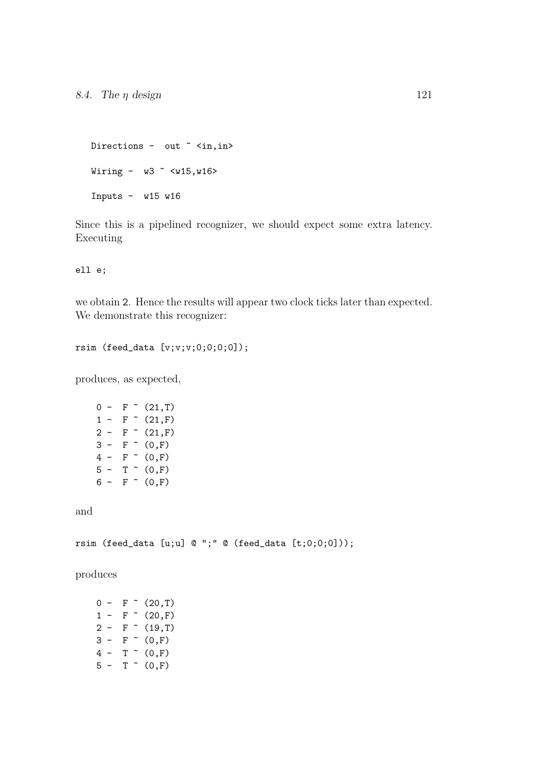```
Directions - out " <in, in>
Wiring - w3 \sim \langle w15, w16 \rangleInputs - w15 w16
```
Since this is a pipelined recognizer, we should expect some extra latency. Executing

ell e;

we obtain 2. Hence the results will appear two clock ticks later than expected. We demonstrate this recognizer:

```
rsim (feed_data [v;v;v;0;0;0;0]);
```
produces, as expected,

| 0 -   |     | F ~ | (21, T) |
|-------|-----|-----|---------|
|       | 1 - | F ~ | (21, F) |
| 2 -   |     | F ~ | (21,F)  |
| $3 -$ |     | F ~ | (0,F)   |
| 4 -   |     | F ~ | (0,F)   |
|       | 5 – | T ~ | (0,F)   |
|       | 6 - | F ~ | (0,F)   |
|       |     |     |         |

and

rsim (feed\_data [u;u] @ ";" @ (feed\_data [t;0;0;0]));

produces

| 0 -   | F ~           | (20,T)  |
|-------|---------------|---------|
| 1 -   | F ~           | (20,F)  |
| $2 -$ | $F \tilde{ }$ | (19, T) |
| $3 -$ | F ~           | (0,F)   |
| 4 -   | ፐ ~           | (0,F)   |
| 5 -   | ፐ ~           | (0,F)   |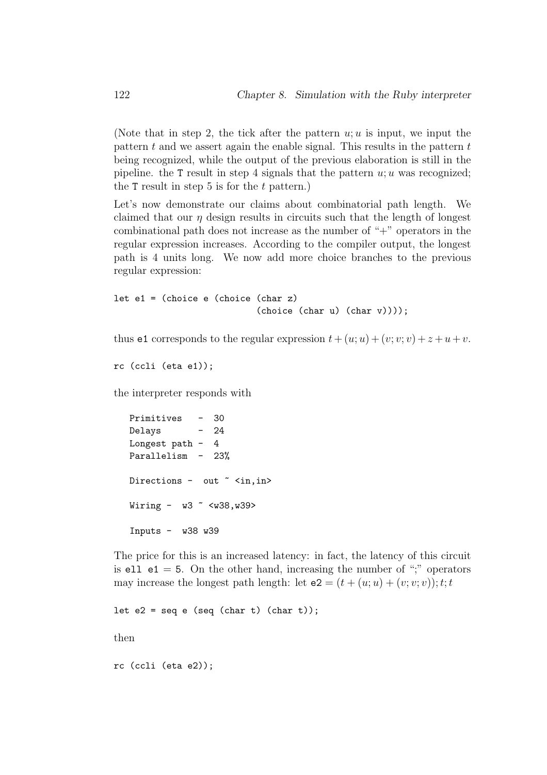(Note that in step 2, the tick after the pattern  $u; u$  is input, we input the pattern  $t$  and we assert again the enable signal. This results in the pattern  $t$ being recognized, while the output of the previous elaboration is still in the pipeline. the T result in step 4 signals that the pattern  $u; u$  was recognized; the  $T$  result in step  $5$  is for the  $t$  pattern.)

Let's now demonstrate our claims about combinatorial path length. We claimed that our  $\eta$  design results in circuits such that the length of longest combinational path does not increase as the number of "+" operators in the regular expression increases. According to the compiler output, the longest path is 4 units long. We now add more choice branches to the previous regular expression:

```
let e1 = (choice e (choice (char z)
                           (choice (char u) (char v))));
```
thus e1 corresponds to the regular expression  $t + (u; u) + (v; v; v) + z + u + v$ .

```
rc (ccli (eta e1));
```
the interpreter responds with

```
Primitives - 30
Delays - 24
Longest path - 4
Parallelism - 23%
Directions - out " <in, in>
Wiring - w3 \sim <w38, w39>
Inputs - w38 w39
```
The price for this is an increased latency: in fact, the latency of this circuit is ell e1 = 5. On the other hand, increasing the number of ";" operators may increase the longest path length: let  $e2 = (t + (u; u) + (v; v; v)); t; t$ 

let  $e2 = seq e (seq (char t) (char t));$ 

then

rc (ccli (eta e2));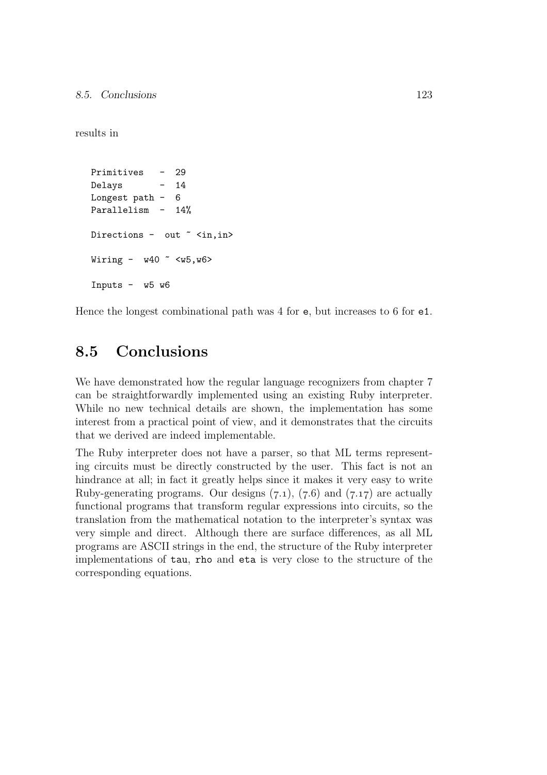results in

```
Primitives - 29
Delays - 14
Longest path - 6
Parallelism - 14%
Directions - out " <in, in>
Wiring - w40 \sim \langle w5, w6 \rangleInputs - w5 w6
```
Hence the longest combinational path was 4 for e, but increases to 6 for e1.

## 8.5 Conclusions

We have demonstrated how the regular language recognizers from chapter 7 can be straightforwardly implemented using an existing Ruby interpreter. While no new technical details are shown, the implementation has some interest from a practical point of view, and it demonstrates that the circuits that we derived are indeed implementable.

The Ruby interpreter does not have a parser, so that ML terms representing circuits must be directly constructed by the user. This fact is not an hindrance at all; in fact it greatly helps since it makes it very easy to write Ruby-generating programs. Our designs  $(7.1)$ ,  $(7.6)$  and  $(7.17)$  are actually functional programs that transform regular expressions into circuits, so the translation from the mathematical notation to the interpreter's syntax was very simple and direct. Although there are surface differences, as all ML programs are ASCII strings in the end, the structure of the Ruby interpreter implementations of tau, rho and eta is very close to the structure of the corresponding equations.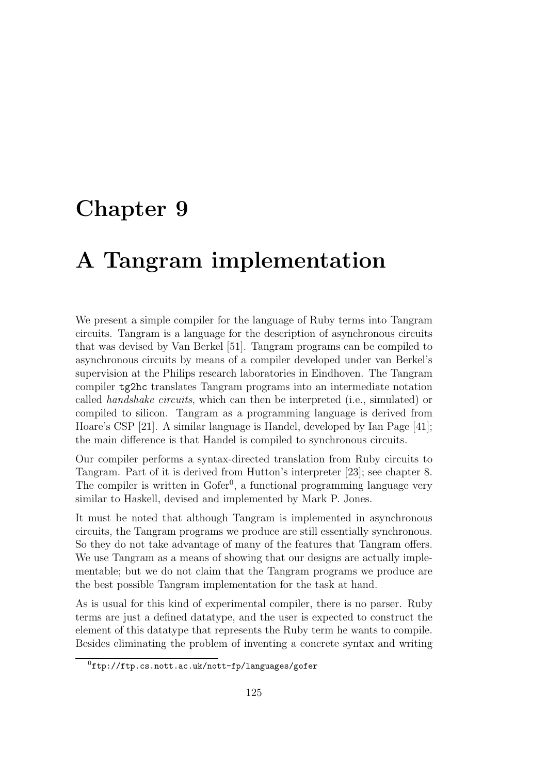## Chapter 9

# A Tangram implementation

We present a simple compiler for the language of Ruby terms into Tangram circuits. Tangram is a language for the description of asynchronous circuits that was devised by Van Berkel [51]. Tangram programs can be compiled to asynchronous circuits by means of a compiler developed under van Berkel's supervision at the Philips research laboratories in Eindhoven. The Tangram compiler tg2hc translates Tangram programs into an intermediate notation called handshake circuits, which can then be interpreted (i.e., simulated) or compiled to silicon. Tangram as a programming language is derived from Hoare's CSP [21]. A similar language is Handel, developed by Ian Page [41]; the main difference is that Handel is compiled to synchronous circuits.

Our compiler performs a syntax-directed translation from Ruby circuits to Tangram. Part of it is derived from Hutton's interpreter [23]; see chapter 8. The compiler is written in Gofer<sup>0</sup>, a functional programming language very similar to Haskell, devised and implemented by Mark P. Jones.

It must be noted that although Tangram is implemented in asynchronous circuits, the Tangram programs we produce are still essentially synchronous. So they do not take advantage of many of the features that Tangram offers. We use Tangram as a means of showing that our designs are actually implementable; but we do not claim that the Tangram programs we produce are the best possible Tangram implementation for the task at hand.

As is usual for this kind of experimental compiler, there is no parser. Ruby terms are just a defined datatype, and the user is expected to construct the element of this datatype that represents the Ruby term he wants to compile. Besides eliminating the problem of inventing a concrete syntax and writing

 ${}^{0}$ ftp://ftp.cs.nott.ac.uk/nott-fp/languages/gofer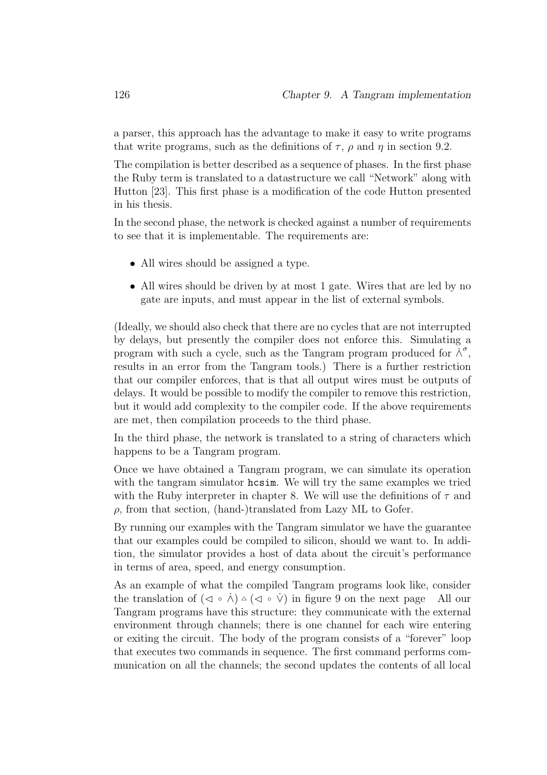a parser, this approach has the advantage to make it easy to write programs that write programs, such as the definitions of  $\tau$ ,  $\rho$  and  $\eta$  in section 9.2.

The compilation is better described as a sequence of phases. In the first phase the Ruby term is translated to a datastructure we call "Network" along with Hutton [23]. This first phase is a modification of the code Hutton presented in his thesis.

In the second phase, the network is checked against a number of requirements to see that it is implementable. The requirements are:

- All wires should be assigned a type.
- All wires should be driven by at most 1 gate. Wires that are led by no gate are inputs, and must appear in the list of external symbols.

(Ideally, we should also check that there are no cycles that are not interrupted by delays, but presently the compiler does not enforce this. Simulating a program with such a cycle, such as the Tangram program produced for  $\check{\wedge}^{\sigma}$ , results in an error from the Tangram tools.) There is a further restriction that our compiler enforces, that is that all output wires must be outputs of delays. It would be possible to modify the compiler to remove this restriction, but it would add complexity to the compiler code. If the above requirements are met, then compilation proceeds to the third phase.

In the third phase, the network is translated to a string of characters which happens to be a Tangram program.

Once we have obtained a Tangram program, we can simulate its operation with the tangram simulator hcsim. We will try the same examples we tried with the Ruby interpreter in chapter 8. We will use the definitions of  $\tau$  and  $\rho$ , from that section, (hand-)translated from Lazy ML to Gofer.

By running our examples with the Tangram simulator we have the guarantee that our examples could be compiled to silicon, should we want to. In addition, the simulator provides a host of data about the circuit's performance in terms of area, speed, and energy consumption.

As an example of what the compiled Tangram programs look like, consider the translation of  $(\langle \cdot \rangle \circ \dot{\wedge}) \circ (\langle \cdot \rangle \circ \dot{\vee})$  in figure 9 on the next page All our Tangram programs have this structure: they communicate with the external environment through channels; there is one channel for each wire entering or exiting the circuit. The body of the program consists of a "forever" loop that executes two commands in sequence. The first command performs communication on all the channels; the second updates the contents of all local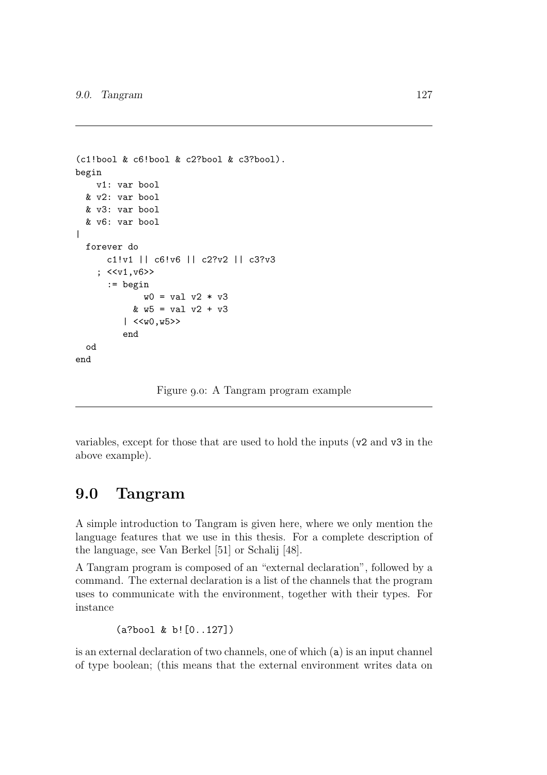```
(c1!bool & c6!bool & c2?bool & c3?bool).
begin
    v1: var bool
  & v2: var bool
  & v3: var bool
  & v6: var bool
|
  forever do
      c1!v1 || c6!v6 || c2?v2 || c3?v3
    ; <<v1, v6>>:= begin
             w0 = val v2 * v3& w5 = val v2 + v3| <<sub>w0, w5>>end
  od
end
```
Figure 9.0: A Tangram program example

variables, except for those that are used to hold the inputs (v2 and v3 in the above example).

## 9.0 Tangram

A simple introduction to Tangram is given here, where we only mention the language features that we use in this thesis. For a complete description of the language, see Van Berkel [51] or Schalij [48].

A Tangram program is composed of an "external declaration", followed by a command. The external declaration is a list of the channels that the program uses to communicate with the environment, together with their types. For instance

(a?bool & b![0..127])

is an external declaration of two channels, one of which (a) is an input channel of type boolean; (this means that the external environment writes data on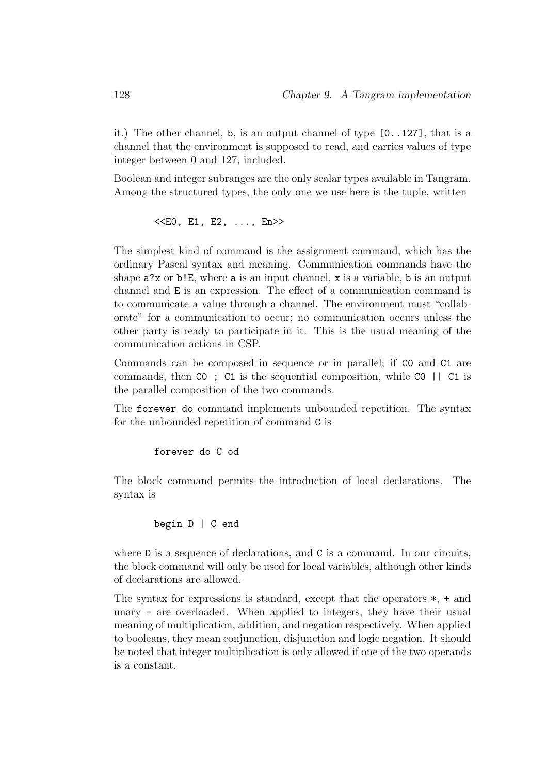it.) The other channel, b, is an output channel of type [0..127], that is a channel that the environment is supposed to read, and carries values of type integer between 0 and 127, included.

Boolean and integer subranges are the only scalar types available in Tangram. Among the structured types, the only one we use here is the tuple, written

```
<< E0, E1, E2, ..., En>>
```
The simplest kind of command is the assignment command, which has the ordinary Pascal syntax and meaning. Communication commands have the shape  $a$ ?x or b!E, where a is an input channel, x is a variable, b is an output channel and E is an expression. The effect of a communication command is to communicate a value through a channel. The environment must "collaborate" for a communication to occur; no communication occurs unless the other party is ready to participate in it. This is the usual meaning of the communication actions in CSP.

Commands can be composed in sequence or in parallel; if C0 and C1 are commands, then C0 ; C1 is the sequential composition, while C0 || C1 is the parallel composition of the two commands.

The forever do command implements unbounded repetition. The syntax for the unbounded repetition of command C is

forever do C od

The block command permits the introduction of local declarations. The syntax is

```
begin D | C end
```
where D is a sequence of declarations, and C is a command. In our circuits, the block command will only be used for local variables, although other kinds of declarations are allowed.

The syntax for expressions is standard, except that the operators  $*, +$  and unary - are overloaded. When applied to integers, they have their usual meaning of multiplication, addition, and negation respectively. When applied to booleans, they mean conjunction, disjunction and logic negation. It should be noted that integer multiplication is only allowed if one of the two operands is a constant.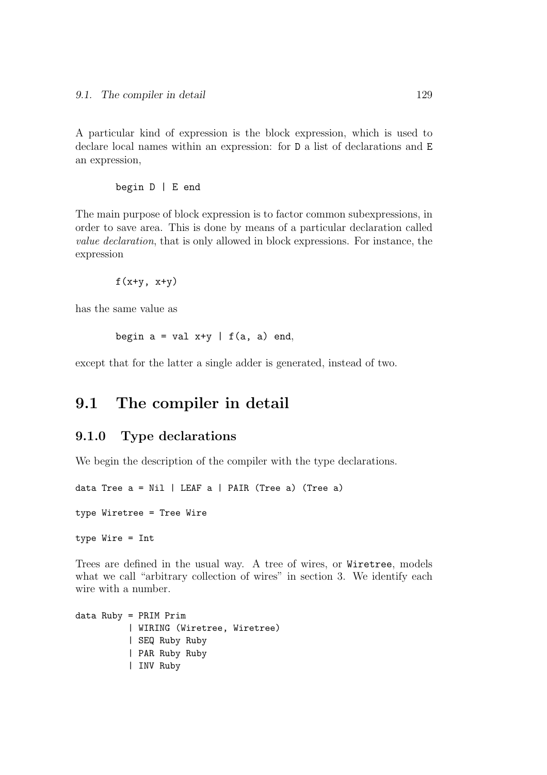A particular kind of expression is the block expression, which is used to declare local names within an expression: for D a list of declarations and E an expression,

begin D | E end

The main purpose of block expression is to factor common subexpressions, in order to save area. This is done by means of a particular declaration called value declaration, that is only allowed in block expressions. For instance, the expression

```
f(x+y, x+y)
```
has the same value as

begin  $a = val x+y$  |  $f(a, a)$  end,

except that for the latter a single adder is generated, instead of two.

## 9.1 The compiler in detail

#### 9.1.0 Type declarations

We begin the description of the compiler with the type declarations.

data Tree a = Nil | LEAF a | PAIR (Tree a) (Tree a)

type Wiretree = Tree Wire

type Wire = Int

Trees are defined in the usual way. A tree of wires, or Wiretree, models what we call "arbitrary collection of wires" in section 3. We identify each wire with a number.

```
data Ruby = PRIM Prim
          | WIRING (Wiretree, Wiretree)
          | SEQ Ruby Ruby
          | PAR Ruby Ruby
          | INV Ruby
```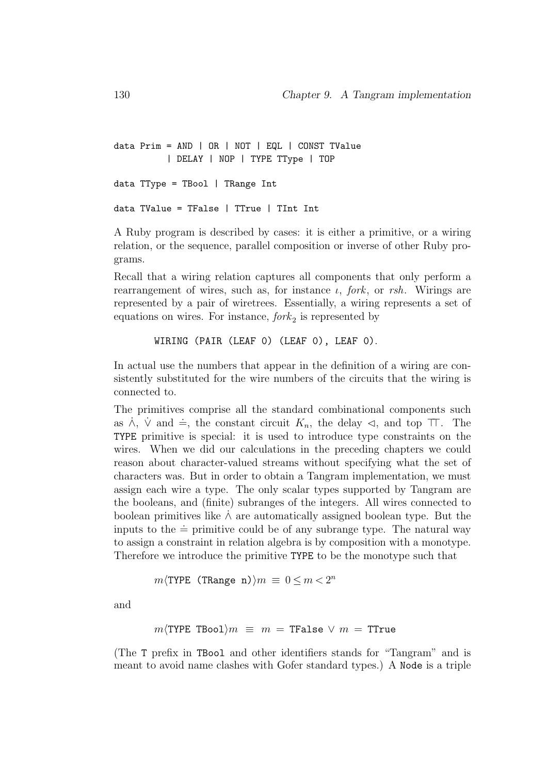```
data Prim = AND | OR | NOT | EQL | CONST TValue
          | DELAY | NOP | TYPE TType | TOP
data TType = TBool | TRange Int
data TValue = TFalse | TTrue | TInt Int
```
A Ruby program is described by cases: it is either a primitive, or a wiring relation, or the sequence, parallel composition or inverse of other Ruby programs.

Recall that a wiring relation captures all components that only perform a rearrangement of wires, such as, for instance  $\iota$ , fork, or rsh. Wirings are represented by a pair of wiretrees. Essentially, a wiring represents a set of equations on wires. For instance,  $fork<sub>2</sub>$  is represented by

```
WIRING (PAIR (LEAF 0) (LEAF 0), LEAF 0).
```
In actual use the numbers that appear in the definition of a wiring are consistently substituted for the wire numbers of the circuits that the wiring is connected to.

The primitives comprise all the standard combinational components such as  $\dot{\wedge}$ ,  $\dot{\vee}$  and  $\dot{=}$ , the constant circuit  $K_n$ , the delay  $\triangleleft$ , and top  $\top$ . The TYPE primitive is special: it is used to introduce type constraints on the wires. When we did our calculations in the preceding chapters we could reason about character-valued streams without specifying what the set of characters was. But in order to obtain a Tangram implementation, we must assign each wire a type. The only scalar types supported by Tangram are the booleans, and (finite) subranges of the integers. All wires connected to boolean primitives like  $\Lambda$  are automatically assigned boolean type. But the inputs to the  $\dot{=}$  primitive could be of any subrange type. The natural way to assign a constraint in relation algebra is by composition with a monotype. Therefore we introduce the primitive TYPE to be the monotype such that

$$
m\langle \text{TYPE (Change n)} \rangle m \equiv 0 \le m < 2^n
$$

and

$$
m\langle \text{TYPE TBool}\rangle m \;\equiv\; m \;=\; \text{TFalse}\; \vee \; m \;=\; \text{TTrue}
$$

(The T prefix in TBool and other identifiers stands for "Tangram" and is meant to avoid name clashes with Gofer standard types.) A Node is a triple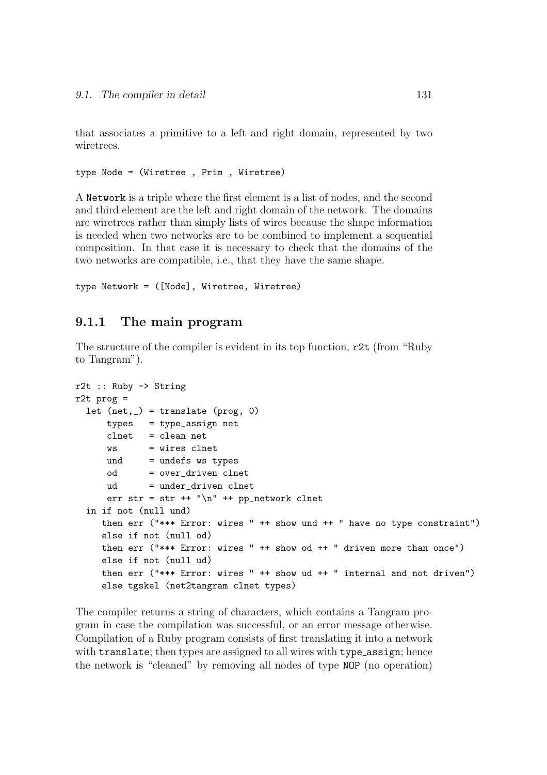that associates a primitive to a left and right domain, represented by two wiretrees.

```
type Node = (Wiretree , Prim , Wiretree)
```
A Network is a triple where the first element is a list of nodes, and the second and third element are the left and right domain of the network. The domains are wiretrees rather than simply lists of wires because the shape information is needed when two networks are to be combined to implement a sequential composition. In that case it is necessary to check that the domains of the two networks are compatible, i.e., that they have the same shape.

```
type Network = ([Node], Wiretree, Wiretree)
```
#### 9.1.1 The main program

The structure of the compiler is evident in its top function, r2t (from "Ruby to Tangram").

```
r2t :: Ruby -> String
r2t prog =
  let (net, ) = translate (prog, 0)types = type_assign net
      clnet = clean net
     ws = wires clnet
     und = undefs ws types
      od = over_driven clnet
      ud = under_driven clnet
      err str = str ++ "\n\frac{n}{+} ++ pp_network clnet
  in if not (null und)
     then err ("*** Error: wires " ++ show und ++ " have no type constraint")
     else if not (null od)
    then err ("*** Error: wires " ++ show od ++ " driven more than once")
     else if not (null ud)
    then err ("*** Error: wires " ++ show ud ++ " internal and not driven")
     else tgskel (net2tangram clnet types)
```
The compiler returns a string of characters, which contains a Tangram program in case the compilation was successful, or an error message otherwise. Compilation of a Ruby program consists of first translating it into a network with translate; then types are assigned to all wires with type\_assign; hence the network is "cleaned" by removing all nodes of type NOP (no operation)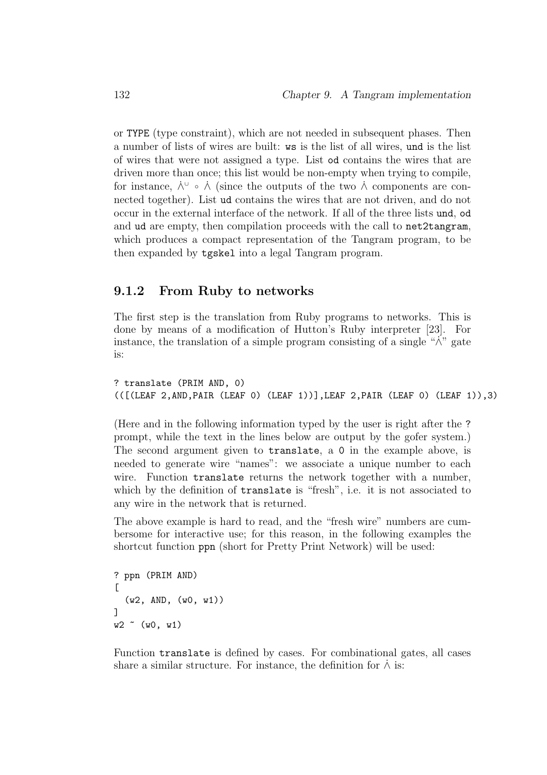or TYPE (type constraint), which are not needed in subsequent phases. Then a number of lists of wires are built: ws is the list of all wires, und is the list of wires that were not assigned a type. List od contains the wires that are driven more than once; this list would be non-empty when trying to compile, for instance,  $\dot{\wedge}^{\cup} \circ \dot{\wedge}$  (since the outputs of the two  $\dot{\wedge}$  components are connected together). List ud contains the wires that are not driven, and do not occur in the external interface of the network. If all of the three lists und, od and ud are empty, then compilation proceeds with the call to net2tangram, which produces a compact representation of the Tangram program, to be then expanded by tgskel into a legal Tangram program.

#### 9.1.2 From Ruby to networks

The first step is the translation from Ruby programs to networks. This is done by means of a modification of Hutton's Ruby interpreter [23]. For instance, the translation of a simple program consisting of a single " $\lambda$ " gate is:

```
? translate (PRIM AND, 0)
(([(LEAF 2, AND, PAIR (LEAF 0) (LEAF 1))], LEAF 2, PAIR (LEAF 0) (LEAF 1)),3)
```
(Here and in the following information typed by the user is right after the ? prompt, while the text in the lines below are output by the gofer system.) The second argument given to translate, a 0 in the example above, is needed to generate wire "names": we associate a unique number to each wire. Function translate returns the network together with a number, which by the definition of translate is "fresh", i.e. it is not associated to any wire in the network that is returned.

The above example is hard to read, and the "fresh wire" numbers are cumbersome for interactive use; for this reason, in the following examples the shortcut function ppn (short for Pretty Print Network) will be used:

```
? ppn (PRIM AND)
\Gamma(w2, AND, (w0, w1))]
w2 \sim (w0, w1)
```
Function translate is defined by cases. For combinational gates, all cases share a similar structure. For instance, the definition for  $\dot{\wedge}$  is: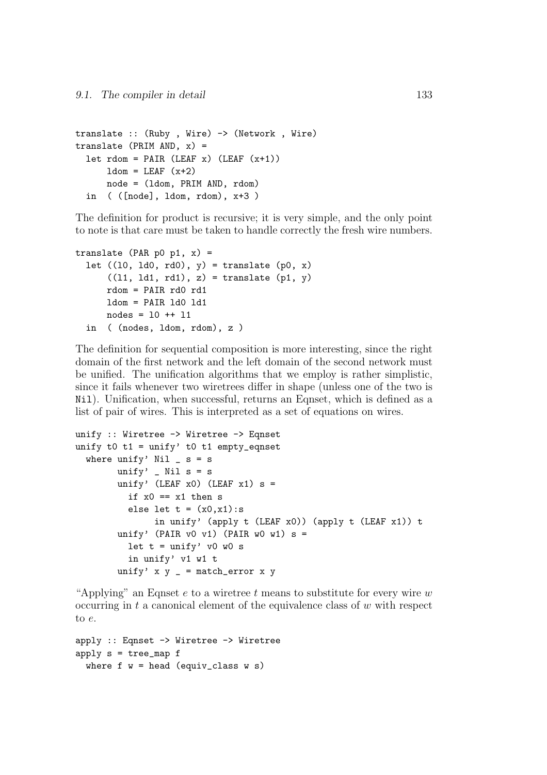```
translate :: (Ruby , Wire) -> (Network , Wire)
translate (PRIM AND, x) =
  let rdom = PAIR (LEAF x) (LEAF (x+1))
      ldom = LFAF (x+2)node = (ldom, PRIM AND, rdom)
  in ( ([node], ldom, rdom), x+3 )
```
The definition for product is recursive; it is very simple, and the only point to note is that care must be taken to handle correctly the fresh wire numbers.

```
translate (PAR p0 p1, x) =
  let ((10, 1d0, rd0), y) = translate (p0, x)((11, 1d1, rd1), z) = translate (p1, y)rdom = PAIR rd0 rd1
     1dom = PAIR 1d0 1d1nodes = 10 ++ 11in ( (nodes, ldom, rdom), z )
```
The definition for sequential composition is more interesting, since the right domain of the first network and the left domain of the second network must be unified. The unification algorithms that we employ is rather simplistic, since it fails whenever two wiretrees differ in shape (unless one of the two is Nil). Unification, when successful, returns an Eqnset, which is defined as a list of pair of wires. This is interpreted as a set of equations on wires.

```
unify :: Wiretree -> Wiretree -> Eqnset
unify t0 t1 = \text{unify'} t0 t1 = \text{empty\_eqnset}where unity' Nil _s = sunify' \_ Nil s = sunify' (LEAF x0) (LEAF x1) s =
          if x0 == x1 then s
          else let t = (x0, x1):s
                in unify' (apply t (LEAF x0)) (apply t (LEAF x1)) t
        unify' (PAIR v0 v1) (PAIR w0 w1) s =let t = unify' v0 w0 s
          in unify' v1 w1 t
        unify' x y = = match_error x y
```
"Applying" an Eqnset e to a wiretree t means to substitute for every wire  $w$ occurring in  $t$  a canonical element of the equivalence class of  $w$  with respect to e.

```
apply :: Eqnset -> Wiretree -> Wiretree
apply s = tree map f
 where f w = head (equiv\_class w s)
```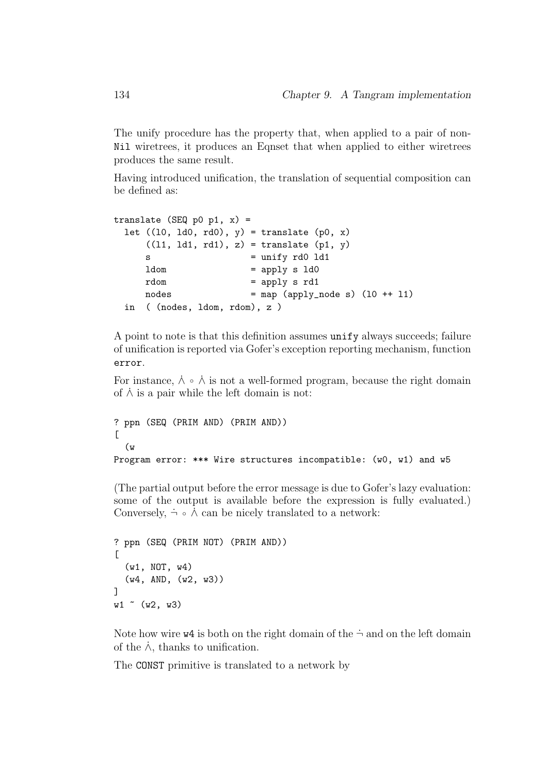The unify procedure has the property that, when applied to a pair of non-Nil wiretrees, it produces an Eqnset that when applied to either wiretrees produces the same result.

Having introduced unification, the translation of sequential composition can be defined as:

```
translate (SEQ p0 p1, x) =
 let ((10, 1d0, rd0), y) = \text{translate } (p0, x)((11, 1d1, rd1), z) = translate (p1, y)s = \text{unify } r d0 ld1
     1dom = apply s 1d0
     rdom = apply s rd1
     nodes = map (apply\_node s) (10 ++ 11)in ( (nodes, ldom, rdom), z )
```
A point to note is that this definition assumes unify always succeeds; failure of unification is reported via Gofer's exception reporting mechanism, function error.

For instance,  $\dot{\wedge} \circ \dot{\wedge}$  is not a well-formed program, because the right domain of  $\Lambda$  is a pair while the left domain is not:

```
? ppn (SEQ (PRIM AND) (PRIM AND))
\Gamma(w
Program error: *** Wire structures incompatible: (w0, w1) and w5
```
(The partial output before the error message is due to Gofer's lazy evaluation: some of the output is available before the expression is fully evaluated.) Conversely,  $\dot{\neg} \circ \dot{\wedge}$  can be nicely translated to a network:

```
? ppn (SEQ (PRIM NOT) (PRIM AND))
\Gamma(w1, NOT, w4)
  (w4, \text{AND}, (w2, w3))]
w1 (w2, w3)
```
Note how wire  $w4$  is both on the right domain of the  $\dot{\neg}$  and on the left domain of the  $\dot{\wedge}$ , thanks to unification.

The CONST primitive is translated to a network by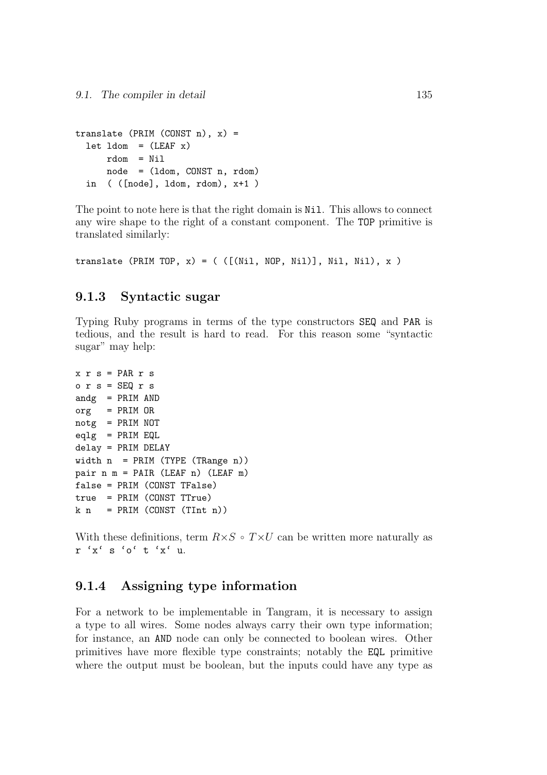```
translate (PRIM (CONST n), x) =
  let ldom = (LEAF x)rdom = Nil
     node = (ldom, CONST n, rdom)
  in ( ([node], ldom, rdom), x+1 )
```
The point to note here is that the right domain is Nil. This allows to connect any wire shape to the right of a constant component. The TOP primitive is translated similarly:

translate (PRIM TOP,  $x$ ) = ( ([(Nil, NOP, Nil)], Nil, Nil),  $x$ )

#### 9.1.3 Syntactic sugar

Typing Ruby programs in terms of the type constructors SEQ and PAR is tedious, and the result is hard to read. For this reason some "syntactic sugar" may help:

```
x \r s = PAR r sors = SEQrs
andg = PRIM AND\text{org} = PRIM OR
notg = PRIM NOT
eqlg = PRIM EQL
delay = PRIM DELAY
width n = PRIM (TYPE (TRange n))
pair n m = PAIR (LEAF n) (LEAF m)
false = PRIM (CONST TFalse)
true = PRIM (CONST TTrue)
k n = PRIM (CONST (TInt n))
```
With these definitions, term  $R \times S \circ T \times U$  can be written more naturally as r 'x' s 'o' t 'x' u.

### 9.1.4 Assigning type information

For a network to be implementable in Tangram, it is necessary to assign a type to all wires. Some nodes always carry their own type information; for instance, an AND node can only be connected to boolean wires. Other primitives have more flexible type constraints; notably the EQL primitive where the output must be boolean, but the inputs could have any type as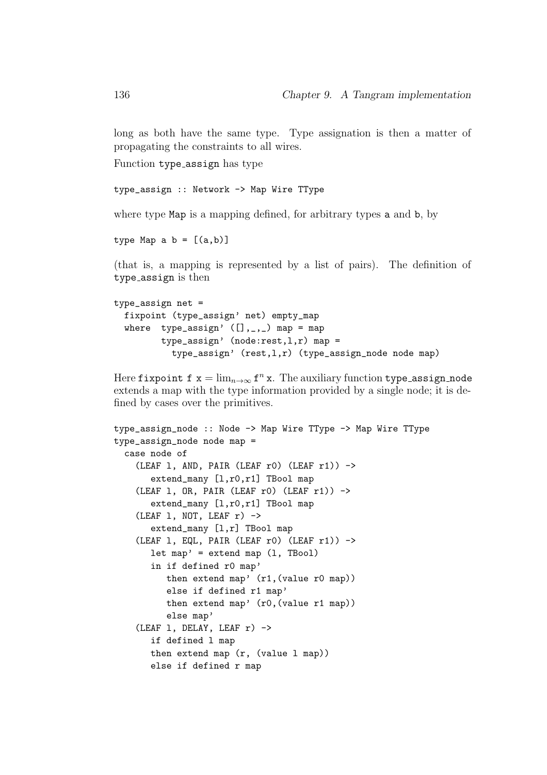long as both have the same type. Type assignation is then a matter of propagating the constraints to all wires.

Function type assign has type

```
type_assign :: Network -> Map Wire TType
```
where type Map is a mapping defined, for arbitrary types a and b, by

type Map a  $b = [(a,b)]$ 

(that is, a mapping is represented by a list of pairs). The definition of type assign is then

```
type_assign net =
  fixpoint (type_assign' net) empty_map
  where type_assign' ([],\_,\_) map = map
         type_assign' (node:rest,l,r) map =
           type_assign' (rest,l,r) (type_assign_node node map)
```
Here fixpoint f  $x = \lim_{n\to\infty} f^n x$ . The auxiliary function type\_assign\_node extends a map with the type information provided by a single node; it is defined by cases over the primitives.

```
type_assign_node :: Node -> Map Wire TType -> Map Wire TType
type_assign_node node map =
  case node of
    (LEAF l, AND, PAIR (LEAF r0) (LEAF r1)) ->
       extend_many [1,r0,r1] TBool map
    (LEAF 1, OR, PAIR (LEAF r0) (LEAF r1)) ->
       extend_many [1,r0,r1] TBool map
    (LEAF 1, NOT, LEAF r) ->
       extend_many [l,r] TBool map
    (LEAF l, EQL, PAIR (LEAF r0) (LEAF r1)) ->
       let map' = extend map (1, T_{\text{Bool}})in if defined r0 map'
          then extend map' (r1, (value r0 map))
          else if defined r1 map'
          then extend map' (r0,(value r1 map))
          else map'
    (LEAF l, DELAY, LEAF r) ->
       if defined l map
       then extend map (r, (value l map))
       else if defined r map
```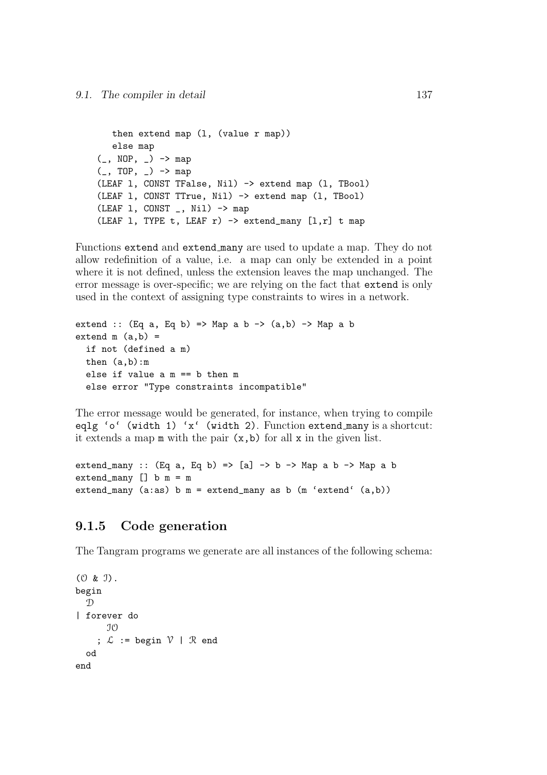```
then extend map (l, (value r map))
  else map
(, NOP, ) -> map
(, TOP, _) -> map
(LEAF l, CONST TFalse, Nil) -> extend map (l, TBool)
(LEAF l, CONST TTrue, Nil) -> extend map (l, TBool)
(LEAF 1, CONST _, Nil) \rightarrow map
(LEAF 1, TYPE t, LEAF r) -> extend_many [1,r] t map
```
Functions extend and extend many are used to update a map. They do not allow redefinition of a value, i.e. a map can only be extended in a point where it is not defined, unless the extension leaves the map unchanged. The error message is over-specific; we are relying on the fact that extend is only used in the context of assigning type constraints to wires in a network.

```
extend :: (Eq a, Eq b) \Rightarrow Map a b \Rightarrow (a,b) \Rightarrow Map a bextend m (a,b) =if not (defined a m)
  then (a,b):m
  else if value a m == b then m
  else error "Type constraints incompatible"
```
The error message would be generated, for instance, when trying to compile eqlg 'o' (width 1) 'x' (width 2). Function extend many is a shortcut: it extends a map  $m$  with the pair  $(x,b)$  for all x in the given list.

```
extend_many :: (Eq a, Eq b) => [a] -> b -> Map a b -> Map a b
extend_many [] b m = m
extend_many (a:as) b m = extend_many as b (m 'extend' (a,b))
```
### 9.1.5 Code generation

The Tangram programs we generate are all instances of the following schema:

```
(O & I).
begin
   \mathcal{D}| forever do
          IO
       ; \mathcal{L} := begin \mathcal{V} | \mathcal{R} end
   od
end
```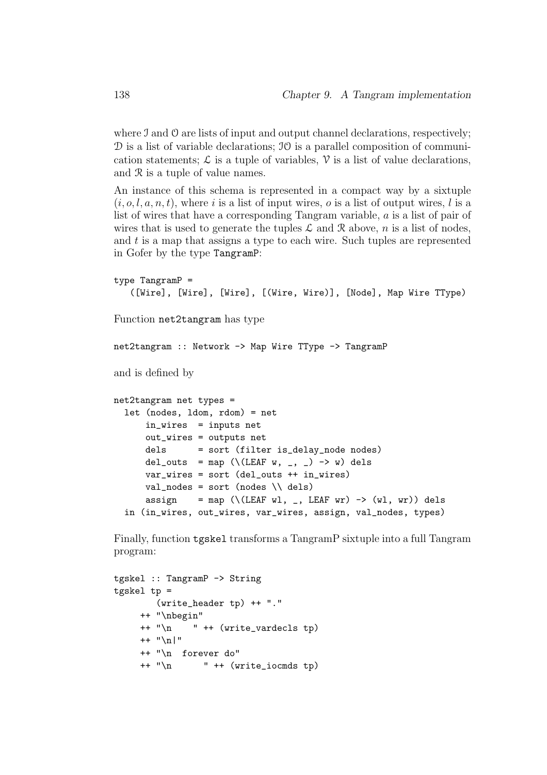where  $\mathcal I$  and  $\mathcal O$  are lists of input and output channel declarations, respectively; D is a list of variable declarations; IO is a parallel composition of communication statements;  $\mathcal{L}$  is a tuple of variables,  $\mathcal{V}$  is a list of value declarations, and  $\mathcal R$  is a tuple of value names.

An instance of this schema is represented in a compact way by a sixtuple  $(i, o, l, a, n, t)$ , where i is a list of input wires, o is a list of output wires, l is a list of wires that have a corresponding Tangram variable, a is a list of pair of wires that is used to generate the tuples  $\mathcal L$  and  $\mathcal R$  above, n is a list of nodes, and  $t$  is a map that assigns a type to each wire. Such tuples are represented in Gofer by the type TangramP:

```
type TangramP =
```
([Wire], [Wire], [Wire], [(Wire, Wire)], [Node], Map Wire TType)

Function net2tangram has type

net2tangram :: Network -> Map Wire TType -> TangramP

and is defined by

```
net2tangram net types =
  let (nodes, ldom, rdom) = net
      in_wires = inputs net
      out_wires = outputs net
      dels = sort (filter is_delay_node nodes)
      del_outs = map (\left(\left(\begin{matrix}LEAF & w, , \end{matrix}\right) \rightarrow w\right) dels
      var_wires = sort (del_outs ++ in_wires)
      val\_nodes = sort (nodes \ \ \ \ \assign = map (\angle(LEAF wl, _, LEAF wr) -> (wl, wr)) dels
  in (in_wires, out_wires, var_wires, assign, val_nodes, types)
```
Finally, function tgskel transforms a TangramP sixtuple into a full Tangram program:

```
tgskel :: TangramP -> String
tgskel tp =(write_header tp) ++ "."
    ++ "\nbegin"
    ++ "\n " ++ (write_vardecls tp)
    ++ "\ln|"
    ++ "\n forever do"
    ++ "\n " ++ (write_iocmds tp)
```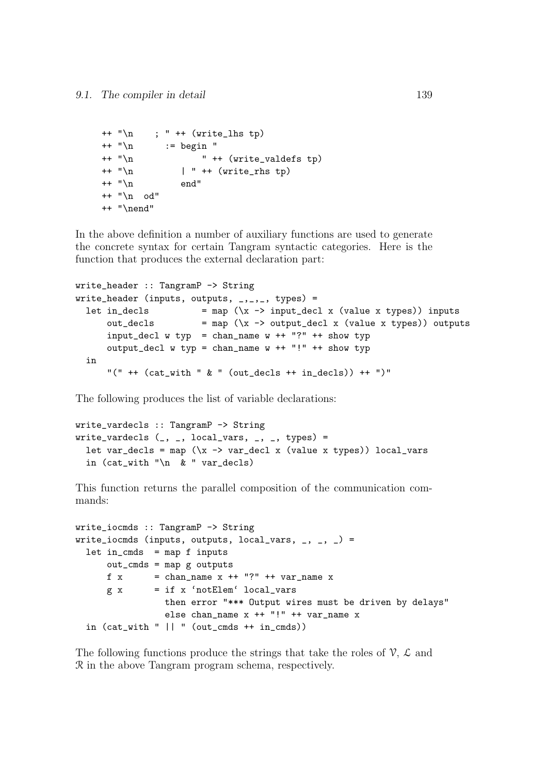```
++ "\n ; " ++ (write_lhs tp)
++ "\n\lambda := begin "
++ "\n\lambda" ++ (write valdefs tp)
++ "\n\frac{1}{n} | " ++ (write_rhs tp)
++ "\n\times " end"
++ "\n od"
++ "\nend"
```
In the above definition a number of auxiliary functions are used to generate the concrete syntax for certain Tangram syntactic categories. Here is the function that produces the external declaration part:

```
write_header :: TangramP -> String
write_header (inputs, outputs, \frac{1}{2}, \frac{1}{2}, \frac{1}{2}, \frac{1}{2}let in_decls = map (\xrightarrow{x} input_decl x (value x types)) inputs
      out\_decls = map (\x \rightarrow \text{output\_dec1 x} (value x types)) outputs
      input\_decl w typ = chan_name w ++ "?" ++ show typ
      output_decl w typ = chan_name w ++ "!" ++ show typ
  in
      "(" ++ (cat_with " & " (out_decls ++ in_decls)) ++ ")"
```
The following produces the list of variable declarations:

```
write_vardecls :: TangramP -> String
write_vardecls (\_, \_, local_vars, \_, \_, types) =
  let var_decls = map (\xrightarrow x \text{ or } \text{decl } x \text{ (value } x \text{ types})) local_vars
  in (cat_with "\n & " var_decls)
```
This function returns the parallel composition of the communication commands:

```
write_iocmds :: TangramP -> String
write_iocmds (inputs, outputs, local_vars, \overline{z}, \overline{z}, \overline{z}) =
  let in\_cmds = map f inputsout_cmds = map g outputs
      f x = chan_name x ++ "?" ++ var_name xg x = if x 'notElem' local_varsthen error "*** Output wires must be driven by delays"
                  else chan_name x ++ "!" ++ var_name x
  in (cat_with " || " (out_cmds ++ in_cmds))
```
The following functions produce the strings that take the roles of  $\mathcal{V}, \mathcal{L}$  and R in the above Tangram program schema, respectively.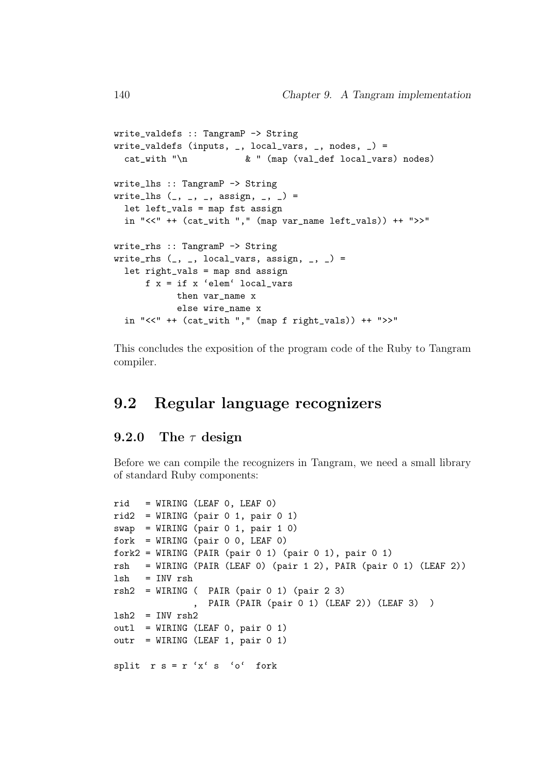```
write_valdefs :: TangramP -> String
write_valdefs (inputs, \overline{\ }, local_vars, \overline{\ }, nodes, \overline{\ }) =
  cat_with "\n & " (map (val_def local_vars) nodes)
write_lhs :: TangramP -> String
write_lhs (\_, \_, \_, assign, \_, \_) =
  let left_vals = map fst assign
  in "<<" ++ (cat_with "," (map var_name left_vals)) ++ ">>"
write_rhs :: TangramP -> String
write_rhs (\_, \_, local_vars, assign, \_, \_) =
  let right_vals = map snd assign
      f x = if x 'elem' local_vars
            then var_name x
            else wire_name x
  in "<<" ++ (cat_with "," (map f right_vals)) ++ ">>"
```
This concludes the exposition of the program code of the Ruby to Tangram compiler.

## 9.2 Regular language recognizers

#### 9.2.0 The  $\tau$  design

Before we can compile the recognizers in Tangram, we need a small library of standard Ruby components:

```
rid = WIRING (LEAF 0, LEAF 0)
rid2 = WIRING (pair 0 1, pair 0 1)swap = WIRING (pair 0 1, pair 1 0)fork = WIRING (pair 0 0, LEAF 0)
fork2 = WIRING (PAIR (pair 0 1) (pair 0 1), pair 0 1)
rsh = WIRING (PAIR (LEAF 0) (pair 1 2), PAIR (pair 0 1) (LEAF 2))
lsh = INV rsh
rsh2 = WIRING ( PAIR (pair 0 1) (pair 2 3)
              , PAIR (PAIR (pair 0 1) (LEAF 2)) (LEAF 3) )
lsh2 = INV rsh2
outl = WIRING (LEAF 0, pair 0 1)
outr = WIRING (LEAF 1, pair 0 1)
split r s = r 'x' s 'o' fork
```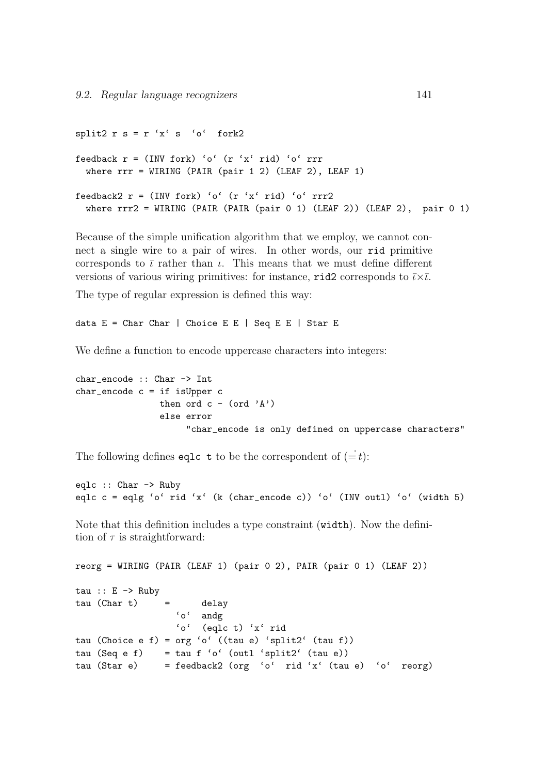```
split2 r s = r 'x' s 'o' fork2
feedback r = (INV fork) 'o' (r 'x' rid)' o' rrrwhere rrr = WIRING (PAIR (pair 1 2) (LEAF 2), LEAF 1)
feedback2 r = (INV fork) 'o' (r 'x' rid)' o' rrr2where rrr2 = WIRING (PAIR (PAIR (pair 0 1) (LEAF 2)) (LEAF 2), pair 0 1)
```
Because of the simple unification algorithm that we employ, we cannot connect a single wire to a pair of wires. In other words, our rid primitive corresponds to  $\bar{\iota}$  rather than  $\iota$ . This means that we must define different versions of various wiring primitives: for instance, rid2 corresponds to  $\overline{\iota} \times \overline{\iota}$ .

The type of regular expression is defined this way:

data  $E = Char Char \mid Choice E E \mid Seq E E \mid Star E$ 

We define a function to encode uppercase characters into integers:

```
char_encode :: Char -> Int
char_encode c = if isUpper c
                then ord c - (ord 'A')else error
                     "char_encode is only defined on uppercase characters"
```
The following defines eqlc t to be the correspondent of  $(=t)$ :

```
eqlc :: Char -> Ruby
eqlc c = eqlg 'o' rid 'x' (k (char_encode c)) 'o' (INV outl) 'o' (width 5)
```
Note that this definition includes a type constraint (width). Now the definition of  $\tau$  is straightforward:

```
reorg = WIRING (PAIR (LEAF 1) (pair 0 2), PAIR (pair 0 1) (LEAF 2))
tau :: E \rightarrow Rubvtau (Char t) = delay
                  'o' andg
                  'o' (eqlc t) 'x' rid
tau (Choice e f) = org 'o' ((tau e) 'split2' (tau f))
tau (Seq e f) = tau f 'o' (outl 'split2' (tau e))
tau (Star e) = feedback2 (org 'o' rid 'x' (tau e) 'o' reorg)
```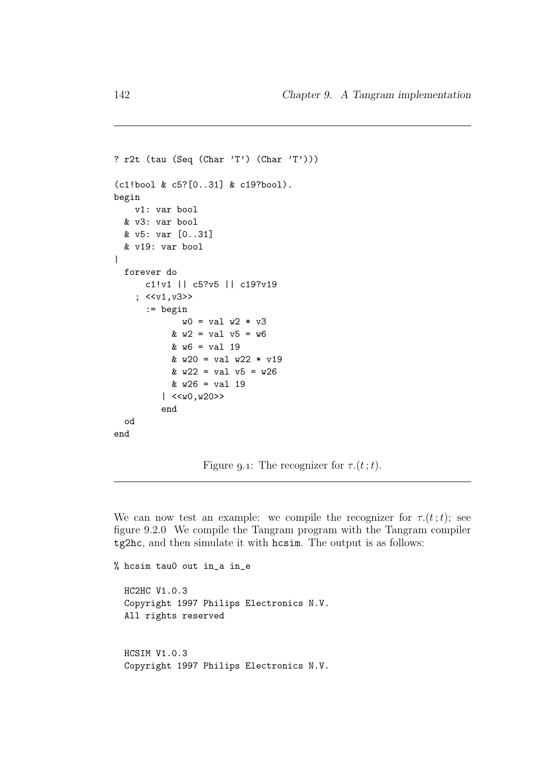```
? r2t (tau (Seq (Char 'T') (Char 'T')))
(c1!bool & c5?[0..31] & c19?bool).
begin
    v1: var bool
  & v3: var bool
 & v5: var [0..31]
 & v19: var bool
|
  forever do
      c1!v1 || c5?v5 || c19?v19
    ; <<v1, v3>>:= begin
             w0 = val w2 * v3& w2 = val v5 = w6& w6 = val 19& w20 = val w22 * v19& w22 = val v5 = w26
           & w26 = val 19| <<sub>w0</sub>, w20>>end
  od
end
```
Figure 9.1: The recognizer for  $\tau.(t;t)$ .

We can now test an example: we compile the recognizer for  $\tau.(t;t)$ ; see figure 9.2.0 We compile the Tangram program with the Tangram compiler tg2hc, and then simulate it with hcsim. The output is as follows:

```
% hcsim tau0 out in_a in_e
 HC2HC V1.0.3
 Copyright 1997 Philips Electronics N.V.
 All rights reserved
 HCSIM V1.0.3
  Copyright 1997 Philips Electronics N.V.
```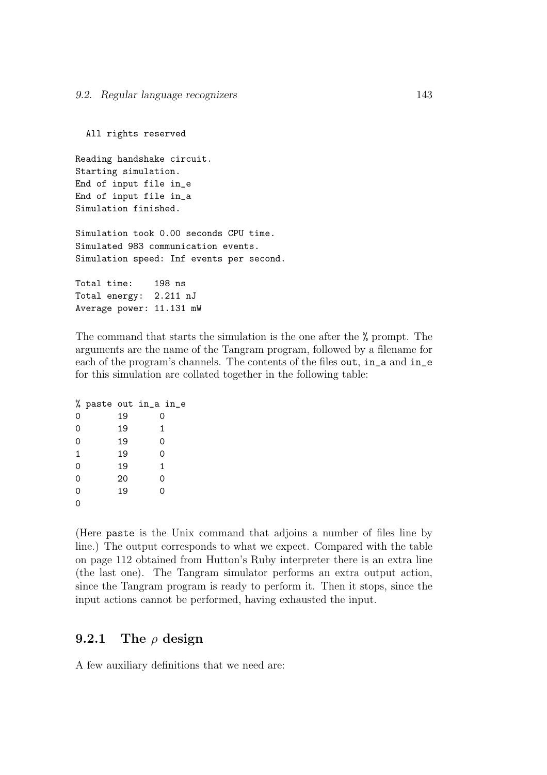All rights reserved

Reading handshake circuit. Starting simulation. End of input file in\_e End of input file in\_a Simulation finished.

Simulation took 0.00 seconds CPU time. Simulated 983 communication events. Simulation speed: Inf events per second.

Total time: 198 ns Total energy: 2.211 nJ Average power: 11.131 mW

The command that starts the simulation is the one after the % prompt. The arguments are the name of the Tangram program, followed by a filename for each of the program's channels. The contents of the files out, in\_a and in\_e for this simulation are collated together in the following table:

|   |    | % paste out in_a in_e |
|---|----|-----------------------|
| 0 | 19 | 0                     |
| 0 | 19 | 1                     |
| 0 | 19 | 0                     |
| 1 | 19 | 0                     |
| 0 | 19 | 1                     |
| 0 | 20 | 0                     |
| 0 | 19 | 0                     |
| Ω |    |                       |

(Here paste is the Unix command that adjoins a number of files line by line.) The output corresponds to what we expect. Compared with the table on page 112 obtained from Hutton's Ruby interpreter there is an extra line (the last one). The Tangram simulator performs an extra output action, since the Tangram program is ready to perform it. Then it stops, since the input actions cannot be performed, having exhausted the input.

### 9.2.1 The  $\rho$  design

A few auxiliary definitions that we need are: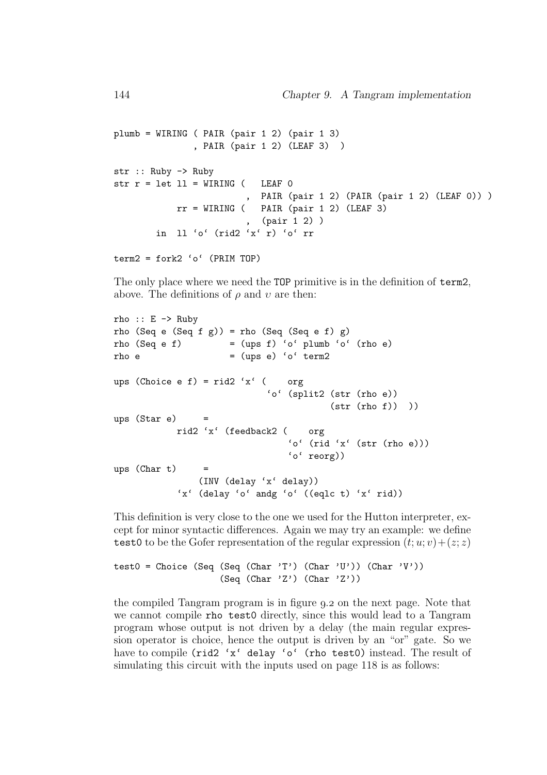```
plumb = WIRING ( PAIR (pair 1 2) (pair 1 3)
               , PAIR (pair 1 2) (LEAF 3) )
str :: Ruby -> Ruby
str r = let 11 = WIRING ( LEAF 0
                         , PAIR (pair 1 2) (PAIR (pair 1 2) (LEAF 0)) )
           rr = WIRING ( PAIR (pair 1 2) (LEAF 3)
                           , (pair 1 2) )
        in ll 'o' (rid2 'x' r) 'o' rr
term2 = fork2 'o' (PRIM TOP)
```
The only place where we need the TOP primitive is in the definition of term2, above. The definitions of  $\rho$  and  $v$  are then:

```
rho :: E -> Ruby
rho (Seq e (Seq f g)) = rho (Seq (Seq e f) g)
rho (Seq e f) = (ups f) 'o' plumb 'o' (rho e)
rho e = (ups e) 'o' term2
ups (Choice e f) = rid2 'x' ( org'o' (split2 (str (rho e))
                                      (str (rho f)))
ups (Star e)
           rid2 'x' (feedback2 ( org
                               'o' (rid 'x' (str (rho e)))
                               'o' reorg))
ups (Char t)(INV (delay 'x' delay))
           'x' (delay 'o' andg 'o' ((eqlc t) 'x' rid))
```
This definition is very close to the one we used for the Hutton interpreter, except for minor syntactic differences. Again we may try an example: we define test0 to be the Gofer representation of the regular expression  $(t; u; v) + (z; z)$ 

```
test0 = Choice (Seq (Seq (Char 'T') (Char 'U')) (Char 'V'))
                    (Seq (Char 'Z') (Char 'Z'))
```
the compiled Tangram program is in figure  $9.2$  on the next page. Note that we cannot compile rho test0 directly, since this would lead to a Tangram program whose output is not driven by a delay (the main regular expression operator is choice, hence the output is driven by an "or" gate. So we have to compile (rid2 'x' delay 'o' (rho test0) instead. The result of simulating this circuit with the inputs used on page 118 is as follows: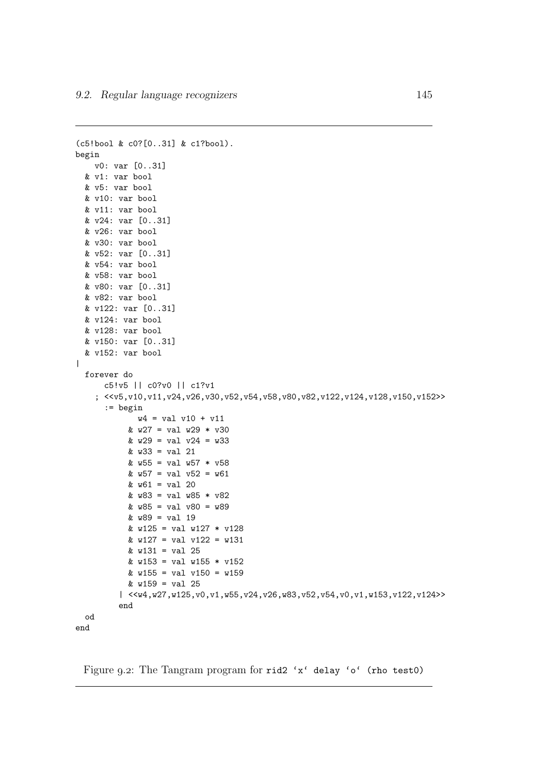```
(c5!bool & c0?[0..31] & c1?bool).
begin
   v0: var [0..31]
 & v1: var bool
 & v5: var bool
 & v10: var bool
 & v11: var bool
 & v24: var [0..31]
 & v26: var bool
 & v30: var bool
 & v52: var [0..31]
 & v54: var bool
 & v58: var bool
 & v80: var [0..31]
 & v82: var bool
 & v122: var [0..31]
 & v124: var bool
  & v128: var bool
 & v150: var [0..31]
 & v152: var bool
|
  forever do
      c5!v5 || c0?v0 || c1?v1
    ; <<v5,v10,v11,v24,v26,v30,v52,v54,v58,v80,v82,v122,v124,v128,v150,v152>>
      := begin
             w4 = val v10 + v11& w27 = val w29 * v30& w29 = val v24 = w33
           & w33 = val 21& w55 = val w57 * v58
           & w57 = val v52 = w61& w61 = val 20& w83 = val w85 * v82
           & w85 = val v80 = w89& w89 = val 19& w125 = val w127 * v128
           & w127 = val v122 = w131
           & w131 = val 25& w153 = val w155 * v152
           & w155 = val v150 = w159
           & w159 = val 25
         | <<w4,w27,w125,v0,v1,w55,v24,v26,w83,v52,v54,v0,v1,w153,v122,v124>>
         end
  od
end
```
Figure 9.2: The Tangram program for rid2 'x' delay 'o' (rho test0)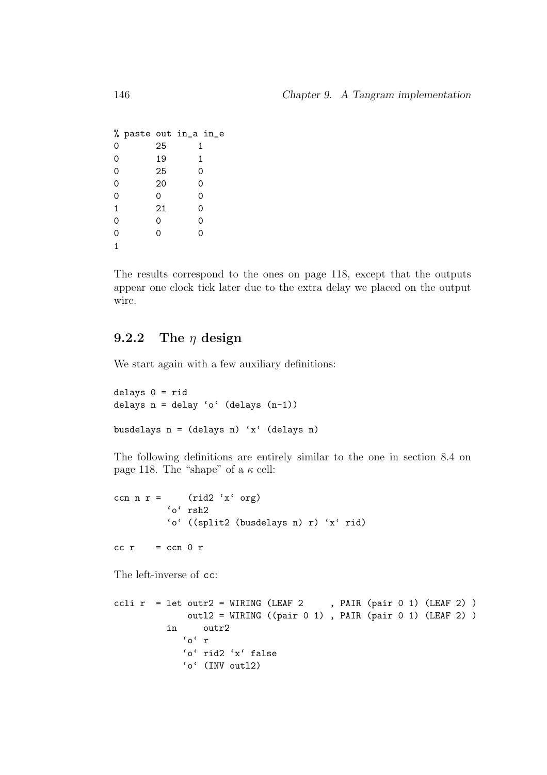```
% paste out in_a in_e
0 25 1
0 19 1
0 25 0
0 20 0
0 0 0
1 21 0
0 0 0
0 0 0
1
```
The results correspond to the ones on page 118, except that the outputs appear one clock tick later due to the extra delay we placed on the output wire.

### 9.2.2 The  $\eta$  design

We start again with a few auxiliary definitions:

delays 0 = rid delays n = delay 'o' (delays (n-1)) busdelays  $n = (delays n) 'x' (delays n)$ 

The following definitions are entirely similar to the one in section 8.4 on page 118. The "shape" of a  $\kappa$  cell:

```
ccn n r = (rid2 'x' org)
         'o' rsh2
         'o' ((split2 (busdelays n) r) 'x' rid)
cc r = cc 0 r
```
The left-inverse of cc:

```
ccli r = let outr2 = WIRING (LEAF 2 , PAIR (pair 0 1) (LEAF 2) )outl2 = WIRING ((pair 0 1) , PAIR (pair 0 1) (LEAF 2) )
         in outr2
            'o' r
            'o' rid2 'x' false
            'o' (INV outl2)
```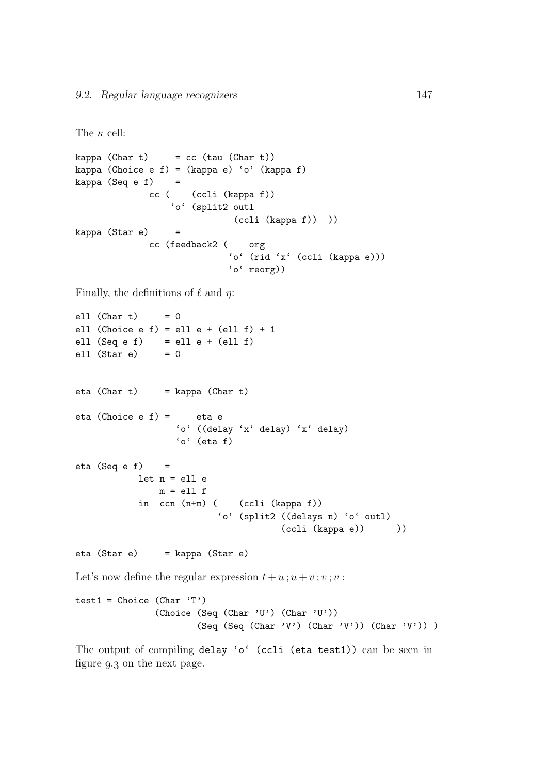```
The \kappa cell:
kappa (Char t) = cc (tau (Char t))
kappa (Choice e f) = (kappa e) 'o' (kappa f)
kappa (Seq e f) =
             cc ( (ccli (kappa f))
                 'o' (split2 outl
                             (ccli (kappa f)) ))
kappa (Star e) =cc (feedback2 ( org
                            'o' (rid 'x' (ccli (kappa e)))
                            'o' reorg))
Finally, the definitions of \ell and \eta:
ell (Char t) = 0ell (Choice e f) = ell e + (ell f) + 1
ell (Seq e f) = ell e + (ell f)ell (Star e) = 0eta (Char t) = kappa (Char t)
eta (Choice e f) = eta e
                  'o' ((delay 'x' delay) 'x' delay)
                  'o' (eta f)
eta (Seq e f) =
           let n = e11 e
               m = e11 fin ccn (n+m) ( (ccli (kappa f))
                          'o' (split2 ((delays n) 'o' outl)
                                      (ccli (kappa e)) ()
eta (Star e) = kappa (Star e)
Let's now define the regular expression t + u; u + v; v; v:
test1 = Choice (Char 'T')(Choice (Seq (Char 'U') (Char 'U'))
                      (Seq (Seq (Char 'V') (Char 'V')) (Char 'V')) )
```
The output of compiling delay 'o' (ccli (eta test1)) can be seen in figure  $9.3$  on the next page.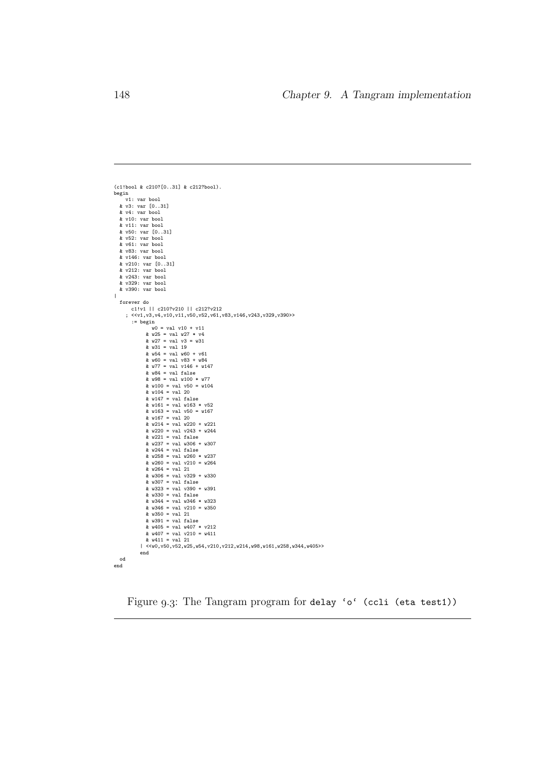```
(c1!bool & c210?[0..31] & c212?bool).
 begin<br>
v1: var bool<br>
& v3: var [0..31]<br>
& v10: var bool<br>
& v11: var bool<br>
& v50: var [0..31]<br>
& v52: var bool<br>
& v61: var bool<br>
& v61: var bool<br>
& v63: var bool
       & v146: var bool
& v210: var [0..31]
& v212: var bool
     & v243: var bool
       & v329: var bool
& v390: var bool
\blacksquareforever do
c1!v1 || c210?v210 || c212?v212
           ; <<v1, v3, v4, v10, v11, v50, v52, v61, v83, v146, v243, v329, v390>:= begin w0 = val v10 + v11<br>
k w25 = val w27 * v4<br>
k w31 = val v3<br>
k w31 = val 19<br>
k w54 = val 19<br>
k w54 = val v60 + v61<br>
k w60 = val v83 + w84<br>
k w77 = val v146 + v147<br>
k w84 = val v146 + v147<br>
k w98 = val v100 * w77<br>
k w100 = val 100<br>
k w147 = val 100<br>
k w147 = val 100<br>
k w147 = val& w260 = val v210 = w264
& w264 = val 21
& w306 = val v329 + w330
& w307 = val false
                                  & w323 = val v390 + w391
& w330 = val false
& w344 = val w346 * w323
& w346 = val v210 = w350
                                  & w350 = val 21
& w391 = val false
& w405 = val w407 * v212
& w407 = val v210 = w411
& w411 = val 21
                          | <<w0,v50,v52,w25,w54,v210,v212,w214,w98,w161,w258,w344,w405>>
                           end
     od
end
```
Figure 9.3: The Tangram program for delay 'o' (ccli (eta test1))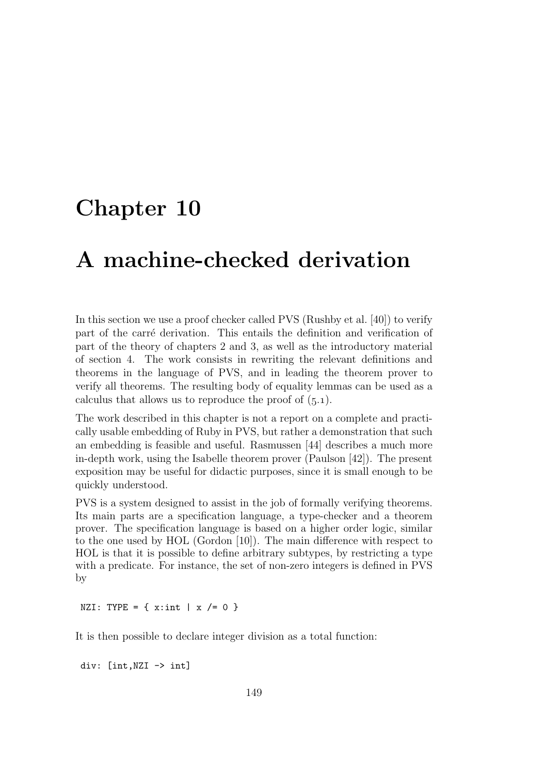# Chapter 10

# A machine-checked derivation

In this section we use a proof checker called PVS (Rushby et al. [40]) to verify part of the carré derivation. This entails the definition and verification of part of the theory of chapters 2 and 3, as well as the introductory material of section 4. The work consists in rewriting the relevant definitions and theorems in the language of PVS, and in leading the theorem prover to verify all theorems. The resulting body of equality lemmas can be used as a calculus that allows us to reproduce the proof of  $(5.1)$ .

The work described in this chapter is not a report on a complete and practically usable embedding of Ruby in PVS, but rather a demonstration that such an embedding is feasible and useful. Rasmussen [44] describes a much more in-depth work, using the Isabelle theorem prover (Paulson [42]). The present exposition may be useful for didactic purposes, since it is small enough to be quickly understood.

PVS is a system designed to assist in the job of formally verifying theorems. Its main parts are a specification language, a type-checker and a theorem prover. The specification language is based on a higher order logic, similar to the one used by HOL (Gordon [10]). The main difference with respect to HOL is that it is possible to define arbitrary subtypes, by restricting a type with a predicate. For instance, the set of non-zero integers is defined in PVS by

NZI: TYPE = {  $x:int$  |  $x$  /= 0 }

It is then possible to declare integer division as a total function:

div: [int,NZI -> int]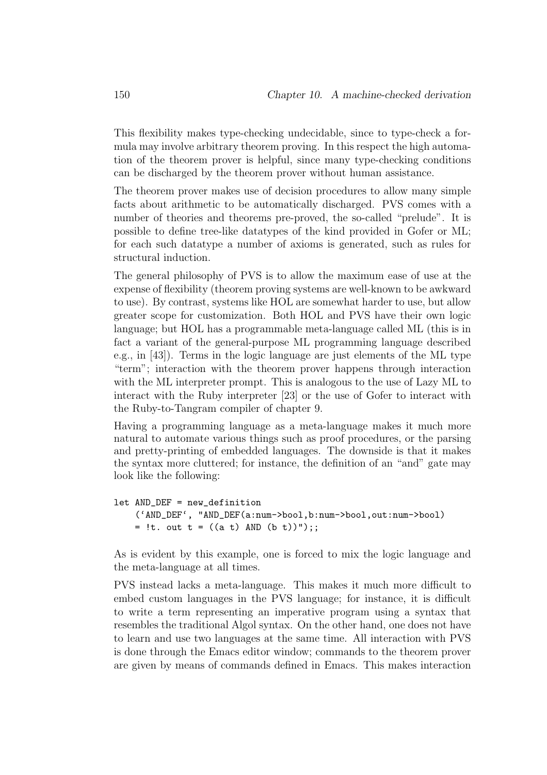This flexibility makes type-checking undecidable, since to type-check a formula may involve arbitrary theorem proving. In this respect the high automation of the theorem prover is helpful, since many type-checking conditions can be discharged by the theorem prover without human assistance.

The theorem prover makes use of decision procedures to allow many simple facts about arithmetic to be automatically discharged. PVS comes with a number of theories and theorems pre-proved, the so-called "prelude". It is possible to define tree-like datatypes of the kind provided in Gofer or ML; for each such datatype a number of axioms is generated, such as rules for structural induction.

The general philosophy of PVS is to allow the maximum ease of use at the expense of flexibility (theorem proving systems are well-known to be awkward to use). By contrast, systems like HOL are somewhat harder to use, but allow greater scope for customization. Both HOL and PVS have their own logic language; but HOL has a programmable meta-language called ML (this is in fact a variant of the general-purpose ML programming language described e.g., in [43]). Terms in the logic language are just elements of the ML type "term"; interaction with the theorem prover happens through interaction with the ML interpreter prompt. This is analogous to the use of Lazy ML to interact with the Ruby interpreter [23] or the use of Gofer to interact with the Ruby-to-Tangram compiler of chapter 9.

Having a programming language as a meta-language makes it much more natural to automate various things such as proof procedures, or the parsing and pretty-printing of embedded languages. The downside is that it makes the syntax more cluttered; for instance, the definition of an "and" gate may look like the following:

```
let AND_DEF = new_definition
    ('AND_DEF', "AND_DEF(a:num->bool,b:num->bool,out:num->bool)
    = !t. out t = ((a \tanh AND (b \tanh))");;
```
As is evident by this example, one is forced to mix the logic language and the meta-language at all times.

PVS instead lacks a meta-language. This makes it much more difficult to embed custom languages in the PVS language; for instance, it is difficult to write a term representing an imperative program using a syntax that resembles the traditional Algol syntax. On the other hand, one does not have to learn and use two languages at the same time. All interaction with PVS is done through the Emacs editor window; commands to the theorem prover are given by means of commands defined in Emacs. This makes interaction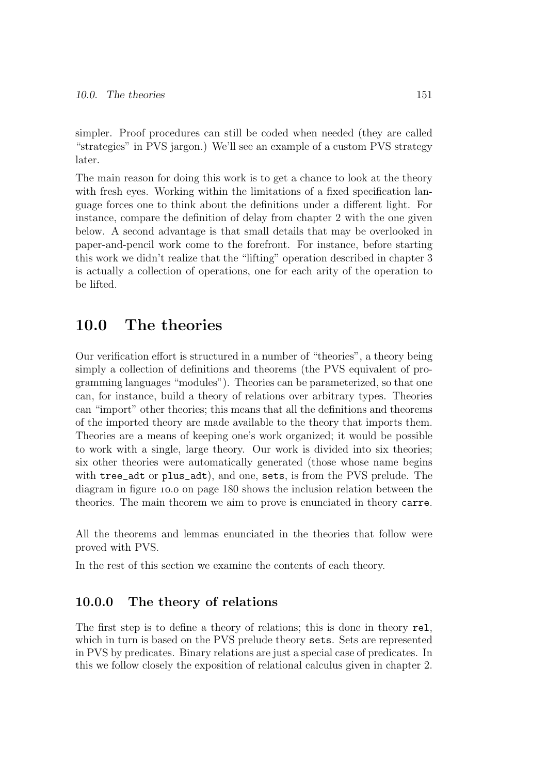simpler. Proof procedures can still be coded when needed (they are called "strategies" in PVS jargon.) We'll see an example of a custom PVS strategy later.

The main reason for doing this work is to get a chance to look at the theory with fresh eyes. Working within the limitations of a fixed specification language forces one to think about the definitions under a different light. For instance, compare the definition of delay from chapter 2 with the one given below. A second advantage is that small details that may be overlooked in paper-and-pencil work come to the forefront. For instance, before starting this work we didn't realize that the "lifting" operation described in chapter 3 is actually a collection of operations, one for each arity of the operation to be lifted.

## 10.0 The theories

Our verification effort is structured in a number of "theories", a theory being simply a collection of definitions and theorems (the PVS equivalent of programming languages "modules"). Theories can be parameterized, so that one can, for instance, build a theory of relations over arbitrary types. Theories can "import" other theories; this means that all the definitions and theorems of the imported theory are made available to the theory that imports them. Theories are a means of keeping one's work organized; it would be possible to work with a single, large theory. Our work is divided into six theories; six other theories were automatically generated (those whose name begins with tree\_adt or plus\_adt), and one, sets, is from the PVS prelude. The diagram in figure 10.0 on page 180 shows the inclusion relation between the theories. The main theorem we aim to prove is enunciated in theory carre.

All the theorems and lemmas enunciated in the theories that follow were proved with PVS.

In the rest of this section we examine the contents of each theory.

### 10.0.0 The theory of relations

The first step is to define a theory of relations; this is done in theory rel, which in turn is based on the PVS prelude theory sets. Sets are represented in PVS by predicates. Binary relations are just a special case of predicates. In this we follow closely the exposition of relational calculus given in chapter 2.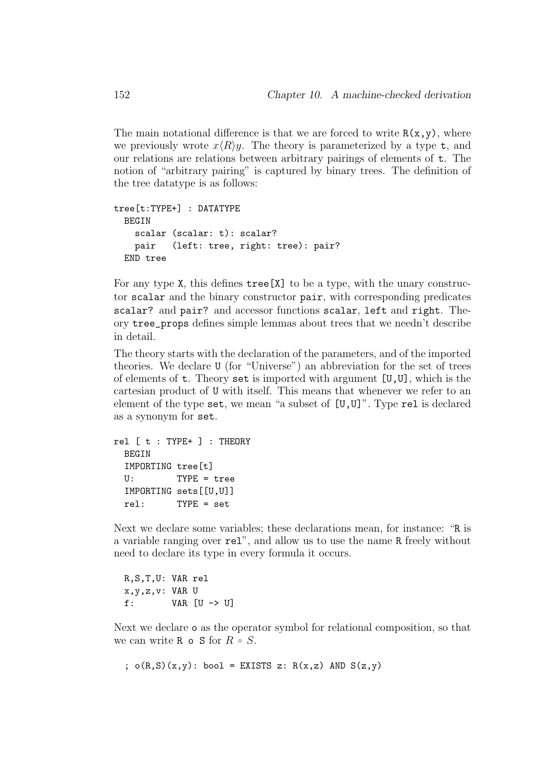The main notational difference is that we are forced to write  $R(x,y)$ , where we previously wrote  $x\langle R\rangle y$ . The theory is parameterized by a type t, and our relations are relations between arbitrary pairings of elements of t. The notion of "arbitrary pairing" is captured by binary trees. The definition of the tree datatype is as follows:

```
tree[t:TYPE+] : DATATYPE
 BEGIN
   scalar (scalar: t): scalar?
   pair (left: tree, right: tree): pair?
 END tree
```
For any type X, this defines tree[X] to be a type, with the unary constructor scalar and the binary constructor pair, with corresponding predicates scalar? and pair? and accessor functions scalar, left and right. Theory tree\_props defines simple lemmas about trees that we needn't describe in detail.

The theory starts with the declaration of the parameters, and of the imported theories. We declare U (for "Universe") an abbreviation for the set of trees of elements of  $t$ . Theory set is imported with argument  $[U,U]$ , which is the cartesian product of U with itself. This means that whenever we refer to an element of the type set, we mean "a subset of [U,U]". Type rel is declared as a synonym for set.

```
rel [ t : TYPE+ ] : THEORY
 BEGIN
 IMPORTING tree[t]
 U: TYPE = tree
 IMPORTING sets[[U,U]]
 rel: TYPE = set
```
Next we declare some variables; these declarations mean, for instance: "R is a variable ranging over rel", and allow us to use the name R freely without need to declare its type in every formula it occurs.

R,S,T,U: VAR rel x,y,z,v: VAR U f: VAR [U -> U]

Next we declare o as the operator symbol for relational composition, so that we can write R  $\circ$  S for  $R \circ S$ .

;  $o(R,S)(x,y)$ : bool = EXISTS z:  $R(x,z)$  AND  $S(z,y)$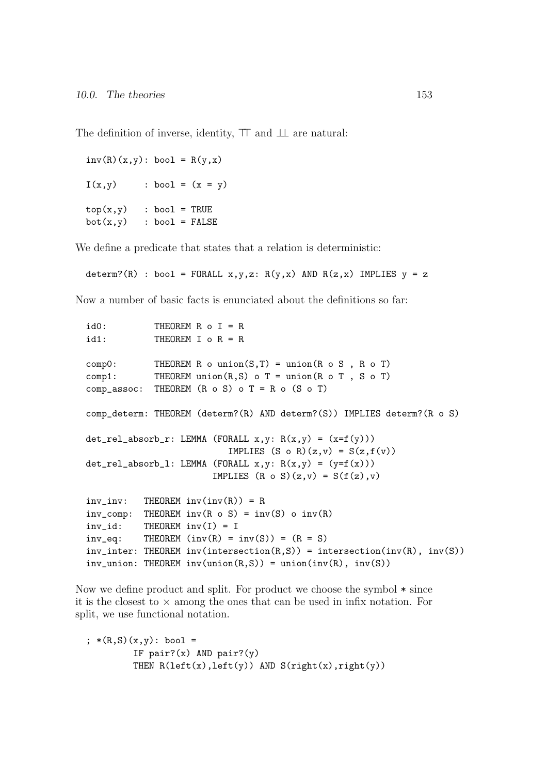The definition of inverse, identity,  $\top$  and  $\bot$  are natural:

```
inv(R)(x,y): bool = R(y,x)I(x,y) : bool = (x = y)top(x,y) : bool = TRUE
bot(x,y) : bool = FALSE
```
We define a predicate that states that a relation is deterministic:

```
determ?(R) : bool = FORALL x,y,z: R(y,x) AND R(z,x) IMPLIES y = z
```
Now a number of basic facts is enunciated about the definitions so far:

```
id0: THEOREM R o I = R
id1: THEOREM I \circ R = R
comp0: THEOREM R o union(S,T) = union(R \circ S, R \circ T)comp1: THEOREM union(R, S) o T = union(R o T, S o T)comp_assoc: THEOREM (R \circ S) \circ T = R \circ (S \circ T)comp_determ: THEOREM (determ?(R) AND determ?(S)) IMPLIES determ?(R o S)
det_rel_absorb_r: LEMMA (FORALL x,y: R(x,y) = (x=f(y)))
                           IMPLIES (S \circ R)(z,v) = S(z,f(v))det_{rel\_absorb\_l: LEMMA (FORALL x, y: R(x, y) = (y = f(x)))IMPLIES (R \circ S)(z,v) = S(f(z),v)inv\_inv: THEOREM inv(inv(R)) = Rinv_{\text{comp}}: THEOREM inv(R \text{ o } S) = inv(S) o inv(R)inv_id: THEOREM inv(I) = Iinv_eq: THEOREM inv(R) = inv(S)) = (R = S)inv\_inter: THEOREM inv(intersection(R,S)) = intersection(int(N,R), inv(S))inv\_union: THEOREM inv(union(R,S)) = union(inv(R), inv(S))
```
Now we define product and split. For product we choose the symbol \* since it is the closest to  $\times$  among the ones that can be used in infix notation. For split, we use functional notation.

```
; *(R,S)(x,y): bool =
         IF pair?(x) AND pair?(y)THEN R(left(x),left(y)) AND S(right(x),right(y))
```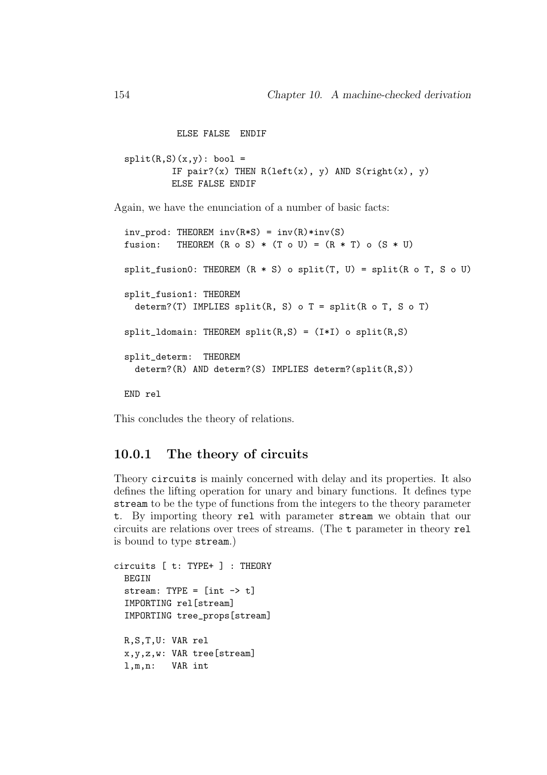ELSE FALSE ENDIF

```
split(R,S)(x,y): bool =IF pair?(x) THEN R(\text{left}(x), y) AND S(\text{right}(x), y)ELSE FALSE ENDIF
```
Again, we have the enunciation of a number of basic facts:

 $inv\_prod$ : THEOREM  $inv(R*S) = inv(R)*inv(S)$ fusion: THEOREM  $(R \circ S) * (T \circ U) = (R * T) \circ (S * U)$  $split_f$ usion $0:$  THEOREM  $(R * S)$  o split $(T, U) = split(R \circ T, S \circ U)$ split\_fusion1: THEOREM determ?(T) IMPLIES split $(R, S)$  o T = split $(R o T, S o T)$  $split\_Idomain: THEOREM split(R,S) = (I*I) o split(R,S)$ split\_determ: THEOREM determ?(R) AND determ?(S) IMPLIES determ?(split(R,S)) END rel

This concludes the theory of relations.

#### 10.0.1 The theory of circuits

Theory circuits is mainly concerned with delay and its properties. It also defines the lifting operation for unary and binary functions. It defines type stream to be the type of functions from the integers to the theory parameter t. By importing theory rel with parameter stream we obtain that our circuits are relations over trees of streams. (The t parameter in theory rel is bound to type stream.)

```
circuits [ t: TYPE+ ] : THEORY
  BEGIN
  stream: TYPE = \lceil \text{int} \rangle t]
  IMPORTING rel[stream]
  IMPORTING tree_props[stream]
  R,S,T,U: VAR rel
  x,y,z,w: VAR tree[stream]
  l,m,n: VAR int
```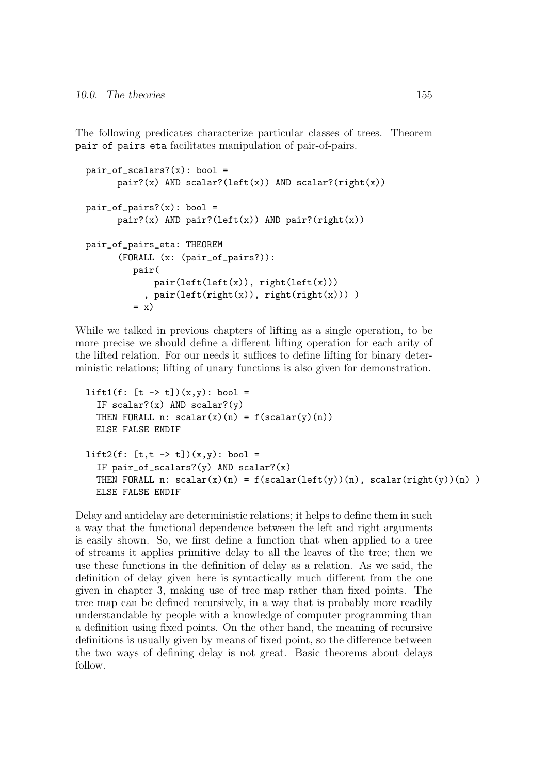The following predicates characterize particular classes of trees. Theorem pair of pairs eta facilitates manipulation of pair-of-pairs.

```
pair_of_scalars?(x): bool =
     pair?(x) AND scalar?(left(x)) AND scalar?(right(x))
pair_of_pairs?(x): bool =pair?(x) AND pair?(left(x)) AND pair?(right(x))
pair_of_pairs_eta: THEOREM
      (FORALL (x: (pair_of_pairs?)):
         pair(
             pair(left(left(x)), right(left(x))), pair(left(right(x)), right(right(x))) )
         = x)
```
While we talked in previous chapters of lifting as a single operation, to be more precise we should define a different lifting operation for each arity of the lifted relation. For our needs it suffices to define lifting for binary deterministic relations; lifting of unary functions is also given for demonstration.

```
lift1(f: [t \rightarrow t])(x,y): bool =IF scalar?(x) AND scalar?(y)
 THEN FORALL n: scalar(x)(n) = f(scalar(y)(n))ELSE FALSE ENDIF
lift2(f: [t, t \rightarrow t])(x, y): bool =IF pair_of_scalars?(y) AND scalar?(x)
 THEN FORALL n: scalar(x)(n) = f(scalar(left(y))(n), scalar(right(y))(n) )ELSE FALSE ENDIF
```
Delay and antidelay are deterministic relations; it helps to define them in such a way that the functional dependence between the left and right arguments is easily shown. So, we first define a function that when applied to a tree of streams it applies primitive delay to all the leaves of the tree; then we use these functions in the definition of delay as a relation. As we said, the definition of delay given here is syntactically much different from the one given in chapter 3, making use of tree map rather than fixed points. The tree map can be defined recursively, in a way that is probably more readily understandable by people with a knowledge of computer programming than a definition using fixed points. On the other hand, the meaning of recursive definitions is usually given by means of fixed point, so the difference between the two ways of defining delay is not great. Basic theorems about delays follow.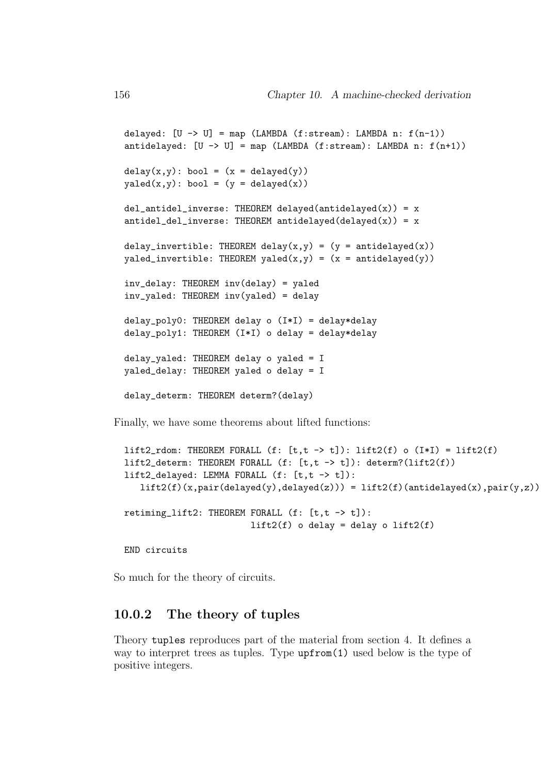```
delayed: [U \rightarrow U] = map (LAMBDA (f:stream): LAMBDA n: f(n-1))antidelayed: [U \rightarrow U] = \text{map} (LAMBDA (f:stream): LAMBDA n: f(n+1))
delay(x,y): bool = (x = delayed(y))yaled(x,y): bool = (y = delayed(x))del_antidel_inverse: THEOREM delayed(antidelayed(x)) = xantidel\_del\_inverse: THEOREM antidelayed(delayed(x)) = xdelay_invertible: THEOREM delay(x,y) = (y = antidelayed(x))yaled_invertible: THEOREM yaled(x,y) = (x = antidelayed(y))inv_delay: THEOREM inv(delay) = yaled
inv_yaled: THEOREM inv(yaled) = delay
delay_poly0: THEOREM delay o (I*I) = delay*delay
delay_poly1: THEOREM (I*I) o delay = delay*delay
delay_yaled: THEOREM delay o yaled = I
yaled_delay: THEOREM yaled o delay = I
delay_determ: THEOREM determ?(delay)
```
Finally, we have some theorems about lifted functions:

```
lift2_rdom: THEOREM FORALL (f: [t, t \rightarrow t]): lift2(f) o (I * I) = lift2(f)lift2_determ: THEOREM FORALL (f: [t,t -> t]): determ?(lift2(f))
lift2_delayed: LEMMA FORALL (f: [t,t -> t]):
   lift2(f)(x,pair(delayed(y),delayed(z))) = lift2(f)(antidelayed(x),pair(y,z))
retiming_lift2: THEOREM FORALL (f: [t,t -> t]):
                        lift2(f) o delay = delay o lift2(f)
```
END circuits

So much for the theory of circuits.

#### 10.0.2 The theory of tuples

Theory tuples reproduces part of the material from section 4. It defines a way to interpret trees as tuples. Type upfrom(1) used below is the type of positive integers.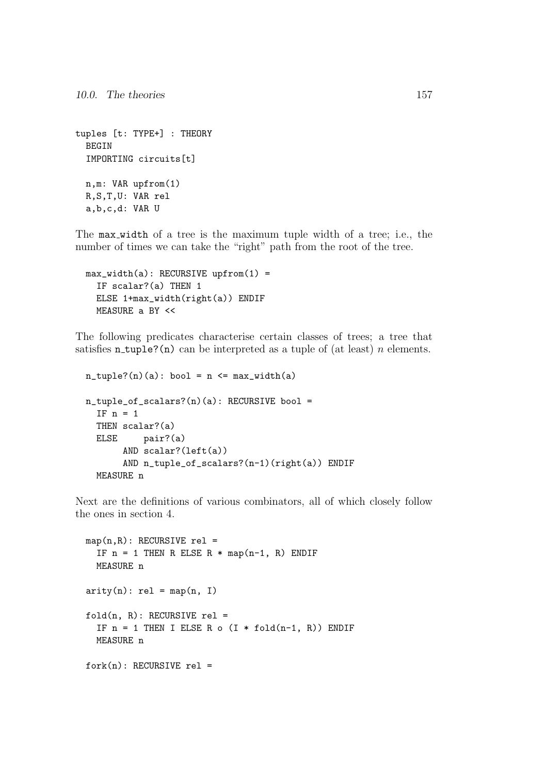```
tuples [t: TYPE+] : THEORY
  BEGIN
  IMPORTING circuits[t]
 n,m: VAR upfrom(1)
 R,S,T,U: VAR rel
  a,b,c,d: VAR U
```
The max width of a tree is the maximum tuple width of a tree; i.e., the number of times we can take the "right" path from the root of the tree.

```
max\_width(a): RECURSIVE upfrom(1) =IF scalar?(a) THEN 1
 ELSE 1+max_width(right(a)) ENDIF
 MEASURE a BY <<
```
The following predicates characterise certain classes of trees; a tree that satisfies n\_tuple?(n) can be interpreted as a tuple of (at least) n elements.

```
n_tuple?(n)(a): bool = n \leq max_width(a)n_tuple_of_scalars?(n)(a): RECURSIVE bool =
  IF n = 1THEN scalar?(a)
 ELSE pair?(a)
       AND scalar?(left(a))
       AND n_tuple_of_scalars?(n-1)(right(a)) ENDIF
 MEASURE n
```
Next are the definitions of various combinators, all of which closely follow the ones in section 4.

```
map(n,R): RECURSIVE rel =
  IF n = 1 THEN R ELSE R * map(n-1, R) ENDIF
  MEASURE n
arity(n): rel = map(n, I)fold(n, R): RECURSIVE rel =
  IF n = 1 THEN I ELSE R o (I * fold(n-1, R)) ENDIF
 MEASURE n
fork(n): RECURSIVE rel =
```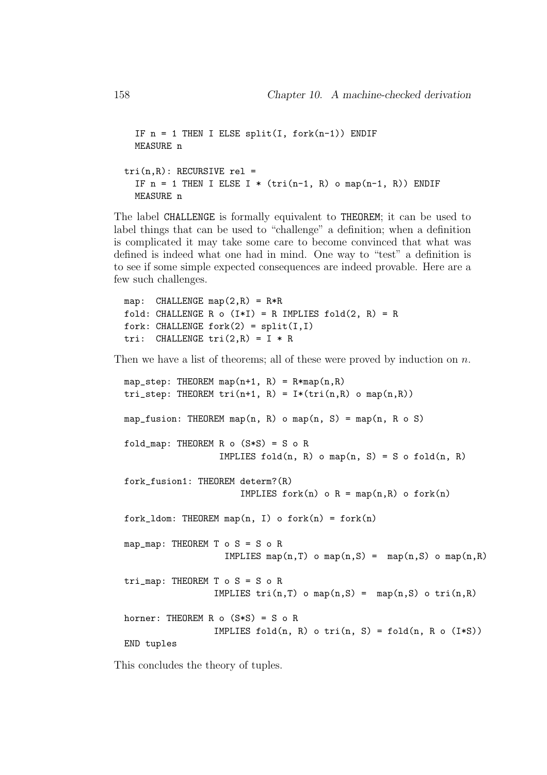```
IF n = 1 THEN I ELSE split(I, fork(n-1)) ENDIF
 MEASURE n
tri(n,R): RECURSIVE rel =
  IF n = 1 THEN I ELSE I * (tri(n-1, R) o map(n-1, R)) ENDIF
 MEASURE n
```
The label CHALLENGE is formally equivalent to THEOREM; it can be used to label things that can be used to "challenge" a definition; when a definition is complicated it may take some care to become convinced that what was defined is indeed what one had in mind. One way to "test" a definition is to see if some simple expected consequences are indeed provable. Here are a few such challenges.

map: CHALLENGE map $(2,R) = R * R$ fold: CHALLENGE R o  $(I*I) = R$  IMPLIES fold $(2, R) = R$ fork: CHALLENGE fork $(2)$  = split $(I,I)$ tri: CHALLENGE  $tri(2,R) = I * R$ 

Then we have a list of theorems; all of these were proved by induction on  $n$ .

```
map_step: THEOREM map(n+1, R) = R*map(n, R)tri_step: THEOREM tri(n+1, R) = I*(tri(n,R) o map(n,R))map_fusion: THEOREM map(n, R) o map(n, S) = map(n, R o S)
fold_map: THEOREM R \circ (S*S) = S \circ R
                  IMPLIES fold(n, R) o map(n, S) = S o fold(n, R)fork_fusion1: THEOREM determ?(R)
                      IMPLIES fork(n) o R = map(n, R) o fork(n)fork_ldom: THEOREM map(n, I) o fork(n) = fork(n)
map_map: THEOREM T o S = S o R
                   IMPLIES map(n,T) o map(n,S) = map(n,S) o map(n,R)tri_map: THEOREM T \circ S = S \circ RIMPLIES tri(n,T) o map(n,S) = map(n,S) o tri(n,R)horner: THEOREM R o (S*S) = S o R
                 IMPLIES fold(n, R) o tri(n, S) = fold(n, R o (I*S))END tuples
```
This concludes the theory of tuples.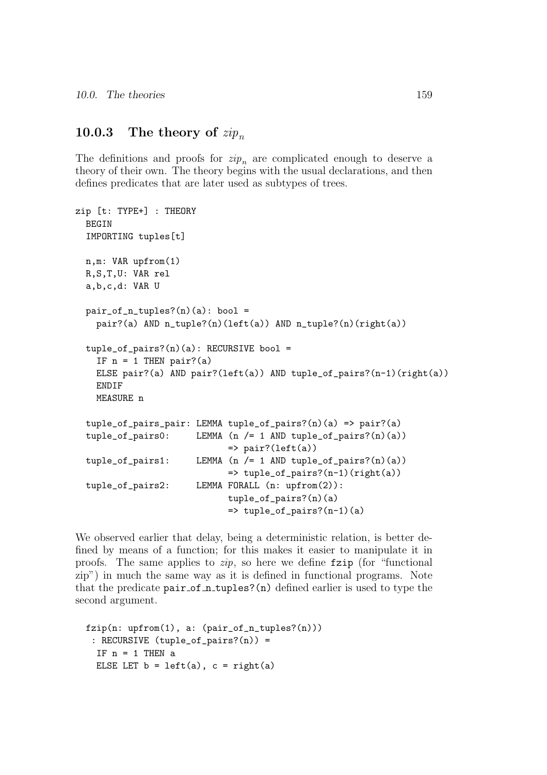#### 10.0.3 The theory of  $zip_n$

The definitions and proofs for  $zip_n$  are complicated enough to deserve a theory of their own. The theory begins with the usual declarations, and then defines predicates that are later used as subtypes of trees.

```
zip [t: TYPE+] : THEORY
  BEGIN
  IMPORTING tuples[t]
 n,m: VAR upfrom(1)
  R,S,T,U: VAR rel
  a,b,c,d: VAR U
  pair_of_n_tuples?(n)(a): bool =pair?(a) AND n_tuple?(n)(left(a)) AND n_tuple?(n)(right(a))
  tuple of pairs?(n)(a): RECURSIVE bool =
    IF n = 1 THEN pair?(a)
    ELSE pair?(a) AND pair?(left(a)) AND tuple_of_pairs?(n-1)(right(a))
    ENDIF
    MEASURE n
  tuple_of_pairs_pair: LEMMA tuple_of_pairs?(n)(a) => pair?(a)
  tuple_of_pairs0: LEMMA (n /= 1 AND tuple_of_pairs?(n)(a))
                              \Rightarrow pair?(left(a))
  tuple_of_pairs1: LEMMA (n /= 1 AND tuple_of_pairs?(n)(a))
                              \Rightarrow tuple_of_pairs?(n-1)(right(a))
  tuple_of_pairs2: LEMMA FORALL (n: upfrom(2)):
                              tuple_of_pairs?(n)(a)
                              \Rightarrow tuple_of_pairs?(n-1)(a)
```
We observed earlier that delay, being a deterministic relation, is better defined by means of a function; for this makes it easier to manipulate it in proofs. The same applies to zip, so here we define fzip (for "functional zip") in much the same way as it is defined in functional programs. Note that the predicate pair of n tuples?(n) defined earlier is used to type the second argument.

```
fzip(n: upfrom(1), a: (pair_of_n_tuples?(n)))
 : RECURSIVE (tuple_of_pairs?(n)) =
 IF n = 1 THEN a
 ELSE LET b = left(a), c = right(a)
```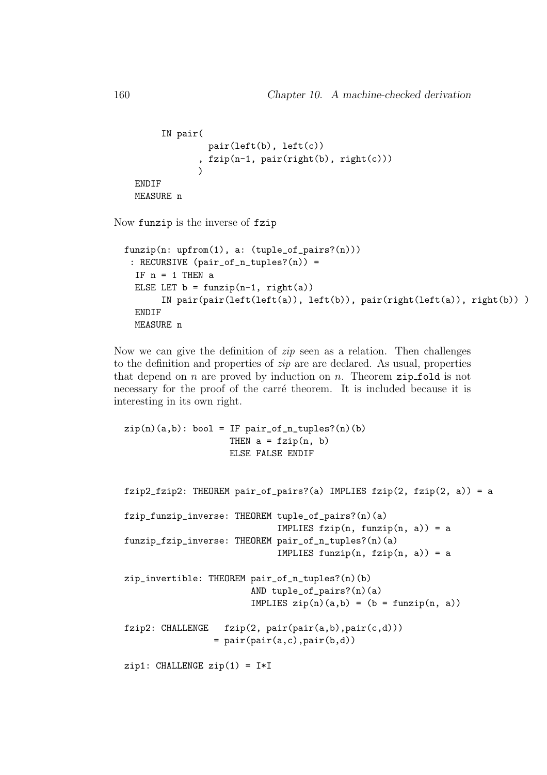```
IN pair(
               pair(left(b), left(c))
             , fzip(n-1, pair(right(b), right(c)))
             \lambdaENDIF
MEASURE n
```
Now funzip is the inverse of fzip

```
funzip(n: upfrom(1), a: (tuple_of_pairs?(n)))
 : RECURSIVE (pair_of_n_tuples? (n)) =IF n = 1 THEN a
 ELSE LET b = \text{funzip}(n-1, \text{right}(a))IN pair(pair(left(left(a)), left(b)), pair(right(left(a)), right(b)) )
 ENDIF
 MEASURE n
```
Now we can give the definition of *zip* seen as a relation. Then challenges to the definition and properties of zip are are declared. As usual, properties that depend on n are proved by induction on n. Theorem  $\mathsf{zip-fold}$  is not necessary for the proof of the carré theorem. It is included because it is interesting in its own right.

```
zip(n)(a,b): bool = IF pair_of_n_tuples?(n)(b)THEN a = fzip(n, b)ELSE FALSE ENDIF
fzip2_fzip2: THEOREM pair_of_pairs'(a) IMPLIES fzip(2, fzip(2, a)) = afzip_funzip_inverse: THEOREM tuple_of_pairs?(n)(a)
                             IMPLIES fzip(n, funzip(n, a)) = afunzip_fzip_inverse: THEOREM pair_of_n_tuples?(n)(a)
                             IMPLIES funzip(n, fzip(n, a)) = azip_invertible: THEOREM pair_of_n_tuples?(n)(b)
                       AND tuple_of_pairs?(n)(a)
                       IMPLIES zip(n)(a,b) = (b = funzip(n, a))fzip2: CHALLENGE fzip(2, pair(pair(a,b),pair(c,d)))
                = pair(pair(a, c), pair(b, d))zip1: CHALLENGE zip(1) = I*I
```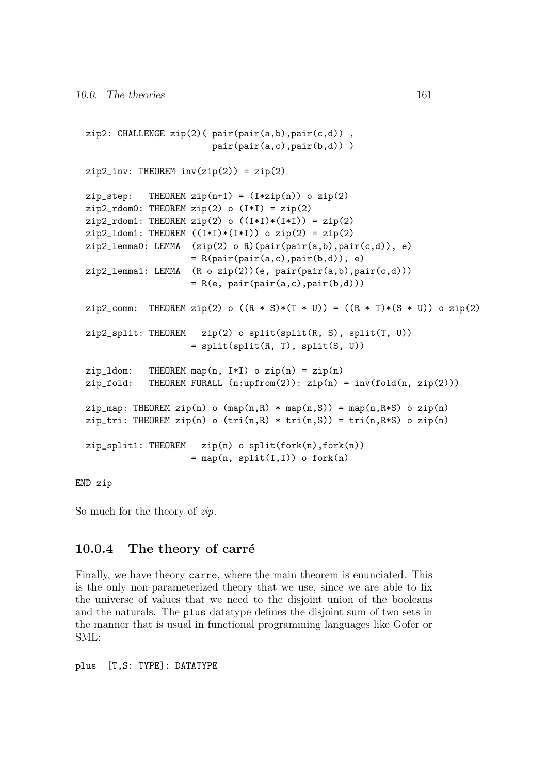```
zip2: CHALLENGE zip(2)( pair(pair(a,b),pair(c,d)) ,
                          pair(pair(a,c),pair(b,d)) )
  zip2_inv: THEOREM inv(zip(2)) = zip(2)zip\_step: THEOREM zip(n+1) = (I * zip(n)) o zip(2)zip2_rdom0: THEOREM zip(2) o (I*I) = zip(2)zip2_rdom1: THEOREM zip(2) o ((I*I)*(I*I)) = zip(2)zip2_ldom1: THEOREM ((I*I)*(I*I)) o zip(2) = zip(2)zip2_lemma0: LEMMA (zip(2) o R)(pair(pair(a,b),pair(c,d)), e)
                      = R(pair(pair(a, c), pair(b, d)), e)zip2_length: LEMMA (R o zip(2))(e, pair(pair(a,b),pair(c,d)))= R(e, pair(pair(a, c), pair(b, d)))zip2_comm: THEOREM zip(2) o ((R * S)*(T * U)) = ((R * T)*(S * U)) o zip(2)
  zip2_split: THEOREM zip(2) o split(split(R, S), split(T, U))
                      = split(split(R, T), split(S, U))
  zip\_ldom: THEOREM map(n, I*I) o zip(n) = zip(n)zip_fold: THEOREM FORALL (n:upfrom(2)): zip(n) = inv(fold(n, zip(2)))zip_map: THEOREM zip(n) o (\text{map}(n,R) * \text{map}(n,S)) = \text{map}(n,R*S) o zip(n)
  zip_train: THEOREM zip(n) o (tri(n,R) * tri(n,S)) = tri(n,R*S) o zip(n)zip_split1: THEOREM zip(n) o split(fork(n),fork(n))
                      = map(n, split(I,I)) o fork(n)
END zip
```
So much for the theory of  $zip$ .

#### $10.0.4$  The theory of carré

Finally, we have theory carre, where the main theorem is enunciated. This is the only non-parameterized theory that we use, since we are able to fix the universe of values that we need to the disjoint union of the booleans and the naturals. The plus datatype defines the disjoint sum of two sets in the manner that is usual in functional programming languages like Gofer or SML:

plus [T,S: TYPE]: DATATYPE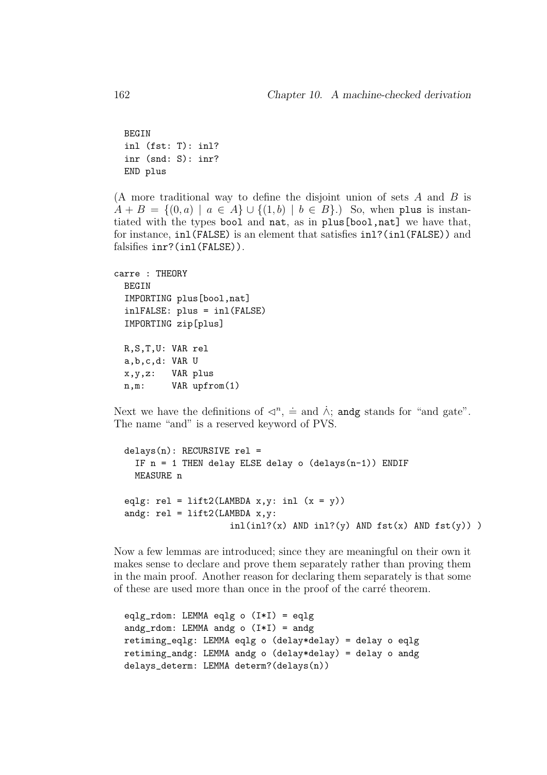```
BEGIN
inl (fst: T): inl?
inr (snd: S): inr?
END plus
```
(A more traditional way to define the disjoint union of sets  $A$  and  $B$  is  $A + B = \{(0, a) | a \in A\} \cup \{(1, b) | b \in B\}$ . So, when plus is instantiated with the types bool and nat, as in plus[bool,nat] we have that, for instance, inl(FALSE) is an element that satisfies inl?(inl(FALSE)) and falsifies inr?(inl(FALSE)).

```
carre : THEORY
 BEGIN
 IMPORTING plus[bool,nat]
  inlFALSE: plus = inl(FALSE)
  IMPORTING zip[plus]
 R,S,T,U: VAR rel
  a,b,c,d: VAR U
 x,y,z: VAR plus
 n,m: VAR upfrom(1)
```
Next we have the definitions of  $\triangleleft^n$ ,  $\dot{=}$  and  $\dot{\wedge}$ ; and g stands for "and gate". The name "and" is a reserved keyword of PVS.

```
delays(n): RECURSIVE rel =
  IF n = 1 THEN delay ELSE delay o (delays(n-1)) ENDIF
  MEASURE n
eqlg: rel = lift2(LAMBDA x, y: inl (x = y))
andg: rel = lift2(LAMBDA x,y:inl(int?(<i>x</i>) AND inl?(<i>y</i>) AND <math>fst(x) AND \,fst(y)))
```
Now a few lemmas are introduced; since they are meaningful on their own it makes sense to declare and prove them separately rather than proving them in the main proof. Another reason for declaring them separately is that some of these are used more than once in the proof of the carré theorem.

```
eqlg_rdom: LEMMA eqlg o (I*I) = eqlg
andg_rdom: LEMMA andg o (I*I) = andg
retiming_eqlg: LEMMA eqlg o (delay*delay) = delay o eqlg
retiming_andg: LEMMA andg o (delay*delay) = delay o andg
delays_determ: LEMMA determ?(delays(n))
```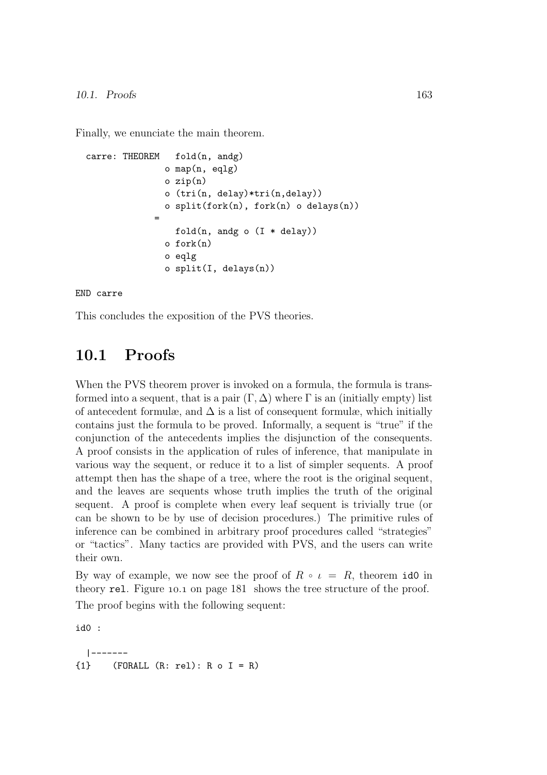#### *10.1. Proofs* 163

Finally, we enunciate the main theorem.

```
carre: THEOREM fold(n, andg)
               o map(n, eqlg)
               o zip(n)
               o (tri(n, delay)*tri(n,delay))
               o split(fork(n), fork(n) o delays(n))
             =
                 fold(n, andg \ o (I * delay))o fork(n)
               o eqlg
               o split(I, delays(n))
```
#### END carre

This concludes the exposition of the PVS theories.

## 10.1 Proofs

When the PVS theorem prover is invoked on a formula, the formula is transformed into a sequent, that is a pair  $(\Gamma, \Delta)$  where  $\Gamma$  is an (initially empty) list of antecedent formulæ, and  $\Delta$  is a list of consequent formulæ, which initially contains just the formula to be proved. Informally, a sequent is "true" if the conjunction of the antecedents implies the disjunction of the consequents. A proof consists in the application of rules of inference, that manipulate in various way the sequent, or reduce it to a list of simpler sequents. A proof attempt then has the shape of a tree, where the root is the original sequent, and the leaves are sequents whose truth implies the truth of the original sequent. A proof is complete when every leaf sequent is trivially true (or can be shown to be by use of decision procedures.) The primitive rules of inference can be combined in arbitrary proof procedures called "strategies" or "tactics". Many tactics are provided with PVS, and the users can write their own.

By way of example, we now see the proof of  $R \circ \iota = R$ , theorem id0 in theory rel. Figure 10.1 on page 181 shows the tree structure of the proof. The proof begins with the following sequent:

id0 :

|-------  ${1}$  (FORALL  $(R: rel): R \circ I = R$ )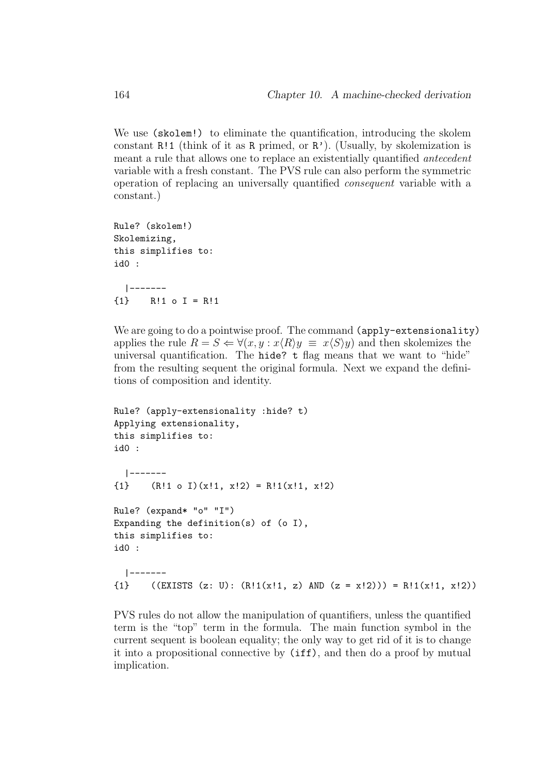We use (skolem!) to eliminate the quantification, introducing the skolem constant R!1 (think of it as R primed, or R'). (Usually, by skolemization is meant a rule that allows one to replace an existentially quantified antecedent variable with a fresh constant. The PVS rule can also perform the symmetric operation of replacing an universally quantified consequent variable with a constant.)

```
Rule? (skolem!)
Skolemizing,
this simplifies to:
id0 :
  |-------
{1} R!1 o I = R!1
```
We are going to do a pointwise proof. The command (apply-extensionality) applies the rule  $R = S \Leftrightarrow \forall (x, y : x \langle R \rangle y \equiv x \langle S \rangle y)$  and then skolemizes the universal quantification. The hide? t flag means that we want to "hide" from the resulting sequent the original formula. Next we expand the definitions of composition and identity.

```
Rule? (apply-extensionality :hide? t)
Applying extensionality,
this simplifies to:
id0 :
  |-------
\{1\} (R!1 o I)(x!1, x!2) = R!1(x!1, x!2)
Rule? (expand* "o" "I")
Expanding the definition(s) of (o I),
this simplifies to:
id0 :
  |-------
{1} ((EXISTS (z: U): (R!1(x!1, z) AND (z = x!2))) = R!1(x!1, x!2))
```
PVS rules do not allow the manipulation of quantifiers, unless the quantified term is the "top" term in the formula. The main function symbol in the current sequent is boolean equality; the only way to get rid of it is to change it into a propositional connective by (iff), and then do a proof by mutual implication.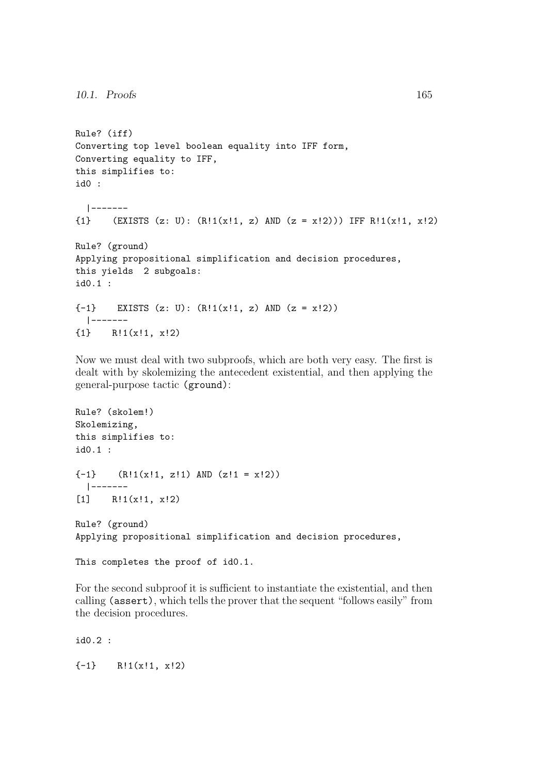```
Rule? (iff)
Converting top level boolean equality into IFF form,
Converting equality to IFF,
this simplifies to:
id0 :
  |-------
{1} (EXISTS (z: U): (R!1(x!1, z) AND (z = x!2))) IFF R!1(x!1, x!2)
Rule? (ground)
Applying propositional simplification and decision procedures,
this yields 2 subgoals:
id0.1 :
{-1} EXISTS (z: U): (R!1(x!1, z) AND (z = x!2))
  |-------
\{1\} R!1(x!1, x!2)
```
Now we must deal with two subproofs, which are both very easy. The first is dealt with by skolemizing the antecedent existential, and then applying the general-purpose tactic (ground):

```
Rule? (skolem!)
Skolemizing,
this simplifies to:
id0.1 :
{-1} (R!1(x!1, z!1) AND (z!1 = x!2))
  |-------
[1] R!1(x!1, x!2)
Rule? (ground)
Applying propositional simplification and decision procedures,
This completes the proof of id0.1.
```
For the second subproof it is sufficient to instantiate the existential, and then calling (assert), which tells the prover that the sequent "follows easily" from the decision procedures.

id0.2 :

 ${-1}$  R!1(x!1, x!2)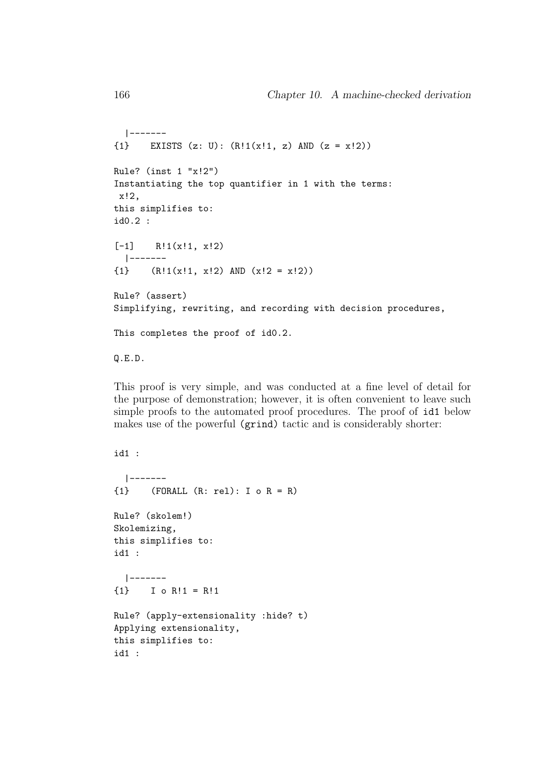```
|-------
{1} EXISTS (z: U): (R!1(x!1, z) AND (z = x!2))
Rule? (inst 1 "x!2")
Instantiating the top quantifier in 1 with the terms:
x!2,
this simplifies to:
id0.2 :
[-1] R!1(x!1, x!2)
  |-------
\{1\} (R!1(x!1, x!2) AND (x!2 = x!2))
Rule? (assert)
Simplifying, rewriting, and recording with decision procedures,
This completes the proof of id0.2.
Q.E.D.
```
This proof is very simple, and was conducted at a fine level of detail for the purpose of demonstration; however, it is often convenient to leave such simple proofs to the automated proof procedures. The proof of id1 below makes use of the powerful (grind) tactic and is considerably shorter:

```
id1 :
  |-------
{1} (FORALL (R: rel): I \circ R = R)
Rule? (skolem!)
Skolemizing,
this simplifies to:
id1 :
  |-------
{1} I o R!1 = R!1
Rule? (apply-extensionality :hide? t)
Applying extensionality,
this simplifies to:
id1 :
```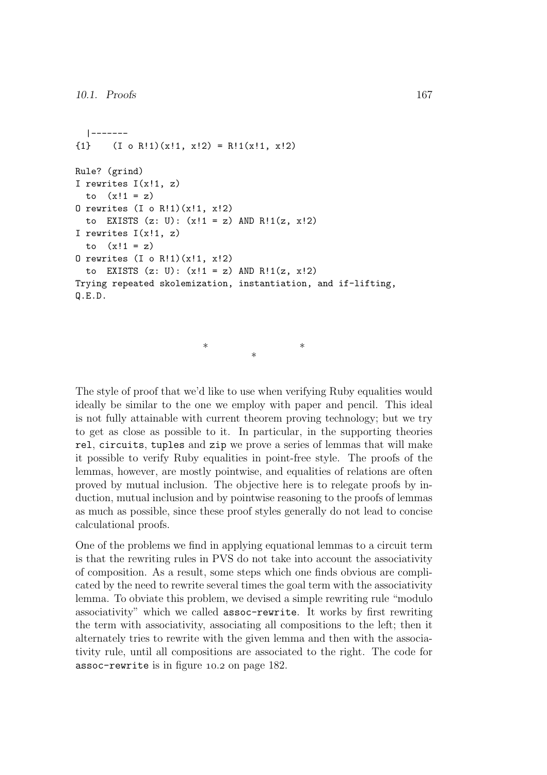```
|-------
\{1\} (I o R!1)(x!1, x!2) = R!1(x!1, x!2)
Rule? (grind)
I rewrites I(x!1, z)to (x!1 = z)O rewrites (I \circ R!1)(x!1, x!2)to EXISTS (z: U): (x!1 = z) AND R!1(z, x!2)I rewrites I(x!1, z)to (x!1 = z)O rewrites (I \circ R!1)(x!1, x!2)to EXISTS (z: U): (x!1 = z) AND R!1(z, x!2)Trying repeated skolemization, instantiation, and if-lifting,
Q.E.D.
```
\* \*

\*

The style of proof that we'd like to use when verifying Ruby equalities would ideally be similar to the one we employ with paper and pencil. This ideal is not fully attainable with current theorem proving technology; but we try to get as close as possible to it. In particular, in the supporting theories rel, circuits, tuples and zip we prove a series of lemmas that will make it possible to verify Ruby equalities in point-free style. The proofs of the lemmas, however, are mostly pointwise, and equalities of relations are often proved by mutual inclusion. The objective here is to relegate proofs by induction, mutual inclusion and by pointwise reasoning to the proofs of lemmas as much as possible, since these proof styles generally do not lead to concise calculational proofs.

One of the problems we find in applying equational lemmas to a circuit term is that the rewriting rules in PVS do not take into account the associativity of composition. As a result, some steps which one finds obvious are complicated by the need to rewrite several times the goal term with the associativity lemma. To obviate this problem, we devised a simple rewriting rule "modulo associativity" which we called assoc-rewrite. It works by first rewriting the term with associativity, associating all compositions to the left; then it alternately tries to rewrite with the given lemma and then with the associativity rule, until all compositions are associated to the right. The code for assoc-rewrite is in figure  $10.2$  on page 182.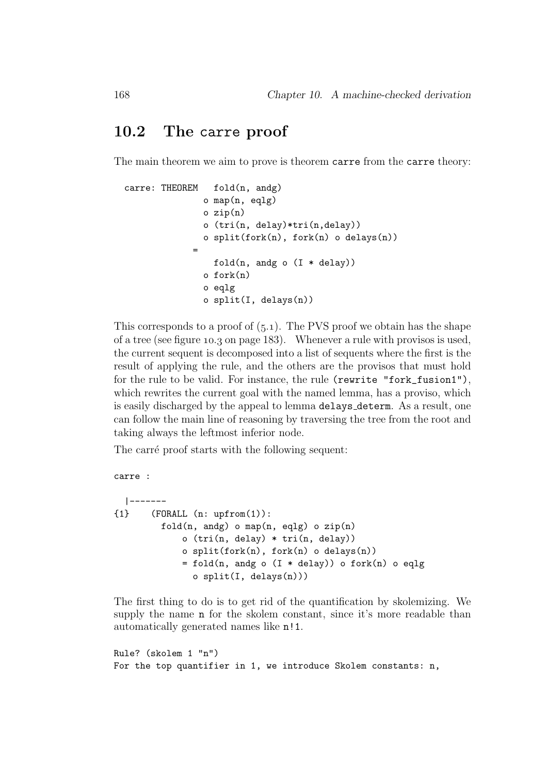## 10.2 The carre proof

The main theorem we aim to prove is theorem carre from the carre theory:

```
carre: THEOREM fold(n, andg)
               o map(n, eqlg)
               o zip(n)
               o (tri(n, delay)*tri(n,delay))
               o split(fork(n), fork(n) o delays(n))
             =
                 fold(n, andg o (I * delay))o fork(n)
               o eqlg
               o split(I, delays(n))
```
This corresponds to a proof of  $(5.1)$ . The PVS proof we obtain has the shape of a tree (see figure 10.3 on page  $183$ ). Whenever a rule with provisos is used, the current sequent is decomposed into a list of sequents where the first is the result of applying the rule, and the others are the provisos that must hold for the rule to be valid. For instance, the rule (rewrite "fork\_fusion1"), which rewrites the current goal with the named lemma, has a proviso, which is easily discharged by the appeal to lemma delays determ. As a result, one can follow the main line of reasoning by traversing the tree from the root and taking always the leftmost inferior node.

The carré proof starts with the following sequent:

```
carre :
  |-------
{1} (FORALL (n: upfrom(1)):
        fold(n, andg) o map(n, eqlg) o zip(n)o (tri(n, delay) * tri(n, delay))
             o split(fork(n), fork(n) o delays(n))
            = fold(n, andg o (I * delay)) o fork(n) o eqlg
               o split(I, delays(n)))
```
The first thing to do is to get rid of the quantification by skolemizing. We supply the name **n** for the skolem constant, since it's more readable than automatically generated names like n!1.

```
Rule? (skolem 1 "n")
For the top quantifier in 1, we introduce Skolem constants: n,
```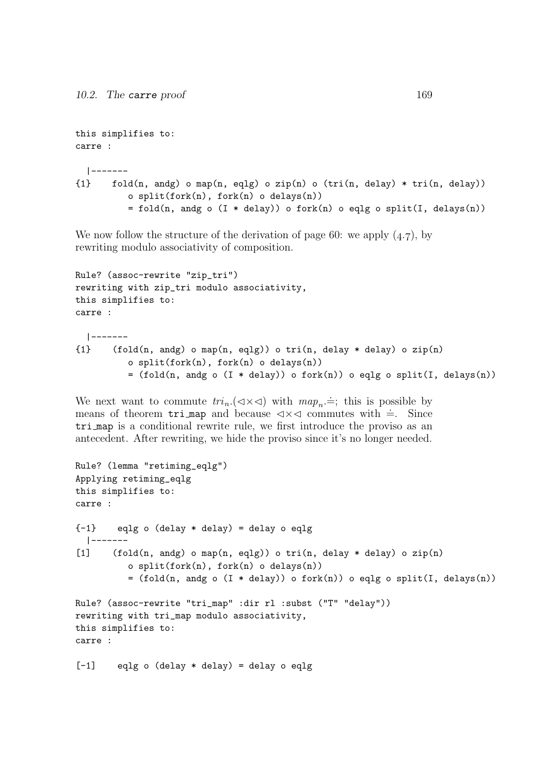```
this simplifies to:
carre :
```

```
|-------
{1} fold(n, andg) o map(n, eqlg) o zip(n) o (tri(n, delay) * tri(n, delay))
          o split(fork(n), fork(n) o delays(n))
          = fold(n, andg o (I * delay)) o fork(n) o eqlg o split(I, delays(n))
```
We now follow the structure of the derivation of page 60: we apply  $(4.7)$ , by rewriting modulo associativity of composition.

```
Rule? (assoc-rewrite "zip_tri")
rewriting with zip_tri modulo associativity,
this simplifies to:
carre :
  |-------
{1} (fold(n, andg) o map(n, eqlg)) o tri(n, delay * delay) o zip(n)
          o split(fork(n), fork(n) o delays(n))
          = (fold(n, andg o (I * delay)) o fork(n)) o eqlg o split(I, delays(n))
```
We next want to commute  $tri_n.(\triangleleft\times\triangleleft)$  with  $map_n.\dot{=};$  this is possible by means of theorem trimap and because  $\triangleleft \times \triangleleft$  commutes with  $\dot{=}$ . Since tri map is a conditional rewrite rule, we first introduce the proviso as an antecedent. After rewriting, we hide the proviso since it's no longer needed.

```
Rule? (lemma "retiming_eqlg")
Applying retiming_eqlg
this simplifies to:
carre :
{-1} eqlg o (delay * delay) = delay o eqlg
  |-------
[1] (fold(n, andg) o map(n, eqlg)) o tri(n, delay * delay) o zip(n)
         o split(fork(n), fork(n) o delays(n))
          = (fold(n, andg o (I * delay)) o fork(n)) o eqlg o split(I, delays(n))
Rule? (assoc-rewrite "tri_map" :dir rl :subst ("T" "delay"))
rewriting with tri_map modulo associativity,
this simplifies to:
carre :
[-1] eqlg o (delay * delay) = delay o eqlg
```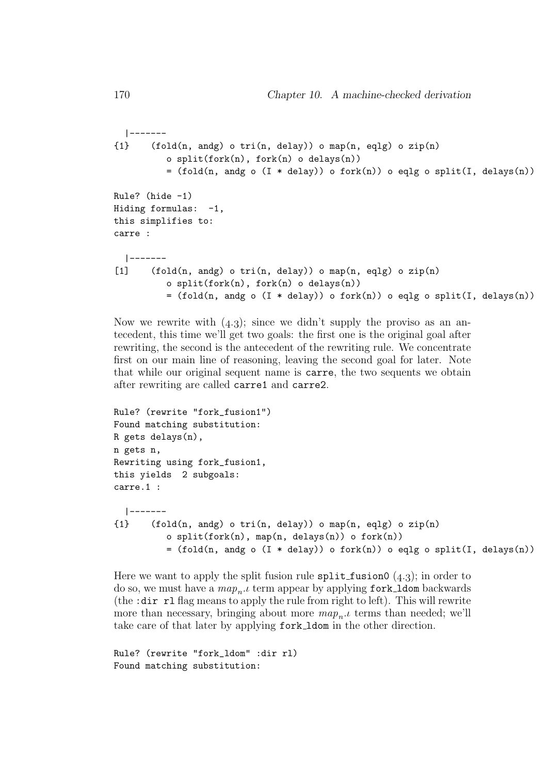```
|-------
{1} (fold(n, andg) o tri(n, delay)) o map(n, eqlg) o zip(n)
          o split(fork(n), fork(n) o delays(n))= (fold(n, andg o (I * delay)) o fork(n)) o eqlg o split(I, delays(n))
Rule? (hide -1)
Hiding formulas: -1,
this simplifies to:
carre :
  |-------
[1] (fold(n, andg) o tri(n, delay)) o map(n, eqlg) o zip(n)
          o split(fork(n), fork(n) o delays(n))
          = (fold(n, andg o (I * delay)) o fork(n)) o eqlg o split(I, delays(n))
```
Now we rewrite with  $(4.3)$ ; since we didn't supply the proviso as an antecedent, this time we'll get two goals: the first one is the original goal after rewriting, the second is the antecedent of the rewriting rule. We concentrate first on our main line of reasoning, leaving the second goal for later. Note that while our original sequent name is carre, the two sequents we obtain after rewriting are called carre1 and carre2.

```
Rule? (rewrite "fork_fusion1")
Found matching substitution:
R gets delays(n),
n gets n,
Rewriting using fork_fusion1,
this yields 2 subgoals:
carre.1 :
  |-------
{1} (fold(n, andg) o tri(n, delay)) o map(n, eqlg) o zip(n)
          o split(fork(n), map(n, delays(n)) o fork(n))
          = (fold(n, andg o (I * delay)) o fork(n)) o eqlg o split(I, delays(n))
```
Here we want to apply the split fusion rule  $\text{split}\$  fusion  $(4.3)$ ; in order to do so, we must have a  $map_n.\iota$  term appear by applying  $\mathtt{fork\_Idom}$  backwards (the :dir rl flag means to apply the rule from right to left). This will rewrite more than necessary, bringing about more  $map_n.\iota$  terms than needed; we'll take care of that later by applying fork\_1dom in the other direction.

```
Rule? (rewrite "fork_ldom" :dir rl)
Found matching substitution:
```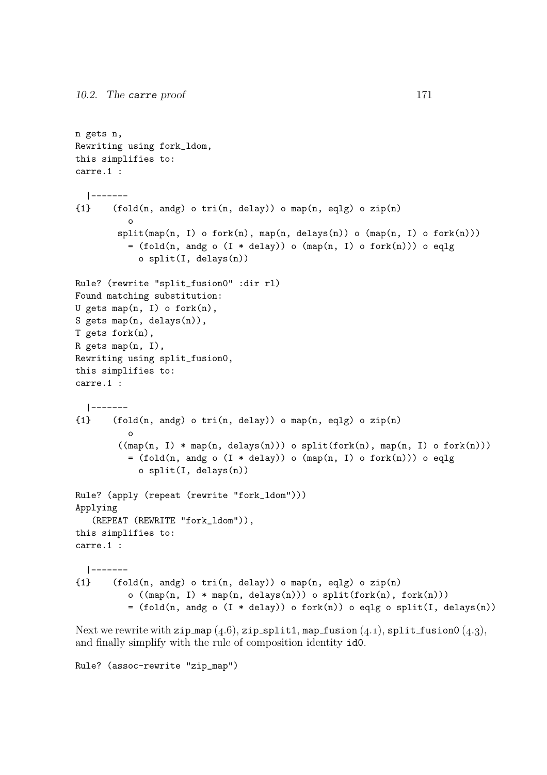```
n gets n,
Rewriting using fork_ldom,
this simplifies to:
carre.1 :
  |-------
{1} (fold(n, andg) o tri(n, delay)) o map(n, eqlg) o zip(n)
          o
        split(map(n, I) o fork(n), map(n, delays(n)) o (map(n, I) o fork(n)))
          = (fold(n, andg o (I * delay)) o (map(n, I) o fork(n))) o eqlg
            o split(I, delays(n))
Rule? (rewrite "split_fusion0" :dir rl)
Found matching substitution:
U gets map(n, 1) o fork(n),
S gets map(n, delays(n)),
T gets fork(n),
R gets map(n, I),
Rewriting using split_fusion0,
this simplifies to:
carre.1 :
 |-------
{1} (fold(n, andg) o tri(n, delay)) o map(n, eqlg) o zip(n)
          o
        ((map(n, 1) * map(n, delays(n))) o split(fork(n), map(n, I) o fork(n)))
          = (fold(n, andg o (I * delay)) o (map(n, I) o fork(n))) o eqlg
            o split(I, delays(n))
Rule? (apply (repeat (rewrite "fork_ldom")))
Applying
   (REPEAT (REWRITE "fork_ldom")),
this simplifies to:
carre.1 :
  |-------
{1} (fold(n, andg) o tri(n, delay)) o map(n, eqlg) o zip(n)
          o ((map(n, I) * map(n, delays(n))) o split(fork(n), fork(n)))= (fold(n, andg o (I * delay)) o fork(n)) o eqlg o split(I, delays(n))
```
Next we rewrite with zip map  $(4.6)$ , zip split1, map fusion  $(4.1)$ , split fusion0  $(4.3)$ , and finally simplify with the rule of composition identity id0.

```
Rule? (assoc-rewrite "zip_map")
```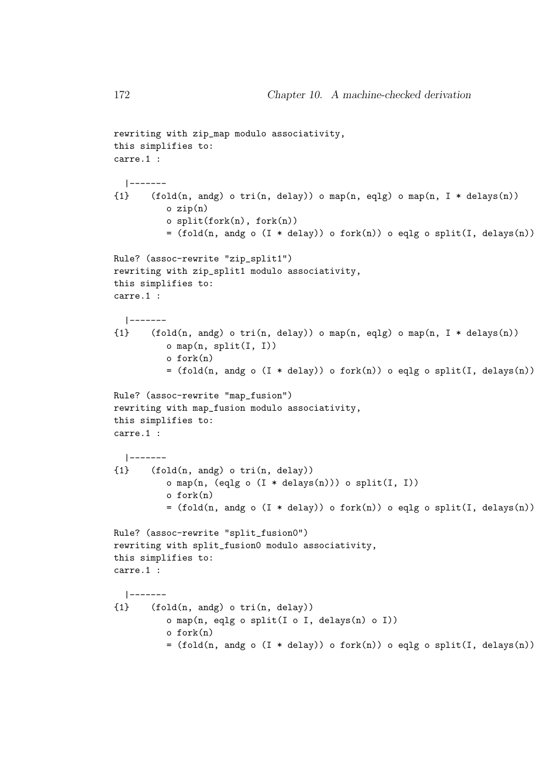```
rewriting with zip_map modulo associativity,
this simplifies to:
carre.1 :
  |-------
{1} (fold(n, andg) o tri(n, delay)) o map(n, eqlg) o map(n, I * delays(n))
          o zip(n)
          o split(fork(n), fork(n))
          = (fold(n, andg o (I * delay)) o fork(n)) o eqlg o split(I, delays(n))
Rule? (assoc-rewrite "zip_split1")
rewriting with zip_split1 modulo associativity,
this simplifies to:
carre.1 :
  |-------
{1} (fold(n, andg) o tri(n, delay)) o map(n, eqlg) o map(n, I * delays(n))
          o map(n, split(I, I))
          o fork(n)
          = (fold(n, andg o (I * delay)) o fork(n)) o eqlg o split(I, delays(n))
Rule? (assoc-rewrite "map_fusion")
rewriting with map_fusion modulo associativity,
this simplifies to:
carre.1 :
  |-------
{1} (fold(n, andg) o tri(n, delay))
          o map(n, \text{(eqlg o (I * delays(n))) o split(I, I))}o fork(n)
          = (fold(n, andg o (I * delay)) o fork(n)) o eqlg o split(I, delays(n))
Rule? (assoc-rewrite "split_fusion0")
rewriting with split_fusion0 modulo associativity,
this simplifies to:
carre.1 :
  |-------
{1} (fold(n, andg) o tri(n, delay))
          o map(n, eqlg o split(I o I, delays(n) o I))
          o fork(n)
          = (fold(n, andg o (I * delay)) o fork(n)) o eqlg o split(I, delays(n))
```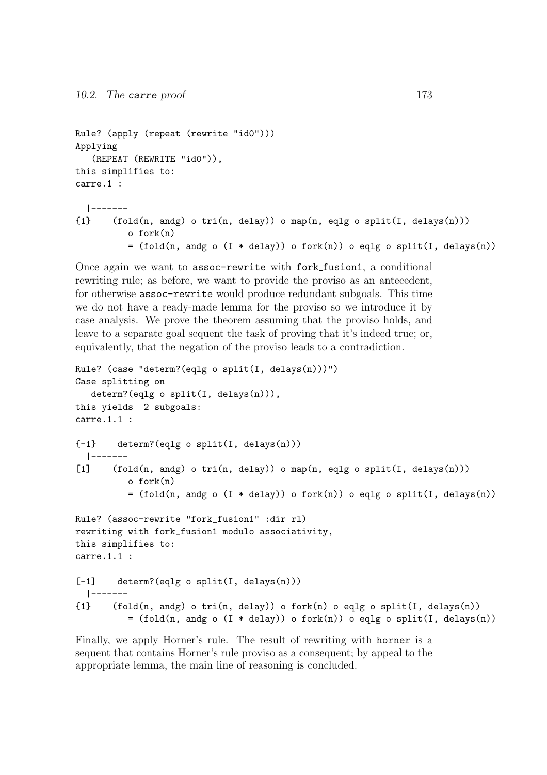```
Rule? (apply (repeat (rewrite "id0")))
Applying
   (REPEAT (REWRITE "id0")),
this simplifies to:
carre.1 :
  |-------
{1} (fold(n, andg) o tri(n, delay)) o map(n, eqlg o split(I, delays(n)))
          o fork(n)
          = (fold(n, andg o (I * delay)) o fork(n)) o eqlg o split(I, delays(n))
```
Once again we want to assoc-rewrite with fork fusion1, a conditional rewriting rule; as before, we want to provide the proviso as an antecedent, for otherwise assoc-rewrite would produce redundant subgoals. This time we do not have a ready-made lemma for the proviso so we introduce it by case analysis. We prove the theorem assuming that the proviso holds, and leave to a separate goal sequent the task of proving that it's indeed true; or, equivalently, that the negation of the proviso leads to a contradiction.

```
Rule? (case "determ?(eqlg o split(I, delays(n)))")
Case splitting on
  determ?(eqlg o split(I, delays(n))),
this yields 2 subgoals:
carre.1.1 :
{-1} determ?(eqlg o split(I, delays(n)))
  |-------
[1] (fold(n, andg) o tri(n, delay)) o map(n, eqlg o split(I, delays(n)))o fork(n)
          = (fold(n, andg o (I * delay)) o fork(n)) o eqlg o split(I, delays(n))
Rule? (assoc-rewrite "fork_fusion1" :dir rl)
rewriting with fork_fusion1 modulo associativity,
this simplifies to:
carre.1.1 :
[-1] determ?(eqlg o split(I, delays(n)))
  |-------
{1} (fold(n, andg) o tri(n, delay)) o fork(n) o eqlg o split(I, delays(n))
          = (fold(n, andg o (I * delay)) o fork(n)) o eqlg o split(I, delays(n))
```
Finally, we apply Horner's rule. The result of rewriting with horner is a sequent that contains Horner's rule proviso as a consequent; by appeal to the appropriate lemma, the main line of reasoning is concluded.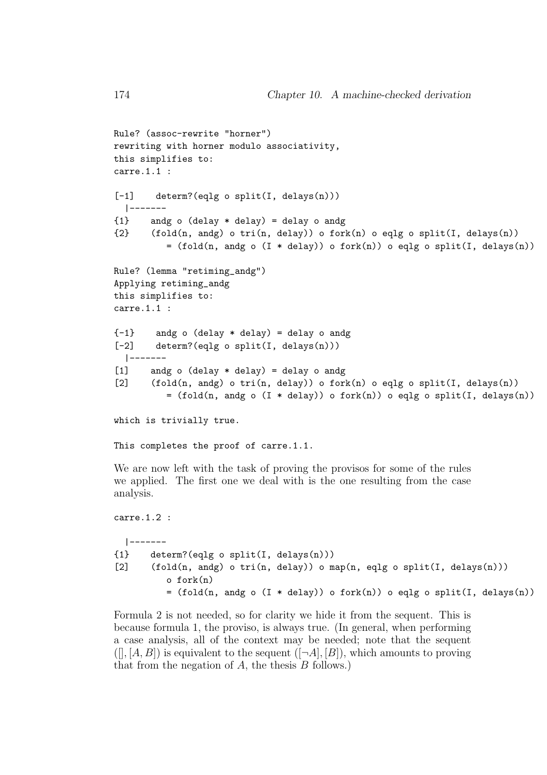```
Rule? (assoc-rewrite "horner")
rewriting with horner modulo associativity,
this simplifies to:
carre.1.1 :
[-1] determ?(eqlg o split(I, delays(n)))
  |-------
{1} andg o (delay * delay) = delay o andg
{2} (fold(n, andg) o tri(n, delay)) o fork(n) o eqlg o split(I, delays(n))
          = (fold(n, andg o (I * delay)) o fork(n)) o eqlg o split(I, delays(n))
Rule? (lemma "retiming_andg")
Applying retiming_andg
this simplifies to:
carre.1.1 :
{-1} andg o (delay * delay) = delay o andg
[-2] determ?(eqlg o split(I, delays(n)))
  |-------
[1] andg o (delay * delay) = delay o andg
[2] (fold(n, andg) o tri(n, delay)) o fork(n) o eqlg o split(I, delays(n))= (fold(n, andg o (I * delay)) o fork(n)) o eqlg o split(I, delays(n))
which is trivially true.
This completes the proof of carre.1.1.
We are now left with the task of proving the provisos for some of the rules
we applied. The first one we deal with is the one resulting from the case
analysis.
```

```
carre.1.2 :
 |-------
{1} determ?(eqlg o split(I, delays(n)))
[2] (fold(n, andg) o tri(n, delay)) o map(n, eqlg o split(I, delays(n)))o fork(n)
         = (fold(n, andg o (I * delay)) o fork(n)) o eqlg o split(I, delays(n))
```
Formula 2 is not needed, so for clarity we hide it from the sequent. This is because formula 1, the proviso, is always true. (In general, when performing a case analysis, all of the context may be needed; note that the sequent  $([], [A, B])$  is equivalent to the sequent  $([¬A], [B])$ , which amounts to proving that from the negation of  $A$ , the thesis  $B$  follows.)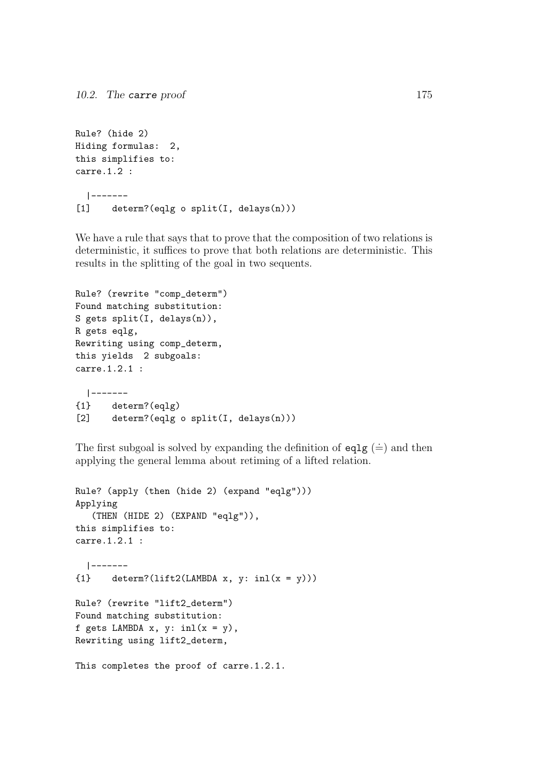```
Rule? (hide 2)
Hiding formulas: 2,
this simplifies to:
carre.1.2 :
  |-------
[1] determ?(eqlg o split(I, delays(n)))
```
We have a rule that says that to prove that the composition of two relations is deterministic, it suffices to prove that both relations are deterministic. This results in the splitting of the goal in two sequents.

```
Rule? (rewrite "comp_determ")
Found matching substitution:
S gets split(I, delays(n)),
R gets eqlg,
Rewriting using comp_determ,
this yields 2 subgoals:
carre.1.2.1 :
  |-------
{1} determ?(eqlg)
[2] determ?(eqlg o split(I, delays(n)))
```
The first subgoal is solved by expanding the definition of eqlg  $(\dot{=})$  and then applying the general lemma about retiming of a lifted relation.

```
Rule? (apply (then (hide 2) (expand "eqlg")))
Applying
   (THEN (HIDE 2) (EXPAND "eqlg")),
this simplifies to:
carre.1.2.1 :
  |-------
{1} determ?(lift2(LAMBDA x, y: inl(x = y)))
Rule? (rewrite "lift2_determ")
Found matching substitution:
f gets LAMBDA x, y: \text{inl}(x = y),
Rewriting using lift2_determ,
This completes the proof of carre.1.2.1.
```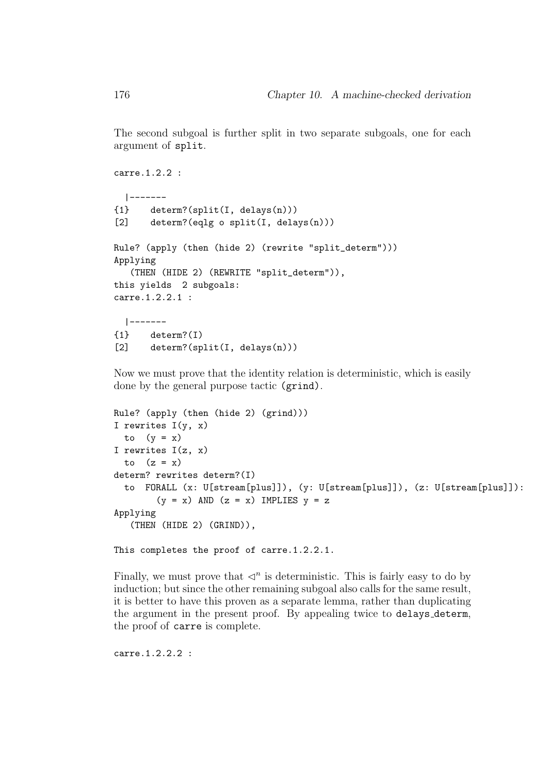The second subgoal is further split in two separate subgoals, one for each argument of split.

```
carre.1.2.2 :
  |-------
{1} determ?(split(I, delays(n)))
[2] determ?(eqlg o split(I, delays(n)))
Rule? (apply (then (hide 2) (rewrite "split_determ")))
Applying
   (THEN (HIDE 2) (REWRITE "split_determ")),
this yields 2 subgoals:
carre.1.2.2.1 :
  |-------
{1} determ?(I)
[2] determ?(split(I, delays(n)))
```
Now we must prove that the identity relation is deterministic, which is easily done by the general purpose tactic (grind).

```
Rule? (apply (then (hide 2) (grind)))
I rewrites I(y, x)to (y = x)I rewrites I(z, x)
 to (z = x)determ? rewrites determ?(I)
  to FORALL (x: U[stream[plus]]), (y: U[stream[plus]]), (z: U[stream[plus]]):
        (y = x) AND (z = x) IMPLIES y = zApplying
   (THEN (HIDE 2) (GRIND)),
```
This completes the proof of carre.1.2.2.1.

Finally, we must prove that  $\triangleleft^n$  is deterministic. This is fairly easy to do by induction; but since the other remaining subgoal also calls for the same result, it is better to have this proven as a separate lemma, rather than duplicating the argument in the present proof. By appealing twice to delays determ, the proof of carre is complete.

carre.1.2.2.2 :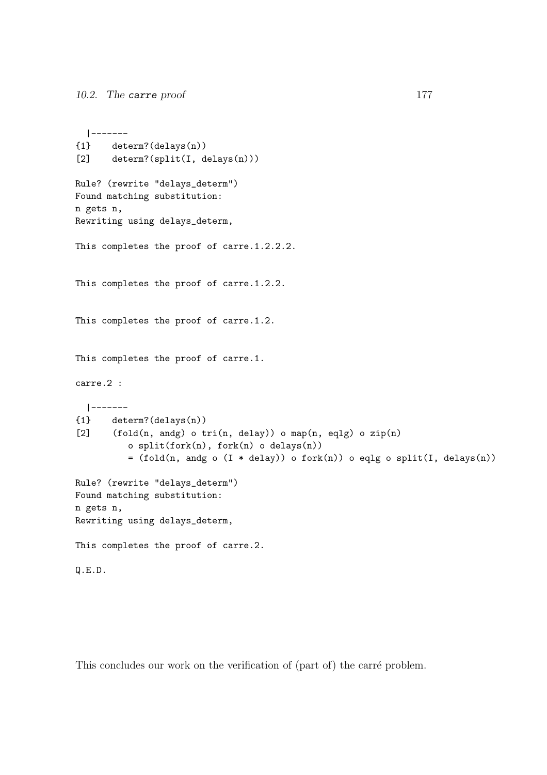```
|-------
{1} determ?(delays(n))
[2] determ?(split(I, delays(n)))
Rule? (rewrite "delays_determ")
Found matching substitution:
n gets n,
Rewriting using delays_determ,
This completes the proof of carre.1.2.2.2.
This completes the proof of carre.1.2.2.
This completes the proof of carre.1.2.
This completes the proof of carre.1.
carre.2 :
  |-------
{1} determ?(delays(n))
[2] (fold(n, andg) o tri(n, delay)) o map(n, eqlg) o zip(n)o split(fork(n), fork(n) o delays(n))
          = (fold(n, andg o (I * delay)) o fork(n)) o eqlg o split(I, delays(n))
Rule? (rewrite "delays_determ")
Found matching substitution:
n gets n,
Rewriting using delays_determ,
This completes the proof of carre.2.
Q.E.D.
```
This concludes our work on the verification of (part of) the carré problem.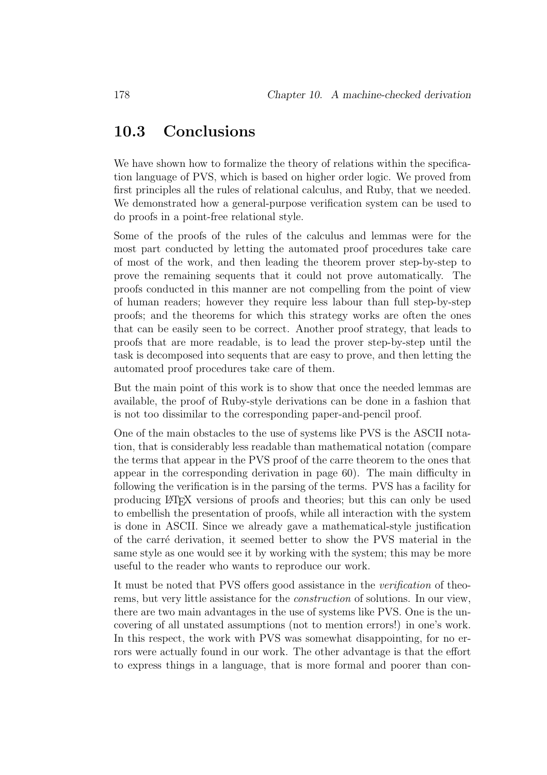## 10.3 Conclusions

We have shown how to formalize the theory of relations within the specification language of PVS, which is based on higher order logic. We proved from first principles all the rules of relational calculus, and Ruby, that we needed. We demonstrated how a general-purpose verification system can be used to do proofs in a point-free relational style.

Some of the proofs of the rules of the calculus and lemmas were for the most part conducted by letting the automated proof procedures take care of most of the work, and then leading the theorem prover step-by-step to prove the remaining sequents that it could not prove automatically. The proofs conducted in this manner are not compelling from the point of view of human readers; however they require less labour than full step-by-step proofs; and the theorems for which this strategy works are often the ones that can be easily seen to be correct. Another proof strategy, that leads to proofs that are more readable, is to lead the prover step-by-step until the task is decomposed into sequents that are easy to prove, and then letting the automated proof procedures take care of them.

But the main point of this work is to show that once the needed lemmas are available, the proof of Ruby-style derivations can be done in a fashion that is not too dissimilar to the corresponding paper-and-pencil proof.

One of the main obstacles to the use of systems like PVS is the ASCII notation, that is considerably less readable than mathematical notation (compare the terms that appear in the PVS proof of the carre theorem to the ones that appear in the corresponding derivation in page 60). The main difficulty in following the verification is in the parsing of the terms. PVS has a facility for producing L<sup>A</sup>TEX versions of proofs and theories; but this can only be used to embellish the presentation of proofs, while all interaction with the system is done in ASCII. Since we already gave a mathematical-style justification of the carr´e derivation, it seemed better to show the PVS material in the same style as one would see it by working with the system; this may be more useful to the reader who wants to reproduce our work.

It must be noted that PVS offers good assistance in the verification of theorems, but very little assistance for the construction of solutions. In our view, there are two main advantages in the use of systems like PVS. One is the uncovering of all unstated assumptions (not to mention errors!) in one's work. In this respect, the work with PVS was somewhat disappointing, for no errors were actually found in our work. The other advantage is that the effort to express things in a language, that is more formal and poorer than con-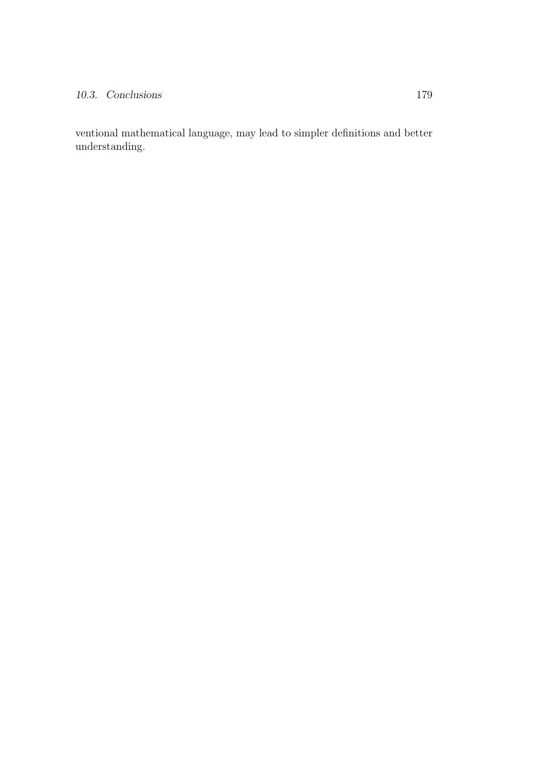#### *10.3. Conclusions* 179

ventional mathematical language, may lead to simpler definitions and better understanding.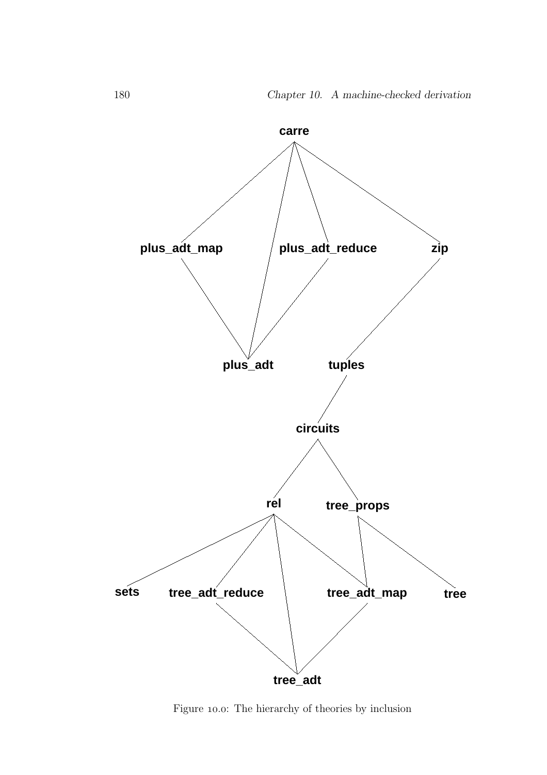

Figure 10.0: The hierarchy of theories by inclusion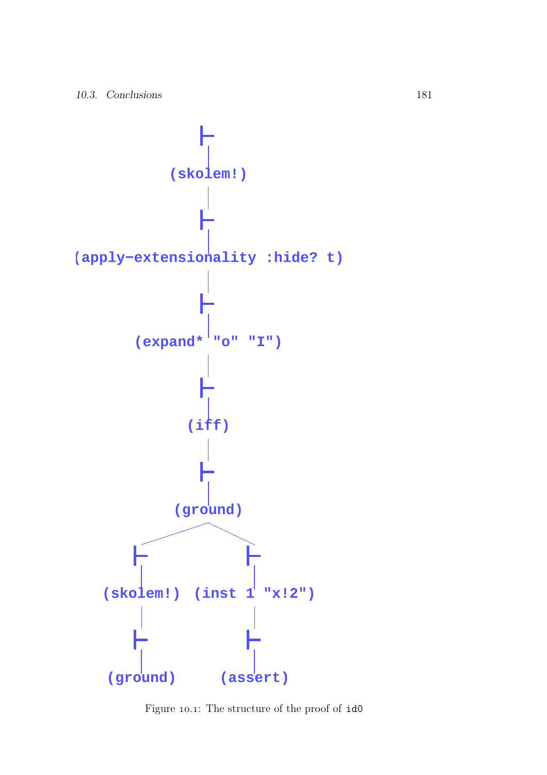

Figure 10.1: The structure of the proof of id0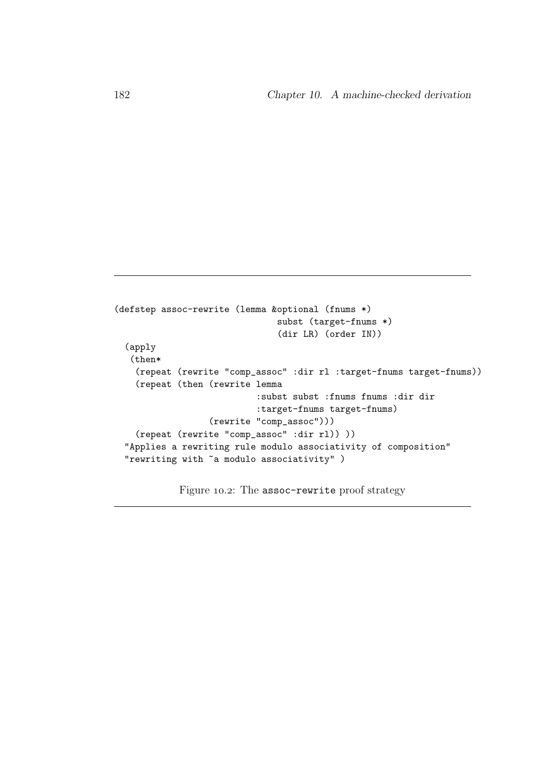```
(defstep assoc-rewrite (lemma &optional (fnums *)
                              subst (target-fnums *)
                               (dir LR) (order IN))
 (apply
  (then*
   (repeat (rewrite "comp_assoc" :dir rl :target-fnums target-fnums))
   (repeat (then (rewrite lemma
                           :subst subst :fnums fnums :dir dir
                           :target-fnums target-fnums)
                  (rewrite "comp_assoc")))
   (repeat (rewrite "comp_assoc" :dir rl)) ))
 "Applies a rewriting rule modulo associativity of composition"
 "rewriting with ~a modulo associativity" )
```
Figure 10.2: The assoc-rewrite proof strategy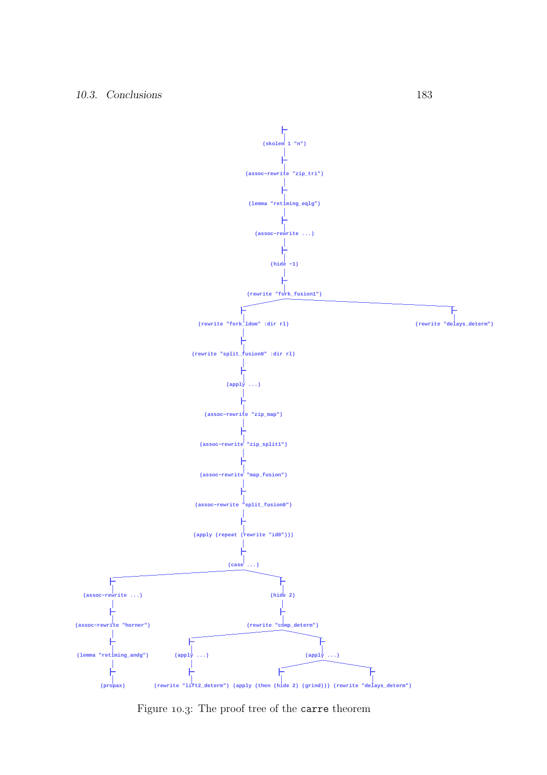

Figure 10.3: The proof tree of the carre theorem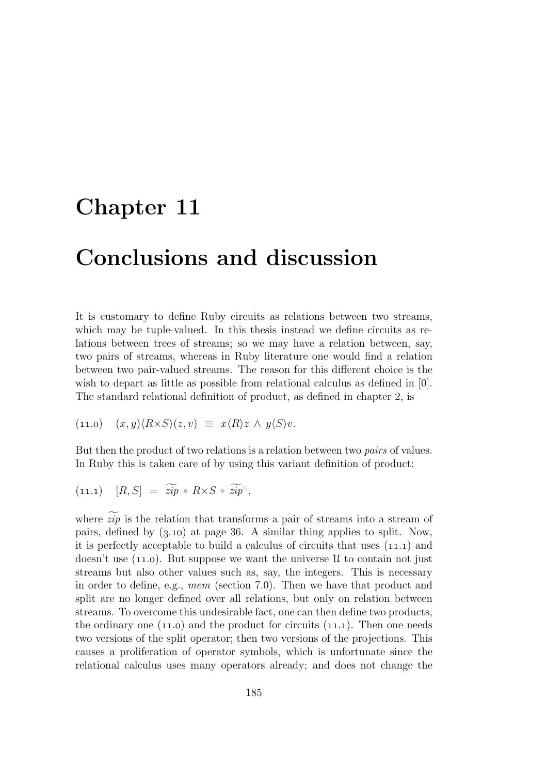#### Chapter 11

#### Conclusions and discussion

It is customary to define Ruby circuits as relations between two streams, which may be tuple-valued. In this thesis instead we define circuits as relations between trees of streams; so we may have a relation between, say, two pairs of streams, whereas in Ruby literature one would find a relation between two pair-valued streams. The reason for this different choice is the wish to depart as little as possible from relational calculus as defined in [0]. The standard relational definition of product, as defined in chapter 2, is

$$
(11.0) \quad (x,y)\langle R\times S\rangle(z,v) \equiv x\langle R\rangle z \wedge y\langle S\rangle v.
$$

But then the product of two relations is a relation between two *pairs* of values. In Ruby this is taken care of by using this variant definition of product:

$$
(11.1) \quad [R, S] = \widetilde{zip} \circ R \times S \circ \widetilde{zip} \vee,
$$

where  $\widetilde{zip}$  is the relation that transforms a pair of streams into a stream of pairs, defined by  $(3.10)$  at page 36. A similar thing applies to split. Now, it is perfectly acceptable to build a calculus of circuits that uses  $(11.1)$  and doesn't use  $(11.0)$ . But suppose we want the universe U to contain not just streams but also other values such as, say, the integers. This is necessary in order to define, e.g., mem (section 7.0). Then we have that product and split are no longer defined over all relations, but only on relation between streams. To overcome this undesirable fact, one can then define two products, the ordinary one  $(11.0)$  and the product for circuits  $(11.1)$ . Then one needs two versions of the split operator; then two versions of the projections. This causes a proliferation of operator symbols, which is unfortunate since the relational calculus uses many operators already; and does not change the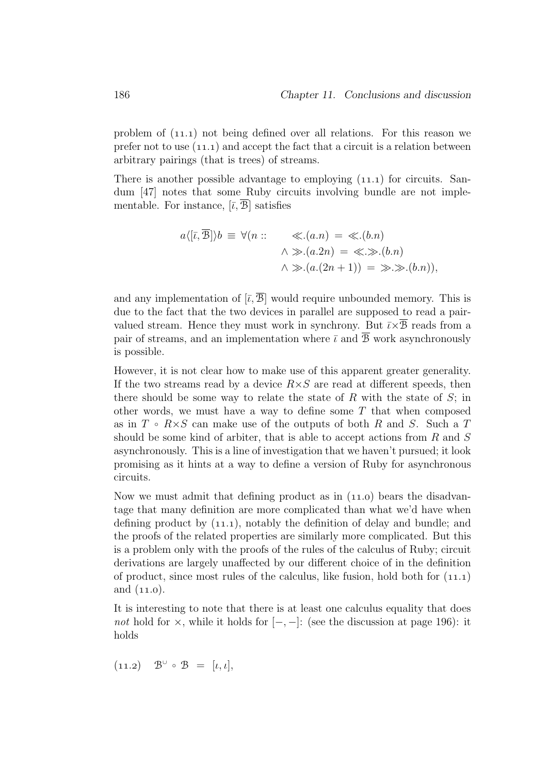problem of  $(11.1)$  not being defined over all relations. For this reason we prefer not to use  $(11.1)$  and accept the fact that a circuit is a relation between arbitrary pairings (that is trees) of streams.

There is another possible advantage to employing  $(11.1)$  for circuits. Sandum [47] notes that some Ruby circuits involving bundle are not implementable. For instance,  $[\bar{\iota}, \mathcal{B}]$  satisfies

$$
a\langle [\overline{\iota}, \overline{\mathcal{B}}] \rangle b \equiv \forall (n :: \ll.(a.n) = \ll.(b.n) \land \gg.(a.2n) = \ll.\gg.(b.n) \land \gg.(a.(2n+1)) = \gg.\gg.(b.n)),
$$

and any implementation of  $[\bar{\iota}, \bar{\mathcal{B}}]$  would require unbounded memory. This is due to the fact that the two devices in parallel are supposed to read a pairvalued stream. Hence they must work in synchrony. But  $\overline{\iota} \times \overline{\mathcal{B}}$  reads from a pair of streams, and an implementation where  $\bar{\iota}$  and  $\bar{\mathcal{B}}$  work asynchronously is possible.

However, it is not clear how to make use of this apparent greater generality. If the two streams read by a device  $R \times S$  are read at different speeds, then there should be some way to relate the state of R with the state of  $S$ ; in other words, we must have a way to define some  $T$  that when composed as in  $T \circ R \times S$  can make use of the outputs of both R and S. Such a T should be some kind of arbiter, that is able to accept actions from  $R$  and  $S$ asynchronously. This is a line of investigation that we haven't pursued; it look promising as it hints at a way to define a version of Ruby for asynchronous circuits.

Now we must admit that defining product as in  $(11.0)$  bears the disadvantage that many definition are more complicated than what we'd have when defining product by  $(11.1)$ , notably the definition of delay and bundle; and the proofs of the related properties are similarly more complicated. But this is a problem only with the proofs of the rules of the calculus of Ruby; circuit derivations are largely unaffected by our different choice of in the definition of product, since most rules of the calculus, like fusion, hold both for  $(11.1)$ and  $(11.0)$ .

It is interesting to note that there is at least one calculus equality that does *not* hold for  $\times$ , while it holds for  $[-,-]$ : (see the discussion at page 196): it holds

$$
(11.2) \quad \mathcal{B}^{\cup} \circ \mathcal{B} = [\iota, \iota],
$$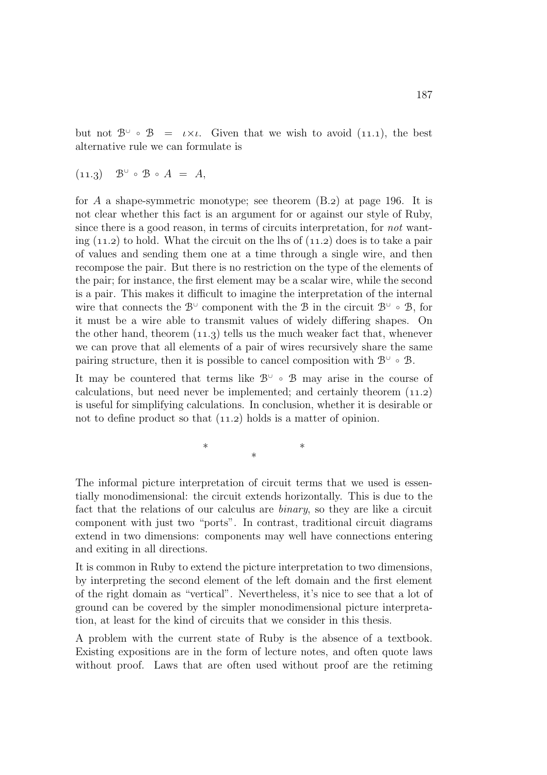but not  $\mathcal{B}^{\cup} \circ \mathcal{B} = \iota \times \iota$ . Given that we wish to avoid (11.1), the best alternative rule we can formulate is

$$
(11.3) \quad \mathcal{B}^{\cup} \circ \mathcal{B} \circ A = A,
$$

for A a shape-symmetric monotype; see theorem  $(B.2)$  at page 196. It is not clear whether this fact is an argument for or against our style of Ruby, since there is a good reason, in terms of circuits interpretation, for not wanting  $(11.2)$  to hold. What the circuit on the lhs of  $(11.2)$  does is to take a pair of values and sending them one at a time through a single wire, and then recompose the pair. But there is no restriction on the type of the elements of the pair; for instance, the first element may be a scalar wire, while the second is a pair. This makes it difficult to imagine the interpretation of the internal wire that connects the  $\mathcal{B}^{\cup}$  component with the  $\mathcal{B}$  in the circuit  $\mathcal{B}^{\cup} \circ \mathcal{B}$ , for it must be a wire able to transmit values of widely differing shapes. On the other hand, theorem  $(11.3)$  tells us the much weaker fact that, whenever we can prove that all elements of a pair of wires recursively share the same pairing structure, then it is possible to cancel composition with  $\mathcal{B}^{\cup} \circ \mathcal{B}$ .

It may be countered that terms like  $\mathcal{B}^{\cup} \circ \mathcal{B}$  may arise in the course of calculations, but need never be implemented; and certainly theorem  $(11.2)$ is useful for simplifying calculations. In conclusion, whether it is desirable or not to define product so that  $(11.2)$  holds is a matter of opinion.

> \* \* \*

The informal picture interpretation of circuit terms that we used is essentially monodimensional: the circuit extends horizontally. This is due to the fact that the relations of our calculus are binary, so they are like a circuit component with just two "ports". In contrast, traditional circuit diagrams extend in two dimensions: components may well have connections entering and exiting in all directions.

It is common in Ruby to extend the picture interpretation to two dimensions, by interpreting the second element of the left domain and the first element of the right domain as "vertical". Nevertheless, it's nice to see that a lot of ground can be covered by the simpler monodimensional picture interpretation, at least for the kind of circuits that we consider in this thesis.

A problem with the current state of Ruby is the absence of a textbook. Existing expositions are in the form of lecture notes, and often quote laws without proof. Laws that are often used without proof are the retining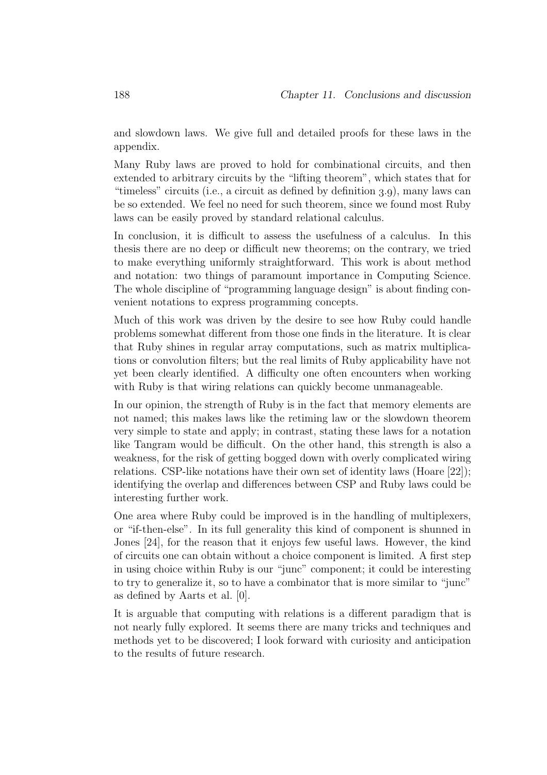and slowdown laws. We give full and detailed proofs for these laws in the appendix.

Many Ruby laws are proved to hold for combinational circuits, and then extended to arbitrary circuits by the "lifting theorem", which states that for "timeless" circuits (i.e., a circuit as defined by definition  $3.9$ ), many laws can be so extended. We feel no need for such theorem, since we found most Ruby laws can be easily proved by standard relational calculus.

In conclusion, it is difficult to assess the usefulness of a calculus. In this thesis there are no deep or difficult new theorems; on the contrary, we tried to make everything uniformly straightforward. This work is about method and notation: two things of paramount importance in Computing Science. The whole discipline of "programming language design" is about finding convenient notations to express programming concepts.

Much of this work was driven by the desire to see how Ruby could handle problems somewhat different from those one finds in the literature. It is clear that Ruby shines in regular array computations, such as matrix multiplications or convolution filters; but the real limits of Ruby applicability have not yet been clearly identified. A difficulty one often encounters when working with Ruby is that wiring relations can quickly become unmanageable.

In our opinion, the strength of Ruby is in the fact that memory elements are not named; this makes laws like the retiming law or the slowdown theorem very simple to state and apply; in contrast, stating these laws for a notation like Tangram would be difficult. On the other hand, this strength is also a weakness, for the risk of getting bogged down with overly complicated wiring relations. CSP-like notations have their own set of identity laws (Hoare [22]); identifying the overlap and differences between CSP and Ruby laws could be interesting further work.

One area where Ruby could be improved is in the handling of multiplexers, or "if-then-else". In its full generality this kind of component is shunned in Jones [24], for the reason that it enjoys few useful laws. However, the kind of circuits one can obtain without a choice component is limited. A first step in using choice within Ruby is our "junc" component; it could be interesting to try to generalize it, so to have a combinator that is more similar to "junc" as defined by Aarts et al. [0].

It is arguable that computing with relations is a different paradigm that is not nearly fully explored. It seems there are many tricks and techniques and methods yet to be discovered; I look forward with curiosity and anticipation to the results of future research.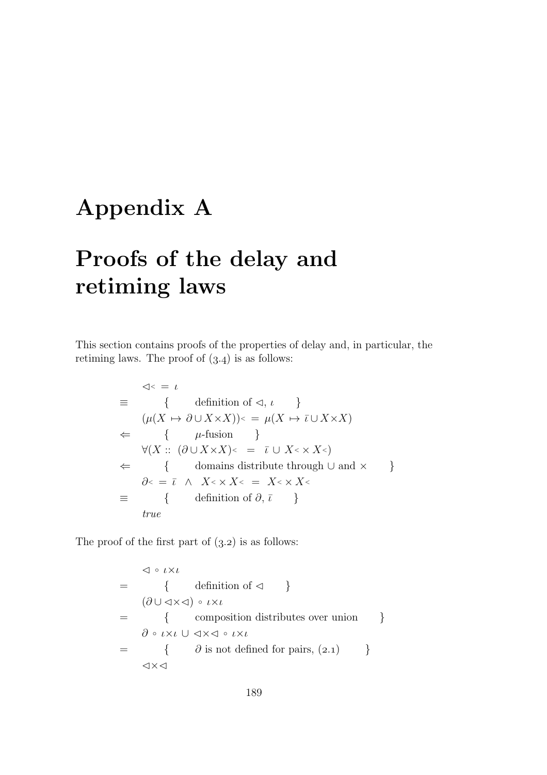## Appendix A

## Proofs of the delay and retiming laws

This section contains proofs of the properties of delay and, in particular, the retiming laws. The proof of  $(3.4)$  is as follows:

$$
\begin{aligned}\n&\triangleleft < = \iota \\
&\equiv \left\{ \begin{array}{c}\n\text{definition of } \triangleleft, \iota \\
(\mu(X \mapsto \partial \cup X \times X)) < = \mu(X \mapsto \bar{\iota} \cup X \times X) \\
&\Leftarrow \left\{ \begin{array}{c}\n\mu\text{-fusion} \\
\forall(X:: (\partial \cup X \times X) < = \bar{\iota} \cup X < \times X <)\n\end{array}\right. \\
&\Leftarrow \left\{ \begin{array}{c}\n\text{domains distribute through } \cup \text{ and } \times \\
\partial < = \bar{\iota} \land X < \times X < = X < \times X < \\
\text{definition of } \partial, \bar{\iota} > \n\end{array}\right.\n\end{aligned}
$$

The proof of the first part of  $(3.2)$  is as follows:

$$
\begin{aligned}\n&\triangleleft \circ \iota \times \iota \\
&= \left\{ \begin{array}{c} \text{definition of } \triangleleft \right. \\
(\partial \cup \triangleleft \times \triangleleft) \circ \iota \times \iota \\
&= \left\{ \begin{array}{c} \text{composition distributes over union} \\
\partial \circ \iota \times \iota \cup \triangleleft \times \triangleleft \circ \iota \times \iota \\
&\downarrow \partial \text{ is not defined for pairs, (2.1)} \end{array} \right.\right\} \\
&\triangleleft \times \triangleleft\n\end{aligned}
$$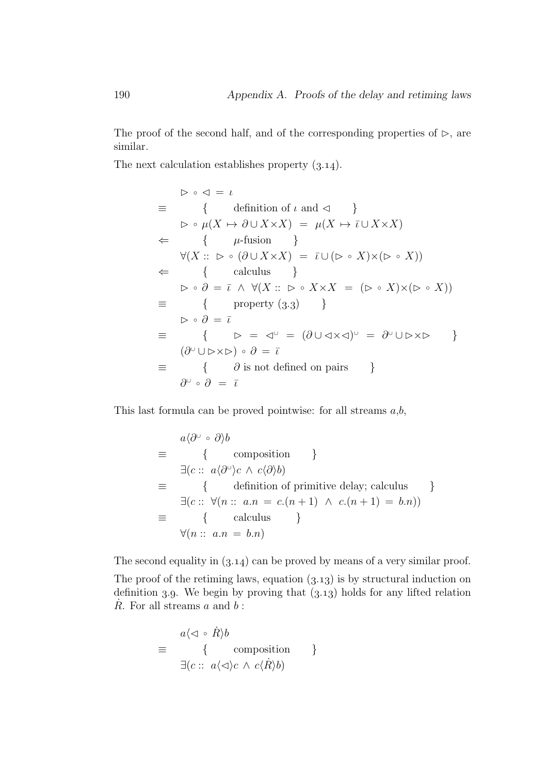The proof of the second half, and of the corresponding properties of  $\triangleright$ , are similar.

The next calculation establishes property  $(3.14)$ .

$$
\triangleright \circ \triangleleft = \iota
$$
\n
$$
\equiv \left\{ \begin{array}{c} \text{definition of } \iota \text{ and } \triangleleft \end{array} \right\}
$$
\n
$$
\equiv \left\{ \begin{array}{c} \text{definition of } \iota \text{ and } \triangleleft \end{array} \right\}
$$
\n
$$
\Leftrightarrow \mu(X \mapsto \partial \cup X \times X) = \mu(X \mapsto \bar{\iota} \cup X \times X)
$$
\n
$$
\Leftrightarrow \left\{ \begin{array}{c} \mu\text{-fusion} \\ \forall(X \dots \triangleright \circ (\partial \cup X \times X)) = \bar{\iota} \cup (\triangleright \circ X) \times (\triangleright \circ X)) \end{array} \right\}
$$
\n
$$
\Leftrightarrow \begin{array}{c} \lambda \in \mathcal{A} \\ \text{calculus} \end{array} \quad \Rightarrow \quad \lambda \in \mathcal{A} \times \mathcal{A} \times \mathcal{A} = (\triangleright \circ X) \times (\triangleright \circ X)
$$
\n
$$
\equiv \left\{ \begin{array}{c} \text{property (3.3)} \\ \lambda \circ \partial = \bar{\iota} \end{array} \right\}
$$
\n
$$
\equiv \left\{ \begin{array}{c} \lambda \circ \lambda \in \mathcal{A} \\ \lambda \circ \lambda \in \mathcal{A} \times \mathcal{A} \end{array} \right\}
$$
\n
$$
\equiv \left\{ \begin{array}{c} \lambda \circ \lambda \in \mathcal{A} \\ \lambda \circ \lambda \in \mathcal{A} \times \mathcal{A} \end{array} \right\}
$$
\n
$$
\equiv \left\{ \begin{array}{c} \lambda \circ \lambda \in \mathcal{A} \\ \lambda \circ \lambda \in \mathcal{A} \times \mathcal{A} \end{array} \right\}
$$
\n
$$
\equiv \left\{ \begin{array}{c} \lambda \circ \lambda \in \mathcal{A} \\ \lambda \circ \lambda \in \mathcal{A} \times \mathcal{A} \end{array} \right\}
$$
\n
$$
\equiv \left\{ \begin{array}{c} \lambda \circ \lambda \in \mathcal{A} \\ \lambda \circ \lambda \in \mathcal{A} \times \mathcal{A} \end{array} \right\}
$$
\n
$$
\equiv \left\{ \begin{array}{c} \lambda \circ \lambda \in \mathcal{A}
$$

This last formula can be proved pointwise: for all streams  $a,b$ ,

$$
\begin{aligned}\na\langle\partial^{\cup} \circ \partial\rangle b \\
\equiv & \{ \text{composition } \} \\
\exists (c:: a\langle\partial^{\cup}\rangle c \land c\langle\partial\rangle b) \\
\equiv & \{ \text{definition of primitive delay; calculus } \} \\
\exists (c:: \forall (n:: a.n = c.(n+1) \land c.(n+1) = b.n)) \\
\equiv & \{ \text{ calculus } \} \\
\forall (n:: a.n = b.n)\n\end{aligned}
$$

The second equality in  $(3.14)$  can be proved by means of a very similar proof. The proof of the retiming laws, equation  $(3.13)$  is by structural induction on definition 3.9. We begin by proving that  $(3.13)$  holds for any lifted relation  $\dot{R}$ . For all streams  $a$  and  $b$ :

$$
\equiv \begin{array}{c} a \langle \lhd \circ \dot{R} \rangle b \\ \equiv \quad \{ \quad \text{composition} \quad \} \\ \exists (c:: a \langle \lhd \rangle c \land c \langle \dot{R} \rangle b) \end{array}
$$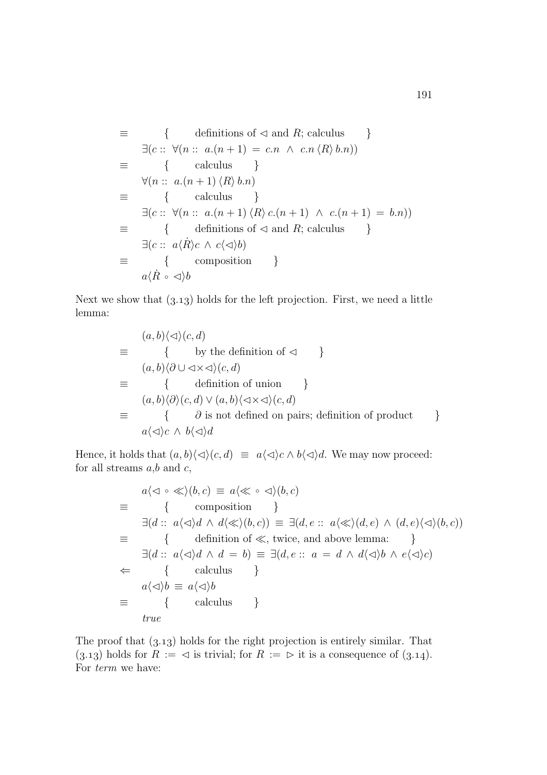$$
\equiv \{ \quad \text{definitions of } \lhd \text{ and } R; \text{ calculus } \}
$$
\n
$$
\exists (c:: \forall (n:: a.(n+1) = c.n \land c.n \langle R \rangle b.n))
$$
\n
$$
\equiv \{ \quad \text{ calculus } \}
$$
\n
$$
\forall (n:: a.(n+1) \langle R \rangle b.n)
$$
\n
$$
\equiv \{ \quad \text{ calculus } \}
$$
\n
$$
\exists (c:: \forall (n:: a.(n+1) \langle R \rangle c.(n+1) \land c.(n+1) = b.n))
$$
\n
$$
\equiv \{ \quad \text{ definitions of } \lhd \text{ and } R; \text{ calculus } \}
$$
\n
$$
\exists (c:: a \langle R \rangle c \land c \langle \lhd \rangle b)
$$
\n
$$
\equiv \{ \quad \text{composition } \}
$$
\n
$$
a \langle R \circ \lhd \rangle b
$$

Next we show that  $(3.13)$  holds for the left projection. First, we need a little lemma:

$$
(a, b)\langle\lhd\rangle(c, d)
$$
  
\n
$$
\equiv \{ \text{ by the definition of } \lhd \}
$$
  
\n
$$
(a, b)\langle\partial \cup \lhd \times \lhd \rangle(c, d)
$$
  
\n
$$
\equiv \{ \text{ definition of union } \}
$$
  
\n
$$
(a, b)\langle\partial\rangle(c, d) \lor (a, b)\langle\lhd \times \lhd \rangle(c, d)
$$
  
\n
$$
\equiv \{ \partial \text{ is not defined on pairs; definition of product } \}
$$
  
\n
$$
a\langle\lhd\rangle c \land b\langle\lhd\rangle d
$$

Hence, it holds that  $(a, b)\langle \triangleleft \rangle(c, d) \equiv a\langle \triangleleft \rangle c \wedge b\langle \triangleleft \rangle d$ . We may now proceed: for all streams  $a,b$  and  $c$ ,

$$
a \langle \neg \cdot \langle \rangle (b, c) \equiv a \langle \langle \cdot \cdot \rangle (b, c) \rangle
$$
  
\n
$$
\equiv \{ \text{composition } \} \exists (d :: a \langle \neg \rangle d \land d \langle \langle \cdot \rangle (b, c)) \equiv \exists (d, e :: a \langle \langle \cdot \rangle (d, e) \land (d, e) \langle \neg \rangle (b, c)) \rangle
$$
  
\n
$$
\equiv \{ \text{definition of } \langle \cdot \rangle, \text{ twice, and above lemma: } \} \exists (d :: a \langle \neg \rangle d \land d = b) \equiv \exists (d, e :: a = d \land d \langle \neg \rangle b \land e \langle \neg \rangle c) \rangle
$$
  
\n
$$
\Leftrightarrow \{ \text{ calculus } \} \}
$$
  
\n
$$
a \langle \neg \rangle b \equiv a \langle \neg \rangle b
$$
  
\n
$$
\equiv \{ \text{ calculus } \} \}
$$
  
\n
$$
true
$$

The proof that  $(3.13)$  holds for the right projection is entirely similar. That (3.13) holds for  $R := \triangleleft$  is trivial; for  $R := \triangleright$  it is a consequence of (3.14). For term we have: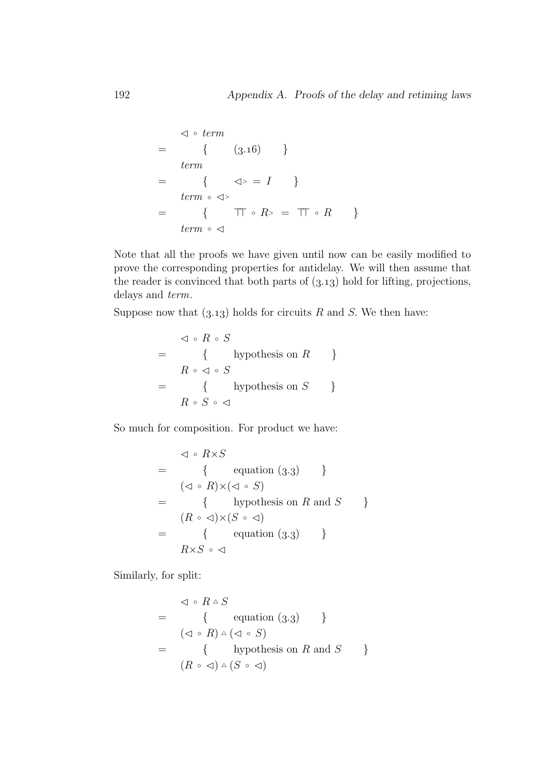$$
\begin{array}{rcl}\n\vartriangleleft \circ \text{ term} \\
&=& \{ & (3.16) \\
\text{ term} \\
&=& \{ & \vartriangleleft> = I \}\n\end{array}\n\}
$$
\n
$$
= & \{ & \vartriangleleft> \text{ term } \circ \vartriangleleft> \text{ for } R > I \text{ for } R \text{ for } R \text{ for } R \text{ for } R \text{ for } R \text{ for } R \text{ for } R \text{ for } R \text{ for } R \text{ for } R \text{ for } R \text{ for } R \text{ for } R \text{ for } R \text{ for } R \text{ for } R \text{ for } R \text{ for } R \text{ for } R \text{ for } R \text{ for } R \text{ for } R \text{ for } R \text{ for } R \text{ for } R \text{ for } R \text{ for } R \text{ for } R \text{ for } R \text{ for } R \text{ for } R \text{ for } R \text{ for } R \text{ for } R \text{ for } R \text{ for } R \text{ for } R \text{ for } R \text{ for } R \text{ for } R \text{ for } R \text{ for } R \text{ for } R \text{ for } R \text{ for } R \text{ for } R \text{ for } R \text{ for } R \text{ for } R \text{ for } R \text{ for } R \text{ for } R \text{ for } R \text{ for } R \text{ for } R \text{ for } R \text{ for } R \text{ for } R \text{ for } R \text{ for } R \text{ for } R \text{ for } R \text{ for } R \text{ for } R \text{ for } R \text{ for } R \text{ for } R \text{ for } R \text{ for } R \text{ for } R \text{ for } R \text{ for } R \text{ for } R \text{ for } R \text{ for } R \text{ for } R \text{ for } R \text{ for } R \text{ for } R \text{ for } R \text{ for } R \text{ for } R \text{ for } R \text{ for } R \text{ for } R \text{ for } R \text{ for } R \text{ for } R \text{ for } R \text{ for } R \text{ for } R \text{ for } R \text{ for } R \text{ for } R \text{ for } R \text{ for } R \text{ for } R \text{ for } R \text{ for } R \text{ for } R \text{ for } R \text{ for } R \text{ for } R \text{ for } R \text{ for } R \text{ for } R \text{ for } R \text{ for } R \text{ for } R \text{ for }
$$

Note that all the proofs we have given until now can be easily modified to prove the corresponding properties for antidelay. We will then assume that the reader is convinced that both parts of  $(3.13)$  hold for lifting, projections, delays and term.

Suppose now that  $(3.13)$  holds for circuits R and S. We then have:

$$
\begin{array}{rcl}\n\vartriangleleft & \circ & R \circ S \\
= & \{ & \text{hypothesis on } R \\
R \circ \vartriangleleft & \circ S \\
= & \{ & \text{hypothesis on } S \\
R \circ S \circ \vartriangleleft\n\end{array}\right\}\n\end{array}
$$

So much for composition. For product we have:

$$
\begin{aligned}\n&\triangleleft \circ R \times S \\
&= \left\{ \begin{array}{c} \text{equation (3.3)} \\ \left( \triangleleft \circ R \right) \times \left( \triangleleft \circ S \right) \right. \\ \text{{bypothesis on } R \text{ and } S \right. \\ \text{and} \quad S \right. \\ \text{= } &\left\{ \begin{array}{c} \text{hypothesis on } R \text{ and } S \\ \text{equation (3.3)} \end{array} \right. \right\} \\
&= \left\{ \begin{array}{c} \text{equation (3.3)} \\ \text{equation (3.3)} \end{array} \right\}\n\end{aligned}
$$

Similarly, for split:

$$
\begin{array}{rcl}\n\vartriangleleft \circ R \wedge S \\
= & \{ & \text{equation (3.3)} \quad \} \\
(\vartriangleleft \circ R) \wedge (\vartriangleleft \circ S) \\
= & \{ & \text{hypothesis on } R \text{ and } S \quad \} \\
(R \circ \vartriangleleft) \wedge (S \circ \vartriangleleft)\n\end{array}
$$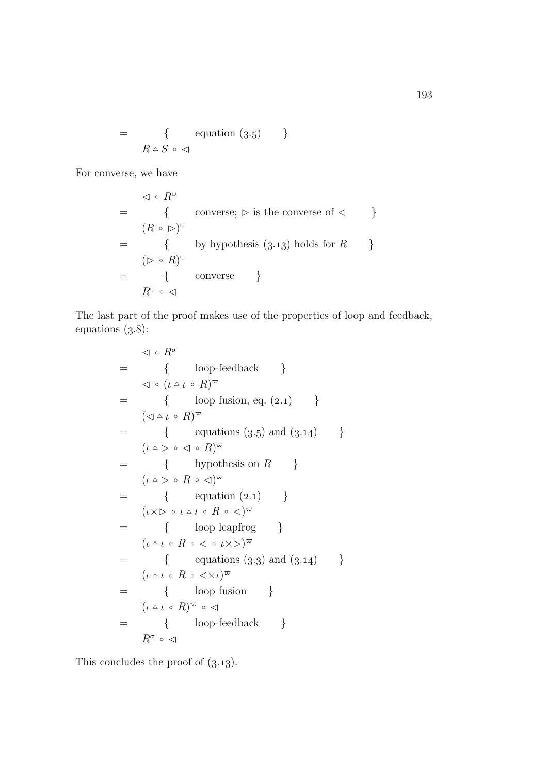$$
= \{ \text{equation (3.5)} \}
$$

$$
R \triangle S \circ \triangleleft
$$

For converse, we have

$$
\begin{array}{rcl}\n\vartriangleleft \circ R^{\cup} \\
&=& \{ & \text{converse; } \vartriangleright \text{ is the converse of } \vartriangleleft \} \\
(R \circ \vartriangleright)^{\cup} \\
&=& \{ & \text{by hypothesis (3.13) holds for } R \} \\
&=& (\vartriangleright \circ R)^{\cup} \\
&=& \{ & \text{converse} \} \\
&&& R^{\cup} \circ \vartriangleleft\n\end{array}
$$

The last part of the proof makes use of the properties of loop and feedback, equations  $(3.8)$ :

$$
\begin{array}{rcl}\n\triangleleft \circ R^{\sigma} & \text{loop-feedback} & \} \\
& = & \left\{ \begin{array}{c} \text{loop-feedback} \\ \text{loop fusion, eq. (2.1)} \end{array} \right\} \\
& = & \left\{ \begin{array}{c} \text{loop fusion, eq. (2.1)} \\ \text{equations (3.5) and (3.14)} \end{array} \right\} \\
& = & \left\{ \begin{array}{c} \text{equations (3.5) and (3.14)} \\ \text{hypothesis on } R \end{array} \right\} \\
& = & \left\{ \begin{array}{c} \text{hypothesis on } R \\ \text{equation (2.1)} \end{array} \right\} \\
& = & \left\{ \begin{array}{c} \text{equation (2.1)} \\ \text{loop leapfrog} \end{array} \right\} \\
& = & \left\{ \begin{array}{c} \text{loop leapfrog} \\ \text{lequations (3.3) and (3.14)} \end{array} \right\} \\
& = & \left\{ \begin{array}{c} \text{equations (3.3) and (3.14)} \\ \text{loop fusion} \end{array} \right\} \\
& = & \left\{ \begin{array}{c} \text{loop fusion} \\ \text{loop fusion} \end{array} \right\} \\
& = & \left\{ \begin{array}{c} \text{loop-feedback} \\ \text{loop-feedback} \end{array} \right\} \\
& R^{\sigma} \circ \triangleleft\n\end{array}
$$

This concludes the proof of  $(3.13)$ .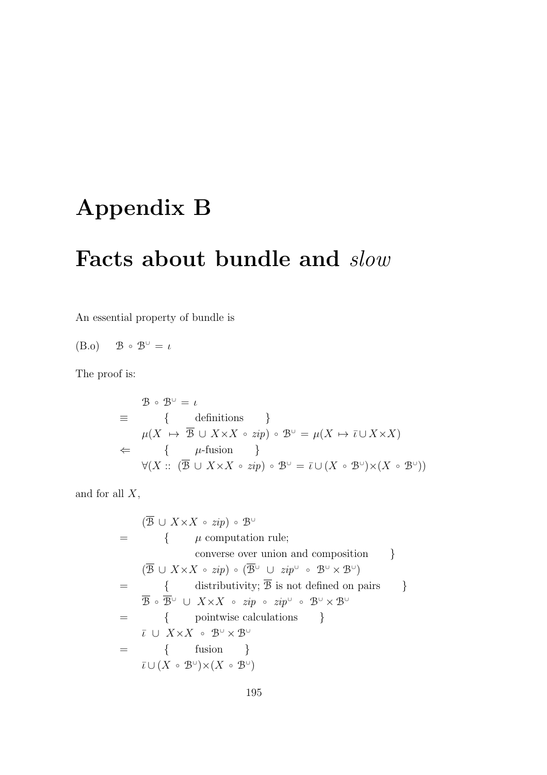# Appendix B

### Facts about bundle and slow

An essential property of bundle is

 $(B.0)$   $B \circ B^{\cup} = \iota$ 

The proof is:

$$
\mathcal{B} \circ \mathcal{B}^{\cup} = \iota
$$
\n
$$
\equiv \left\{ \begin{array}{c} \text{definitions} \\ \text{4 (X \rightarrow \overline{B} \cup X \times X \circ zip) \circ \mathcal{B}^{\cup} = \mu(X \rightarrow \overline{\iota} \cup X \times X) \\ \text{4 (X \cdots (\overline{B} \cup X \times X \circ zip) \circ \mathcal{B}^{\cup} = \overline{\iota} \cup (X \circ \mathcal{B}^{\cup}) \times (X \circ \mathcal{B}^{\cup})) \end{array} \right.
$$

and for all X,

$$
(\overline{\mathcal{B}} \cup X \times X \circ zip) \circ \mathcal{B}^{\cup}
$$
\n
$$
= \{ \mu \text{ computation rule;}
$$
\n
$$
(\overline{\mathcal{B}} \cup X \times X \circ zip) \circ (\overline{\mathcal{B}}^{\cup} \cup zip^{\cup} \circ \mathcal{B}^{\cup} \times \mathcal{B}^{\cup})
$$
\n
$$
= \{ \text{ distributivity; } \overline{\mathcal{B}} \text{ is not defined on pairs } \}
$$
\n
$$
\overline{\mathcal{B}} \circ \overline{\mathcal{B}}^{\cup} \cup X \times X \circ zip \circ zip^{\cup} \circ \mathcal{B}^{\cup} \times \mathcal{B}^{\cup}
$$
\n
$$
= \{ \text{ pointwise calculations } \}
$$
\n
$$
\overline{\iota} \cup X \times X \circ \mathcal{B}^{\cup} \times \mathcal{B}^{\cup}
$$
\n
$$
= \{ \text{fusion } \}
$$
\n
$$
\overline{\iota} \cup (X \circ \mathcal{B}^{\cup}) \times (X \circ \mathcal{B}^{\cup})
$$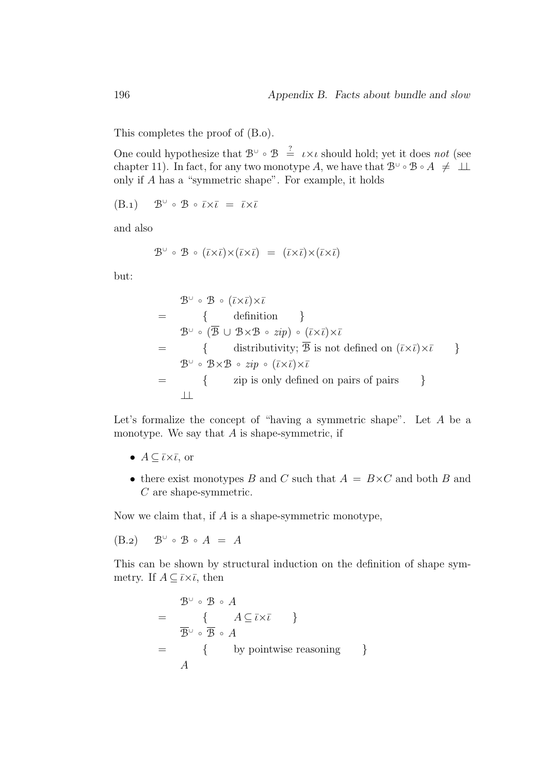This completes the proof of (B.).

One could hypothesize that  $\mathcal{B}^{\cup} \circ \mathcal{B} \cong \iota \times \iota$  should hold; yet it does not (see chapter 11). In fact, for any two monotype A, we have that  $\mathcal{B}^{\cup} \circ \mathcal{B} \circ A \neq \bot \bot$ only if A has a "symmetric shape". For example, it holds

$$
(B.1) \quad \mathcal{B}^{\cup} \circ \mathcal{B} \circ \bar{\iota} \times \bar{\iota} = \bar{\iota} \times \bar{\iota}
$$

and also

$$
\mathcal{B}^{\cup} \circ \mathcal{B} \circ (\bar{\iota} \times \bar{\iota}) \times (\bar{\iota} \times \bar{\iota}) = (\bar{\iota} \times \bar{\iota}) \times (\bar{\iota} \times \bar{\iota})
$$

but:

$$
\mathcal{B}^{\cup} \circ \mathcal{B} \circ (\bar{\iota} \times \bar{\iota}) \times \bar{\iota}
$$
\n
$$
= \n\begin{cases}\n\text{definition} \\
\mathcal{B}^{\cup} \circ (\overline{\mathcal{B}} \cup \mathcal{B} \times \mathcal{B} \circ zip) \circ (\bar{\iota} \times \bar{\iota}) \times \bar{\iota} \\
\text{distributivity; } \overline{\mathcal{B}} \text{ is not defined on } (\bar{\iota} \times \bar{\iota}) \times \bar{\iota}\n\end{cases}\n\}
$$
\n
$$
= \n\begin{cases}\n\text{distributivity; } \overline{\mathcal{B}} \text{ is not defined on } (\bar{\iota} \times \bar{\iota}) \times \bar{\iota} \\
\text{g}^{\cup} \circ \mathcal{B} \times \mathcal{B} \circ zip \circ (\bar{\iota} \times \bar{\iota}) \times \bar{\iota} \\
\text{zip is only defined on pairs of pairs}\n\end{cases}
$$

Let's formalize the concept of "having a symmetric shape". Let A be a monotype. We say that  $A$  is shape-symmetric, if

- $A \subseteq \overline{\iota} \times \overline{\iota}$ , or
- there exist monotypes B and C such that  $A = B \times C$  and both B and C are shape-symmetric.

Now we claim that, if A is a shape-symmetric monotype,

 $(B.2)$   $B^{\cup} \circ B \circ A = A$ 

This can be shown by structural induction on the definition of shape symmetry. If  $A \subseteq \overline{\iota} \times \overline{\iota}$ , then

$$
\mathcal{B}^{\cup} \circ \mathcal{B} \circ A
$$
\n
$$
= \begin{cases}\n\left\{\n\begin{array}{c}\nA \subseteq \overline{\iota} \times \overline{\iota} \\
B^{\cup} \circ \overline{\mathcal{B}} \circ A\n\end{array}\n\right\}
$$
\n
$$
= \begin{cases}\n\text{by pointwise reasoning} \\
A\n\end{cases}
$$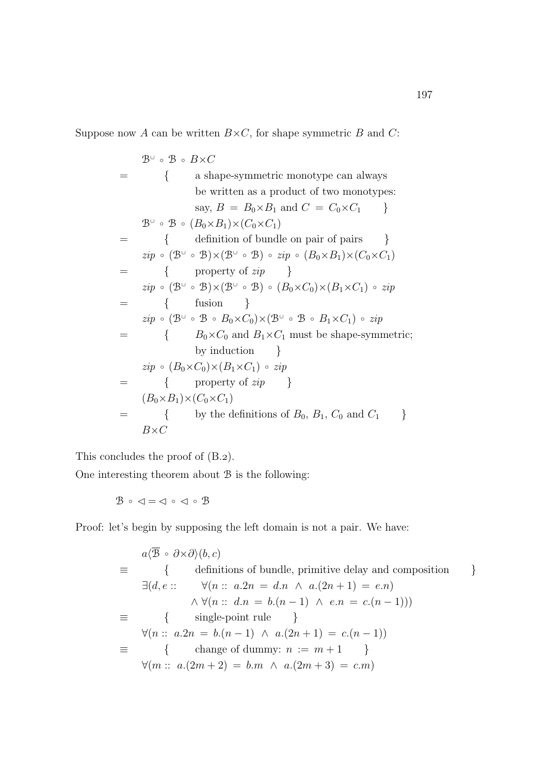Suppose now  $A$  can be written  $B \times C$ , for shape symmetric  $B$  and  $C$ :

$$
\mathcal{B}^{\cup} \circ \mathcal{B} \circ B \times C
$$
\n
$$
= \left\{ \begin{array}{c} \text{a shape-symmetric monotone can always} \\ \text{a shape-symmetric monotone can always} \\ \text{say, } B = B_0 \times B_1 \text{ and } C = C_0 \times C_1 \end{array} \right\}
$$
\n
$$
\mathcal{B}^{\cup} \circ \mathcal{B} \circ (B_0 \times B_1) \times (C_0 \times C_1)
$$
\n
$$
= \left\{ \begin{array}{c} \text{definition of bundle on pair of pairs} \\ \text{definition of bundle on pair of pairs} \end{array} \right\}
$$
\n
$$
zip \circ (\mathcal{B}^{\cup} \circ \mathcal{B}) \times (\mathcal{B}^{\cup} \circ \mathcal{B}) \circ (B_0 \times B_1) \times (C_0 \times C_1)
$$
\n
$$
= \left\{ \begin{array}{c} \text{property of } zip \\ \text{fusion} \end{array} \right\}
$$
\n
$$
zip \circ (\mathcal{B}^{\cup} \circ \mathcal{B} \circ B_0 \times C_0) \times (\mathcal{B}^{\cup} \circ \mathcal{B} \circ B_1 \times C_1) \circ zip
$$
\n
$$
= \left\{ \begin{array}{c} \text{fusion} \\ B_0 \times C_0 \text{ and } B_1 \times C_1 \text{ must be shape-symmetric;} \\ \text{by induction} \end{array} \right\}
$$
\n
$$
= \left\{ \begin{array}{c} \text{property of } zip \\ \text{property of } zip \end{array} \right\}
$$
\n
$$
= \left\{ \begin{array}{c} \text{property of } zip \\ \text{by the definitions of } B_0, B_1, C_0 \text{ and } C_1 \end{array} \right\}
$$
\n
$$
B \times C
$$

This concludes the proof of  $(B.2)$ .

One interesting theorem about  $\mathcal B$  is the following:

 $\mathcal{B} \, \circ \, \lhd = \lhd \, \circ \, \lhd \, \circ \, \mathcal{B}$ 

Proof: let's begin by supposing the left domain is not a pair. We have:

$$
a\langle \overline{B} \circ \partial \times \partial \rangle (b, c)
$$
  
\n
$$
\equiv \begin{cases} \text{definitions of bundle, primitive delay and composition} \\ \exists (d, e:: \quad \forall (n:: a.2n = d.n \land a.(2n+1) = e.n) \\ \land \forall (n:: d.n = b.(n-1) \land e.n = c.(n-1))) \end{cases}
$$
  
\n
$$
\equiv \begin{cases} \text{single-point rule} \\ \forall (n:: a.2n = b.(n-1) \land a.(2n+1) = c.(n-1)) \end{cases}
$$
  
\n
$$
\equiv \begin{cases} \text{change of dummy: } n := m+1 \\ \forall (m:: a.(2m+2) = b.m \land a.(2m+3) = c.m) \end{cases}
$$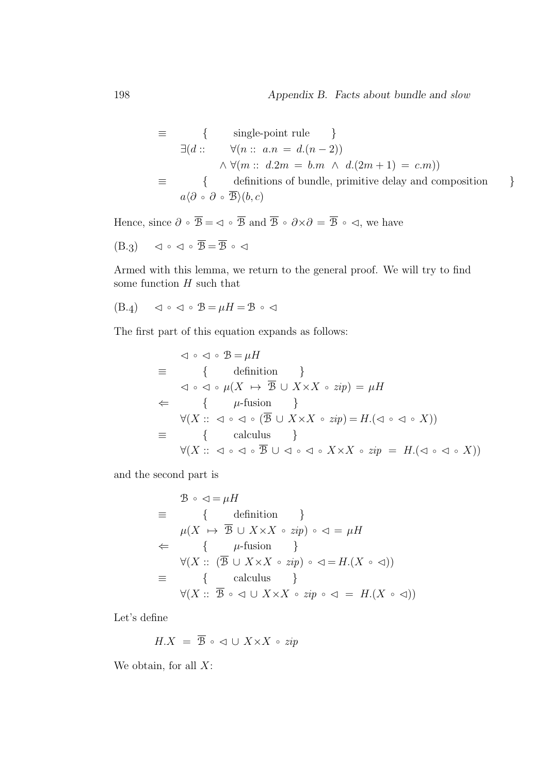$$
\equiv \{\quad \text{single-point rule } \}
$$
  
\n
$$
\exists (d:: \quad \forall (n:: a.n = d.(n-2))
$$
  
\n
$$
\land \forall (m:: d.2m = b.m \land d.(2m+1) = c.m))
$$
  
\n
$$
\equiv \{\quad \text{definitions of bundle, primitive delay and composition } \}
$$
  
\n
$$
a \langle \partial \circ \partial \circ \overline{B} \rangle (b, c)
$$

Hence, since  $\partial \circ \overline{B} = \vartriangleleft \circ \overline{B}$  and  $\overline{B} \circ \partial \times \partial = \overline{B} \circ \vartriangleleft$ , we have

$$
(B.3) \quad \vartriangleleft \circ \vartriangleleft \circ \overline{\mathcal{B}} = \overline{\mathcal{B}} \circ \vartriangleleft
$$

Armed with this lemma, we return to the general proof. We will try to find some function  $H$  such that

$$
(B.4) \quad \lhd \circ \lhd \circ \mathcal{B} = \mu H = \mathcal{B} \circ \lhd
$$

The first part of this equation expands as follows:

$$
\begin{aligned}\n&\triangleleft \circ \triangleleft \circ \mathcal{B} = \mu H \\
&\equiv \left\{ \begin{array}{c} \text{definition} \\ \text{definition} \end{array} \right\} \\
&\prec \circ \varphi \circ \mu(X \mapsto \overline{\mathcal{B}} \cup X \times X \circ zip) = \mu H \\
&\Leftarrow \left\{ \begin{array}{c} \mu\text{-fusion} \\ \text{#-fusion} \end{array} \right\} \\
&\forall (X :: \vartriangleleft \circ \vartriangleleft \circ (\overline{\mathcal{B}} \cup X \times X \circ zip) = H. (\vartriangleleft \circ \vartriangleleft \circ X)) \\
&\equiv \left\{ \begin{array}{c} \text{calculus} \\ \text{calculus} \end{array} \right\} \\
&\forall (X :: \vartriangleleft \circ \vartriangleleft \circ \overline{\mathcal{B}} \cup \vartriangleleft \circ \vartriangleleft \circ X \times X \circ zip) = H. (\vartriangleleft \circ \vartriangleleft \circ X))\n\end{aligned}
$$

and the second part is

$$
\mathcal{B} \circ \vartriangleleft = \mu H
$$
\n
$$
\equiv \begin{cases}\n\text{definition} \\
\mu(X \mapsto \overline{\mathcal{B}} \cup X \times X \circ zip) \circ \vartriangleleft = \mu H \\
\leftarrow \{\mu\text{-fusion}\} \\
\forall (X :: (\overline{\mathcal{B}} \cup X \times X \circ zip) \circ \vartriangleleft = H.(X \circ \vartriangleleft))\right) \\
\equiv \{\text{ calculus}\} \\
\forall (X :: \overline{\mathcal{B}} \circ \vartriangleleft \cup X \times X \circ zip) \circ \vartriangleleft = H.(X \circ \vartriangleleft))\n\end{cases}
$$

Let's define

$$
H.X \ = \ \overline{\mathcal{B}} \ \circ \ \vartriangleleft \ \cup \ X \!\times\! X \ \circ \ zip
$$

We obtain, for all  $X$ :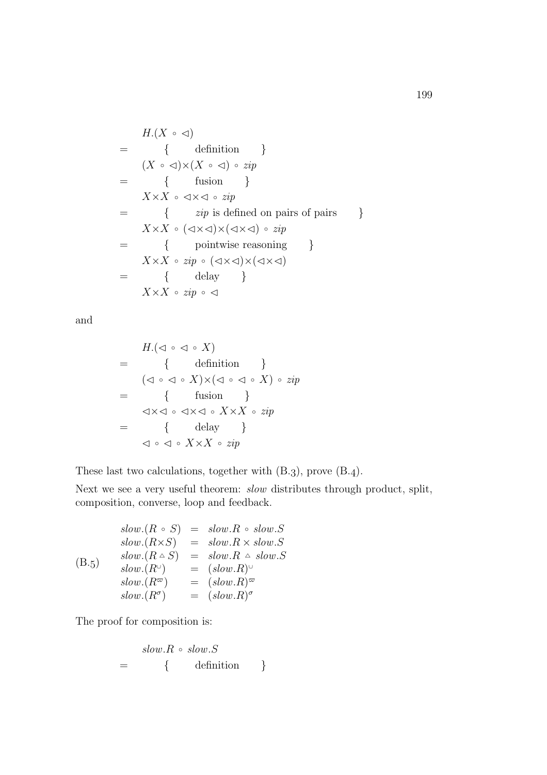$$
H.(X \circ \lhd)
$$
\n
$$
= \{ \text{definition } \}
$$
\n
$$
(X \circ \lhd) \times (X \circ \lhd) \circ zip
$$
\n
$$
= \{ \text{fusion } \}
$$
\n
$$
X \times X \circ \lhd \times \lhd \circ zip
$$
\n
$$
= \{ \text{zip is defined on pairs of pairs } \}
$$
\n
$$
X \times X \circ (\lhd \times \lhd) \times (\lhd \times \lhd) \circ zip
$$
\n
$$
= \{ \text{pointwise reasoning } \}
$$
\n
$$
X \times X \circ zip \circ (\lhd \times \lhd) \times (\lhd \times \lhd)
$$
\n
$$
= \{ \text{delay } \}
$$
\n
$$
X \times X \circ zip \circ \lhd
$$

and

$$
H.(\lhd \circ \lhd \circ X)
$$
\n
$$
= \{ \text{definition } \} \}
$$
\n
$$
= \{ \text{definition } \} \}
$$
\n
$$
= \{ \text{fusion } \}
$$
\n
$$
\lhd \times \lhd \circ \lhd \times \lhd \circ X \times X \circ zip
$$
\n
$$
= \{ \text{delay } \} \}
$$
\n
$$
\lhd \circ \lhd \circ X \times X \circ zip
$$

These last two calculations, together with  $(B.3)$ , prove  $(B.4)$ .

Next we see a very useful theorem: slow distributes through product, split, composition, converse, loop and feedback.

$$
slow.(R \circ S) = slow.R \circ slow.S
$$
  
\n
$$
slow.(R \times S) = slow.R \times slow.S
$$
  
\n
$$
(B.5) \quad slow.(R^{\circ}) = slow.R \circ slow.S
$$
  
\n
$$
slow.(R^{\circ}) = slow.R \circ slow.S
$$
  
\n
$$
slow.(R^{\circ}) = (slow.R)^{\circ}
$$
  
\n
$$
slow.(R^{\sigma}) = (slow.R)^{\sigma}
$$

The proof for composition is:

$$
slow.R \circ slow.S
$$
  
= {  
definition {definition}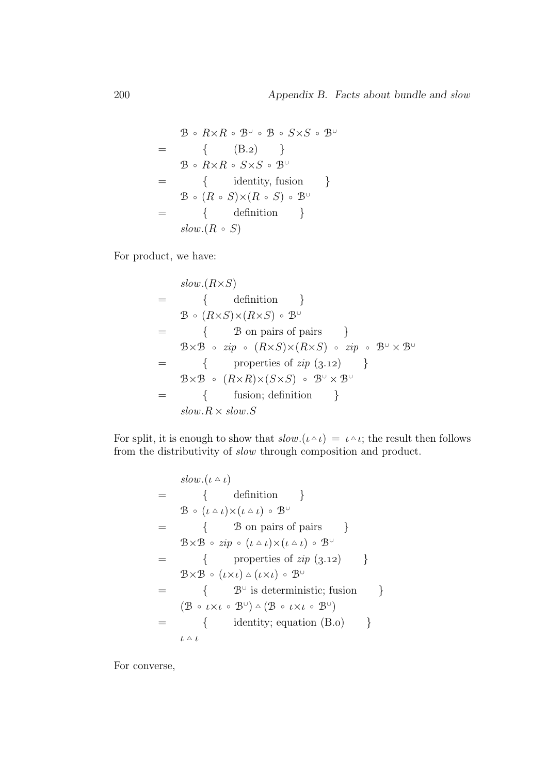$$
\mathcal{B} \circ R \times R \circ \mathcal{B}^{\cup} \circ \mathcal{B} \circ S \times S \circ \mathcal{B}^{\cup}
$$
\n
$$
= \left\{ \begin{array}{c} (\text{B}.2) \\ \mathcal{B} \circ R \times R \circ S \times S \circ \mathcal{B}^{\cup} \\ \{ \text{identity, fusion } \} \\ \mathcal{B} \circ (R \circ S) \times (R \circ S) \circ \mathcal{B}^{\cup} \\ \end{array} \right\}
$$
\n
$$
= \left\{ \begin{array}{c} \text{identity, fusion } \\ \{ \text{definition } \} \\ \text{slow.} (R \circ S) \end{array} \right\}
$$

For product, we have:

$$
slow.(R \times S)
$$
\n=\n
$$
\left\{\n\begin{array}{c}\n\text{definition} \\
\mathcal{B} \circ (R \times S) \times (R \times S) \circ \mathcal{B}^{\cup} \\
\text{=}\n\end{array}\n\right.
$$
\n
$$
\left\{\n\begin{array}{c}\n\mathcal{B} \text{ on pairs of pairs} \\
\mathcal{B} \times \mathcal{B} \circ zip \circ (R \times S) \times (R \times S) \circ zip \circ \mathcal{B}^{\cup} \times \mathcal{B}^{\cup} \\
\text{10001} \\
\text{1112}\n\end{array}\n\right.
$$
\n
$$
\left.\n\begin{array}{c}\n\mathcal{B} \times \mathcal{B} \circ (R \times R) \times (S \times S) \circ \mathcal{B}^{\cup} \times \mathcal{B}^{\cup} \\
\text{1121}\n\end{array}\n\right.
$$
\n
$$
slow.R \times slow.S
$$

For split, it is enough to show that  $slow.(\iota \Delta \iota) = \iota \Delta \iota$ ; the result then follows from the distributivity of slow through composition and product.

$$
slow.(\iota \rightharpoonup \iota)
$$
\n
$$
= \begin{cases}\n 8 \cdot (\iota \rightharpoonup \iota) \times (\iota \rightharpoonup \iota) \cdot 8^{\cup} \\
 8 \cdot (\iota \rightharpoonup \iota) \times (\iota \rightharpoonup \iota) \cdot 8^{\cup} \\
 1 \cdot 8 \cdot 8 \cdot 8^{\cup} \cdot 8^{\cup} \cdot (\iota \rightharpoonup \iota) \times (\iota \rightharpoonup \iota) \cdot 8^{\cup} \\
 1 \cdot 8 \cdot 8 \cdot 8^{\cup} \cdot 8^{\cup} \cdot (\iota \rightharpoonup \iota) \cdot 8^{\cup} \\
 2 \cdot 8 \cdot 8 \cdot (\iota \times \iota) \rightharpoonup (\iota \times \iota) \cdot 8^{\cup} \\
 1 \cdot 8 \cdot 8 \cdot 8^{\cup} \cdot 8^{\cup} \cdot 8^{\cup} \\
 1 \cdot 8 \cdot 8^{\cup} \cdot 8^{\cup} \cdot 8^{\cup} \cdot 8^{\cup} \\
 1 \cdot 8 \cdot 8^{\cup} \cdot 8^{\cup} \cdot 8^{\cup} \cdot 8^{\cup} \\
 1 \cdot 8 \cdot 8^{\cup} \cdot 8^{\cup} \cdot 8^{\cup} \cdot 8^{\cup} \\
 1 \cdot 8 \cdot 8^{\cup} \cdot 8^{\cup} \cdot 8^{\cup} \cdot 8^{\cup} \\
 1 \cdot 8 \cdot 8^{\cup} \cdot 8^{\cup} \cdot 8^{\cup} \cdot 8^{\cup} \\
 1 \cdot 8 \cdot 8^{\cup} \cdot 8^{\cup} \cdot 8^{\cup} \cdot 8^{\cup} \\
 1 \cdot 8 \cdot 8^{\cup} \cdot 8^{\cup} \cdot 8^{\cup} \cdot 8^{\cup} \\
 1 \cdot 8 \cdot 8^{\cup} \cdot 8^{\cup} \cdot 8^{\cup} \cdot 8^{\cup} \\
 1 \cdot 8 \cdot 8^{\cup} \cdot 8^{\cup} \cdot 8^{\cup} \cdot 8^{\cup} \\
 1 \cdot 8 \cdot 8^{\cup} \cdot 8^{\cup} \cdot 8^{\cup} \cdot 8^{\cup} \\
 1 \cdot 8 \cdot 8^{\cup} \cdot 8^{\cup} \cdot 8^{\cup} \cdot 8^{\cup} \\
 1 \cdot 8 \cdot 8^{\cup} \cdot 8^{\cup
$$

For converse,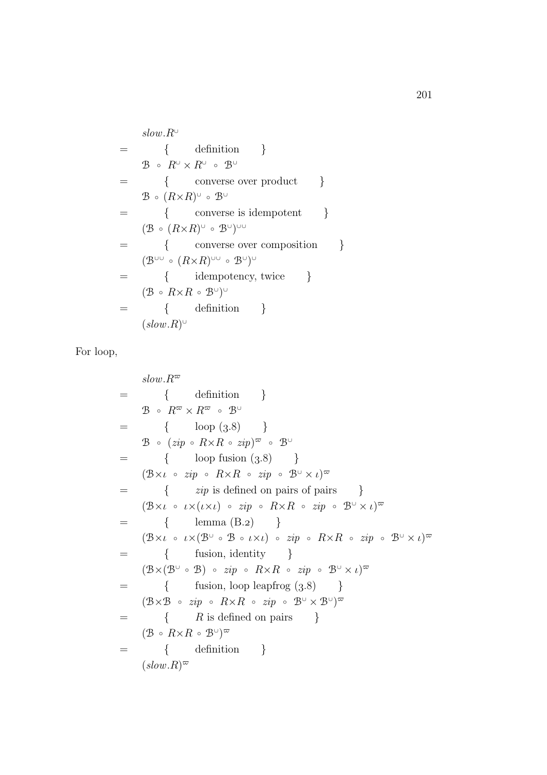$$
= \begin{cases}\n\text{slow.} R^{\cup} \\
\mathcal{B} \circ R^{\cup} \times R^{\cup} \circ \mathcal{B}^{\cup} \\
\mathcal{B} \circ (R \times R)^{\cup} \circ \mathcal{B}^{\cup} \\
\mathcal{B} \circ (R \times R)^{\cup} \circ \mathcal{B}^{\cup} \\
\mathcal{C} \circ (R \times R)^{\cup} \circ \mathcal{B}^{\cup} \\
\mathcal{C} \circ (R \times R)^{\cup} \circ \mathcal{B}^{\cup} \\
\mathcal{C} \circ (R \times R)^{\cup} \circ \mathcal{B}^{\cup} \\
\mathcal{C} \circ (R \times R)^{\cup} \circ \mathcal{B}^{\cup} \\
\mathcal{C} \circ (R \times R \circ \mathcal{B}^{\cup})^{\cup} \\
\mathcal{C} \circ R \times R \circ \mathcal{B}^{\cup} \\
\mathcal{C} \circ (R \times R \circ \mathcal{B}^{\cup})^{\cup} \\
\mathcal{C} \circ (R \times R \circ \mathcal{B}^{\cup})^{\cup} \\
\mathcal{C} \circ (R \times R \circ \mathcal{B}^{\cup})^{\cup} \\
\mathcal{C} \circ (R \times R \circ \mathcal{B}^{\cup})^{\cup} \\
\mathcal{C} \circ (R \times R \circ \mathcal{B}^{\cup})^{\cup} \\
\mathcal{C} \circ (R \times R \circ \mathcal{B}^{\cup})^{\cup} \\
\mathcal{C} \circ (R \times R)^{\cup} \\
\mathcal{C} \circ (R \times R)^{\cup} \\
\mathcal{C} \circ (R \times R \circ \mathcal{B}^{\cup})^{\cup} \\
\mathcal{C} \circ (R \times R)^{\cup} \\
\mathcal{C} \circ (R \times R)^{\cup} \\
\mathcal{C} \circ (R \times R \circ \mathcal{B}^{\cup})^{\cup} \\
\mathcal{C} \circ (R \times R)^{\cup} \\
\mathcal{C} \circ (R \times R \circ \mathcal{B}^{\cup})^{\cup} \\
\mathcal{C} \circ (R \times R)^{\cup} \\
\mathcal{C} \circ (R \times R \circ \mathcal{B}^{\cup})^{\cup} \\
\mathcal{C} \circ (R \times R)^{\cup} \\
\mathcal{C} \circ (R \times R)^{\cup} \\
\mathcal{C} \circ (R \times R \circ \mathcal{B}^{\cup})^{\cup
$$

For loop,

$$
slow.R^{\varpi}
$$
\n=\n
$$
\begin{cases}\n\text{definition }\quad} \\
\mathcal{B} \circ R^{\varpi} \times R^{\varpi} \circ \mathcal{B}^{\cup} \\
\mathcal{B} \circ (zip \circ R \times R \circ zip)^{\varpi} \circ \mathcal{B}^{\cup} \\
\mathcal{B} \circ (zip \circ R \times R \circ zip)^{\varpi} \circ \mathcal{B}^{\cup} \\
\mathcal{B} \times \iota \circ zip \circ R \times R \circ zip \circ \mathcal{B}^{\cup} \times \iota)^{\varpi}\n\end{cases}
$$
\n=\n
$$
\begin{cases}\n(\mathcal{B} \times \iota \circ \iota \times (\iota \times \iota) \circ zip \circ R \times R \circ zip \circ \mathcal{B}^{\cup} \times \iota)^{\varpi} \\
(\mathcal{B} \times \iota \circ \iota \times (\iota \times \iota) \circ zip \circ R \times R \circ zip \circ \mathcal{B}^{\cup} \times \iota)^{\varpi}\n\end{cases}
$$
\n=\n
$$
\begin{cases}\n(\mathcal{B} \times \iota \circ \iota \times (\mathcal{B}^{\cup} \circ \mathcal{B} \circ \iota \times \iota) \circ zip \circ R \times R \circ zip \circ \mathcal{B}^{\cup} \times \iota)^{\varpi}\n\end{cases}
$$
\n=\n
$$
\begin{cases}\n(\mathcal{B} \times (\mathcal{B}^{\cup} \circ \mathcal{B}) \circ zip \circ R \times R \circ zip \circ \mathcal{B}^{\cup} \times \iota)^{\varpi}\n\end{cases}
$$
\n=\n
$$
\begin{cases}\n(\mathcal{B} \times \mathcal{B} \circ zip \circ R \times R \circ zip \circ \mathcal{B}^{\cup} \times \mathcal{B}^{\cup})^{\varpi}\n\end{cases}
$$
\n=\n
$$
\begin{cases}\n(\mathcal{B} \times \mathcal{B} \circ zip \circ R \times R \circ zip \circ \mathcal{B}^{\cup} \times \mathcal{B}^{\cup})^{\varpi}\n\end{cases}
$$
\n=\n
$$
\begin{cases}\n(\mathcal{B} \times \mathcal{B} \circ \mathcal{B}^{\cup})^{\varpi}\n\end{cases}
$$
\n=\n
$$
\begin
$$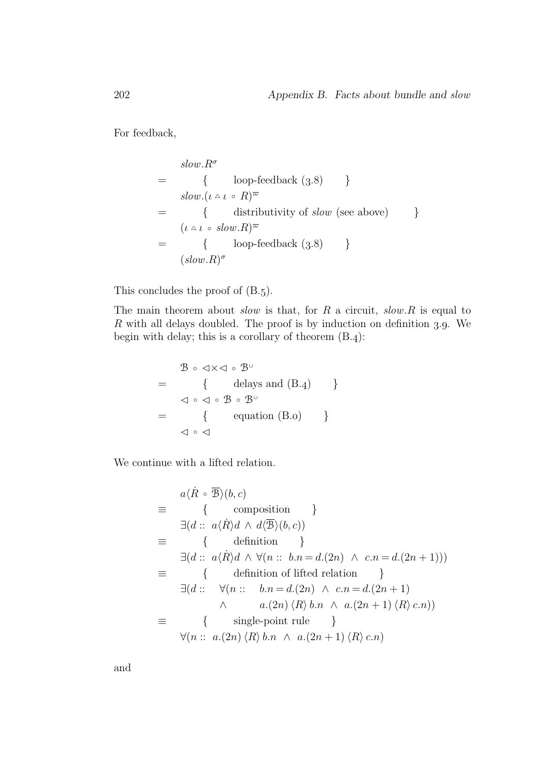For feedback,

$$
slow. R^{\sigma}
$$
\n
$$
= \begin{cases}\n\text{loop-feedback (3.8)} \\
\text{slow.} (\iota \sim \iota \circ R)^{\varpi} \\
= \begin{cases}\n\text{distributivity of slow (see above)} \\
(\iota \sim \iota \circ slow.R)^{\varpi}\n\end{cases}\n\end{cases}
$$
\n
$$
= \begin{cases}\n(\iota \sim \iota \circ slow.R)^{\varpi} \\
\text{loop-feedback (3.8)}\n\end{cases}
$$
\n
$$
(slow. R)^{\sigma}
$$

This concludes the proof of  $(B.5)$ .

The main theorem about *slow* is that, for  $R$  a circuit, *slow*. $R$  is equal to  $R$  with all delays doubled. The proof is by induction on definition 3.9. We begin with delay; this is a corollary of theorem  $(B.4)$ :

$$
\begin{array}{rcl}\n & \mathcal{B} \circ \vartriangleleft \times \vartriangleleft \circ \mathcal{B}^{\cup} \\
 & = & \{ & \text{ delays and (B.4)} \quad \} \\
 & \vartriangleleft \circ \vartriangleleft \circ \mathcal{B} \circ \mathcal{B}^{\cup} \\
 & = & \{ & \text{equation (B.0)} \quad \} \\
 & \vartriangleleft \circ \vartriangleleft\n \end{array}
$$

We continue with a lifted relation.

$$
a \langle \dot{R} \circ \overline{B} \rangle (b, c)
$$
  
\n
$$
\equiv \{ \text{composition } \}
$$
  
\n
$$
\exists (d :: a \langle \dot{R} \rangle d \land d \langle \overline{B} \rangle (b, c))
$$
  
\n
$$
\equiv \{ \text{definition } \}
$$
  
\n
$$
\exists (d :: a \langle \dot{R} \rangle d \land \forall (n :: b.n = d.(2n) \land c.n = d.(2n + 1)))
$$
  
\n
$$
\equiv \{ \text{definition of lifted relation } \}
$$
  
\n
$$
\exists (d :: \forall (n :: b.n = d.(2n) \land c.n = d.(2n + 1) \land a.(2n) \langle R \rangle b.n \land a.(2n + 1) \langle R \rangle c.n))
$$
  
\n
$$
\equiv \{ \text{single-point rule } \}
$$
  
\n
$$
\forall (n :: a.(2n) \langle R \rangle b.n \land a.(2n + 1) \langle R \rangle c.n)
$$

and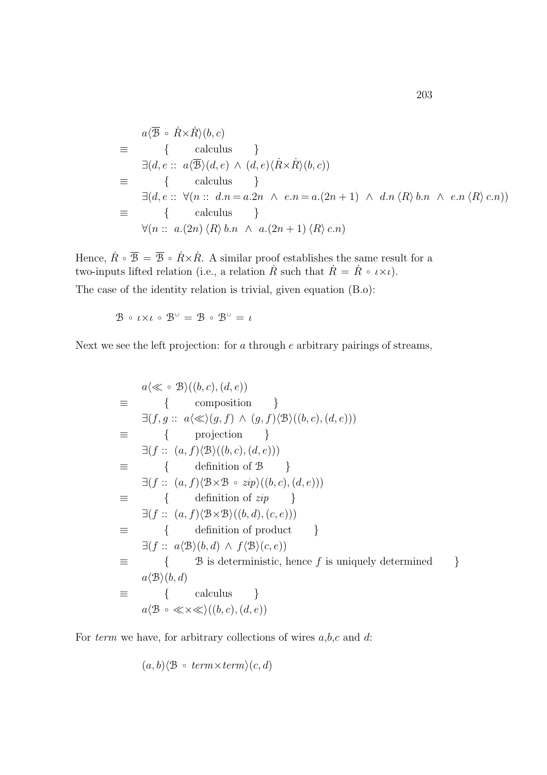$$
a\langle \overline{B} \circ \dot{R} \times \dot{R} \rangle (b, c)
$$
  
\n
$$
\equiv \{ \quad \text{calculus} \}
$$
  
\n
$$
\exists (d, e :: a\langle \overline{B} \rangle (d, e) \land (d, e) \langle \dot{R} \times \dot{R} \rangle (b, c))
$$
  
\n
$$
\equiv \{ \quad \text{calculus} \}
$$
  
\n
$$
\exists (d, e :: \forall (n :: d.n = a.2n \land e.n = a.(2n + 1) \land d.n \langle R \rangle b.n \land e.n \langle R \rangle c.n))
$$
  
\n
$$
\equiv \{ \quad \text{calculus} \}
$$
  
\n
$$
\forall (n :: a.(2n) \langle R \rangle b.n \land a.(2n + 1) \langle R \rangle c.n)
$$

Hence,  $\dot{R} \circ \overline{B} = \overline{B} \circ \dot{R} \times \dot{R}$ . A similar proof establishes the same result for a two-inputs lifted relation (i.e., a relation  $\dot{R}$  such that  $\dot{R} = \dot{R} \circ \iota \times \iota$ ). The case of the identity relation is trivial, given equation (B.):

$$
\mathcal{B} \, \circ \, \iota \times \iota \, \circ \, \mathcal{B}^{\cup} = \mathcal{B} \, \circ \, \mathcal{B}^{\cup} = \iota
$$

Next we see the left projection: for  $a$  through  $e$  arbitrary pairings of streams,

$$
a \langle \ll \circ B \rangle ((b, c), (d, e))
$$
  
\n
$$
\equiv \{ \text{composition } \}
$$
  
\n
$$
\exists (f, g :: a \langle \ll \rangle (g, f) \land (g, f) \langle B \rangle ((b, c), (d, e)))
$$
  
\n
$$
\equiv \{ \text{projection } \}
$$
  
\n
$$
\exists (f :: (a, f) \langle B \rangle ((b, c), (d, e)))
$$
  
\n
$$
\equiv \{ \text{definition of } B \}
$$
  
\n
$$
\exists (f :: (a, f) \langle B \times B \circ zip \rangle ((b, c), (d, e)))
$$
  
\n
$$
\equiv \{ \text{definition of } zip \}
$$
  
\n
$$
\exists (f :: (a, f) \langle B \times B \rangle ((b, d), (c, e)))
$$
  
\n
$$
\equiv \{ \text{definition of product } \}
$$
  
\n
$$
\exists (f :: a \langle B \rangle (b, d) \land f \langle B \rangle (c, e))
$$
  
\n
$$
\equiv \{ \text{B is deterministic, hence } f \text{ is uniquely determined } \}
$$
  
\n
$$
a \langle B \rangle (b, d)
$$
  
\n
$$
\equiv \{ \text{ calculus } \}
$$
  
\n
$$
a \langle B \circ \ll \times \ll \rangle ((b, c), (d, e))
$$

For term we have, for arbitrary collections of wires  $a,b,c$  and  $d$ :

$$
(a, b) \langle \mathcal{B} \circ \mathit{term} \times \mathit{term} \rangle (c, d)
$$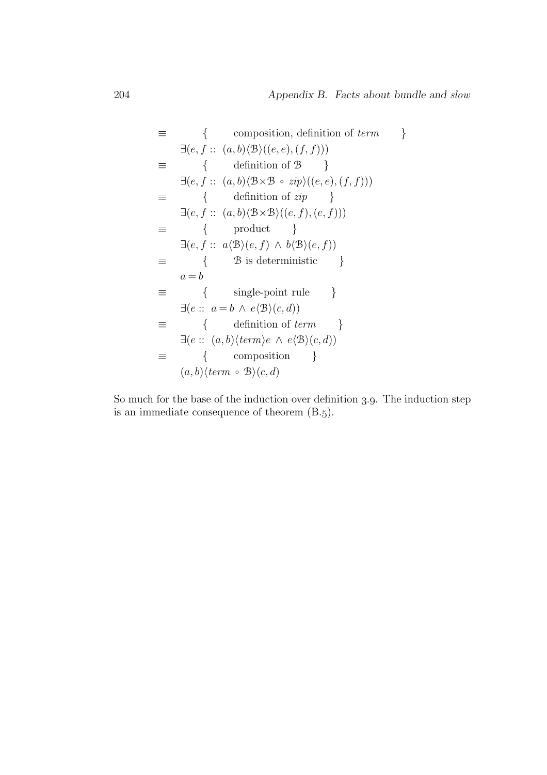$$
\equiv \{ \text{composition, definition of term } \} \n\exists (e, f :: (a, b) \langle \mathcal{B} \rangle ((e, e), (f, f))) \n\equiv \{ \text{definition of } \mathcal{B} \} \n\exists (e, f :: (a, b) \langle \mathcal{B} \times \mathcal{B} \circ zip \rangle ((e, e), (f, f))) \n\equiv \{ \text{definition of } zip \} \n\exists (e, f :: (a, b) \langle \mathcal{B} \times \mathcal{B} \rangle ((e, f), (e, f))) \n\equiv \{ \text{product } \} \n\exists (e, f :: a \langle \mathcal{B} \rangle (e, f) \land b \langle \mathcal{B} \rangle (e, f)) \n\equiv \{ \text{B is deterministic } \} \na = b \n\equiv \{ \text{single-point rule } \} \n\exists (e :: a = b \land e \langle \mathcal{B} \rangle (c, d)) \n\equiv \{ \text{definition of term } \} \n\exists (e :: (a, b) \langle term \rangle e \land e \langle \mathcal{B} \rangle (c, d)) \n\equiv \{ \text{composition } \} \n\langle a, b \rangle \langle term \circ \mathcal{B} \rangle (c, d)
$$

So much for the base of the induction over definition  $3.9$ . The induction step is an immediate consequence of theorem  $(B.5)$ .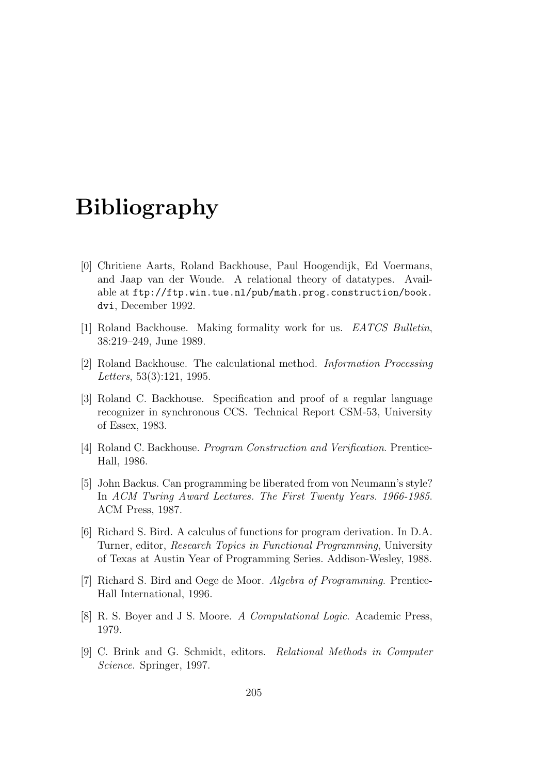#### Bibliography

- [0] Chritiene Aarts, Roland Backhouse, Paul Hoogendijk, Ed Voermans, and Jaap van der Woude. A relational theory of datatypes. Available at ftp://ftp.win.tue.nl/pub/math.prog.construction/book. dvi, December 1992.
- [1] Roland Backhouse. Making formality work for us. EATCS Bulletin, 38:219–249, June 1989.
- [2] Roland Backhouse. The calculational method. Information Processing Letters, 53(3):121, 1995.
- [3] Roland C. Backhouse. Specification and proof of a regular language recognizer in synchronous CCS. Technical Report CSM-53, University of Essex, 1983.
- [4] Roland C. Backhouse. Program Construction and Verification. Prentice-Hall, 1986.
- [5] John Backus. Can programming be liberated from von Neumann's style? In ACM Turing Award Lectures. The First Twenty Years. 1966-1985. ACM Press, 1987.
- [6] Richard S. Bird. A calculus of functions for program derivation. In D.A. Turner, editor, Research Topics in Functional Programming, University of Texas at Austin Year of Programming Series. Addison-Wesley, 1988.
- [7] Richard S. Bird and Oege de Moor. Algebra of Programming. Prentice-Hall International, 1996.
- [8] R. S. Boyer and J S. Moore. A Computational Logic. Academic Press, 1979.
- [9] C. Brink and G. Schmidt, editors. Relational Methods in Computer Science. Springer, 1997.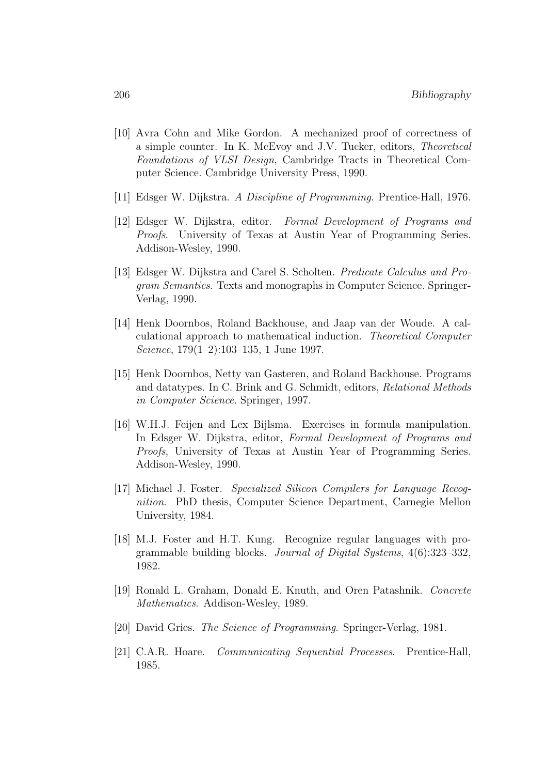- [10] Avra Cohn and Mike Gordon. A mechanized proof of correctness of a simple counter. In K. McEvoy and J.V. Tucker, editors, Theoretical Foundations of VLSI Design, Cambridge Tracts in Theoretical Computer Science. Cambridge University Press, 1990.
- [11] Edsger W. Dijkstra. A Discipline of Programming. Prentice-Hall, 1976.
- [12] Edsger W. Dijkstra, editor. Formal Development of Programs and Proofs. University of Texas at Austin Year of Programming Series. Addison-Wesley, 1990.
- [13] Edsger W. Dijkstra and Carel S. Scholten. Predicate Calculus and Program Semantics. Texts and monographs in Computer Science. Springer-Verlag, 1990.
- [14] Henk Doornbos, Roland Backhouse, and Jaap van der Woude. A calculational approach to mathematical induction. Theoretical Computer Science, 179(1–2):103–135, 1 June 1997.
- [15] Henk Doornbos, Netty van Gasteren, and Roland Backhouse. Programs and datatypes. In C. Brink and G. Schmidt, editors, Relational Methods in Computer Science. Springer, 1997.
- [16] W.H.J. Feijen and Lex Bijlsma. Exercises in formula manipulation. In Edsger W. Dijkstra, editor, Formal Development of Programs and Proofs, University of Texas at Austin Year of Programming Series. Addison-Wesley, 1990.
- [17] Michael J. Foster. Specialized Silicon Compilers for Language Recognition. PhD thesis, Computer Science Department, Carnegie Mellon University, 1984.
- [18] M.J. Foster and H.T. Kung. Recognize regular languages with programmable building blocks. Journal of Digital Systems, 4(6):323–332, 1982.
- [19] Ronald L. Graham, Donald E. Knuth, and Oren Patashnik. Concrete Mathematics. Addison-Wesley, 1989.
- [20] David Gries. The Science of Programming. Springer-Verlag, 1981.
- [21] C.A.R. Hoare. Communicating Sequential Processes. Prentice-Hall, 1985.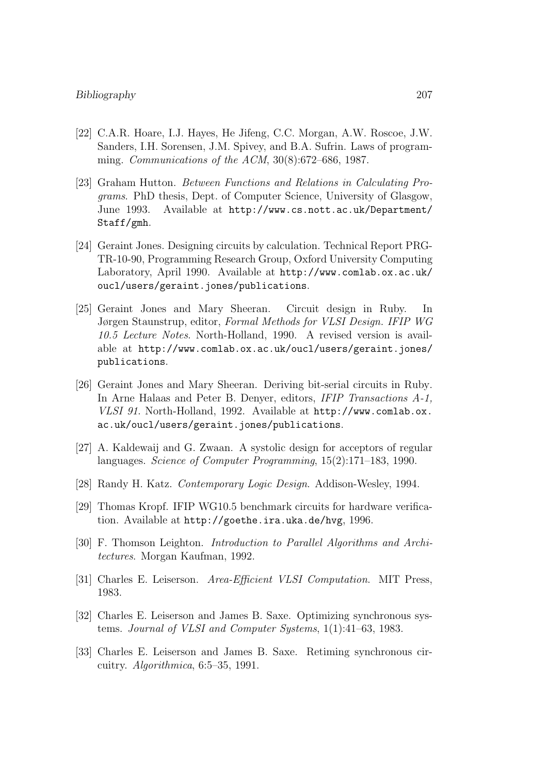- [22] C.A.R. Hoare, I.J. Hayes, He Jifeng, C.C. Morgan, A.W. Roscoe, J.W. Sanders, I.H. Sorensen, J.M. Spivey, and B.A. Sufrin. Laws of programming. Communications of the ACM,  $30(8):672-686$ , 1987.
- [23] Graham Hutton. Between Functions and Relations in Calculating Programs. PhD thesis, Dept. of Computer Science, University of Glasgow, June 1993. Available at http://www.cs.nott.ac.uk/Department/ Staff/gmh.
- [24] Geraint Jones. Designing circuits by calculation. Technical Report PRG-TR-10-90, Programming Research Group, Oxford University Computing Laboratory, April 1990. Available at http://www.comlab.ox.ac.uk/ oucl/users/geraint.jones/publications.
- [25] Geraint Jones and Mary Sheeran. Circuit design in Ruby. In Jørgen Staunstrup, editor, Formal Methods for VLSI Design. IFIP WG 10.5 Lecture Notes. North-Holland, 1990. A revised version is available at http://www.comlab.ox.ac.uk/oucl/users/geraint.jones/ publications.
- [26] Geraint Jones and Mary Sheeran. Deriving bit-serial circuits in Ruby. In Arne Halaas and Peter B. Denyer, editors, IFIP Transactions A-1, VLSI 91. North-Holland, 1992. Available at http://www.comlab.ox. ac.uk/oucl/users/geraint.jones/publications.
- [27] A. Kaldewaij and G. Zwaan. A systolic design for acceptors of regular languages. Science of Computer Programming, 15(2):171–183, 1990.
- [28] Randy H. Katz. Contemporary Logic Design. Addison-Wesley, 1994.
- [29] Thomas Kropf. IFIP WG10.5 benchmark circuits for hardware verification. Available at http://goethe.ira.uka.de/hvg, 1996.
- [30] F. Thomson Leighton. Introduction to Parallel Algorithms and Architectures. Morgan Kaufman, 1992.
- [31] Charles E. Leiserson. Area-Efficient VLSI Computation. MIT Press, 1983.
- [32] Charles E. Leiserson and James B. Saxe. Optimizing synchronous systems. Journal of VLSI and Computer Systems, 1(1):41–63, 1983.
- [33] Charles E. Leiserson and James B. Saxe. Retiming synchronous circuitry. Algorithmica, 6:5–35, 1991.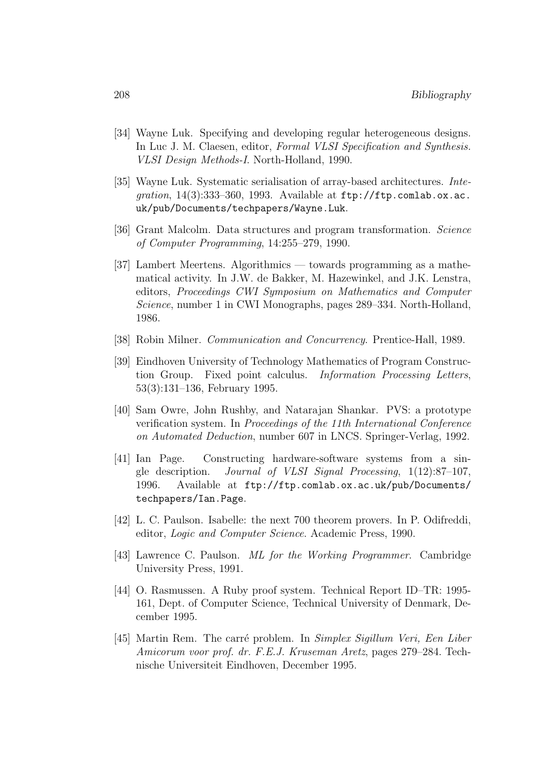- [34] Wayne Luk. Specifying and developing regular heterogeneous designs. In Luc J. M. Claesen, editor, Formal VLSI Specification and Synthesis. VLSI Design Methods-I. North-Holland, 1990.
- [35] Wayne Luk. Systematic serialisation of array-based architectures. Integration,  $14(3):333-360$ , 1993. Available at  $ftp://ftp.comlab.ox.ac.$ uk/pub/Documents/techpapers/Wayne.Luk.
- [36] Grant Malcolm. Data structures and program transformation. Science of Computer Programming, 14:255–279, 1990.
- [37] Lambert Meertens. Algorithmics towards programming as a mathematical activity. In J.W. de Bakker, M. Hazewinkel, and J.K. Lenstra, editors, Proceedings CWI Symposium on Mathematics and Computer Science, number 1 in CWI Monographs, pages 289–334. North-Holland, 1986.
- [38] Robin Milner. Communication and Concurrency. Prentice-Hall, 1989.
- [39] Eindhoven University of Technology Mathematics of Program Construction Group. Fixed point calculus. Information Processing Letters, 53(3):131–136, February 1995.
- [40] Sam Owre, John Rushby, and Natarajan Shankar. PVS: a prototype verification system. In Proceedings of the 11th International Conference on Automated Deduction, number 607 in LNCS. Springer-Verlag, 1992.
- [41] Ian Page. Constructing hardware-software systems from a single description. Journal of VLSI Signal Processing, 1(12):87–107, 1996. Available at ftp://ftp.comlab.ox.ac.uk/pub/Documents/ techpapers/Ian.Page.
- [42] L. C. Paulson. Isabelle: the next 700 theorem provers. In P. Odifreddi, editor, Logic and Computer Science. Academic Press, 1990.
- [43] Lawrence C. Paulson. ML for the Working Programmer. Cambridge University Press, 1991.
- [44] O. Rasmussen. A Ruby proof system. Technical Report ID–TR: 1995- 161, Dept. of Computer Science, Technical University of Denmark, December 1995.
- [45] Martin Rem. The carré problem. In Simplex Sigillum Veri, Een Liber Amicorum voor prof. dr. F.E.J. Kruseman Aretz, pages 279–284. Technische Universiteit Eindhoven, December 1995.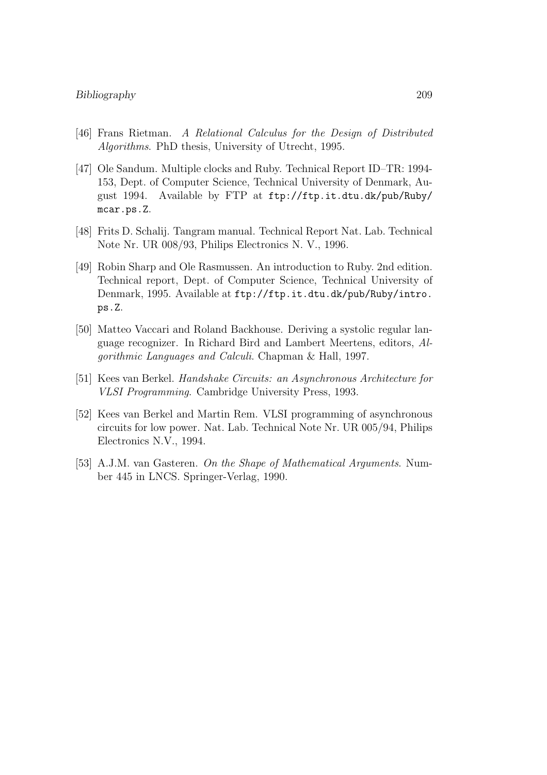- [46] Frans Rietman. A Relational Calculus for the Design of Distributed Algorithms. PhD thesis, University of Utrecht, 1995.
- [47] Ole Sandum. Multiple clocks and Ruby. Technical Report ID–TR: 1994- 153, Dept. of Computer Science, Technical University of Denmark, August 1994. Available by FTP at ftp://ftp.it.dtu.dk/pub/Ruby/ mcar.ps.Z.
- [48] Frits D. Schalij. Tangram manual. Technical Report Nat. Lab. Technical Note Nr. UR 008/93, Philips Electronics N. V., 1996.
- [49] Robin Sharp and Ole Rasmussen. An introduction to Ruby. 2nd edition. Technical report, Dept. of Computer Science, Technical University of Denmark, 1995. Available at ftp://ftp.it.dtu.dk/pub/Ruby/intro. ps.Z.
- [50] Matteo Vaccari and Roland Backhouse. Deriving a systolic regular language recognizer. In Richard Bird and Lambert Meertens, editors, Algorithmic Languages and Calculi. Chapman & Hall, 1997.
- [51] Kees van Berkel. Handshake Circuits: an Asynchronous Architecture for VLSI Programming. Cambridge University Press, 1993.
- [52] Kees van Berkel and Martin Rem. VLSI programming of asynchronous circuits for low power. Nat. Lab. Technical Note Nr. UR 005/94, Philips Electronics N.V., 1994.
- [53] A.J.M. van Gasteren. On the Shape of Mathematical Arguments. Number 445 in LNCS. Springer-Verlag, 1990.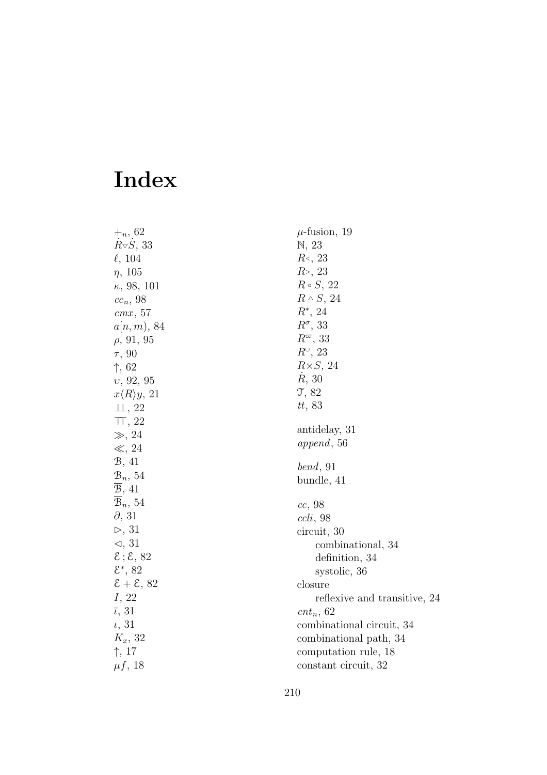# Index

| $+n, 62$                               | $\mu$ -fusion, 19            |
|----------------------------------------|------------------------------|
| $\dot{R} \overline{\vee} \dot{S}$ , 33 | $\mathbb{N}, 23$             |
| $\ell$ , 104                           | R <sub>5</sub> , 23          |
| $\eta$ , 105                           | R > 23                       |
| $\kappa$ , 98, 101                     | $R \circ S$ , 22             |
| $cc_n$ , 98                            | $R \triangle S$ , 24         |
| cmx, 57                                | $R^*, 24$                    |
| $a[n, m)$ , 84                         | $R^{\sigma}$ , 33            |
| $\rho$ , 91, 95                        | $R^{\varpi}$ , 33            |
| $\tau$ , 90                            | $R^{\cup}$ , 23              |
| $\dagger$ , 62                         | $R\times S$ , 24             |
| v, 92, 95                              | R, 30                        |
| $x\langle R\rangle y$ , 21             | $\mathfrak{T}, 82$           |
| $\perp$ , 22                           | tt, 83                       |
| TT, 22                                 |                              |
| $\gg$ , 24                             | antidelay, 31                |
| $\ll$ , 24                             | append, 56                   |
| B, 41                                  |                              |
| $\mathcal{B}_n$ , 54                   | bend, 91                     |
| $\mathcal{B}, 41$                      | bundle, 41                   |
| $\mathcal{B}_n$ , 54                   | cc, 98                       |
| $\partial$ , 31                        | ccli, 98                     |
| $\triangleright$ , 31                  | circuit, 30                  |
| $\triangleleft$ , 31                   | combinational, 34            |
| $\mathcal{E}$ ; $\mathcal{E}$ , 82     | definition, 34               |
| $\mathcal{E}^*, 82$                    | systolic, 36                 |
| $\mathcal{E} + \mathcal{E}$ , 82       | closure                      |
| I, 22                                  | reflexive and transitive, 24 |
| $\bar{\iota}$ , 31                     | $cnt_n$ , 62                 |
| $\iota$ , 31                           | combinational circuit, 34    |
| $K_x$ , 32                             | combinational path, 34       |
| $\uparrow$ , 17                        | computation rule, 18         |
| $\mu f$ , 18                           | constant circuit, 32         |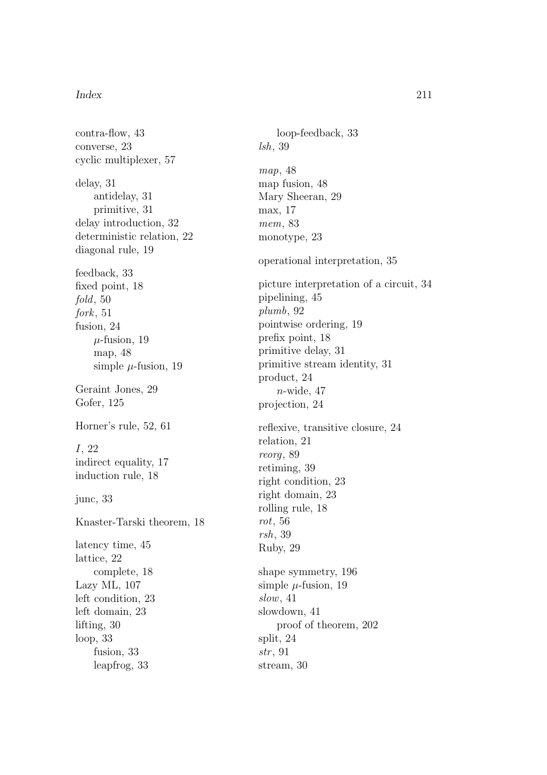#### *Index* 211

contra-flow, 43 converse, 23 cyclic multiplexer, 57 delay, 31 antidelay, 31 primitive, 31 delay introduction, 32 deterministic relation, 22 diagonal rule, 19 feedback, 33 fixed point, 18 fold, 50 fork, 51 fusion, 24  $\mu$ -fusion, 19 map, 48 simple  $\mu$ -fusion, 19 Geraint Jones, 29 Gofer, 125 Horner's rule, 52, 61 I, 22 indirect equality, 17 induction rule, 18 junc, 33 Knaster-Tarski theorem, 18 latency time, 45 lattice, 22 complete, 18 Lazy ML, 107 left condition, 23 left domain, 23 lifting, 30 loop, 33 fusion, 33 leapfrog, 33

loop-feedback, 33 lsh, 39 map, 48 map fusion, 48 Mary Sheeran, 29 max, 17 mem, 83 monotype, 23 operational interpretation, 35 picture interpretation of a circuit, 34 pipelining, 45 plumb, 92 pointwise ordering, 19 prefix point, 18 primitive delay, 31 primitive stream identity, 31 product, 24  $n$ -wide, 47 projection, 24 reflexive, transitive closure, 24 relation, 21 reorg, 89 retiming, 39 right condition, 23 right domain, 23 rolling rule, 18 rot, 56 rsh, 39 Ruby, 29 shape symmetry, 196 simple  $\mu$ -fusion, 19 slow, 41 slowdown, 41 proof of theorem, 202 split, 24 str, 91 stream, 30